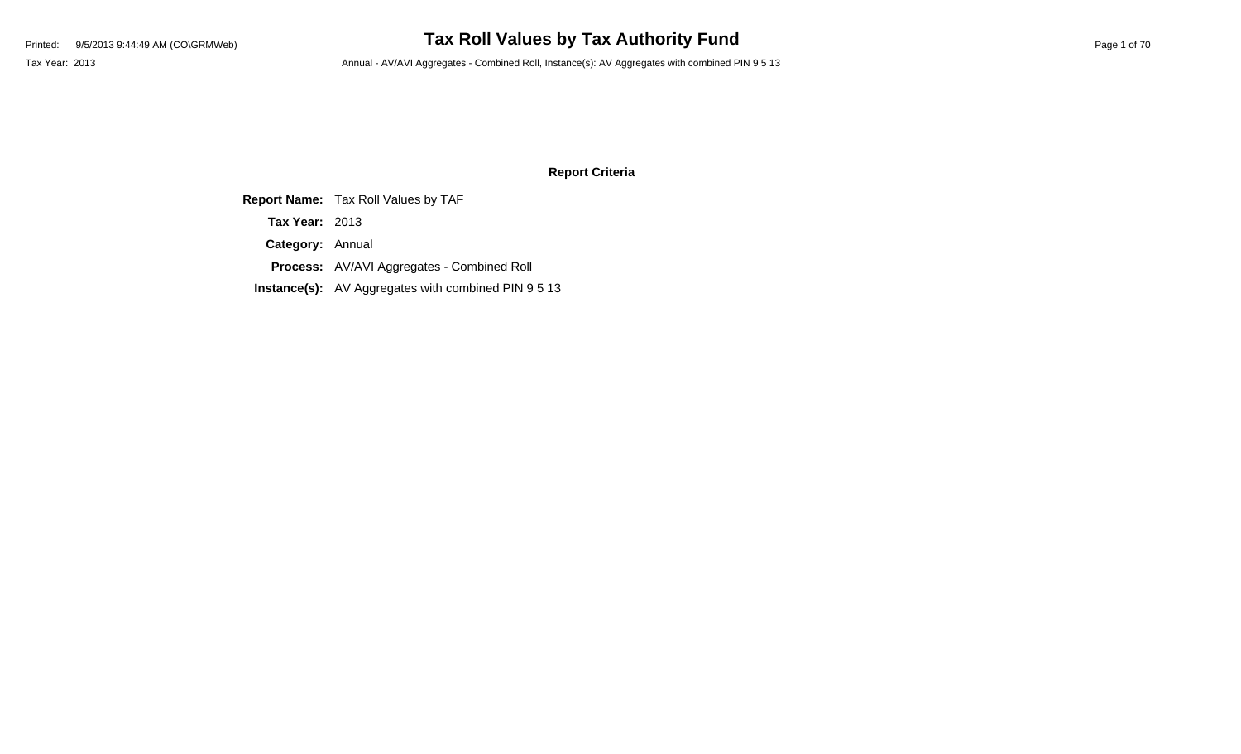### **Report Criteria**

**Report Name:** Tax Roll Values by TAF

**Tax Year:** 2013

**Category:** Annual

**Process:** AV/AVI Aggregates - Combined Roll

**Instance(s):** AV Aggregates with combined PIN 9 5 13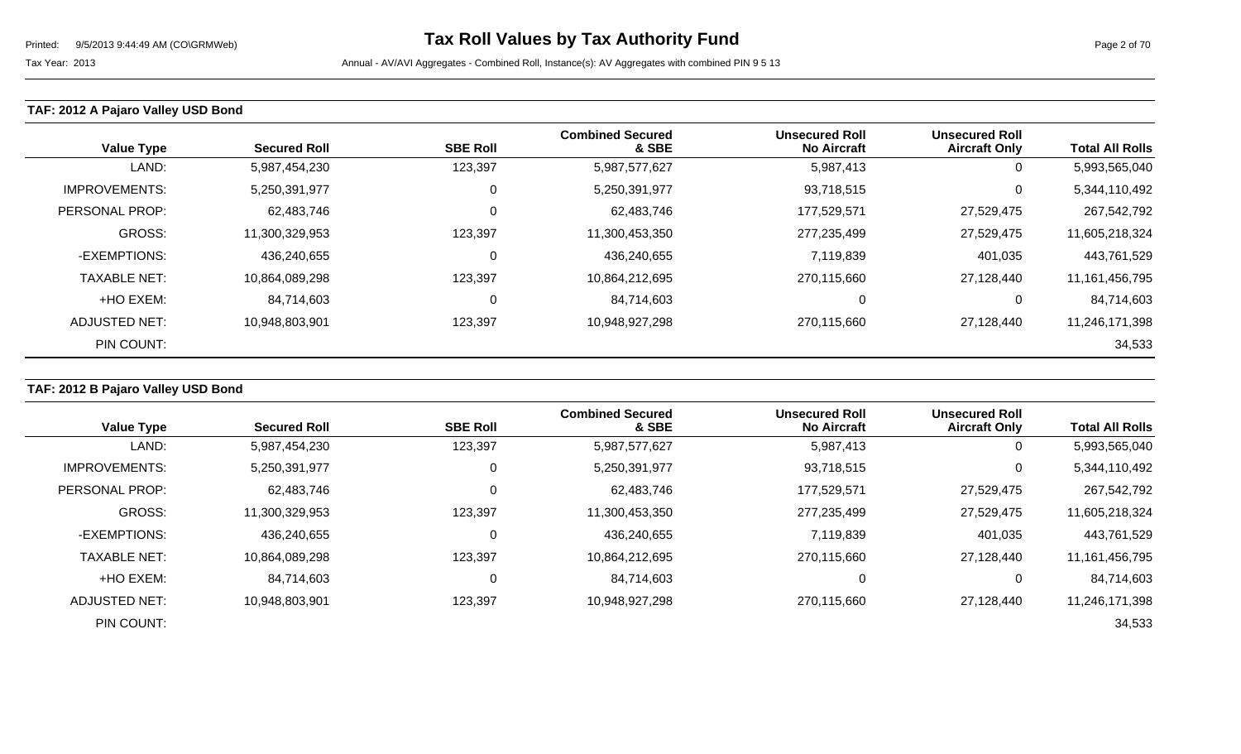## **TAF: 2012 A Pajaro Valley USD Bond**

| <b>Value Type</b>    | <b>Secured Roll</b> | <b>SBE Roll</b> | <b>Combined Secured</b><br>& SBE | <b>Unsecured Roll</b><br><b>No Aircraft</b> | <b>Unsecured Roll</b><br><b>Aircraft Only</b> | <b>Total All Rolls</b> |
|----------------------|---------------------|-----------------|----------------------------------|---------------------------------------------|-----------------------------------------------|------------------------|
| LAND:                | 5,987,454,230       | 123,397         | 5,987,577,627                    | 5,987,413                                   | U                                             | 5,993,565,040          |
| <b>IMPROVEMENTS:</b> | 5,250,391,977       | 0               | 5,250,391,977                    | 93,718,515                                  | 0                                             | 5,344,110,492          |
| PERSONAL PROP:       | 62,483,746          | 0               | 62,483,746                       | 177,529,571                                 | 27,529,475                                    | 267,542,792            |
| <b>GROSS:</b>        | 11,300,329,953      | 123,397         | 11,300,453,350                   | 277,235,499                                 | 27,529,475                                    | 11,605,218,324         |
| -EXEMPTIONS:         | 436,240,655         | $\mathbf 0$     | 436,240,655                      | 7,119,839                                   | 401,035                                       | 443,761,529            |
| <b>TAXABLE NET:</b>  | 10,864,089,298      | 123,397         | 10,864,212,695                   | 270,115,660                                 | 27,128,440                                    | 11,161,456,795         |
| +HO EXEM:            | 84,714,603          | 0               | 84,714,603                       | 0                                           | υ                                             | 84,714,603             |
| <b>ADJUSTED NET:</b> | 10,948,803,901      | 123,397         | 10,948,927,298                   | 270,115,660                                 | 27,128,440                                    | 11,246,171,398         |
| PIN COUNT:           |                     |                 |                                  |                                             |                                               | 34,533                 |

## **TAF: 2012 B Pajaro Valley USD Bond**

| <b>Value Type</b>    | <b>Secured Roll</b> | <b>SBE Roll</b> | <b>Combined Secured</b><br>& SBE | <b>Unsecured Roll</b><br><b>No Aircraft</b> | <b>Unsecured Roll</b><br><b>Aircraft Only</b> | <b>Total All Rolls</b> |
|----------------------|---------------------|-----------------|----------------------------------|---------------------------------------------|-----------------------------------------------|------------------------|
| LAND:                | 5,987,454,230       | 123,397         | 5,987,577,627                    | 5,987,413                                   | 0                                             | 5,993,565,040          |
| <b>IMPROVEMENTS:</b> | 5,250,391,977       | 0               | 5,250,391,977                    | 93,718,515                                  | 0                                             | 5,344,110,492          |
| PERSONAL PROP:       | 62,483,746          | 0               | 62,483,746                       | 177,529,571                                 | 27,529,475                                    | 267,542,792            |
| GROSS:               | 11,300,329,953      | 123,397         | 11,300,453,350                   | 277,235,499                                 | 27,529,475                                    | 11,605,218,324         |
| -EXEMPTIONS:         | 436,240,655         |                 | 436,240,655                      | 7,119,839                                   | 401,035                                       | 443,761,529            |
| <b>TAXABLE NET:</b>  | 10,864,089,298      | 123,397         | 10,864,212,695                   | 270,115,660                                 | 27,128,440                                    | 11,161,456,795         |
| +HO EXEM:            | 84,714,603          | C               | 84,714,603                       |                                             | 0                                             | 84,714,603             |
| ADJUSTED NET:        | 10,948,803,901      | 123,397         | 10,948,927,298                   | 270,115,660                                 | 27,128,440                                    | 11,246,171,398         |
| PIN COUNT:           |                     |                 |                                  |                                             |                                               | 34,533                 |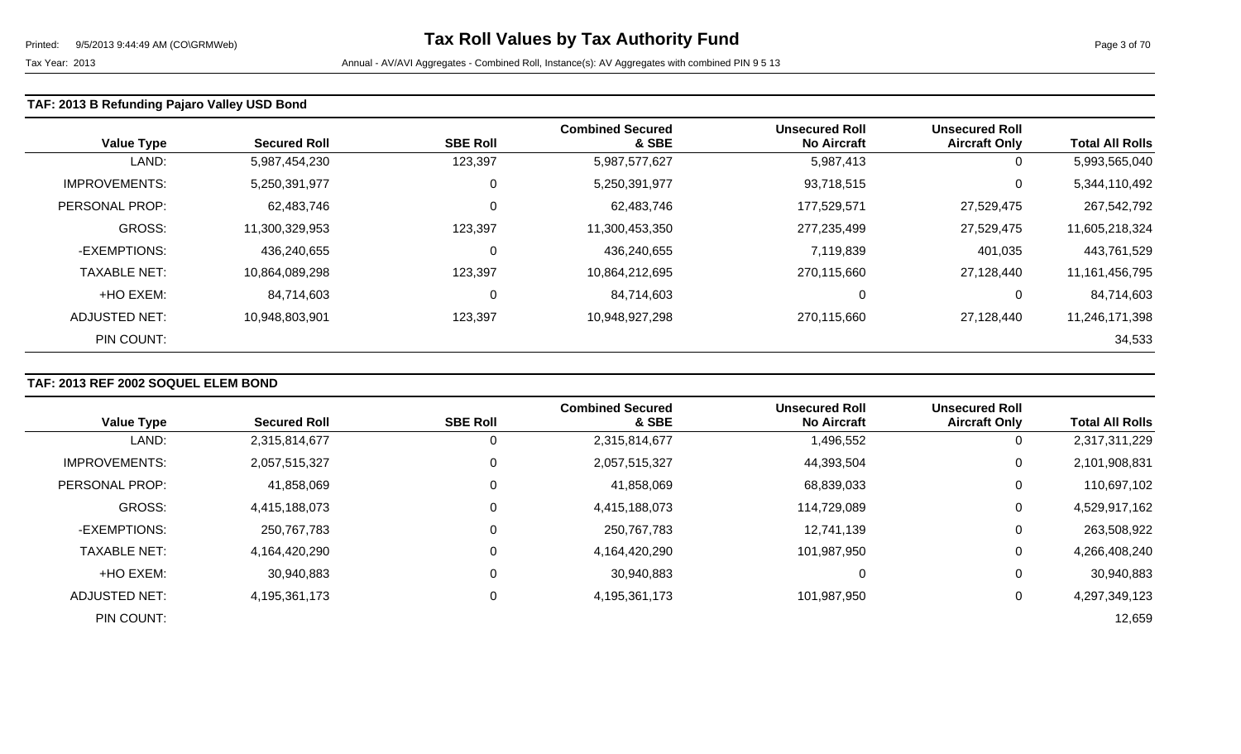### **TAF: 2013 B Refunding Pajaro Valley USD Bond**

| <b>Value Type</b>     | <b>Secured Roll</b> | <b>SBE Roll</b> | <b>Combined Secured</b><br>& SBE | <b>Unsecured Roll</b><br><b>No Aircraft</b> | <b>Unsecured Roll</b><br><b>Aircraft Only</b> | <b>Total All Rolls</b> |
|-----------------------|---------------------|-----------------|----------------------------------|---------------------------------------------|-----------------------------------------------|------------------------|
| LAND:                 | 5,987,454,230       | 123,397         | 5,987,577,627                    | 5,987,413                                   | 0                                             | 5,993,565,040          |
| <b>IMPROVEMENTS:</b>  | 5,250,391,977       | 0               | 5,250,391,977                    | 93,718,515                                  | 0                                             | 5,344,110,492          |
| <b>PERSONAL PROP:</b> | 62,483,746          | $\mathbf 0$     | 62,483,746                       | 177,529,571                                 | 27,529,475                                    | 267,542,792            |
| GROSS:                | 11,300,329,953      | 123,397         | 11,300,453,350                   | 277,235,499                                 | 27,529,475                                    | 11,605,218,324         |
| -EXEMPTIONS:          | 436,240,655         | 0               | 436,240,655                      | 7,119,839                                   | 401,035                                       | 443,761,529            |
| <b>TAXABLE NET:</b>   | 10,864,089,298      | 123,397         | 10,864,212,695                   | 270,115,660                                 | 27,128,440                                    | 11, 161, 456, 795      |
| +HO EXEM:             | 84,714,603          | 0               | 84,714,603                       | $\Omega$                                    | υ                                             | 84,714,603             |
| ADJUSTED NET:         | 10,948,803,901      | 123,397         | 10,948,927,298                   | 270,115,660                                 | 27,128,440                                    | 11,246,171,398         |
| PIN COUNT:            |                     |                 |                                  |                                             |                                               | 34,533                 |

## **TAF: 2013 REF 2002 SOQUEL ELEM BOND**

|                      |                     |                 | <b>Combined Secured</b> | <b>Unsecured Roll</b> | <b>Unsecured Roll</b> |                        |
|----------------------|---------------------|-----------------|-------------------------|-----------------------|-----------------------|------------------------|
| <b>Value Type</b>    | <b>Secured Roll</b> | <b>SBE Roll</b> | & SBE                   | <b>No Aircraft</b>    | <b>Aircraft Only</b>  | <b>Total All Rolls</b> |
| LAND:                | 2,315,814,677       |                 | 2,315,814,677           | 1,496,552             | 0                     | 2,317,311,229          |
| <b>IMPROVEMENTS:</b> | 2,057,515,327       | 0               | 2,057,515,327           | 44,393,504            | 0                     | 2,101,908,831          |
| PERSONAL PROP:       | 41,858,069          | C               | 41,858,069              | 68,839,033            | 0                     | 110,697,102            |
| <b>GROSS:</b>        | 4,415,188,073       |                 | 4,415,188,073           | 114,729,089           | 0                     | 4,529,917,162          |
| -EXEMPTIONS:         | 250,767,783         |                 | 250,767,783             | 12,741,139            | 0                     | 263,508,922            |
| <b>TAXABLE NET:</b>  | 4,164,420,290       |                 | 4,164,420,290           | 101,987,950           | 0                     | 4,266,408,240          |
| +HO EXEM:            | 30,940,883          | 0               | 30,940,883              |                       | 0                     | 30,940,883             |
| ADJUSTED NET:        | 4,195,361,173       | 0               | 4,195,361,173           | 101,987,950           | 0                     | 4,297,349,123          |
| PIN COUNT:           |                     |                 |                         |                       |                       | 12,659                 |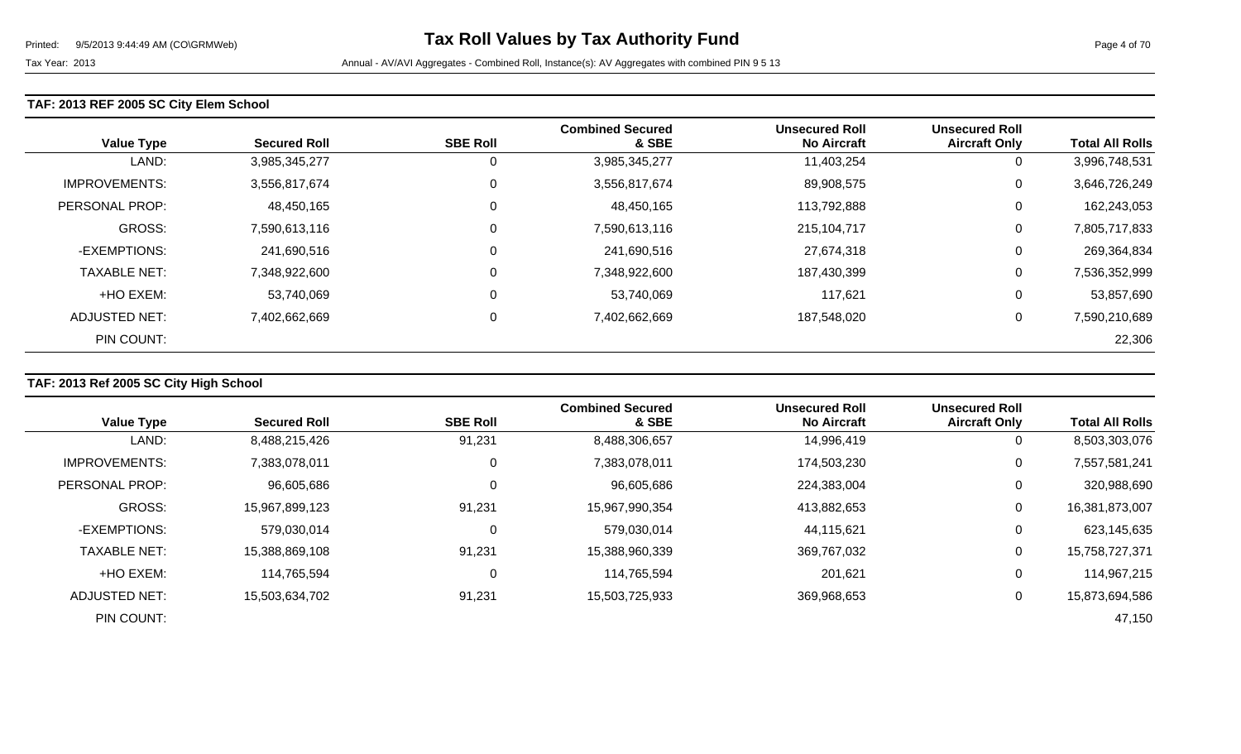### **TAF: 2013 REF 2005 SC City Elem School**

| <b>Value Type</b>     | <b>Secured Roll</b> | <b>SBE Roll</b> | <b>Combined Secured</b><br>& SBE | <b>Unsecured Roll</b><br><b>No Aircraft</b> | <b>Unsecured Roll</b><br><b>Aircraft Only</b> | <b>Total All Rolls</b> |
|-----------------------|---------------------|-----------------|----------------------------------|---------------------------------------------|-----------------------------------------------|------------------------|
| LAND:                 | 3,985,345,277       | 0               | 3,985,345,277                    | 11,403,254                                  | U                                             | 3,996,748,531          |
| <b>IMPROVEMENTS:</b>  | 3,556,817,674       | 0               | 3,556,817,674                    | 89,908,575                                  | 0                                             | 3,646,726,249          |
| <b>PERSONAL PROP:</b> | 48,450,165          | 0               | 48,450,165                       | 113,792,888                                 | 0                                             | 162,243,053            |
| <b>GROSS:</b>         | 7,590,613,116       | 0               | 7,590,613,116                    | 215,104,717                                 | 0                                             | 7,805,717,833          |
| -EXEMPTIONS:          | 241,690,516         | 0               | 241,690,516                      | 27,674,318                                  | 0                                             | 269,364,834            |
| <b>TAXABLE NET:</b>   | 7,348,922,600       | 0               | 7,348,922,600                    | 187,430,399                                 | 0                                             | 7,536,352,999          |
| +HO EXEM:             | 53,740,069          | 0               | 53,740,069                       | 117,621                                     | U                                             | 53,857,690             |
| ADJUSTED NET:         | 7,402,662,669       | 0               | 7,402,662,669                    | 187,548,020                                 | 0                                             | 7,590,210,689          |
| PIN COUNT:            |                     |                 |                                  |                                             |                                               | 22,306                 |

## **TAF: 2013 Ref 2005 SC City High School**

|                      |                     |                 | <b>Combined Secured</b> | <b>Unsecured Roll</b> | <b>Unsecured Roll</b> |                        |
|----------------------|---------------------|-----------------|-------------------------|-----------------------|-----------------------|------------------------|
| <b>Value Type</b>    | <b>Secured Roll</b> | <b>SBE Roll</b> | & SBE                   | <b>No Aircraft</b>    | <b>Aircraft Only</b>  | <b>Total All Rolls</b> |
| LAND:                | 8,488,215,426       | 91,231          | 8,488,306,657           | 14,996,419            | 0                     | 8,503,303,076          |
| <b>IMPROVEMENTS:</b> | 7,383,078,011       | 0               | 7,383,078,011           | 174,503,230           | 0                     | 7,557,581,241          |
| PERSONAL PROP:       | 96,605,686          |                 | 96,605,686              | 224,383,004           | 0                     | 320,988,690            |
| <b>GROSS:</b>        | 15,967,899,123      | 91,231          | 15,967,990,354          | 413,882,653           | $\mathbf 0$           | 16,381,873,007         |
| -EXEMPTIONS:         | 579,030,014         | C               | 579,030,014             | 44,115,621            | 0                     | 623,145,635            |
| <b>TAXABLE NET:</b>  | 15,388,869,108      | 91,231          | 15,388,960,339          | 369,767,032           | $\mathbf 0$           | 15,758,727,371         |
| +HO EXEM:            | 114,765,594         | 0               | 114,765,594             | 201,621               | 0                     | 114,967,215            |
| ADJUSTED NET:        | 15,503,634,702      | 91,231          | 15,503,725,933          | 369,968,653           | 0                     | 15,873,694,586         |
| PIN COUNT:           |                     |                 |                         |                       |                       | 47,150                 |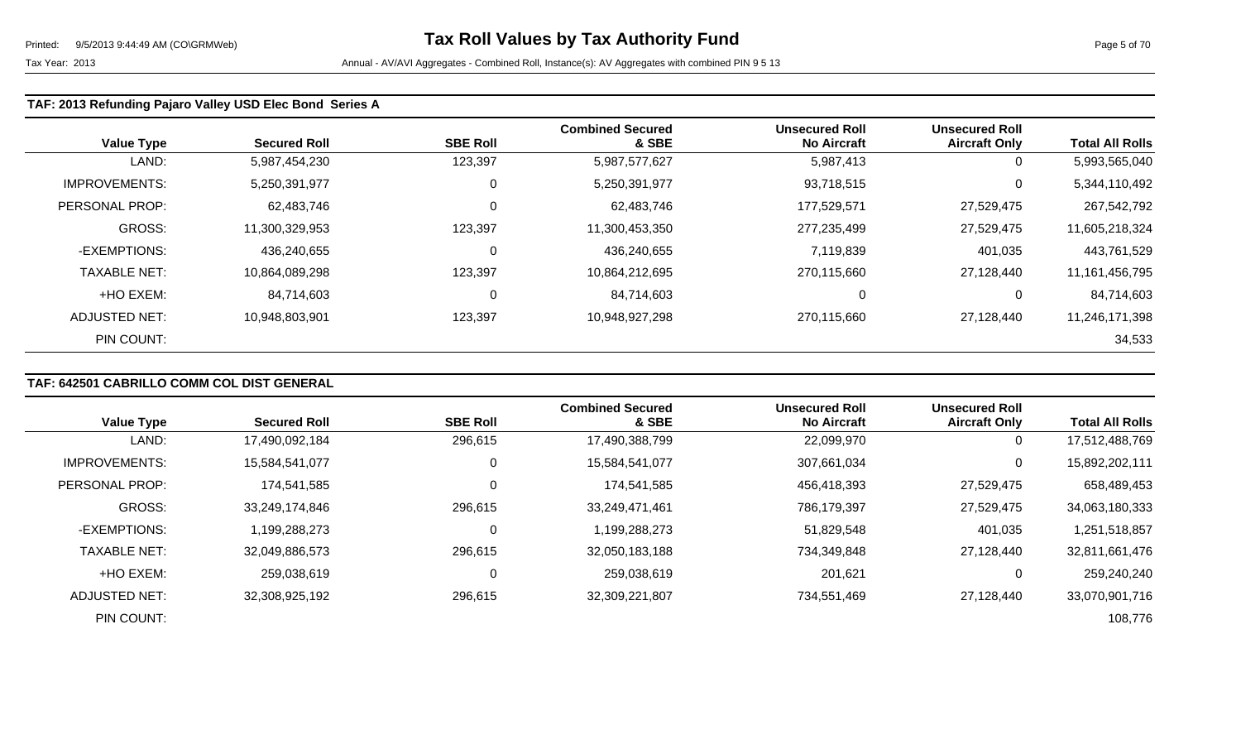### **TAF: 2013 Refunding Pajaro Valley USD Elec Bond Series A**

| <b>Value Type</b>    | <b>Secured Roll</b> | <b>SBE Roll</b> | <b>Combined Secured</b><br>& SBE | <b>Unsecured Roll</b><br><b>No Aircraft</b> | <b>Unsecured Roll</b><br><b>Aircraft Only</b> | <b>Total All Rolls</b> |
|----------------------|---------------------|-----------------|----------------------------------|---------------------------------------------|-----------------------------------------------|------------------------|
| LAND:                | 5,987,454,230       | 123,397         | 5,987,577,627                    | 5,987,413                                   | 0                                             | 5,993,565,040          |
| <b>IMPROVEMENTS:</b> | 5,250,391,977       | 0               | 5,250,391,977                    | 93,718,515                                  | 0                                             | 5,344,110,492          |
| PERSONAL PROP:       | 62,483,746          | $\mathbf 0$     | 62,483,746                       | 177,529,571                                 | 27,529,475                                    | 267,542,792            |
| <b>GROSS:</b>        | 11,300,329,953      | 123,397         | 11,300,453,350                   | 277,235,499                                 | 27,529,475                                    | 11,605,218,324         |
| -EXEMPTIONS:         | 436,240,655         | 0               | 436,240,655                      | 7,119,839                                   | 401,035                                       | 443,761,529            |
| <b>TAXABLE NET:</b>  | 10,864,089,298      | 123,397         | 10,864,212,695                   | 270,115,660                                 | 27,128,440                                    | 11,161,456,795         |
| +HO EXEM:            | 84,714,603          | 0               | 84,714,603                       | $\Omega$                                    | 0                                             | 84,714,603             |
| ADJUSTED NET:        | 10,948,803,901      | 123,397         | 10,948,927,298                   | 270,115,660                                 | 27,128,440                                    | 11,246,171,398         |
| PIN COUNT:           |                     |                 |                                  |                                             |                                               | 34,533                 |

## **TAF: 642501 CABRILLO COMM COL DIST GENERAL**

|                      |                     |                 | <b>Combined Secured</b> | <b>Unsecured Roll</b> | <b>Unsecured Roll</b> |                        |
|----------------------|---------------------|-----------------|-------------------------|-----------------------|-----------------------|------------------------|
| <b>Value Type</b>    | <b>Secured Roll</b> | <b>SBE Roll</b> | & SBE                   | <b>No Aircraft</b>    | <b>Aircraft Only</b>  | <b>Total All Rolls</b> |
| LAND:                | 17,490,092,184      | 296,615         | 17,490,388,799          | 22,099,970            | $\mathbf 0$           | 17,512,488,769         |
| <b>IMPROVEMENTS:</b> | 15,584,541,077      | 0               | 15,584,541,077          | 307,661,034           | 0                     | 15,892,202,111         |
| PERSONAL PROP:       | 174,541,585         | 0               | 174,541,585             | 456,418,393           | 27,529,475            | 658,489,453            |
| <b>GROSS:</b>        | 33,249,174,846      | 296,615         | 33,249,471,461          | 786,179,397           | 27,529,475            | 34,063,180,333         |
| -EXEMPTIONS:         | 1.199.288.273       | 0               | 1,199,288,273           | 51,829,548            | 401,035               | 1,251,518,857          |
| <b>TAXABLE NET:</b>  | 32,049,886,573      | 296,615         | 32,050,183,188          | 734,349,848           | 27,128,440            | 32,811,661,476         |
| +HO EXEM:            | 259,038,619         | 0               | 259,038,619             | 201,621               | $\mathbf 0$           | 259,240,240            |
| ADJUSTED NET:        | 32,308,925,192      | 296,615         | 32,309,221,807          | 734,551,469           | 27.128.440            | 33,070,901,716         |
| PIN COUNT:           |                     |                 |                         |                       |                       | 108,776                |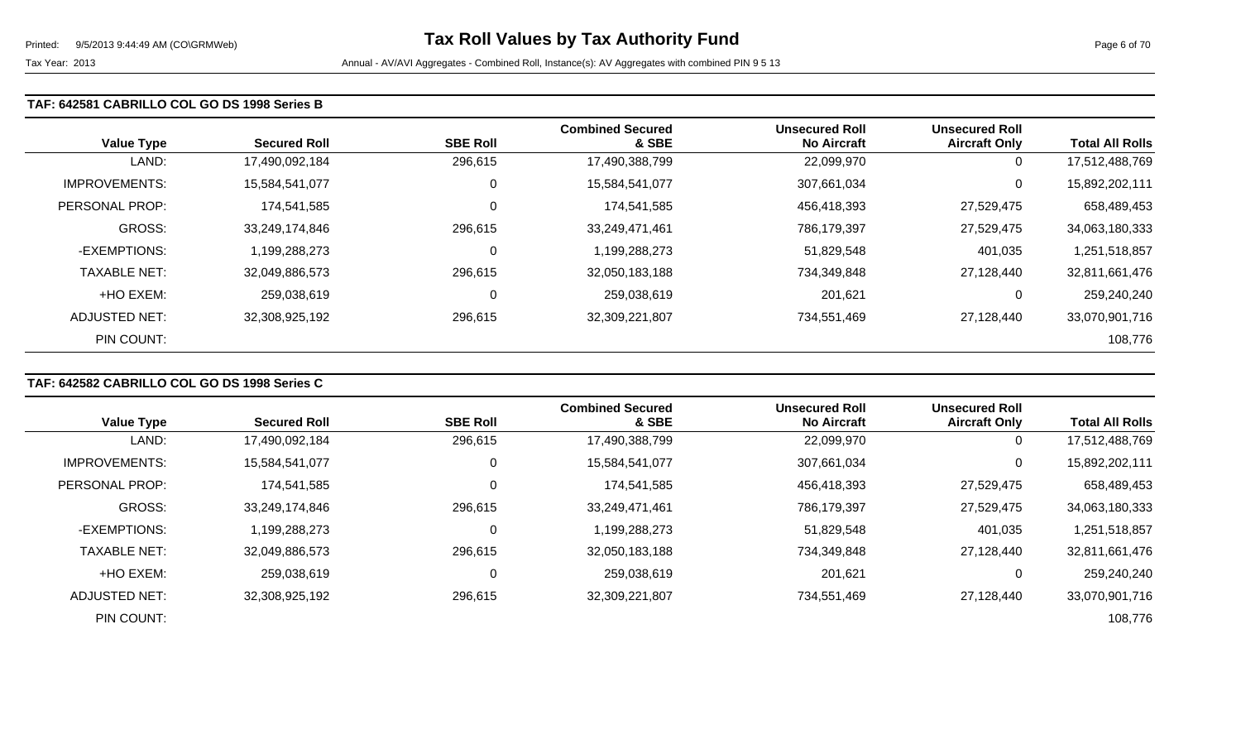#### **TAF: 642581 CABRILLO COL GO DS 1998 Series B**

| <b>Value Type</b>     | <b>Secured Roll</b> | <b>SBE Roll</b> | <b>Combined Secured</b><br>& SBE | <b>Unsecured Roll</b><br><b>No Aircraft</b> | <b>Unsecured Roll</b><br><b>Aircraft Only</b> | <b>Total All Rolls</b> |
|-----------------------|---------------------|-----------------|----------------------------------|---------------------------------------------|-----------------------------------------------|------------------------|
| LAND:                 | 17,490,092,184      | 296,615         | 17,490,388,799                   | 22,099,970                                  | 0                                             | 17,512,488,769         |
| <b>IMPROVEMENTS:</b>  | 15,584,541,077      | 0               | 15,584,541,077                   | 307,661,034                                 | 0                                             | 15,892,202,111         |
| <b>PERSONAL PROP:</b> | 174.541.585         | 0               | 174,541,585                      | 456,418,393                                 | 27,529,475                                    | 658,489,453            |
| <b>GROSS:</b>         | 33,249,174,846      | 296,615         | 33,249,471,461                   | 786,179,397                                 | 27,529,475                                    | 34,063,180,333         |
| -EXEMPTIONS:          | 1,199,288,273       | 0               | 1,199,288,273                    | 51,829,548                                  | 401,035                                       | 1,251,518,857          |
| <b>TAXABLE NET:</b>   | 32,049,886,573      | 296,615         | 32,050,183,188                   | 734,349,848                                 | 27,128,440                                    | 32,811,661,476         |
| +HO EXEM:             | 259,038,619         | 0               | 259,038,619                      | 201,621                                     | 0                                             | 259,240,240            |
| ADJUSTED NET:         | 32,308,925,192      | 296,615         | 32,309,221,807                   | 734,551,469                                 | 27,128,440                                    | 33,070,901,716         |
| PIN COUNT:            |                     |                 |                                  |                                             |                                               | 108,776                |

## **TAF: 642582 CABRILLO COL GO DS 1998 Series C**

|                      |                     |                 | <b>Combined Secured</b> | <b>Unsecured Roll</b> | <b>Unsecured Roll</b> |                        |
|----------------------|---------------------|-----------------|-------------------------|-----------------------|-----------------------|------------------------|
| <b>Value Type</b>    | <b>Secured Roll</b> | <b>SBE Roll</b> | & SBE                   | <b>No Aircraft</b>    | <b>Aircraft Only</b>  | <b>Total All Rolls</b> |
| LAND:                | 17,490,092,184      | 296,615         | 17,490,388,799          | 22,099,970            | 0                     | 17,512,488,769         |
| <b>IMPROVEMENTS:</b> | 15,584,541,077      | 0               | 15,584,541,077          | 307,661,034           | 0                     | 15,892,202,111         |
| PERSONAL PROP:       | 174,541,585         | 0               | 174,541,585             | 456,418,393           | 27,529,475            | 658,489,453            |
| <b>GROSS:</b>        | 33,249,174,846      | 296,615         | 33,249,471,461          | 786,179,397           | 27,529,475            | 34,063,180,333         |
| -EXEMPTIONS:         | 1,199,288,273       | 0               | 1,199,288,273           | 51,829,548            | 401,035               | 1,251,518,857          |
| <b>TAXABLE NET:</b>  | 32,049,886,573      | 296,615         | 32,050,183,188          | 734,349,848           | 27.128.440            | 32,811,661,476         |
| +HO EXEM:            | 259,038,619         | 0               | 259,038,619             | 201,621               | 0                     | 259,240,240            |
| ADJUSTED NET:        | 32,308,925,192      | 296,615         | 32,309,221,807          | 734,551,469           | 27.128.440            | 33,070,901,716         |
| PIN COUNT:           |                     |                 |                         |                       |                       | 108,776                |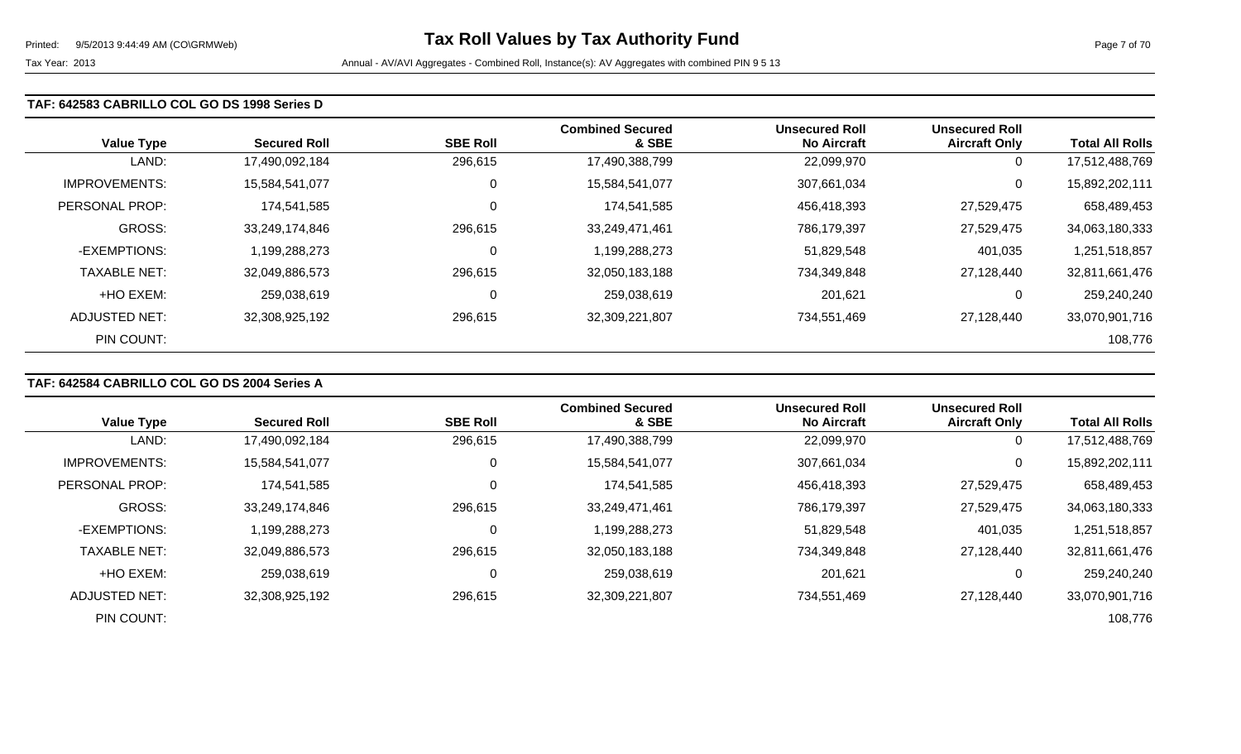#### **TAF: 642583 CABRILLO COL GO DS 1998 Series D**

| <b>Value Type</b>     | <b>Secured Roll</b> | <b>SBE Roll</b> | <b>Combined Secured</b><br>& SBE | <b>Unsecured Roll</b><br><b>No Aircraft</b> | <b>Unsecured Roll</b><br><b>Aircraft Only</b> | <b>Total All Rolls</b> |
|-----------------------|---------------------|-----------------|----------------------------------|---------------------------------------------|-----------------------------------------------|------------------------|
| LAND:                 | 17,490,092,184      | 296,615         | 17,490,388,799                   | 22,099,970                                  | 0                                             | 17,512,488,769         |
| <b>IMPROVEMENTS:</b>  | 15,584,541,077      | 0               | 15,584,541,077                   | 307,661,034                                 | 0                                             | 15,892,202,111         |
| <b>PERSONAL PROP:</b> | 174.541.585         | 0               | 174,541,585                      | 456,418,393                                 | 27,529,475                                    | 658,489,453            |
| <b>GROSS:</b>         | 33,249,174,846      | 296,615         | 33,249,471,461                   | 786,179,397                                 | 27,529,475                                    | 34,063,180,333         |
| -EXEMPTIONS:          | 1,199,288,273       | 0               | 1,199,288,273                    | 51,829,548                                  | 401,035                                       | 1,251,518,857          |
| <b>TAXABLE NET:</b>   | 32,049,886,573      | 296,615         | 32,050,183,188                   | 734,349,848                                 | 27,128,440                                    | 32,811,661,476         |
| +HO EXEM:             | 259,038,619         | 0               | 259,038,619                      | 201,621                                     | 0                                             | 259,240,240            |
| ADJUSTED NET:         | 32,308,925,192      | 296,615         | 32,309,221,807                   | 734,551,469                                 | 27,128,440                                    | 33,070,901,716         |
| PIN COUNT:            |                     |                 |                                  |                                             |                                               | 108,776                |

## **TAF: 642584 CABRILLO COL GO DS 2004 Series A**

|                      |                     |                 | <b>Combined Secured</b> | <b>Unsecured Roll</b> | <b>Unsecured Roll</b> |                        |
|----------------------|---------------------|-----------------|-------------------------|-----------------------|-----------------------|------------------------|
| <b>Value Type</b>    | <b>Secured Roll</b> | <b>SBE Roll</b> | & SBE                   | <b>No Aircraft</b>    | <b>Aircraft Only</b>  | <b>Total All Rolls</b> |
| LAND:                | 17,490,092,184      | 296,615         | 17,490,388,799          | 22,099,970            | 0                     | 17,512,488,769         |
| <b>IMPROVEMENTS:</b> | 15,584,541,077      | 0               | 15,584,541,077          | 307,661,034           | 0                     | 15,892,202,111         |
| PERSONAL PROP:       | 174.541.585         | 0               | 174,541,585             | 456,418,393           | 27,529,475            | 658,489,453            |
| <b>GROSS:</b>        | 33,249,174,846      | 296,615         | 33,249,471,461          | 786,179,397           | 27,529,475            | 34,063,180,333         |
| -EXEMPTIONS:         | 1,199,288,273       | 0               | 1,199,288,273           | 51,829,548            | 401,035               | 1,251,518,857          |
| <b>TAXABLE NET:</b>  | 32,049,886,573      | 296,615         | 32,050,183,188          | 734,349,848           | 27,128,440            | 32,811,661,476         |
| +HO EXEM:            | 259,038,619         | 0               | 259,038,619             | 201,621               | 0                     | 259,240,240            |
| ADJUSTED NET:        | 32,308,925,192      | 296,615         | 32,309,221,807          | 734,551,469           | 27,128,440            | 33,070,901,716         |
| PIN COUNT:           |                     |                 |                         |                       |                       | 108,776                |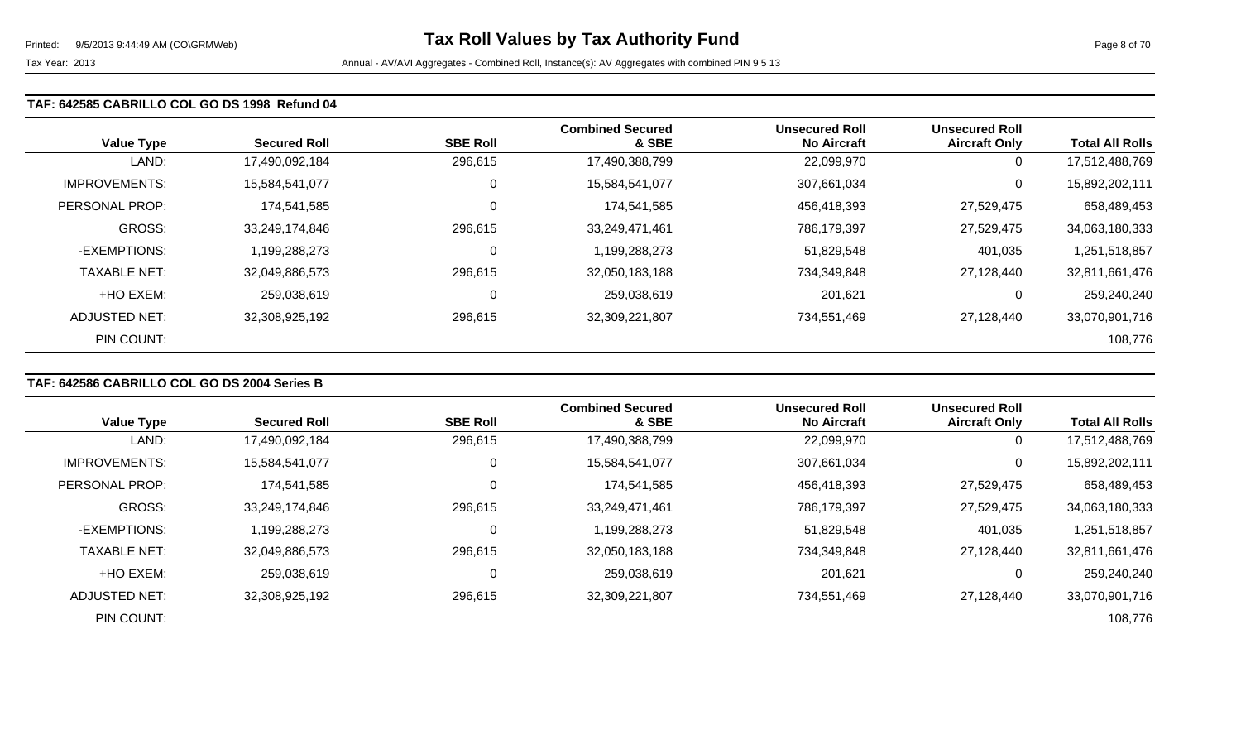#### **TAF: 642585 CABRILLO COL GO DS 1998 Refund 04**

| <b>Value Type</b>    | <b>Secured Roll</b> | <b>SBE Roll</b> | <b>Combined Secured</b><br>& SBE | <b>Unsecured Roll</b><br><b>No Aircraft</b> | <b>Unsecured Roll</b><br><b>Aircraft Only</b> | <b>Total All Rolls</b> |
|----------------------|---------------------|-----------------|----------------------------------|---------------------------------------------|-----------------------------------------------|------------------------|
| LAND:                | 17,490,092,184      | 296,615         | 17,490,388,799                   | 22,099,970                                  | 0                                             | 17,512,488,769         |
| <b>IMPROVEMENTS:</b> | 15,584,541,077      | 0               | 15,584,541,077                   | 307,661,034                                 | 0                                             | 15,892,202,111         |
| PERSONAL PROP:       | 174,541,585         | $\mathbf 0$     | 174,541,585                      | 456,418,393                                 | 27,529,475                                    | 658,489,453            |
| <b>GROSS:</b>        | 33,249,174,846      | 296,615         | 33,249,471,461                   | 786,179,397                                 | 27,529,475                                    | 34,063,180,333         |
| -EXEMPTIONS:         | 1,199,288,273       | 0               | 1,199,288,273                    | 51,829,548                                  | 401,035                                       | 1,251,518,857          |
| <b>TAXABLE NET:</b>  | 32,049,886,573      | 296,615         | 32,050,183,188                   | 734,349,848                                 | 27,128,440                                    | 32,811,661,476         |
| +HO EXEM:            | 259,038,619         | $\mathbf 0$     | 259,038,619                      | 201,621                                     | 0                                             | 259,240,240            |
| <b>ADJUSTED NET:</b> | 32,308,925,192      | 296,615         | 32,309,221,807                   | 734,551,469                                 | 27,128,440                                    | 33,070,901,716         |
| PIN COUNT:           |                     |                 |                                  |                                             |                                               | 108,776                |

## **TAF: 642586 CABRILLO COL GO DS 2004 Series B**

|                      |                     |                 | <b>Combined Secured</b> | <b>Unsecured Roll</b> | <b>Unsecured Roll</b> |                        |
|----------------------|---------------------|-----------------|-------------------------|-----------------------|-----------------------|------------------------|
| <b>Value Type</b>    | <b>Secured Roll</b> | <b>SBE Roll</b> | & SBE                   | <b>No Aircraft</b>    | <b>Aircraft Only</b>  | <b>Total All Rolls</b> |
| LAND:                | 17,490,092,184      | 296,615         | 17,490,388,799          | 22,099,970            | 0                     | 17,512,488,769         |
| <b>IMPROVEMENTS:</b> | 15,584,541,077      | 0               | 15,584,541,077          | 307,661,034           | 0                     | 15,892,202,111         |
| PERSONAL PROP:       | 174,541,585         | 0               | 174,541,585             | 456,418,393           | 27,529,475            | 658,489,453            |
| <b>GROSS:</b>        | 33,249,174,846      | 296,615         | 33,249,471,461          | 786,179,397           | 27,529,475            | 34,063,180,333         |
| -EXEMPTIONS:         | 1,199,288,273       | 0               | 1,199,288,273           | 51,829,548            | 401,035               | 1,251,518,857          |
| <b>TAXABLE NET:</b>  | 32,049,886,573      | 296,615         | 32,050,183,188          | 734,349,848           | 27,128,440            | 32,811,661,476         |
| +HO EXEM:            | 259,038,619         | 0               | 259,038,619             | 201,621               | 0                     | 259,240,240            |
| ADJUSTED NET:        | 32,308,925,192      | 296,615         | 32,309,221,807          | 734,551,469           | 27.128.440            | 33,070,901,716         |
| PIN COUNT:           |                     |                 |                         |                       |                       | 108,776                |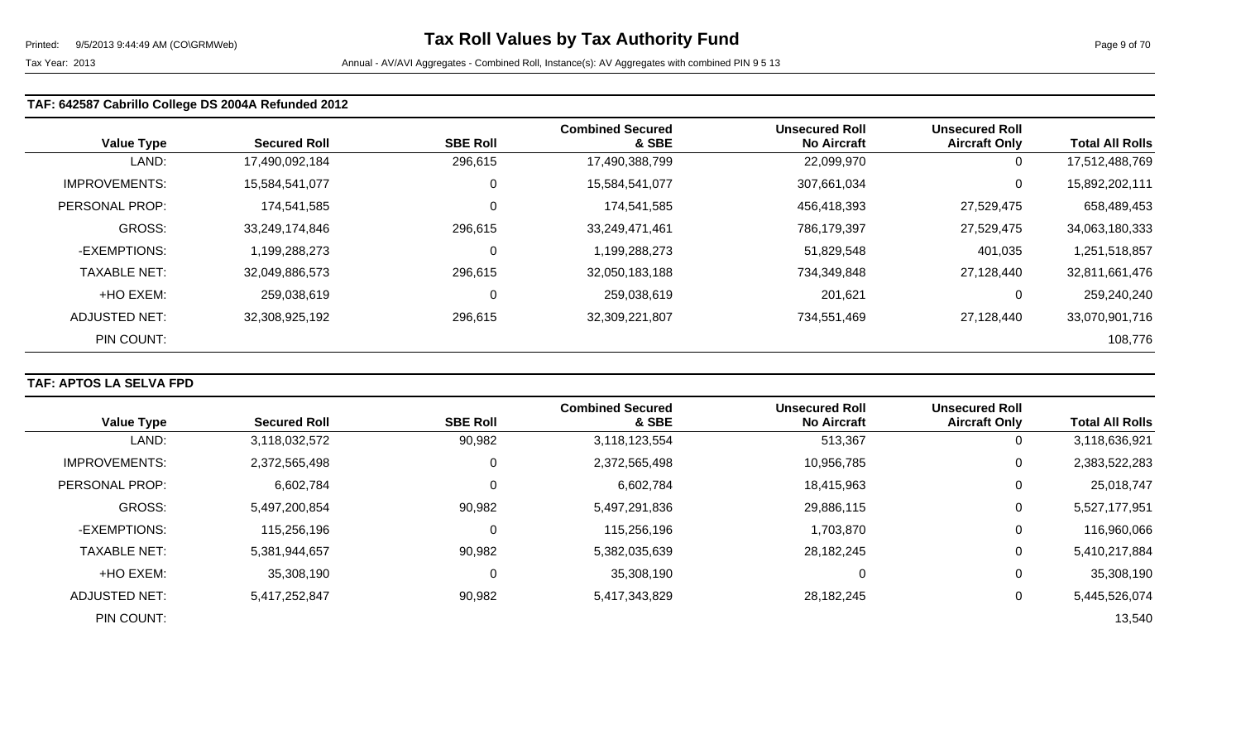### **TAF: 642587 Cabrillo College DS 2004A Refunded 2012**

| <b>Value Type</b>    | <b>Secured Roll</b> | <b>SBE Roll</b> | <b>Combined Secured</b><br>& SBE | <b>Unsecured Roll</b><br><b>No Aircraft</b> | <b>Unsecured Roll</b><br><b>Aircraft Only</b> | <b>Total All Rolls</b> |
|----------------------|---------------------|-----------------|----------------------------------|---------------------------------------------|-----------------------------------------------|------------------------|
| LAND:                | 17,490,092,184      | 296,615         | 17,490,388,799                   | 22,099,970                                  | 0                                             | 17,512,488,769         |
| <b>IMPROVEMENTS:</b> | 15,584,541,077      | 0               | 15,584,541,077                   | 307,661,034                                 | 0                                             | 15,892,202,111         |
| PERSONAL PROP:       | 174,541,585         | $\mathbf 0$     | 174,541,585                      | 456,418,393                                 | 27,529,475                                    | 658,489,453            |
| <b>GROSS:</b>        | 33,249,174,846      | 296,615         | 33,249,471,461                   | 786,179,397                                 | 27,529,475                                    | 34,063,180,333         |
| -EXEMPTIONS:         | 1,199,288,273       | C               | 1,199,288,273                    | 51,829,548                                  | 401,035                                       | 1,251,518,857          |
| <b>TAXABLE NET:</b>  | 32,049,886,573      | 296,615         | 32,050,183,188                   | 734,349,848                                 | 27,128,440                                    | 32,811,661,476         |
| +HO EXEM:            | 259,038,619         | C               | 259,038,619                      | 201,621                                     | 0                                             | 259,240,240            |
| ADJUSTED NET:        | 32,308,925,192      | 296,615         | 32,309,221,807                   | 734,551,469                                 | 27,128,440                                    | 33,070,901,716         |
| PIN COUNT:           |                     |                 |                                  |                                             |                                               | 108,776                |

### **TAF: APTOS LA SELVA FPD**

| <b>Value Type</b>    | <b>Secured Roll</b> | <b>SBE Roll</b> | <b>Combined Secured</b><br>& SBE | <b>Unsecured Roll</b><br><b>No Aircraft</b> | <b>Unsecured Roll</b><br><b>Aircraft Only</b> | <b>Total All Rolls</b> |
|----------------------|---------------------|-----------------|----------------------------------|---------------------------------------------|-----------------------------------------------|------------------------|
|                      |                     |                 |                                  |                                             |                                               |                        |
| LAND:                | 3,118,032,572       | 90,982          | 3,118,123,554                    | 513,367                                     | $\overline{0}$                                | 3,118,636,921          |
| <b>IMPROVEMENTS:</b> | 2,372,565,498       | C               | 2,372,565,498                    | 10,956,785                                  | $\mathbf 0$                                   | 2,383,522,283          |
| PERSONAL PROP:       | 6,602,784           | C               | 6,602,784                        | 18,415,963                                  | 0                                             | 25,018,747             |
| <b>GROSS:</b>        | 5,497,200,854       | 90,982          | 5,497,291,836                    | 29,886,115                                  | 0                                             | 5,527,177,951          |
| -EXEMPTIONS:         | 115,256,196         | C               | 115,256,196                      | 1,703,870                                   | 0                                             | 116,960,066            |
| <b>TAXABLE NET:</b>  | 5,381,944,657       | 90,982          | 5,382,035,639                    | 28,182,245                                  | 0                                             | 5,410,217,884          |
| +HO EXEM:            | 35,308,190          | C               | 35,308,190                       |                                             | 0                                             | 35,308,190             |
| ADJUSTED NET:        | 5,417,252,847       | 90,982          | 5,417,343,829                    | 28,182,245                                  | 0                                             | 5,445,526,074          |
| PIN COUNT:           |                     |                 |                                  |                                             |                                               | 13,540                 |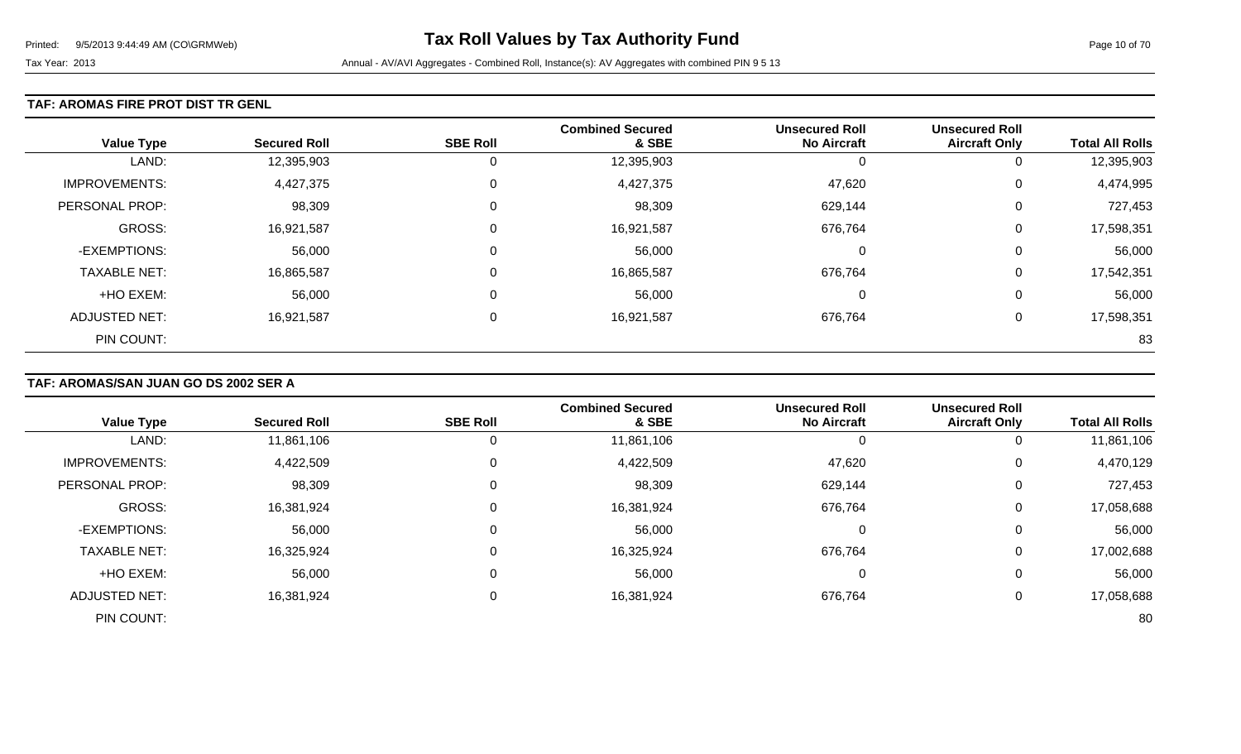### **TAF: AROMAS FIRE PROT DIST TR GENL**

| <b>Value Type</b>    | <b>Secured Roll</b> | <b>SBE Roll</b> | <b>Combined Secured</b><br>& SBE | <b>Unsecured Roll</b><br><b>No Aircraft</b> | <b>Unsecured Roll</b><br><b>Aircraft Only</b> | <b>Total All Rolls</b> |
|----------------------|---------------------|-----------------|----------------------------------|---------------------------------------------|-----------------------------------------------|------------------------|
| LAND:                | 12,395,903          | 0               | 12,395,903                       | -0                                          | 0                                             | 12,395,903             |
| <b>IMPROVEMENTS:</b> | 4,427,375           | 0               | 4,427,375                        | 47,620                                      | 0                                             | 4,474,995              |
| PERSONAL PROP:       | 98,309              | 0               | 98,309                           | 629,144                                     | 0                                             | 727,453                |
| GROSS:               | 16,921,587          | $\Omega$        | 16,921,587                       | 676,764                                     | 0                                             | 17,598,351             |
| -EXEMPTIONS:         | 56,000              | 0               | 56,000                           | 0                                           | 0                                             | 56,000                 |
| <b>TAXABLE NET:</b>  | 16,865,587          |                 | 16,865,587                       | 676,764                                     | 0                                             | 17,542,351             |
| +HO EXEM:            | 56,000              | 0               | 56,000                           | $\Omega$                                    | 0                                             | 56,000                 |
| <b>ADJUSTED NET:</b> | 16,921,587          |                 | 16,921,587                       | 676,764                                     | 0                                             | 17,598,351             |
| PIN COUNT:           |                     |                 |                                  |                                             |                                               | 83                     |

## **TAF: AROMAS/SAN JUAN GO DS 2002 SER A**

|                      |                     |                 | <b>Combined Secured</b> | <b>Unsecured Roll</b> | <b>Unsecured Roll</b> |                        |
|----------------------|---------------------|-----------------|-------------------------|-----------------------|-----------------------|------------------------|
| <b>Value Type</b>    | <b>Secured Roll</b> | <b>SBE Roll</b> | & SBE                   | <b>No Aircraft</b>    | <b>Aircraft Only</b>  | <b>Total All Rolls</b> |
| LAND:                | 11,861,106          | 0               | 11,861,106              |                       | 0                     | 11,861,106             |
| <b>IMPROVEMENTS:</b> | 4,422,509           | 0               | 4,422,509               | 47,620                | 0                     | 4,470,129              |
| PERSONAL PROP:       | 98,309              | 0               | 98,309                  | 629,144               | 0                     | 727,453                |
| GROSS:               | 16,381,924          | 0               | 16,381,924              | 676,764               | 0                     | 17,058,688             |
| -EXEMPTIONS:         | 56,000              | 0               | 56,000                  | 0                     | 0                     | 56,000                 |
| <b>TAXABLE NET:</b>  | 16,325,924          | 0               | 16,325,924              | 676,764               | 0                     | 17,002,688             |
| +HO EXEM:            | 56,000              | 0               | 56,000                  | 0                     | 0                     | 56,000                 |
| <b>ADJUSTED NET:</b> | 16,381,924          | 0               | 16,381,924              | 676,764               | 0                     | 17,058,688             |
| PIN COUNT:           |                     |                 |                         |                       |                       | 80                     |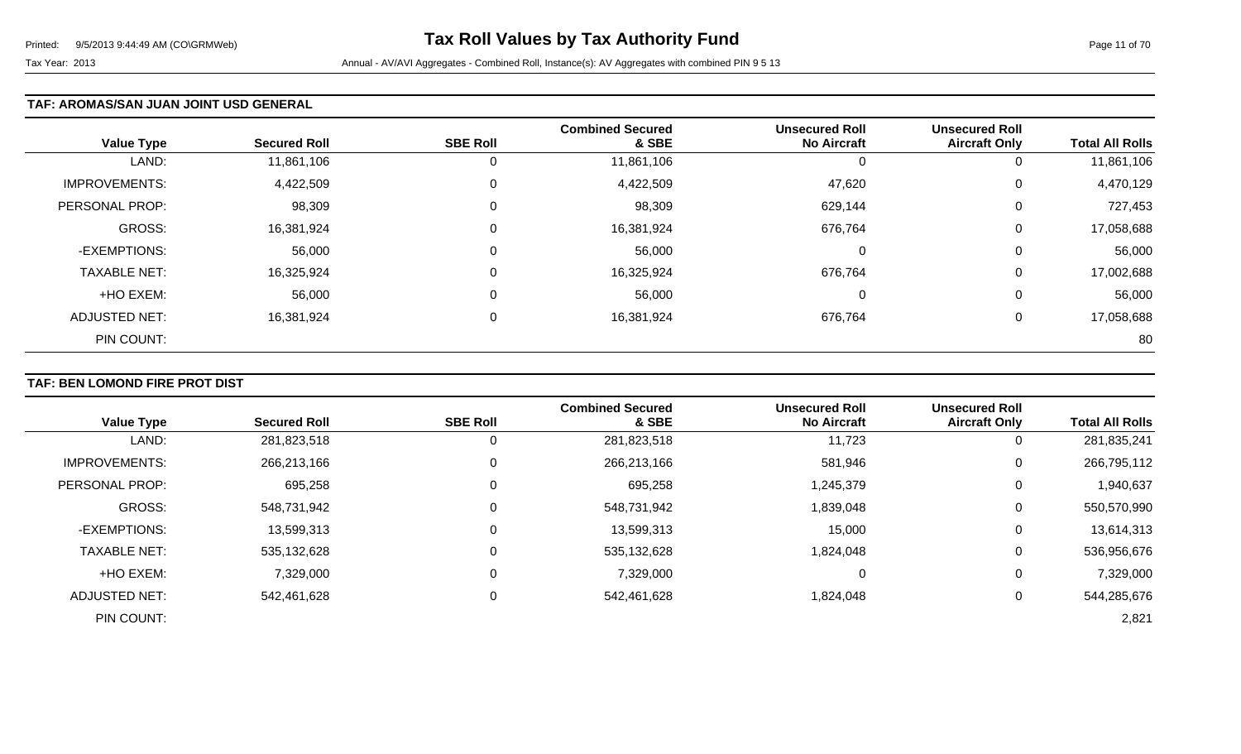### **TAF: AROMAS/SAN JUAN JOINT USD GENERAL**

| <b>Value Type</b>    | <b>Secured Roll</b> | <b>SBE Roll</b> | <b>Combined Secured</b><br>& SBE | <b>Unsecured Roll</b><br><b>No Aircraft</b> | <b>Unsecured Roll</b><br><b>Aircraft Only</b> | <b>Total All Rolls</b> |
|----------------------|---------------------|-----------------|----------------------------------|---------------------------------------------|-----------------------------------------------|------------------------|
| LAND:                | 11,861,106          | U               | 11,861,106                       | 0                                           | 0                                             | 11,861,106             |
| <b>IMPROVEMENTS:</b> | 4,422,509           | 0               | 4,422,509                        | 47,620                                      | 0                                             | 4,470,129              |
| PERSONAL PROP:       | 98,309              | $\Omega$        | 98,309                           | 629,144                                     | 0                                             | 727,453                |
| GROSS:               | 16,381,924          | $\Omega$        | 16,381,924                       | 676,764                                     | 0                                             | 17,058,688             |
| -EXEMPTIONS:         | 56,000              | 0               | 56,000                           | 0                                           | 0                                             | 56,000                 |
| <b>TAXABLE NET:</b>  | 16,325,924          | 0               | 16,325,924                       | 676,764                                     | 0                                             | 17,002,688             |
| +HO EXEM:            | 56,000              | 0               | 56,000                           | $\Omega$                                    | 0                                             | 56,000                 |
| <b>ADJUSTED NET:</b> | 16,381,924          | $\Omega$        | 16,381,924                       | 676,764                                     | 0                                             | 17,058,688             |
| PIN COUNT:           |                     |                 |                                  |                                             |                                               | 80                     |

## **TAF: BEN LOMOND FIRE PROT DIST**

|                       |                     |                 | <b>Combined Secured</b> | <b>Unsecured Roll</b> | <b>Unsecured Roll</b> |                        |
|-----------------------|---------------------|-----------------|-------------------------|-----------------------|-----------------------|------------------------|
| <b>Value Type</b>     | <b>Secured Roll</b> | <b>SBE Roll</b> | & SBE                   | <b>No Aircraft</b>    | <b>Aircraft Only</b>  | <b>Total All Rolls</b> |
| LAND:                 | 281,823,518         |                 | 281,823,518             | 11,723                | 0                     | 281,835,241            |
| <b>IMPROVEMENTS:</b>  | 266,213,166         |                 | 266,213,166             | 581,946               | 0                     | 266,795,112            |
| <b>PERSONAL PROP:</b> | 695,258             |                 | 695,258                 | 1,245,379             | 0                     | 1,940,637              |
| <b>GROSS:</b>         | 548,731,942         |                 | 548,731,942             | 839,048,              | 0                     | 550,570,990            |
| -EXEMPTIONS:          | 13,599,313          |                 | 13,599,313              | 15,000                | 0                     | 13,614,313             |
| <b>TAXABLE NET:</b>   | 535,132,628         |                 | 535,132,628             | 1,824,048             | 0                     | 536,956,676            |
| +HO EXEM:             | 7,329,000           |                 | 7,329,000               | 0                     | 0                     | 7,329,000              |
| ADJUSTED NET:         | 542,461,628         |                 | 542,461,628             | 1,824,048             | 0                     | 544,285,676            |
| PIN COUNT:            |                     |                 |                         |                       |                       | 2,821                  |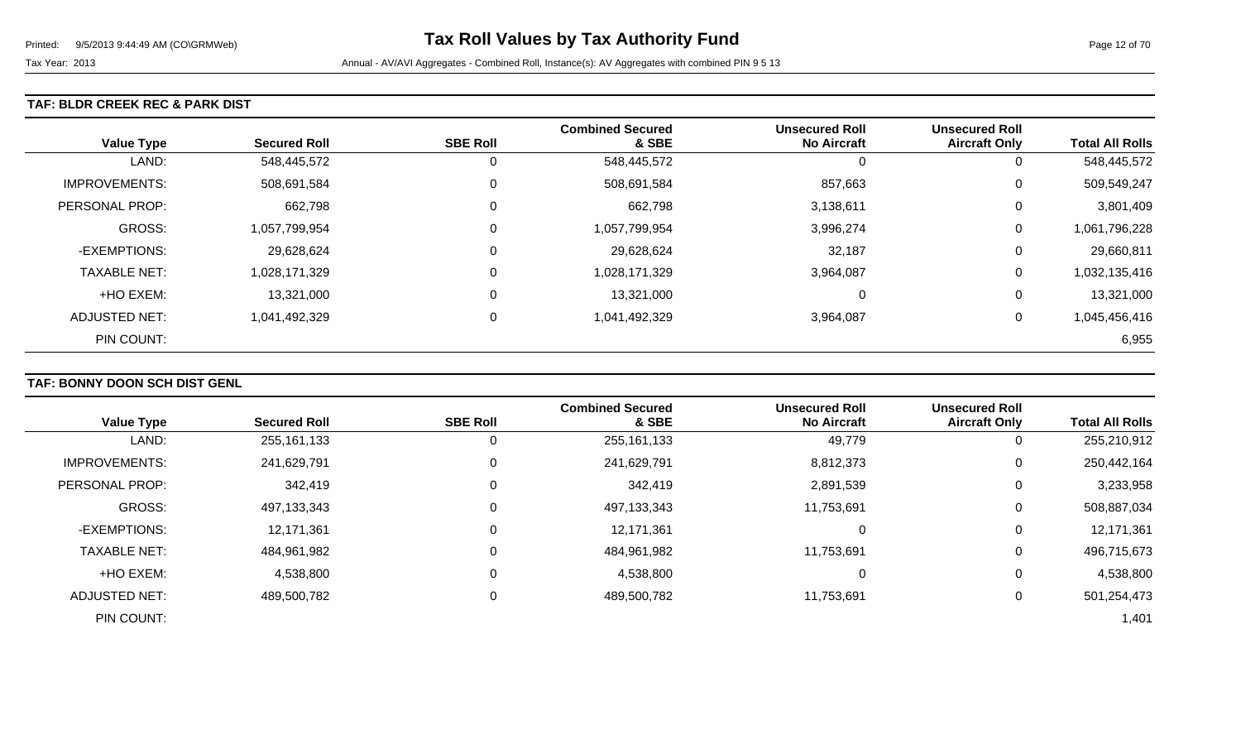### **TAF: BLDR CREEK REC & PARK DIST**

| <b>Value Type</b>    | <b>Secured Roll</b> | <b>SBE Roll</b> | <b>Combined Secured</b><br>& SBE | <b>Unsecured Roll</b><br><b>No Aircraft</b> | <b>Unsecured Roll</b><br><b>Aircraft Only</b> | <b>Total All Rolls</b> |
|----------------------|---------------------|-----------------|----------------------------------|---------------------------------------------|-----------------------------------------------|------------------------|
| LAND:                | 548,445,572         | 0               | 548,445,572                      | U                                           | 0                                             | 548,445,572            |
| <b>IMPROVEMENTS:</b> | 508,691,584         | $\mathbf{0}$    | 508,691,584                      | 857,663                                     | 0                                             | 509,549,247            |
| PERSONAL PROP:       | 662,798             | $\overline{0}$  | 662,798                          | 3,138,611                                   | 0                                             | 3,801,409              |
| GROSS:               | 1,057,799,954       | $\overline{0}$  | 1,057,799,954                    | 3,996,274                                   | 0                                             | 1,061,796,228          |
| -EXEMPTIONS:         | 29,628,624          | $\overline{0}$  | 29,628,624                       | 32,187                                      | 0                                             | 29,660,811             |
| <b>TAXABLE NET:</b>  | 1,028,171,329       | $\overline{0}$  | 1,028,171,329                    | 3,964,087                                   | 0                                             | 1,032,135,416          |
| +HO EXEM:            | 13,321,000          | $\mathbf 0$     | 13,321,000                       | 0                                           | 0                                             | 13,321,000             |
| <b>ADJUSTED NET:</b> | 1,041,492,329       | 0               | 1,041,492,329                    | 3,964,087                                   | 0                                             | 1,045,456,416          |
| PIN COUNT:           |                     |                 |                                  |                                             |                                               | 6,955                  |

## **TAF: BONNY DOON SCH DIST GENL**

|                      |                     |                 | <b>Combined Secured</b> | <b>Unsecured Roll</b> | <b>Unsecured Roll</b> |                        |
|----------------------|---------------------|-----------------|-------------------------|-----------------------|-----------------------|------------------------|
| <b>Value Type</b>    | <b>Secured Roll</b> | <b>SBE Roll</b> | & SBE                   | <b>No Aircraft</b>    | <b>Aircraft Only</b>  | <b>Total All Rolls</b> |
| LAND:                | 255, 161, 133       |                 | 255, 161, 133           | 49,779                | 0                     | 255,210,912            |
| <b>IMPROVEMENTS:</b> | 241,629,791         | 0               | 241,629,791             | 8,812,373             | 0                     | 250,442,164            |
| PERSONAL PROP:       | 342,419             |                 | 342,419                 | 2,891,539             | 0                     | 3,233,958              |
| <b>GROSS:</b>        | 497,133,343         |                 | 497,133,343             | 11,753,691            | 0                     | 508,887,034            |
| -EXEMPTIONS:         | 12,171,361          |                 | 12,171,361              | 0                     | 0                     | 12,171,361             |
| <b>TAXABLE NET:</b>  | 484,961,982         |                 | 484,961,982             | 11,753,691            | 0                     | 496,715,673            |
| +HO EXEM:            | 4,538,800           |                 | 4,538,800               | 0                     | 0                     | 4,538,800              |
| ADJUSTED NET:        | 489,500,782         |                 | 489,500,782             | 11,753,691            | 0                     | 501,254,473            |
| PIN COUNT:           |                     |                 |                         |                       |                       | 1,401                  |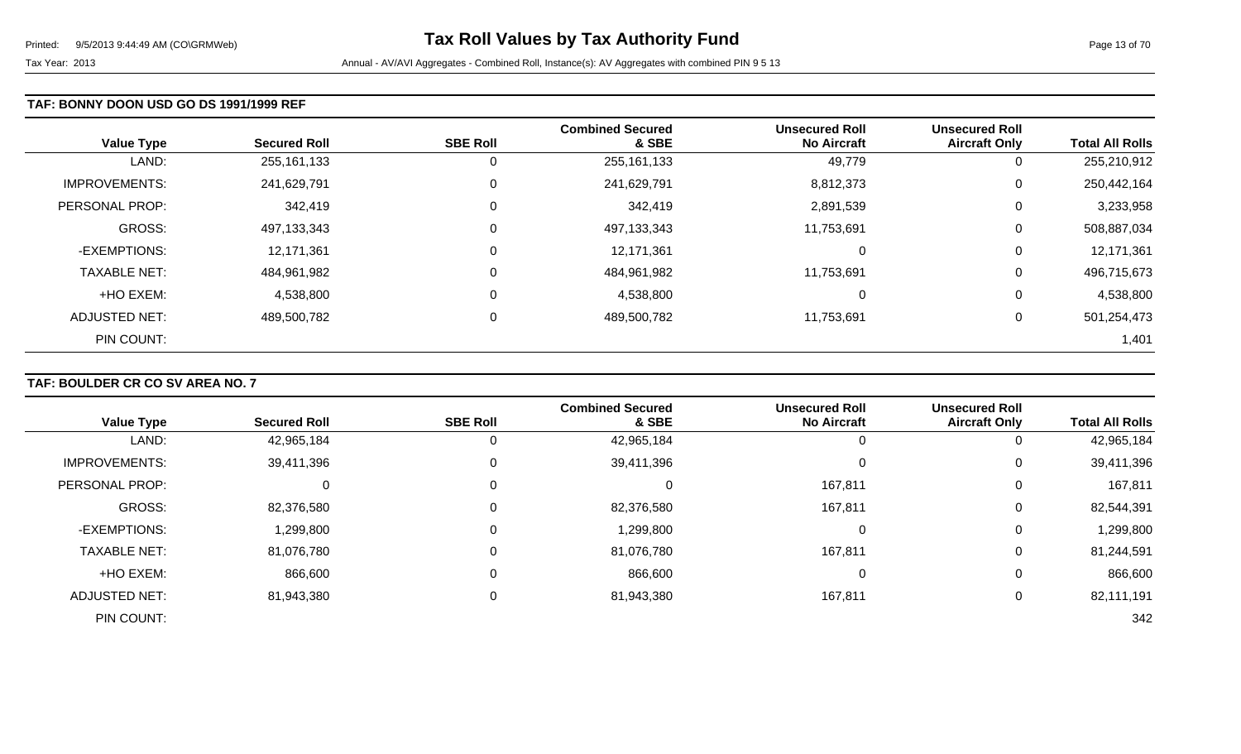### **TAF: BONNY DOON USD GO DS 1991/1999 REF**

| <b>Value Type</b>    | <b>Secured Roll</b> | <b>SBE Roll</b> | <b>Combined Secured</b><br>& SBE | <b>Unsecured Roll</b><br><b>No Aircraft</b> | <b>Unsecured Roll</b><br><b>Aircraft Only</b> | <b>Total All Rolls</b> |
|----------------------|---------------------|-----------------|----------------------------------|---------------------------------------------|-----------------------------------------------|------------------------|
| LAND:                | 255,161,133         | 0               | 255,161,133                      | 49,779                                      | 0                                             | 255,210,912            |
| <b>IMPROVEMENTS:</b> | 241,629,791         | $\mathbf 0$     | 241,629,791                      | 8,812,373                                   | 0                                             | 250,442,164            |
| PERSONAL PROP:       | 342,419             | $\Omega$        | 342,419                          | 2,891,539                                   | 0                                             | 3,233,958              |
| <b>GROSS:</b>        | 497,133,343         | 0               | 497,133,343                      | 11,753,691                                  | 0                                             | 508,887,034            |
| -EXEMPTIONS:         | 12,171,361          | $\mathbf 0$     | 12,171,361                       | $\Omega$                                    | 0                                             | 12,171,361             |
| <b>TAXABLE NET:</b>  | 484,961,982         | $\Omega$        | 484,961,982                      | 11,753,691                                  | 0                                             | 496,715,673            |
| +HO EXEM:            | 4,538,800           | $\mathbf 0$     | 4,538,800                        | 0                                           | 0                                             | 4,538,800              |
| <b>ADJUSTED NET:</b> | 489,500,782         | 0               | 489,500,782                      | 11,753,691                                  | 0                                             | 501,254,473            |
| PIN COUNT:           |                     |                 |                                  |                                             |                                               | 1,401                  |

### **TAF: BOULDER CR CO SV AREA NO. 7**

|                      |                     |                 | <b>Combined Secured</b> | <b>Unsecured Roll</b> | <b>Unsecured Roll</b> |                        |
|----------------------|---------------------|-----------------|-------------------------|-----------------------|-----------------------|------------------------|
| <b>Value Type</b>    | <b>Secured Roll</b> | <b>SBE Roll</b> | & SBE                   | <b>No Aircraft</b>    | <b>Aircraft Only</b>  | <b>Total All Rolls</b> |
| LAND:                | 42,965,184          |                 | 42,965,184              | 0                     |                       | 42,965,184             |
| <b>IMPROVEMENTS:</b> | 39,411,396          | 0               | 39,411,396              | $\Omega$              | 0                     | 39,411,396             |
| PERSONAL PROP:       |                     | 0               | 0                       | 167,811               | 0                     | 167,811                |
| GROSS:               | 82,376,580          | 0               | 82,376,580              | 167,811               | 0                     | 82,544,391             |
| -EXEMPTIONS:         | 1,299,800           | 0               | 1,299,800               | 0                     | 0                     | 1,299,800              |
| <b>TAXABLE NET:</b>  | 81,076,780          | 0               | 81,076,780              | 167,811               | 0                     | 81,244,591             |
| +HO EXEM:            | 866,600             | 0               | 866,600                 | 0                     | 0                     | 866,600                |
| <b>ADJUSTED NET:</b> | 81,943,380          | 0               | 81,943,380              | 167,811               | 0                     | 82,111,191             |
| PIN COUNT:           |                     |                 |                         |                       |                       | 342                    |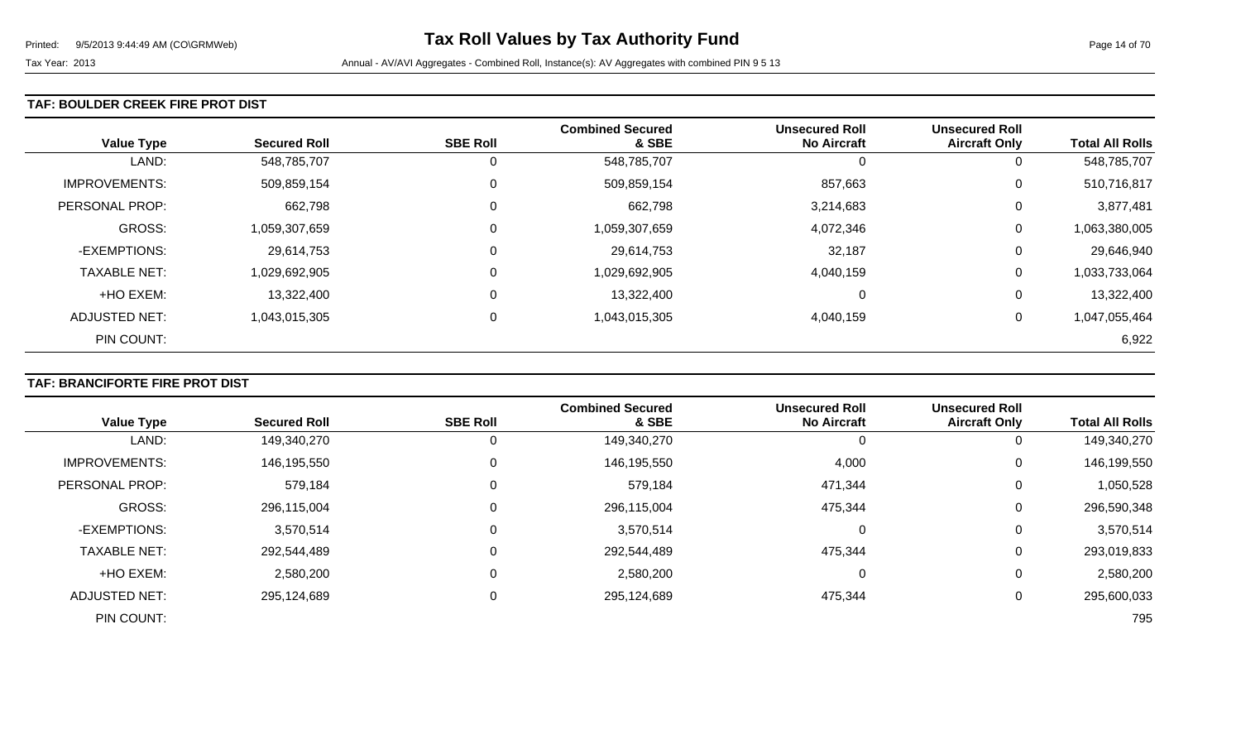### **TAF: BOULDER CREEK FIRE PROT DIST**

| <b>Value Type</b>    | <b>Secured Roll</b> | <b>SBE Roll</b> | <b>Combined Secured</b><br>& SBE | <b>Unsecured Roll</b><br><b>No Aircraft</b> | <b>Unsecured Roll</b><br><b>Aircraft Only</b> | <b>Total All Rolls</b> |
|----------------------|---------------------|-----------------|----------------------------------|---------------------------------------------|-----------------------------------------------|------------------------|
| LAND:                | 548,785,707         | 0               | 548,785,707                      |                                             |                                               | 548,785,707            |
| <b>IMPROVEMENTS:</b> | 509,859,154         | $\mathbf 0$     | 509,859,154                      | 857,663                                     | 0                                             | 510,716,817            |
| PERSONAL PROP:       | 662,798             | $\Omega$        | 662,798                          | 3,214,683                                   | 0                                             | 3,877,481              |
| <b>GROSS:</b>        | 1,059,307,659       | $\mathbf 0$     | 1,059,307,659                    | 4,072,346                                   | 0                                             | 1,063,380,005          |
| -EXEMPTIONS:         | 29,614,753          | 0               | 29,614,753                       | 32,187                                      | 0                                             | 29,646,940             |
| <b>TAXABLE NET:</b>  | 1,029,692,905       | $\overline{0}$  | 1,029,692,905                    | 4,040,159                                   | 0                                             | 1,033,733,064          |
| +HO EXEM:            | 13,322,400          | 0               | 13,322,400                       |                                             | 0                                             | 13,322,400             |
| ADJUSTED NET:        | 1,043,015,305       | 0               | 1,043,015,305                    | 4,040,159                                   | $\Omega$                                      | 1,047,055,464          |
| PIN COUNT:           |                     |                 |                                  |                                             |                                               | 6,922                  |

## **TAF: BRANCIFORTE FIRE PROT DIST**

|                      |                     | <b>SBE Roll</b> | <b>Combined Secured</b><br>& SBE | <b>Unsecured Roll</b><br><b>No Aircraft</b> | <b>Unsecured Roll</b> | <b>Total All Rolls</b> |
|----------------------|---------------------|-----------------|----------------------------------|---------------------------------------------|-----------------------|------------------------|
| <b>Value Type</b>    | <b>Secured Roll</b> |                 |                                  |                                             | <b>Aircraft Only</b>  |                        |
| LAND:                | 149,340,270         |                 | 149,340,270                      | 0                                           |                       | 149,340,270            |
| <b>IMPROVEMENTS:</b> | 146,195,550         |                 | 146,195,550                      | 4,000                                       | 0                     | 146,199,550            |
| PERSONAL PROP:       | 579,184             |                 | 579,184                          | 471,344                                     | 0                     | 1,050,528              |
| <b>GROSS:</b>        | 296,115,004         |                 | 296,115,004                      | 475,344                                     | 0                     | 296,590,348            |
| -EXEMPTIONS:         | 3,570,514           |                 | 3,570,514                        | 0                                           | $\Omega$              | 3,570,514              |
| <b>TAXABLE NET:</b>  | 292,544,489         |                 | 292,544,489                      | 475,344                                     | 0                     | 293,019,833            |
| +HO EXEM:            | 2,580,200           |                 | 2,580,200                        | 0                                           | 0                     | 2,580,200              |
| <b>ADJUSTED NET:</b> | 295,124,689         |                 | 295,124,689                      | 475,344                                     | 0                     | 295,600,033            |
| PIN COUNT:           |                     |                 |                                  |                                             |                       | 795                    |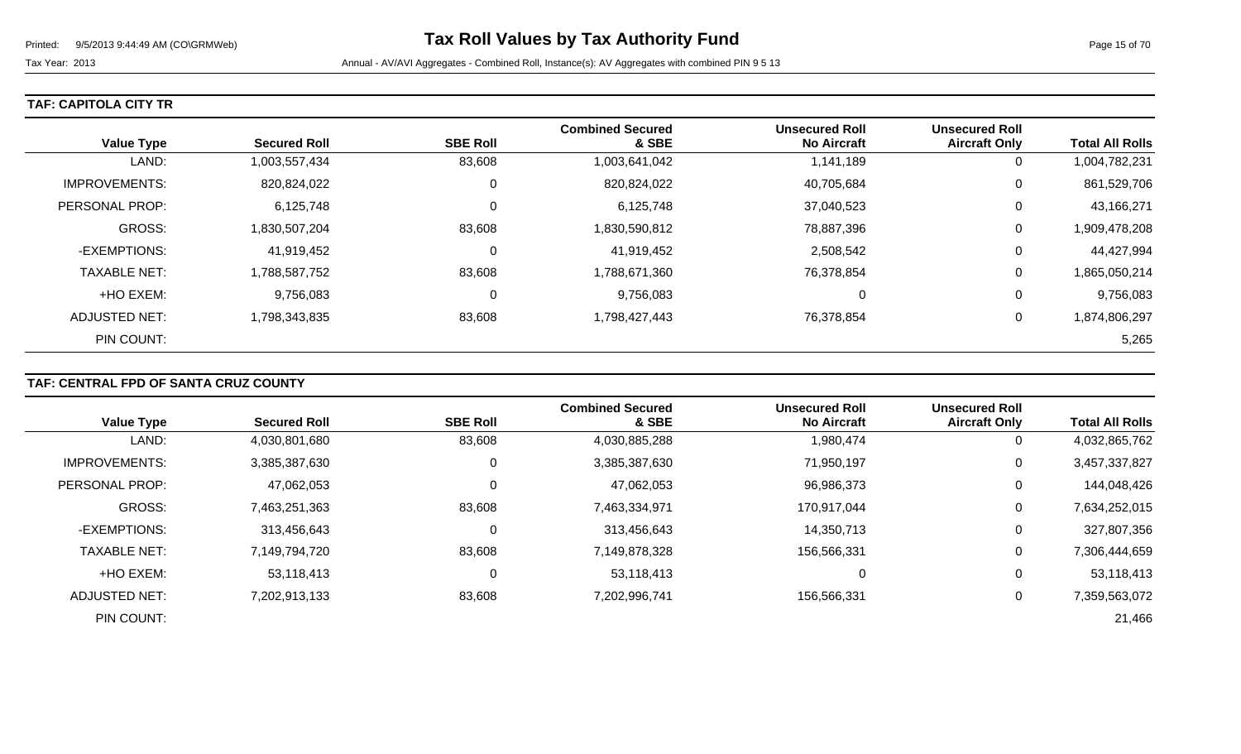| TAF: CAPITOLA CITY TR |  |  |  |  |  |  |
|-----------------------|--|--|--|--|--|--|
|-----------------------|--|--|--|--|--|--|

| <b>Value Type</b>    | <b>Secured Roll</b> | <b>SBE Roll</b> | <b>Combined Secured</b><br>& SBE | <b>Unsecured Roll</b><br><b>No Aircraft</b> | <b>Unsecured Roll</b><br><b>Aircraft Only</b> | <b>Total All Rolls</b> |
|----------------------|---------------------|-----------------|----------------------------------|---------------------------------------------|-----------------------------------------------|------------------------|
| LAND:                | 1,003,557,434       | 83,608          | 1,003,641,042                    | 1,141,189                                   | 0                                             | 1,004,782,231          |
| <b>IMPROVEMENTS:</b> | 820,824,022         | 0               | 820,824,022                      | 40,705,684                                  | 0                                             | 861,529,706            |
| PERSONAL PROP:       | 6,125,748           | 0               | 6,125,748                        | 37,040,523                                  | 0                                             | 43,166,271             |
| GROSS:               | 1,830,507,204       | 83,608          | 1,830,590,812                    | 78,887,396                                  | 0                                             | 1,909,478,208          |
| -EXEMPTIONS:         | 41,919,452          | 0               | 41,919,452                       | 2,508,542                                   | 0                                             | 44,427,994             |
| <b>TAXABLE NET:</b>  | 1,788,587,752       | 83,608          | 1,788,671,360                    | 76,378,854                                  | 0                                             | 1,865,050,214          |
| +HO EXEM:            | 9,756,083           | 0               | 9,756,083                        | 0                                           | 0                                             | 9,756,083              |
| <b>ADJUSTED NET:</b> | 1,798,343,835       | 83,608          | 1,798,427,443                    | 76,378,854                                  | 0                                             | 1,874,806,297          |
| PIN COUNT:           |                     |                 |                                  |                                             |                                               | 5,265                  |

## **TAF: CENTRAL FPD OF SANTA CRUZ COUNTY**

|                      |                     |                 | <b>Combined Secured</b> | <b>Unsecured Roll</b> | <b>Unsecured Roll</b> |                        |
|----------------------|---------------------|-----------------|-------------------------|-----------------------|-----------------------|------------------------|
| <b>Value Type</b>    | <b>Secured Roll</b> | <b>SBE Roll</b> | & SBE                   | <b>No Aircraft</b>    | <b>Aircraft Only</b>  | <b>Total All Rolls</b> |
| LAND:                | 4,030,801,680       | 83,608          | 4,030,885,288           | 1,980,474             | 0                     | 4,032,865,762          |
| <b>IMPROVEMENTS:</b> | 3,385,387,630       | 0               | 3,385,387,630           | 71,950,197            | 0                     | 3,457,337,827          |
| PERSONAL PROP:       | 47,062,053          |                 | 47,062,053              | 96,986,373            | 0                     | 144,048,426            |
| <b>GROSS:</b>        | 7,463,251,363       | 83,608          | 7,463,334,971           | 170,917,044           | 0                     | 7,634,252,015          |
| -EXEMPTIONS:         | 313,456,643         |                 | 313,456,643             | 14,350,713            | 0                     | 327,807,356            |
| <b>TAXABLE NET:</b>  | 7,149,794,720       | 83,608          | 7,149,878,328           | 156,566,331           | 0                     | 7,306,444,659          |
| +HO EXEM:            | 53,118,413          |                 | 53,118,413              | 0                     | 0                     | 53,118,413             |
| ADJUSTED NET:        | 7,202,913,133       | 83,608          | 7,202,996,741           | 156,566,331           | 0                     | 7,359,563,072          |
| PIN COUNT:           |                     |                 |                         |                       |                       | 21,466                 |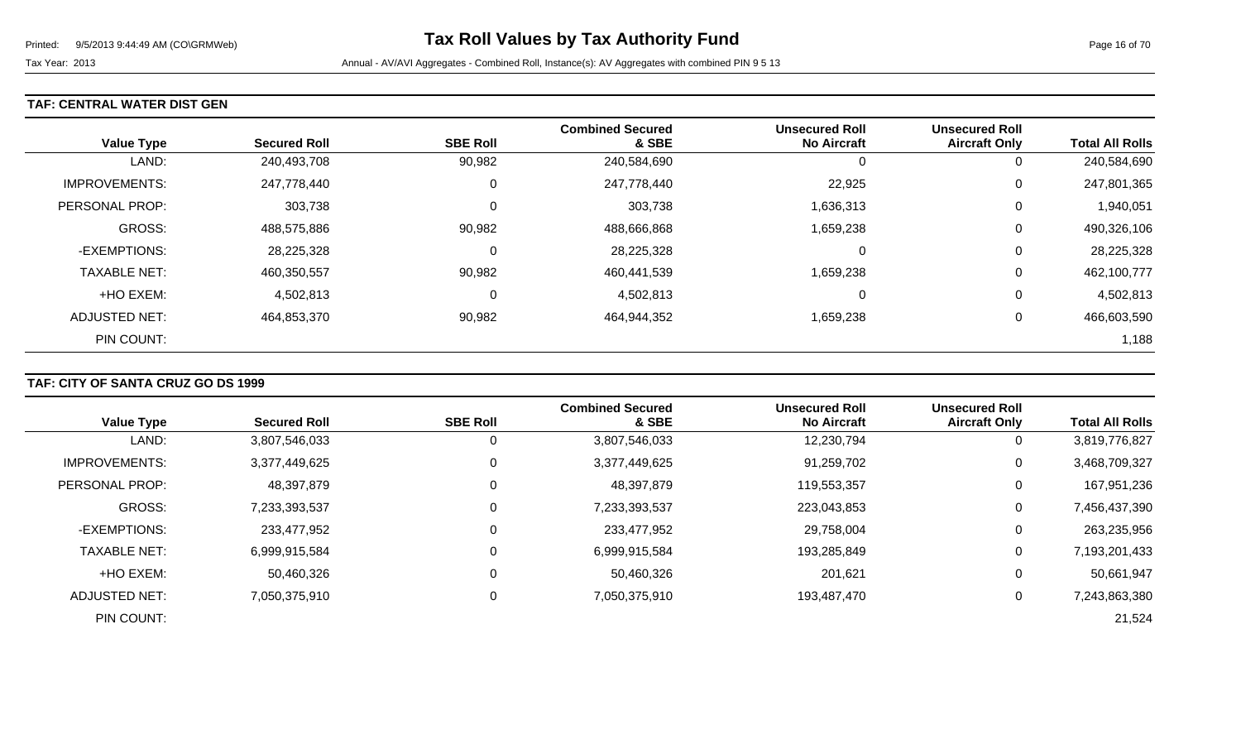### **TAF: CENTRAL WATER DIST GEN**

| <b>Value Type</b>     | <b>Secured Roll</b> | <b>SBE Roll</b> | <b>Combined Secured</b><br>& SBE | <b>Unsecured Roll</b><br><b>No Aircraft</b> | <b>Unsecured Roll</b><br><b>Aircraft Only</b> | <b>Total All Rolls</b> |
|-----------------------|---------------------|-----------------|----------------------------------|---------------------------------------------|-----------------------------------------------|------------------------|
| LAND:                 | 240,493,708         | 90,982          | 240,584,690                      |                                             | 0                                             | 240,584,690            |
| <b>IMPROVEMENTS:</b>  | 247,778,440         | υ               | 247,778,440                      | 22,925                                      | 0                                             | 247,801,365            |
| <b>PERSONAL PROP:</b> | 303,738             | υ               | 303,738                          | 1,636,313                                   | 0                                             | 1,940,051              |
| <b>GROSS:</b>         | 488,575,886         | 90,982          | 488,666,868                      | 1,659,238                                   | 0                                             | 490,326,106            |
| -EXEMPTIONS:          | 28,225,328          | υ               | 28,225,328                       |                                             | 0                                             | 28,225,328             |
| <b>TAXABLE NET:</b>   | 460,350,557         | 90,982          | 460,441,539                      | 1,659,238                                   | 0                                             | 462,100,777            |
| +HO EXEM:             | 4,502,813           | υ               | 4,502,813                        |                                             | 0                                             | 4,502,813              |
| <b>ADJUSTED NET:</b>  | 464,853,370         | 90,982          | 464,944,352                      | 1,659,238                                   | 0                                             | 466,603,590            |
| PIN COUNT:            |                     |                 |                                  |                                             |                                               | 1,188                  |

## **TAF: CITY OF SANTA CRUZ GO DS 1999**

|                      |                     |                 | <b>Combined Secured</b> | <b>Unsecured Roll</b> | <b>Unsecured Roll</b> |                        |
|----------------------|---------------------|-----------------|-------------------------|-----------------------|-----------------------|------------------------|
| <b>Value Type</b>    | <b>Secured Roll</b> | <b>SBE Roll</b> | & SBE                   | <b>No Aircraft</b>    | <b>Aircraft Only</b>  | <b>Total All Rolls</b> |
| LAND:                | 3,807,546,033       |                 | 3,807,546,033           | 12,230,794            | 0                     | 3,819,776,827          |
| <b>IMPROVEMENTS:</b> | 3,377,449,625       | 0               | 3,377,449,625           | 91,259,702            | 0                     | 3,468,709,327          |
| PERSONAL PROP:       | 48,397,879          |                 | 48,397,879              | 119,553,357           | 0                     | 167,951,236            |
| <b>GROSS:</b>        | 7,233,393,537       |                 | 7,233,393,537           | 223,043,853           | 0                     | 7,456,437,390          |
| -EXEMPTIONS:         | 233,477,952         |                 | 233,477,952             | 29,758,004            | 0                     | 263,235,956            |
| <b>TAXABLE NET:</b>  | 6,999,915,584       |                 | 6,999,915,584           | 193,285,849           | 0                     | 7,193,201,433          |
| +HO EXEM:            | 50,460,326          |                 | 50,460,326              | 201,621               | 0                     | 50,661,947             |
| ADJUSTED NET:        | 7,050,375,910       |                 | 7,050,375,910           | 193,487,470           | $\overline{0}$        | 7,243,863,380          |
| PIN COUNT:           |                     |                 |                         |                       |                       | 21,524                 |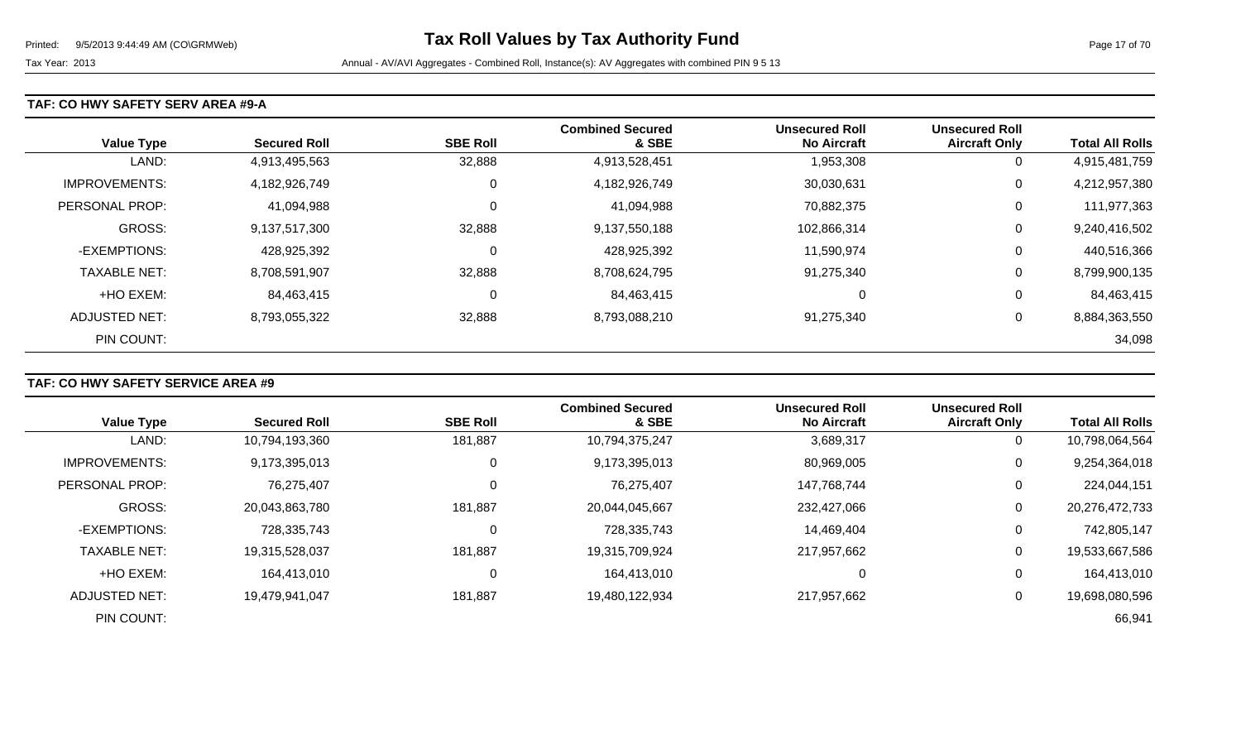### **TAF: CO HWY SAFETY SERV AREA #9-A**

| <b>Value Type</b>    | <b>Secured Roll</b> | <b>SBE Roll</b> | <b>Combined Secured</b><br>& SBE | <b>Unsecured Roll</b><br><b>No Aircraft</b> | <b>Unsecured Roll</b><br><b>Aircraft Only</b> | <b>Total All Rolls</b> |
|----------------------|---------------------|-----------------|----------------------------------|---------------------------------------------|-----------------------------------------------|------------------------|
| LAND:                | 4,913,495,563       | 32,888          | 4,913,528,451                    | 1,953,308                                   | 0                                             | 4,915,481,759          |
| <b>IMPROVEMENTS:</b> | 4,182,926,749       | 0               | 4,182,926,749                    | 30,030,631                                  | 0                                             | 4,212,957,380          |
| PERSONAL PROP:       | 41,094,988          | 0               | 41,094,988                       | 70,882,375                                  | 0                                             | 111,977,363            |
| <b>GROSS:</b>        | 9,137,517,300       | 32,888          | 9,137,550,188                    | 102,866,314                                 | 0                                             | 9,240,416,502          |
| -EXEMPTIONS:         | 428,925,392         | $\mathbf 0$     | 428,925,392                      | 11,590,974                                  | 0                                             | 440,516,366            |
| <b>TAXABLE NET:</b>  | 8,708,591,907       | 32,888          | 8,708,624,795                    | 91,275,340                                  | 0                                             | 8,799,900,135          |
| +HO EXEM:            | 84,463,415          | 0               | 84,463,415                       | $\mathbf 0$                                 | 0                                             | 84,463,415             |
| ADJUSTED NET:        | 8,793,055,322       | 32,888          | 8,793,088,210                    | 91.275.340                                  | 0                                             | 8,884,363,550          |
| PIN COUNT:           |                     |                 |                                  |                                             |                                               | 34,098                 |

## **TAF: CO HWY SAFETY SERVICE AREA #9**

|                      |                     |                 | <b>Combined Secured</b> | <b>Unsecured Roll</b> | <b>Unsecured Roll</b> |                        |
|----------------------|---------------------|-----------------|-------------------------|-----------------------|-----------------------|------------------------|
| <b>Value Type</b>    | <b>Secured Roll</b> | <b>SBE Roll</b> | & SBE                   | <b>No Aircraft</b>    | <b>Aircraft Only</b>  | <b>Total All Rolls</b> |
| LAND:                | 10,794,193,360      | 181,887         | 10,794,375,247          | 3,689,317             | 0                     | 10,798,064,564         |
| <b>IMPROVEMENTS:</b> | 9,173,395,013       | 0               | 9,173,395,013           | 80,969,005            | $\mathbf 0$           | 9,254,364,018          |
| PERSONAL PROP:       | 76,275,407          | 0               | 76,275,407              | 147,768,744           | 0                     | 224,044,151            |
| <b>GROSS:</b>        | 20,043,863,780      | 181,887         | 20,044,045,667          | 232,427,066           | $\mathbf 0$           | 20,276,472,733         |
| -EXEMPTIONS:         | 728,335,743         | 0               | 728,335,743             | 14,469,404            | $\mathbf 0$           | 742,805,147            |
| <b>TAXABLE NET:</b>  | 19,315,528,037      | 181,887         | 19,315,709,924          | 217,957,662           | 0                     | 19,533,667,586         |
| +HO EXEM:            | 164,413,010         | $\mathbf 0$     | 164,413,010             |                       | 0                     | 164,413,010            |
| <b>ADJUSTED NET:</b> | 19,479,941,047      | 181,887         | 19,480,122,934          | 217.957.662           | 0                     | 19,698,080,596         |
| PIN COUNT:           |                     |                 |                         |                       |                       | 66,941                 |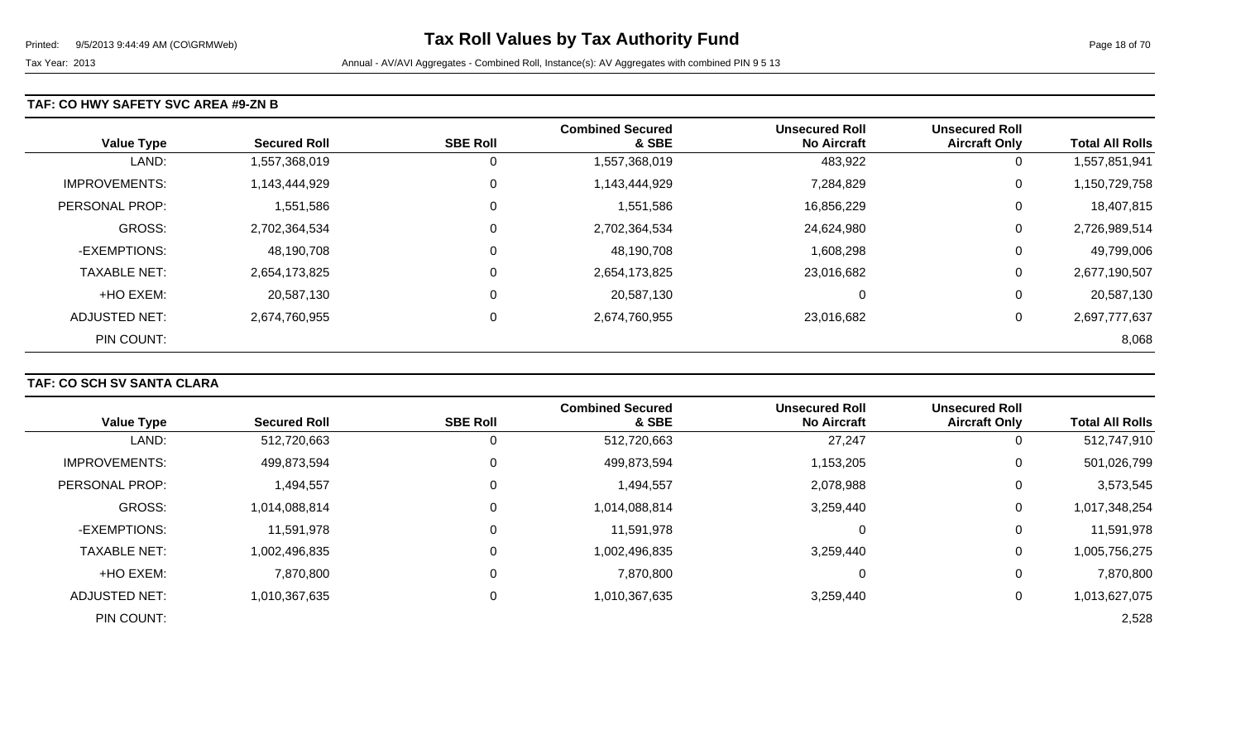### **TAF: CO HWY SAFETY SVC AREA #9-ZN B**

| <b>Value Type</b>    | <b>Secured Roll</b> | <b>SBE Roll</b> | <b>Combined Secured</b><br>& SBE | <b>Unsecured Roll</b><br><b>No Aircraft</b> | <b>Unsecured Roll</b><br><b>Aircraft Only</b> | <b>Total All Rolls</b> |
|----------------------|---------------------|-----------------|----------------------------------|---------------------------------------------|-----------------------------------------------|------------------------|
| LAND:                | 1,557,368,019       | 0               | 1,557,368,019                    | 483,922                                     | 0                                             | 1,557,851,941          |
| <b>IMPROVEMENTS:</b> | 1,143,444,929       | $\overline{0}$  | 1,143,444,929                    | 7,284,829                                   | 0                                             | 1,150,729,758          |
| PERSONAL PROP:       | 1,551,586           | $\overline{0}$  | 1,551,586                        | 16,856,229                                  | 0                                             | 18,407,815             |
| <b>GROSS:</b>        | 2,702,364,534       | $\overline{0}$  | 2,702,364,534                    | 24,624,980                                  | 0                                             | 2,726,989,514          |
| -EXEMPTIONS:         | 48,190,708          | 0               | 48,190,708                       | 1,608,298                                   | 0                                             | 49,799,006             |
| <b>TAXABLE NET:</b>  | 2,654,173,825       | $\overline{0}$  | 2,654,173,825                    | 23,016,682                                  | 0                                             | 2,677,190,507          |
| +HO EXEM:            | 20,587,130          | $\mathbf 0$     | 20,587,130                       | 0                                           | 0                                             | 20,587,130             |
| <b>ADJUSTED NET:</b> | 2,674,760,955       | $\overline{0}$  | 2,674,760,955                    | 23,016,682                                  | 0                                             | 2,697,777,637          |
| PIN COUNT:           |                     |                 |                                  |                                             |                                               | 8,068                  |

## **TAF: CO SCH SV SANTA CLARA**

|                      |                     |                 | <b>Combined Secured</b> | <b>Unsecured Roll</b> | <b>Unsecured Roll</b> |                        |
|----------------------|---------------------|-----------------|-------------------------|-----------------------|-----------------------|------------------------|
| <b>Value Type</b>    | <b>Secured Roll</b> | <b>SBE Roll</b> | & SBE                   | <b>No Aircraft</b>    | <b>Aircraft Only</b>  | <b>Total All Rolls</b> |
| LAND:                | 512,720,663         | 0               | 512,720,663             | 27,247                | 0                     | 512,747,910            |
| <b>IMPROVEMENTS:</b> | 499,873,594         | 0               | 499,873,594             | 1,153,205             | $\overline{0}$        | 501,026,799            |
| PERSONAL PROP:       | 1,494,557           | 0               | 1,494,557               | 2,078,988             | 0                     | 3,573,545              |
| <b>GROSS:</b>        | 1,014,088,814       | 0               | 1,014,088,814           | 3,259,440             | 0                     | 1,017,348,254          |
| -EXEMPTIONS:         | 11,591,978          | 0               | 11,591,978              | 0                     | 0                     | 11,591,978             |
| <b>TAXABLE NET:</b>  | 1,002,496,835       | 0               | 1,002,496,835           | 3,259,440             | 0                     | 1,005,756,275          |
| +HO EXEM:            | 7,870,800           | 0               | 7,870,800               | 0                     | 0                     | 7,870,800              |
| ADJUSTED NET:        | 1,010,367,635       | 0               | 1,010,367,635           | 3,259,440             | 0                     | 1,013,627,075          |
| PIN COUNT:           |                     |                 |                         |                       |                       | 2,528                  |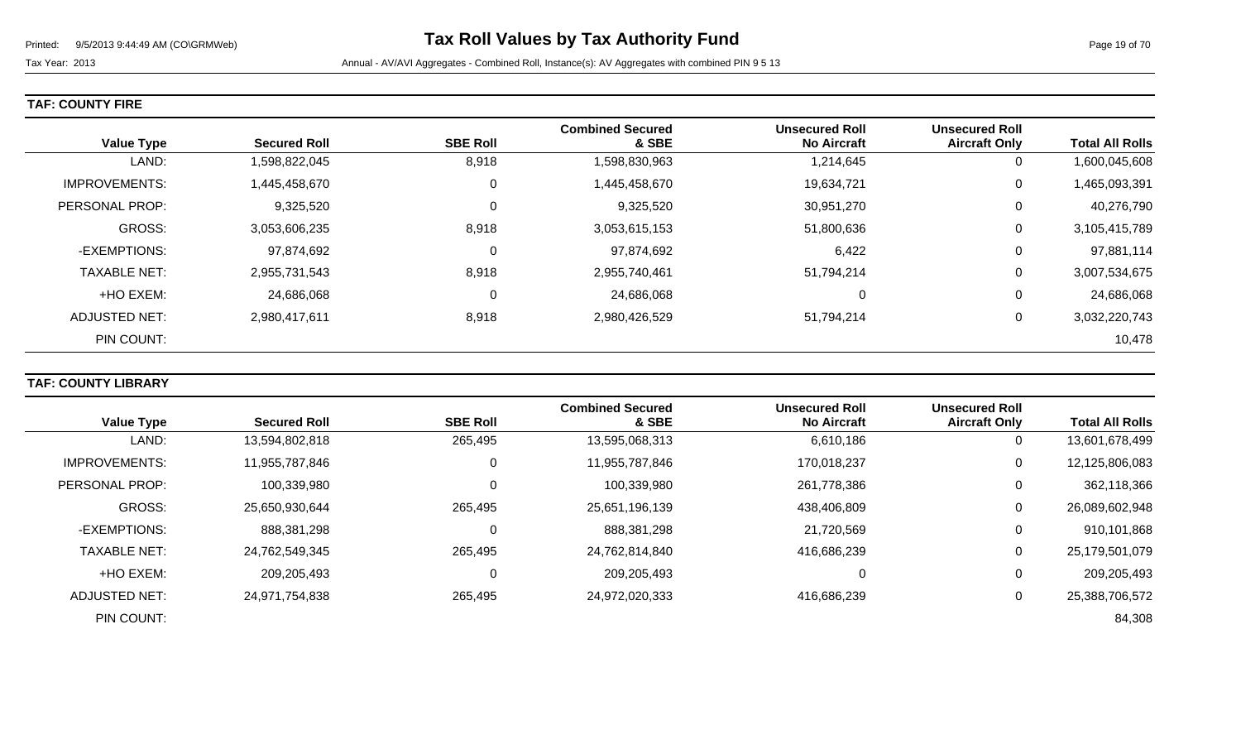|  |  |  | <b>TAF: COUNTY FIRE</b> |
|--|--|--|-------------------------|
|--|--|--|-------------------------|

| <b>Value Type</b>    | <b>Secured Roll</b> | <b>SBE Roll</b> | <b>Combined Secured</b><br>& SBE | <b>Unsecured Roll</b><br><b>No Aircraft</b> | <b>Unsecured Roll</b><br><b>Aircraft Only</b> | <b>Total All Rolls</b> |
|----------------------|---------------------|-----------------|----------------------------------|---------------------------------------------|-----------------------------------------------|------------------------|
| LAND:                | 1,598,822,045       | 8,918           | 1,598,830,963                    | 1,214,645                                   | 0                                             | 1,600,045,608          |
| <b>IMPROVEMENTS:</b> | 1,445,458,670       | 0               | 1,445,458,670                    | 19,634,721                                  | 0                                             | 1,465,093,391          |
| PERSONAL PROP:       | 9,325,520           | 0               | 9,325,520                        | 30,951,270                                  | 0                                             | 40,276,790             |
| GROSS:               | 3,053,606,235       | 8,918           | 3,053,615,153                    | 51,800,636                                  | 0                                             | 3,105,415,789          |
| -EXEMPTIONS:         | 97,874,692          | 0               | 97,874,692                       | 6,422                                       | 0                                             | 97,881,114             |
| <b>TAXABLE NET:</b>  | 2,955,731,543       | 8,918           | 2,955,740,461                    | 51,794,214                                  | 0                                             | 3,007,534,675          |
| +HO EXEM:            | 24,686,068          | 0               | 24,686,068                       | 0                                           | 0                                             | 24,686,068             |
| ADJUSTED NET:        | 2,980,417,611       | 8,918           | 2,980,426,529                    | 51,794,214                                  | 0                                             | 3,032,220,743          |
| PIN COUNT:           |                     |                 |                                  |                                             |                                               | 10,478                 |

## **TAF: COUNTY LIBRARY**

|                       |                     |                 | <b>Combined Secured</b> | <b>Unsecured Roll</b> | <b>Unsecured Roll</b> |                        |
|-----------------------|---------------------|-----------------|-------------------------|-----------------------|-----------------------|------------------------|
| <b>Value Type</b>     | <b>Secured Roll</b> | <b>SBE Roll</b> | & SBE                   | <b>No Aircraft</b>    | <b>Aircraft Only</b>  | <b>Total All Rolls</b> |
| LAND:                 | 13,594,802,818      | 265,495         | 13,595,068,313          | 6,610,186             | 0                     | 13,601,678,499         |
| <b>IMPROVEMENTS:</b>  | 11,955,787,846      | 0               | 11,955,787,846          | 170,018,237           | $\mathbf 0$           | 12,125,806,083         |
| <b>PERSONAL PROP:</b> | 100,339,980         | 0               | 100,339,980             | 261,778,386           | 0                     | 362,118,366            |
| GROSS:                | 25,650,930,644      | 265,495         | 25,651,196,139          | 438,406,809           | 0                     | 26,089,602,948         |
| -EXEMPTIONS:          | 888,381,298         | 0               | 888,381,298             | 21,720,569            | $\overline{0}$        | 910,101,868            |
| <b>TAXABLE NET:</b>   | 24,762,549,345      | 265,495         | 24,762,814,840          | 416,686,239           | 0                     | 25,179,501,079         |
| +HO EXEM:             | 209,205,493         | 0               | 209,205,493             | 0                     | $\overline{0}$        | 209,205,493            |
| ADJUSTED NET:         | 24,971,754,838      | 265,495         | 24,972,020,333          | 416.686.239           | 0                     | 25,388,706,572         |
| PIN COUNT:            |                     |                 |                         |                       |                       | 84,308                 |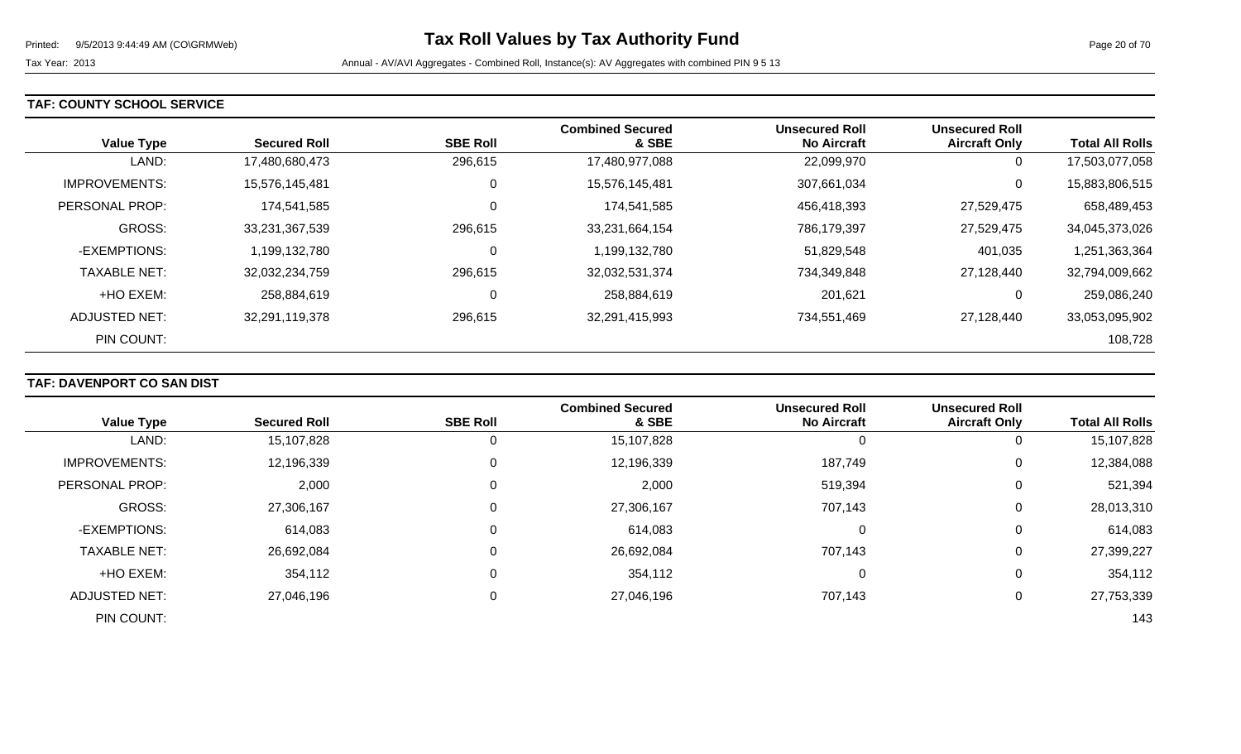### **TAF: COUNTY SCHOOL SERVICE**

| <b>Value Type</b>    | <b>Secured Roll</b> | <b>SBE Roll</b> | <b>Combined Secured</b><br>& SBE | <b>Unsecured Roll</b><br><b>No Aircraft</b> | <b>Unsecured Roll</b><br><b>Aircraft Only</b> | <b>Total All Rolls</b> |
|----------------------|---------------------|-----------------|----------------------------------|---------------------------------------------|-----------------------------------------------|------------------------|
| LAND:                | 17,480,680,473      | 296,615         | 17,480,977,088                   | 22,099,970                                  | 0                                             | 17,503,077,058         |
| <b>IMPROVEMENTS:</b> | 15,576,145,481      | 0               | 15,576,145,481                   | 307,661,034                                 | 0                                             | 15,883,806,515         |
| PERSONAL PROP:       | 174,541,585         | 0               | 174,541,585                      | 456,418,393                                 | 27,529,475                                    | 658,489,453            |
| <b>GROSS:</b>        | 33,231,367,539      | 296,615         | 33,231,664,154                   | 786,179,397                                 | 27,529,475                                    | 34,045,373,026         |
| -EXEMPTIONS:         | 1,199,132,780       | 0               | 1,199,132,780                    | 51,829,548                                  | 401,035                                       | 1,251,363,364          |
| <b>TAXABLE NET:</b>  | 32,032,234,759      | 296,615         | 32,032,531,374                   | 734,349,848                                 | 27,128,440                                    | 32,794,009,662         |
| +HO EXEM:            | 258,884,619         | 0               | 258,884,619                      | 201,621                                     | 0                                             | 259,086,240            |
| <b>ADJUSTED NET:</b> | 32,291,119,378      | 296,615         | 32,291,415,993                   | 734,551,469                                 | 27.128.440                                    | 33,053,095,902         |
| PIN COUNT:           |                     |                 |                                  |                                             |                                               | 108,728                |

### **TAF: DAVENPORT CO SAN DIST**

|                      |                     |                 | <b>Combined Secured</b> | <b>Unsecured Roll</b> | <b>Unsecured Roll</b> |                        |
|----------------------|---------------------|-----------------|-------------------------|-----------------------|-----------------------|------------------------|
| <b>Value Type</b>    | <b>Secured Roll</b> | <b>SBE Roll</b> | & SBE                   | <b>No Aircraft</b>    | <b>Aircraft Only</b>  | <b>Total All Rolls</b> |
| LAND:                | 15,107,828          |                 | 15,107,828              | 0                     | υ                     | 15,107,828             |
| <b>IMPROVEMENTS:</b> | 12,196,339          | 0               | 12,196,339              | 187,749               | 0                     | 12,384,088             |
| PERSONAL PROP:       | 2,000               | 0               | 2,000                   | 519,394               | 0                     | 521,394                |
| <b>GROSS:</b>        | 27,306,167          | 0               | 27,306,167              | 707,143               | 0                     | 28,013,310             |
| -EXEMPTIONS:         | 614,083             | 0               | 614,083                 | 0                     | 0                     | 614,083                |
| <b>TAXABLE NET:</b>  | 26,692,084          | 0               | 26,692,084              | 707,143               | 0                     | 27,399,227             |
| +HO EXEM:            | 354,112             | 0               | 354,112                 | 0                     | 0                     | 354,112                |
| <b>ADJUSTED NET:</b> | 27,046,196          | 0               | 27,046,196              | 707,143               | 0                     | 27,753,339             |
| PIN COUNT:           |                     |                 |                         |                       |                       | 143                    |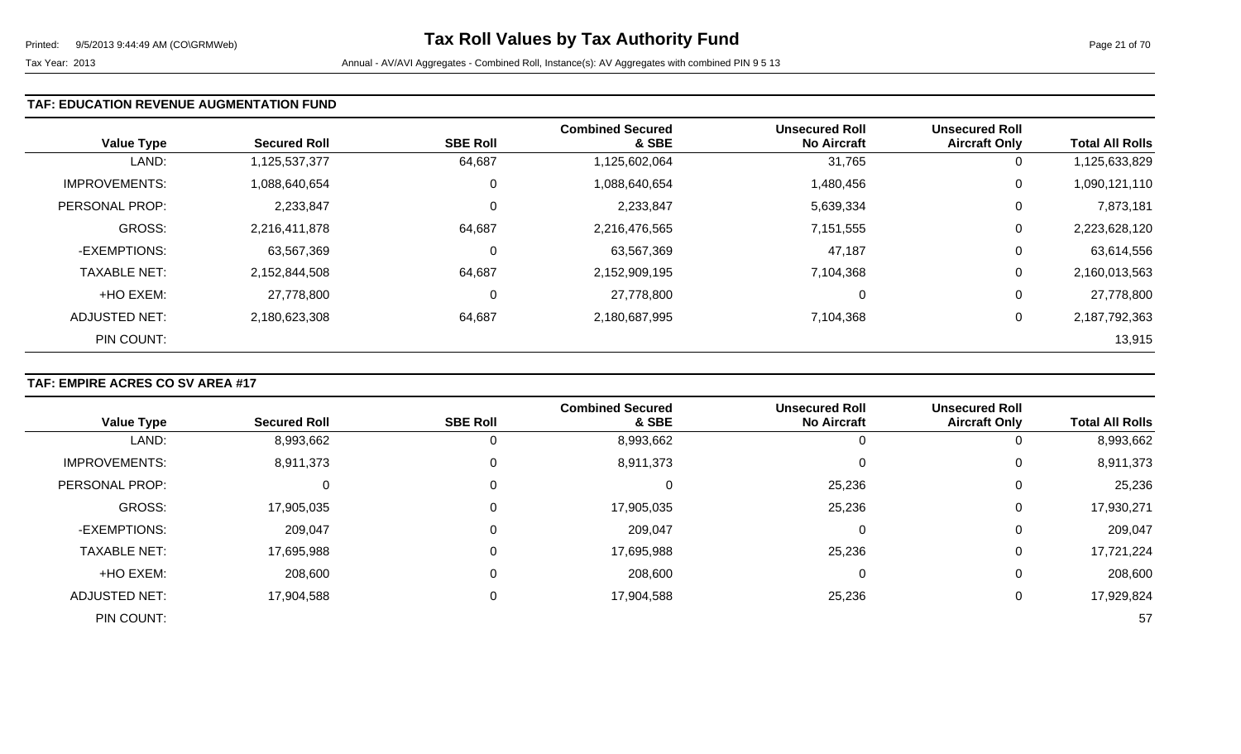### **TAF: EDUCATION REVENUE AUGMENTATION FUND**

| <b>Value Type</b>    | <b>Secured Roll</b> | <b>SBE Roll</b> | <b>Combined Secured</b><br>& SBE | <b>Unsecured Roll</b><br><b>No Aircraft</b> | <b>Unsecured Roll</b><br><b>Aircraft Only</b> | <b>Total All Rolls</b> |
|----------------------|---------------------|-----------------|----------------------------------|---------------------------------------------|-----------------------------------------------|------------------------|
| LAND:                | 1,125,537,377       | 64,687          | 1,125,602,064                    | 31,765                                      | 0                                             | 1,125,633,829          |
| <b>IMPROVEMENTS:</b> | 1,088,640,654       | 0               | 1,088,640,654                    | 1,480,456                                   | 0                                             | 1,090,121,110          |
| PERSONAL PROP:       | 2,233,847           | 0               | 2,233,847                        | 5,639,334                                   | 0                                             | 7,873,181              |
| <b>GROSS:</b>        | 2,216,411,878       | 64,687          | 2,216,476,565                    | 7,151,555                                   | 0                                             | 2,223,628,120          |
| -EXEMPTIONS:         | 63,567,369          | $\mathbf 0$     | 63,567,369                       | 47,187                                      | 0                                             | 63,614,556             |
| <b>TAXABLE NET:</b>  | 2,152,844,508       | 64,687          | 2,152,909,195                    | 7,104,368                                   | 0                                             | 2,160,013,563          |
| +HO EXEM:            | 27,778,800          | 0               | 27,778,800                       | 0                                           | 0                                             | 27,778,800             |
| ADJUSTED NET:        | 2,180,623,308       | 64,687          | 2,180,687,995                    | 7,104,368                                   | 0                                             | 2,187,792,363          |
| PIN COUNT:           |                     |                 |                                  |                                             |                                               | 13,915                 |

### **TAF: EMPIRE ACRES CO SV AREA #17**

|                      | <b>Secured Roll</b> | <b>SBE Roll</b> | <b>Combined Secured</b><br>& SBE | <b>Unsecured Roll</b><br><b>No Aircraft</b> | <b>Unsecured Roll</b> | <b>Total All Rolls</b> |
|----------------------|---------------------|-----------------|----------------------------------|---------------------------------------------|-----------------------|------------------------|
| <b>Value Type</b>    |                     |                 |                                  |                                             | <b>Aircraft Only</b>  |                        |
| LAND:                | 8,993,662           |                 | 8,993,662                        |                                             | 0                     | 8,993,662              |
| <b>IMPROVEMENTS:</b> | 8,911,373           |                 | 8,911,373                        |                                             | 0                     | 8,911,373              |
| PERSONAL PROP:       |                     |                 | U                                | 25,236                                      | 0                     | 25,236                 |
| <b>GROSS:</b>        | 17,905,035          |                 | 17,905,035                       | 25,236                                      | 0                     | 17,930,271             |
| -EXEMPTIONS:         | 209,047             |                 | 209,047                          |                                             | 0                     | 209,047                |
| <b>TAXABLE NET:</b>  | 17,695,988          |                 | 17,695,988                       | 25,236                                      | 0                     | 17,721,224             |
| +HO EXEM:            | 208,600             |                 | 208,600                          | υ                                           | 0                     | 208,600                |
| <b>ADJUSTED NET:</b> | 17,904,588          |                 | 17,904,588                       | 25,236                                      | 0                     | 17,929,824             |
| PIN COUNT:           |                     |                 |                                  |                                             |                       | 57                     |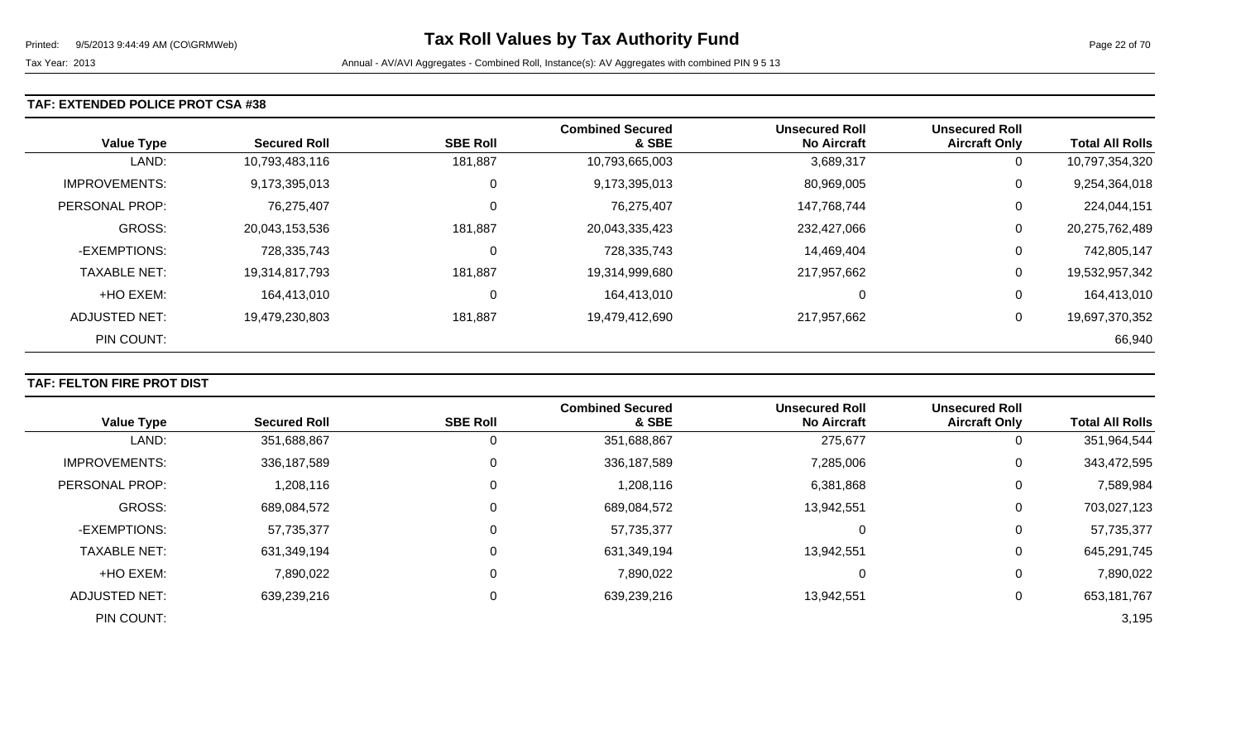### **TAF: EXTENDED POLICE PROT CSA #38**

| <b>Value Type</b>    | <b>Secured Roll</b> | <b>SBE Roll</b> | <b>Combined Secured</b><br>& SBE | <b>Unsecured Roll</b><br><b>No Aircraft</b> | <b>Unsecured Roll</b><br><b>Aircraft Only</b> | <b>Total All Rolls</b> |
|----------------------|---------------------|-----------------|----------------------------------|---------------------------------------------|-----------------------------------------------|------------------------|
| LAND:                | 10,793,483,116      | 181,887         | 10,793,665,003                   | 3,689,317                                   | 0                                             | 10,797,354,320         |
| <b>IMPROVEMENTS:</b> | 9,173,395,013       | $\mathbf 0$     | 9,173,395,013                    | 80,969,005                                  | 0                                             | 9,254,364,018          |
| PERSONAL PROP:       | 76,275,407          | $\mathbf 0$     | 76,275,407                       | 147,768,744                                 | 0                                             | 224,044,151            |
| GROSS:               | 20,043,153,536      | 181,887         | 20,043,335,423                   | 232,427,066                                 | 0                                             | 20,275,762,489         |
| -EXEMPTIONS:         | 728,335,743         | 0               | 728,335,743                      | 14,469,404                                  | 0                                             | 742,805,147            |
| <b>TAXABLE NET:</b>  | 19,314,817,793      | 181,887         | 19,314,999,680                   | 217,957,662                                 | 0                                             | 19,532,957,342         |
| +HO EXEM:            | 164,413,010         | 0               | 164,413,010                      | 0                                           | 0                                             | 164,413,010            |
| ADJUSTED NET:        | 19,479,230,803      | 181,887         | 19,479,412,690                   | 217,957,662                                 | 0                                             | 19,697,370,352         |
| PIN COUNT:           |                     |                 |                                  |                                             |                                               | 66,940                 |

### **TAF: FELTON FIRE PROT DIST**

|                      |                     |                 | <b>Combined Secured</b> | <b>Unsecured Roll</b> | <b>Unsecured Roll</b> |                        |
|----------------------|---------------------|-----------------|-------------------------|-----------------------|-----------------------|------------------------|
| <b>Value Type</b>    | <b>Secured Roll</b> | <b>SBE Roll</b> | & SBE                   | <b>No Aircraft</b>    | <b>Aircraft Only</b>  | <b>Total All Rolls</b> |
| LAND:                | 351,688,867         |                 | 351,688,867             | 275,677               | 0                     | 351,964,544            |
| <b>IMPROVEMENTS:</b> | 336,187,589         | 0               | 336, 187, 589           | 7,285,006             | 0                     | 343,472,595            |
| PERSONAL PROP:       | 1,208,116           | 0               | 1,208,116               | 6,381,868             | 0                     | 7,589,984              |
| GROSS:               | 689,084,572         | 0               | 689,084,572             | 13,942,551            | 0                     | 703,027,123            |
| -EXEMPTIONS:         | 57,735,377          | 0               | 57,735,377              |                       | 0                     | 57,735,377             |
| <b>TAXABLE NET:</b>  | 631,349,194         | 0               | 631,349,194             | 13,942,551            | 0                     | 645,291,745            |
| +HO EXEM:            | 7,890,022           | 0               | 7,890,022               | 0                     | 0                     | 7,890,022              |
| <b>ADJUSTED NET:</b> | 639,239,216         | 0               | 639,239,216             | 13,942,551            |                       | 653,181,767            |
| PIN COUNT:           |                     |                 |                         |                       |                       | 3,195                  |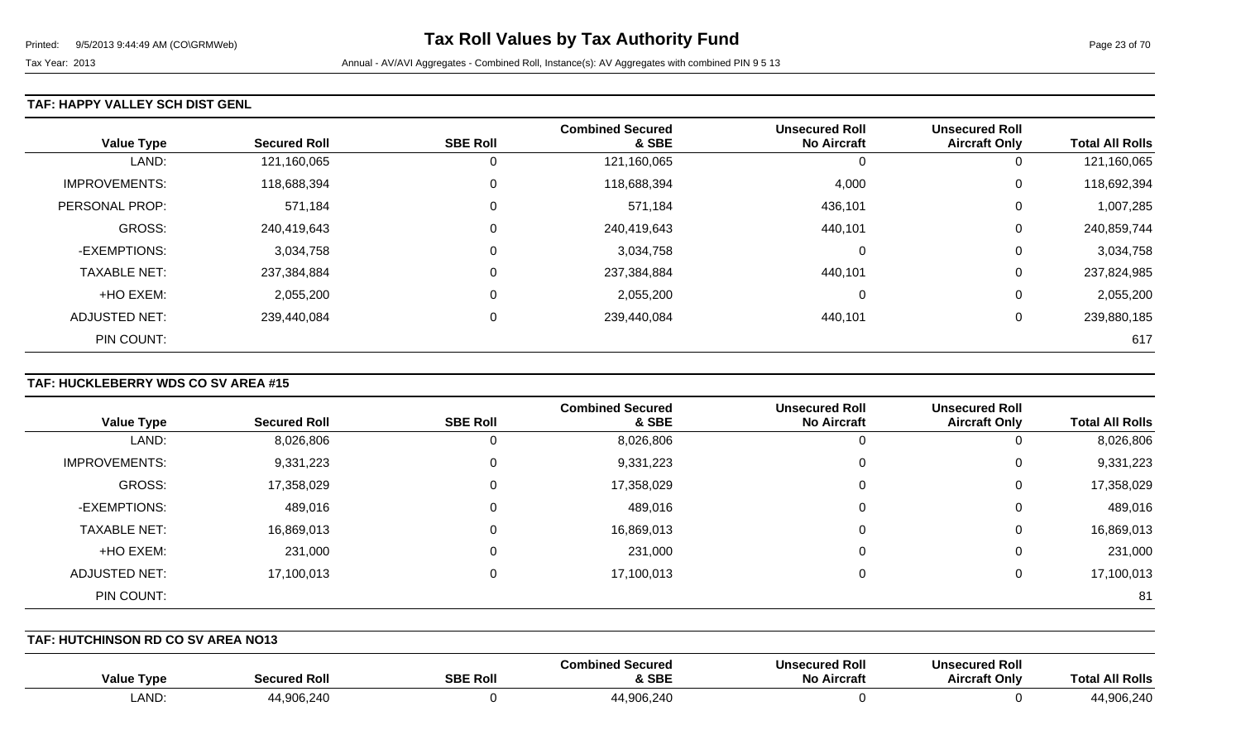### **TAF: HAPPY VALLEY SCH DIST GENL**

| <b>Value Type</b>    | <b>Secured Roll</b> | <b>SBE Roll</b> | <b>Combined Secured</b><br>& SBE | <b>Unsecured Roll</b><br><b>No Aircraft</b> | <b>Unsecured Roll</b><br><b>Aircraft Only</b> | <b>Total All Rolls</b> |
|----------------------|---------------------|-----------------|----------------------------------|---------------------------------------------|-----------------------------------------------|------------------------|
| LAND:                | 121,160,065         | 0               | 121,160,065                      | J.                                          | 0                                             | 121,160,065            |
| <b>IMPROVEMENTS:</b> | 118,688,394         | 0               | 118,688,394                      | 4,000                                       | 0                                             | 118,692,394            |
| PERSONAL PROP:       | 571,184             | $\mathbf 0$     | 571,184                          | 436,101                                     | 0                                             | 1,007,285              |
| <b>GROSS:</b>        | 240,419,643         | 0               | 240,419,643                      | 440,101                                     | 0                                             | 240,859,744            |
| -EXEMPTIONS:         | 3,034,758           | 0               | 3,034,758                        | $\Omega$                                    | 0                                             | 3,034,758              |
| <b>TAXABLE NET:</b>  | 237,384,884         | 0               | 237,384,884                      | 440,101                                     | 0                                             | 237,824,985            |
| +HO EXEM:            | 2,055,200           | 0               | 2,055,200                        | $\Omega$                                    | 0                                             | 2,055,200              |
| <b>ADJUSTED NET:</b> | 239,440,084         | 0               | 239,440,084                      | 440,101                                     | 0                                             | 239,880,185            |
| PIN COUNT:           |                     |                 |                                  |                                             |                                               | 617                    |

## **TAF: HUCKLEBERRY WDS CO SV AREA #15**

|                      |                     |                 | <b>Combined Secured</b> | <b>Unsecured Roll</b> | <b>Unsecured Roll</b> |                        |
|----------------------|---------------------|-----------------|-------------------------|-----------------------|-----------------------|------------------------|
| <b>Value Type</b>    | <b>Secured Roll</b> | <b>SBE Roll</b> | & SBE                   | <b>No Aircraft</b>    | <b>Aircraft Only</b>  | <b>Total All Rolls</b> |
| LAND:                | 8,026,806           | 0               | 8,026,806               | 0                     | U                     | 8,026,806              |
| <b>IMPROVEMENTS:</b> | 9,331,223           | 0               | 9,331,223               | 0                     | 0                     | 9,331,223              |
| GROSS:               | 17,358,029          | 0               | 17,358,029              | 0                     | 0                     | 17,358,029             |
| -EXEMPTIONS:         | 489,016             | 0               | 489,016                 | 0                     | 0                     | 489,016                |
| <b>TAXABLE NET:</b>  | 16,869,013          | $\Omega$        | 16,869,013              | 0                     | 0                     | 16,869,013             |
| +HO EXEM:            | 231,000             | 0               | 231,000                 | 0                     | 0                     | 231,000                |
| ADJUSTED NET:        | 17,100,013          | $\Omega$        | 17,100,013              | 0                     | 0                     | 17,100,013             |
| PIN COUNT:           |                     |                 |                         |                       |                       | 81                     |

**TAF: HUTCHINSON RD CO SV AREA NO13** 

| <b>Value Type</b> | Secured Roll | <b>SBE Rol</b> | Combined Secured<br><b>&amp; SBE</b> | <b>Unsecured Roll</b><br>No Aircraft | <b>Unsecured Roll</b><br><b>Aircraft Only</b> | JI Rolls<br>Гоtа     |
|-------------------|--------------|----------------|--------------------------------------|--------------------------------------|-----------------------------------------------|----------------------|
| LAND:             | 44,906,240   |                | 44,906,240                           |                                      |                                               | 44 906 24C<br>UD.Z4U |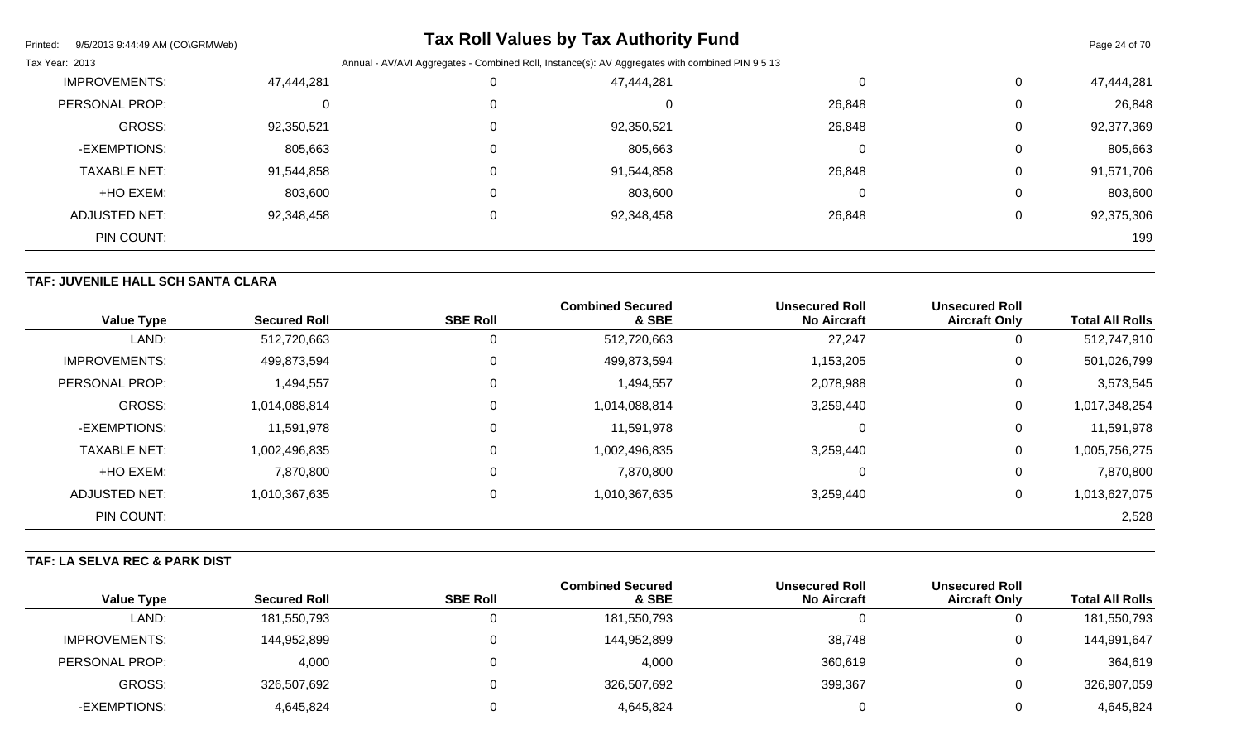| Printed:<br>9/5/2013 9:44:49 AM (CO\GRMWeb) |            |                                                                                                 | <b>Tax Roll Values by Tax Authority Fund</b> |        |   | Page 24 of 70 |  |
|---------------------------------------------|------------|-------------------------------------------------------------------------------------------------|----------------------------------------------|--------|---|---------------|--|
| Tax Year: 2013                              |            | Annual - AV/AVI Aggregates - Combined Roll, Instance(s): AV Aggregates with combined PIN 9 5 13 |                                              |        |   |               |  |
| <b>IMPROVEMENTS:</b>                        | 47,444,281 |                                                                                                 | 47,444,281                                   |        | 0 | 47,444,281    |  |
| PERSONAL PROP:                              | 0          |                                                                                                 | 0                                            | 26,848 | 0 | 26,848        |  |
| <b>GROSS:</b>                               | 92,350,521 |                                                                                                 | 92,350,521                                   | 26,848 | 0 | 92,377,369    |  |
| -EXEMPTIONS:                                | 805,663    |                                                                                                 | 805,663                                      |        | 0 | 805,663       |  |
| <b>TAXABLE NET:</b>                         | 91,544,858 |                                                                                                 | 91,544,858                                   | 26,848 | 0 | 91,571,706    |  |
| +HO EXEM:                                   | 803,600    | 0                                                                                               | 803,600                                      |        | 0 | 803,600       |  |
| <b>ADJUSTED NET:</b>                        | 92,348,458 |                                                                                                 | 92,348,458                                   | 26,848 | 0 | 92,375,306    |  |
| PIN COUNT:                                  |            |                                                                                                 |                                              |        |   | 199           |  |

## **TAF: JUVENILE HALL SCH SANTA CLARA**

| <b>Value Type</b>    | <b>Secured Roll</b> | <b>SBE Roll</b> | <b>Combined Secured</b><br>& SBE | <b>Unsecured Roll</b><br><b>No Aircraft</b> | <b>Unsecured Roll</b><br><b>Aircraft Only</b> | <b>Total All Rolls</b> |
|----------------------|---------------------|-----------------|----------------------------------|---------------------------------------------|-----------------------------------------------|------------------------|
| LAND:                | 512,720,663         | 0               | 512,720,663                      | 27,247                                      | U                                             | 512,747,910            |
| <b>IMPROVEMENTS:</b> | 499,873,594         | $\mathbf 0$     | 499,873,594                      | 1,153,205                                   | 0                                             | 501,026,799            |
| PERSONAL PROP:       | 1,494,557           | 0               | 1,494,557                        | 2,078,988                                   | 0                                             | 3,573,545              |
| <b>GROSS:</b>        | 1,014,088,814       | $\overline{0}$  | 1,014,088,814                    | 3,259,440                                   | 0                                             | 1,017,348,254          |
| -EXEMPTIONS:         | 11,591,978          | 0               | 11,591,978                       |                                             | 0                                             | 11,591,978             |
| <b>TAXABLE NET:</b>  | 1,002,496,835       | $\overline{0}$  | 1,002,496,835                    | 3,259,440                                   | 0                                             | 1,005,756,275          |
| +HO EXEM:            | 7,870,800           | 0               | 7,870,800                        |                                             | 0                                             | 7,870,800              |
| <b>ADJUSTED NET:</b> | 1,010,367,635       | 0               | 1,010,367,635                    | 3,259,440                                   | 0                                             | 1,013,627,075          |
| PIN COUNT:           |                     |                 |                                  |                                             |                                               | 2,528                  |

## **TAF: LA SELVA REC & PARK DIST**

|                   |                     |                 | <b>Combined Secured</b> | <b>Unsecured Roll</b> | <b>Unsecured Roll</b> |                        |
|-------------------|---------------------|-----------------|-------------------------|-----------------------|-----------------------|------------------------|
| <b>Value Type</b> | <b>Secured Roll</b> | <b>SBE Roll</b> | & SBE                   | <b>No Aircraft</b>    | <b>Aircraft Only</b>  | <b>Total All Rolls</b> |
| LAND:             | 181,550,793         |                 | 181,550,793             |                       |                       | 181,550,793            |
| IMPROVEMENTS:     | 144,952,899         |                 | 144,952,899             | 38,748                |                       | 144,991,647            |
| PERSONAL PROP:    | 4,000               |                 | 4,000                   | 360,619               |                       | 364,619                |
| GROSS:            | 326,507,692         |                 | 326,507,692             | 399,367               |                       | 326,907,059            |
| -EXEMPTIONS:      | 4,645,824           |                 | 4,645,824               |                       |                       | 4,645,824              |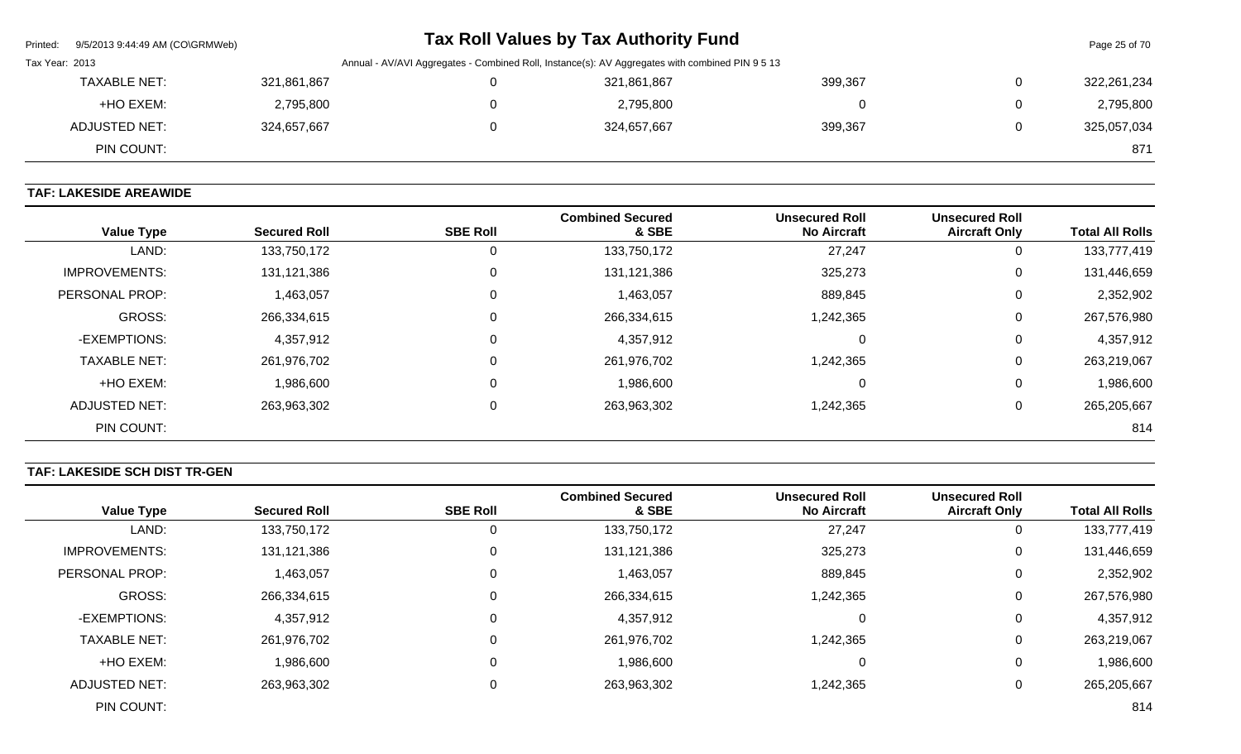| Printed:       | 9/5/2013 9:44:49 AM (CO\GRMWeb) |             |                                                                                                 | Tax Roll Values by Tax Authority Fund |         |   | Page 25 of 70 |
|----------------|---------------------------------|-------------|-------------------------------------------------------------------------------------------------|---------------------------------------|---------|---|---------------|
| Tax Year: 2013 |                                 |             | Annual - AV/AVI Aggregates - Combined Roll, Instance(s): AV Aggregates with combined PIN 9 5 13 |                                       |         |   |               |
|                | <b>TAXABLE NET:</b>             | 321,861,867 |                                                                                                 | 321,861,867                           | 399,367 | 0 | 322,261,234   |
|                | +HO EXEM:                       | 2,795,800   |                                                                                                 | 2,795,800                             |         | 0 | 2,795,800     |
|                | ADJUSTED NET:                   | 324,657,667 |                                                                                                 | 324,657,667                           | 399,367 | 0 | 325,057,034   |
|                | PIN COUNT:                      |             |                                                                                                 |                                       |         |   | 871           |

## **TAF: LAKESIDE AREAWIDE**

| <b>Value Type</b>    | <b>Secured Roll</b> | <b>SBE Roll</b> | <b>Combined Secured</b><br>& SBE | <b>Unsecured Roll</b><br><b>No Aircraft</b> | <b>Unsecured Roll</b><br><b>Aircraft Only</b> | <b>Total All Rolls</b> |
|----------------------|---------------------|-----------------|----------------------------------|---------------------------------------------|-----------------------------------------------|------------------------|
| LAND:                | 133,750,172         | 0               | 133,750,172                      | 27,247                                      | 0                                             | 133,777,419            |
| <b>IMPROVEMENTS:</b> | 131,121,386         | 0               | 131, 121, 386                    | 325,273                                     | 0                                             | 131,446,659            |
| PERSONAL PROP:       | 1,463,057           | $\mathbf 0$     | 1,463,057                        | 889,845                                     | 0                                             | 2,352,902              |
| <b>GROSS:</b>        | 266,334,615         | 0               | 266,334,615                      | 1,242,365                                   | 0                                             | 267,576,980            |
| -EXEMPTIONS:         | 4,357,912           | 0               | 4,357,912                        | 0                                           | 0                                             | 4,357,912              |
| <b>TAXABLE NET:</b>  | 261,976,702         | 0               | 261,976,702                      | 1,242,365                                   | 0                                             | 263,219,067            |
| +HO EXEM:            | 1,986,600           | 0               | 1,986,600                        | 0                                           | 0                                             | 1,986,600              |
| ADJUSTED NET:        | 263,963,302         | 0               | 263,963,302                      | 1,242,365                                   | 0                                             | 265,205,667            |
| PIN COUNT:           |                     |                 |                                  |                                             |                                               | 814                    |

## **TAF: LAKESIDE SCH DIST TR-GEN**

| <b>Value Type</b>    | <b>Secured Roll</b> | <b>SBE Roll</b> | <b>Combined Secured</b><br>& SBE | <b>Unsecured Roll</b><br><b>No Aircraft</b> | <b>Unsecured Roll</b><br><b>Aircraft Only</b> | <b>Total All Rolls</b> |
|----------------------|---------------------|-----------------|----------------------------------|---------------------------------------------|-----------------------------------------------|------------------------|
| LAND:                | 133,750,172         |                 | 133,750,172                      | 27,247                                      | U                                             | 133,777,419            |
| <b>IMPROVEMENTS:</b> | 131,121,386         |                 | 131,121,386                      | 325,273                                     | U                                             | 131,446,659            |
| PERSONAL PROP:       | 1,463,057           |                 | 1,463,057                        | 889,845                                     | U                                             | 2,352,902              |
| <b>GROSS:</b>        | 266,334,615         |                 | 266,334,615                      | 1,242,365                                   | 0                                             | 267,576,980            |
| -EXEMPTIONS:         | 4,357,912           |                 | 4,357,912                        | $\Omega$                                    | 0                                             | 4,357,912              |
| <b>TAXABLE NET:</b>  | 261,976,702         |                 | 261,976,702                      | 1,242,365                                   | U                                             | 263,219,067            |
| +HO EXEM:            | 1,986,600           |                 | 1,986,600                        | 0                                           | 0                                             | 1,986,600              |
| ADJUSTED NET:        | 263,963,302         |                 | 263,963,302                      | 1,242,365                                   | U                                             | 265,205,667            |
| PIN COUNT:           |                     |                 |                                  |                                             |                                               | 814                    |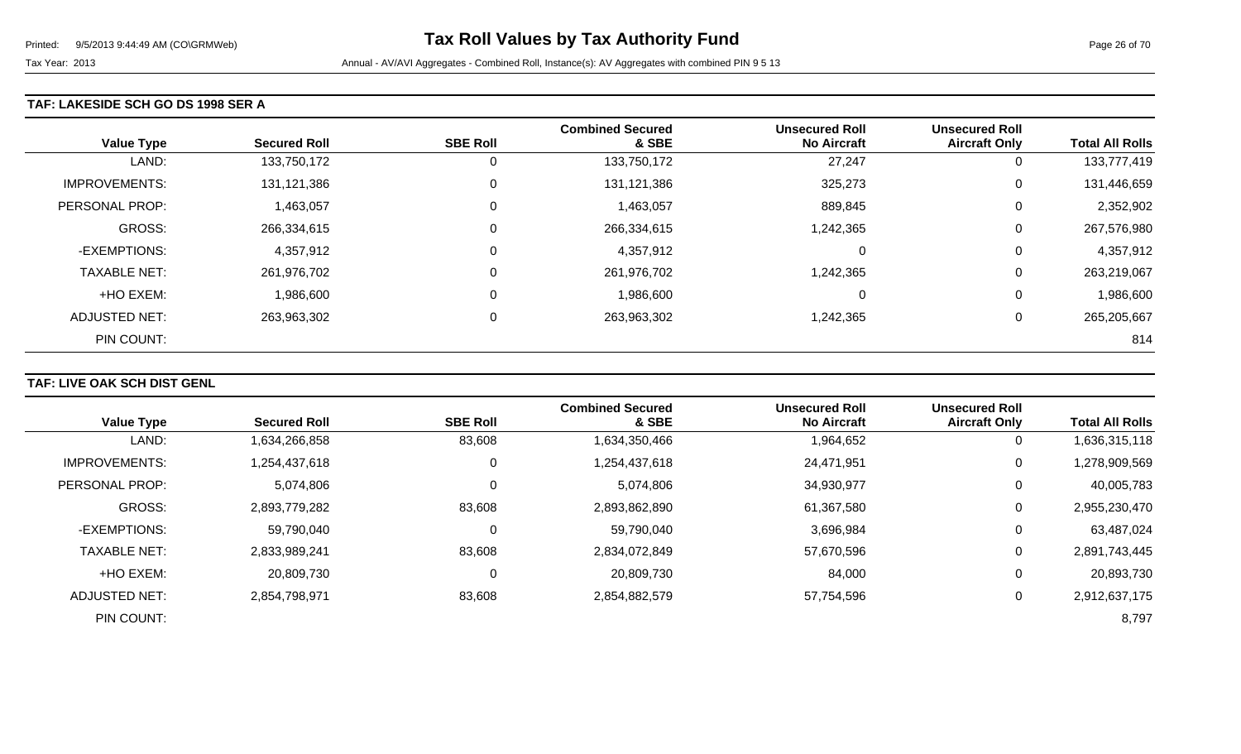### **TAF: LAKESIDE SCH GO DS 1998 SER A**

| <b>Value Type</b>    | <b>Secured Roll</b> | <b>SBE Roll</b> | <b>Combined Secured</b><br>& SBE | <b>Unsecured Roll</b><br><b>No Aircraft</b> | <b>Unsecured Roll</b><br><b>Aircraft Only</b> | <b>Total All Rolls</b> |
|----------------------|---------------------|-----------------|----------------------------------|---------------------------------------------|-----------------------------------------------|------------------------|
| LAND:                | 133,750,172         | 0               | 133,750,172                      | 27,247                                      | 0                                             | 133,777,419            |
| <b>IMPROVEMENTS:</b> | 131,121,386         | 0               | 131,121,386                      | 325,273                                     | 0                                             | 131,446,659            |
| PERSONAL PROP:       | 1,463,057           | 0               | 1,463,057                        | 889,845                                     | 0                                             | 2,352,902              |
| <b>GROSS:</b>        | 266,334,615         | 0               | 266,334,615                      | 1,242,365                                   | 0                                             | 267,576,980            |
| -EXEMPTIONS:         | 4,357,912           | 0               | 4,357,912                        | 0                                           | 0                                             | 4,357,912              |
| <b>TAXABLE NET:</b>  | 261,976,702         | 0               | 261,976,702                      | 1,242,365                                   | 0                                             | 263,219,067            |
| +HO EXEM:            | 1,986,600           | 0               | 1,986,600                        | 0                                           | 0                                             | 1,986,600              |
| <b>ADJUSTED NET:</b> | 263,963,302         | 0               | 263,963,302                      | 1,242,365                                   | 0                                             | 265,205,667            |
| PIN COUNT:           |                     |                 |                                  |                                             |                                               | 814                    |

## **TAF: LIVE OAK SCH DIST GENL**

| <b>Value Type</b>     | <b>Secured Roll</b> | <b>SBE Roll</b> | <b>Combined Secured</b><br>& SBE | <b>Unsecured Roll</b><br><b>No Aircraft</b> | <b>Unsecured Roll</b><br><b>Aircraft Only</b> | <b>Total All Rolls</b> |
|-----------------------|---------------------|-----------------|----------------------------------|---------------------------------------------|-----------------------------------------------|------------------------|
|                       |                     |                 |                                  |                                             |                                               |                        |
| LAND:                 | 1,634,266,858       | 83,608          | 1,634,350,466                    | 1,964,652                                   | $\overline{0}$                                | 1,636,315,118          |
| <b>IMPROVEMENTS:</b>  | 1,254,437,618       | 0               | 1,254,437,618                    | 24,471,951                                  | $\mathbf 0$                                   | 1,278,909,569          |
| <b>PERSONAL PROP:</b> | 5,074,806           | $\mathbf 0$     | 5,074,806                        | 34,930,977                                  | 0                                             | 40,005,783             |
| <b>GROSS:</b>         | 2,893,779,282       | 83,608          | 2,893,862,890                    | 61,367,580                                  | 0                                             | 2,955,230,470          |
| -EXEMPTIONS:          | 59,790,040          | 0               | 59,790,040                       | 3,696,984                                   | 0                                             | 63,487,024             |
| <b>TAXABLE NET:</b>   | 2,833,989,241       | 83,608          | 2,834,072,849                    | 57,670,596                                  | 0                                             | 2,891,743,445          |
| +HO EXEM:             | 20,809,730          | 0               | 20,809,730                       | 84,000                                      | 0                                             | 20,893,730             |
| <b>ADJUSTED NET:</b>  | 2,854,798,971       | 83,608          | 2,854,882,579                    | 57,754,596                                  | 0                                             | 2,912,637,175          |
| PIN COUNT:            |                     |                 |                                  |                                             |                                               | 8,797                  |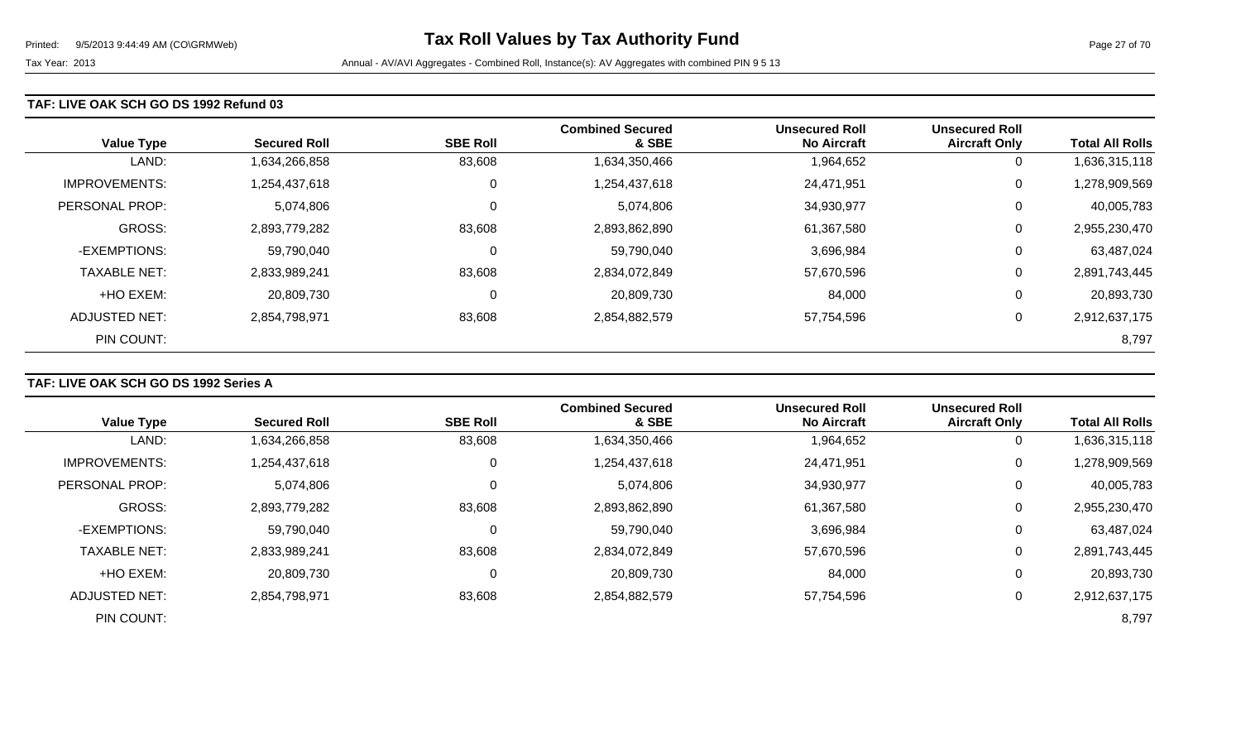#### **TAF: LIVE OAK SCH GO DS 1992 Refund 03**

| <b>Value Type</b>    | <b>Secured Roll</b> | <b>SBE Roll</b> | <b>Combined Secured</b><br>& SBE | <b>Unsecured Roll</b><br><b>No Aircraft</b> | <b>Unsecured Roll</b><br><b>Aircraft Only</b> | <b>Total All Rolls</b> |
|----------------------|---------------------|-----------------|----------------------------------|---------------------------------------------|-----------------------------------------------|------------------------|
| LAND:                | 1,634,266,858       | 83,608          | 1,634,350,466                    | 1,964,652                                   | 0                                             | 1,636,315,118          |
| <b>IMPROVEMENTS:</b> | 1,254,437,618       | 0               | 1,254,437,618                    | 24,471,951                                  | 0                                             | 1,278,909,569          |
| PERSONAL PROP:       | 5,074,806           | 0               | 5,074,806                        | 34,930,977                                  | 0                                             | 40,005,783             |
| <b>GROSS:</b>        | 2,893,779,282       | 83,608          | 2,893,862,890                    | 61,367,580                                  | 0                                             | 2,955,230,470          |
| -EXEMPTIONS:         | 59,790,040          | 0               | 59,790,040                       | 3,696,984                                   | 0                                             | 63,487,024             |
| <b>TAXABLE NET:</b>  | 2,833,989,241       | 83,608          | 2,834,072,849                    | 57,670,596                                  | 0                                             | 2,891,743,445          |
| +HO EXEM:            | 20,809,730          | 0               | 20,809,730                       | 84,000                                      | 0                                             | 20,893,730             |
| ADJUSTED NET:        | 2,854,798,971       | 83,608          | 2,854,882,579                    | 57,754,596                                  | 0                                             | 2,912,637,175          |
| PIN COUNT:           |                     |                 |                                  |                                             |                                               | 8,797                  |

### **TAF: LIVE OAK SCH GO DS 1992 Series A**

|                      |                     |                 | <b>Combined Secured</b> | <b>Unsecured Roll</b> | <b>Unsecured Roll</b> |                        |
|----------------------|---------------------|-----------------|-------------------------|-----------------------|-----------------------|------------------------|
| <b>Value Type</b>    | <b>Secured Roll</b> | <b>SBE Roll</b> | & SBE                   | <b>No Aircraft</b>    | <b>Aircraft Only</b>  | <b>Total All Rolls</b> |
| LAND:                | 1,634,266,858       | 83,608          | 1,634,350,466           | 1,964,652             | 0                     | 1,636,315,118          |
| <b>IMPROVEMENTS:</b> | 1,254,437,618       | 0               | 1,254,437,618           | 24,471,951            | $\mathbf 0$           | 1,278,909,569          |
| PERSONAL PROP:       | 5,074,806           | 0               | 5,074,806               | 34,930,977            | $\overline{0}$        | 40,005,783             |
| <b>GROSS:</b>        | 2,893,779,282       | 83,608          | 2,893,862,890           | 61,367,580            | 0                     | 2,955,230,470          |
| -EXEMPTIONS:         | 59,790,040          | $\Omega$        | 59,790,040              | 3,696,984             | 0                     | 63,487,024             |
| <b>TAXABLE NET:</b>  | 2,833,989,241       | 83,608          | 2,834,072,849           | 57,670,596            | 0                     | 2,891,743,445          |
| +HO EXEM:            | 20,809,730          | 0               | 20,809,730              | 84,000                | 0                     | 20,893,730             |
| ADJUSTED NET:        | 2,854,798,971       | 83,608          | 2,854,882,579           | 57,754,596            | 0                     | 2,912,637,175          |
| PIN COUNT:           |                     |                 |                         |                       |                       | 8,797                  |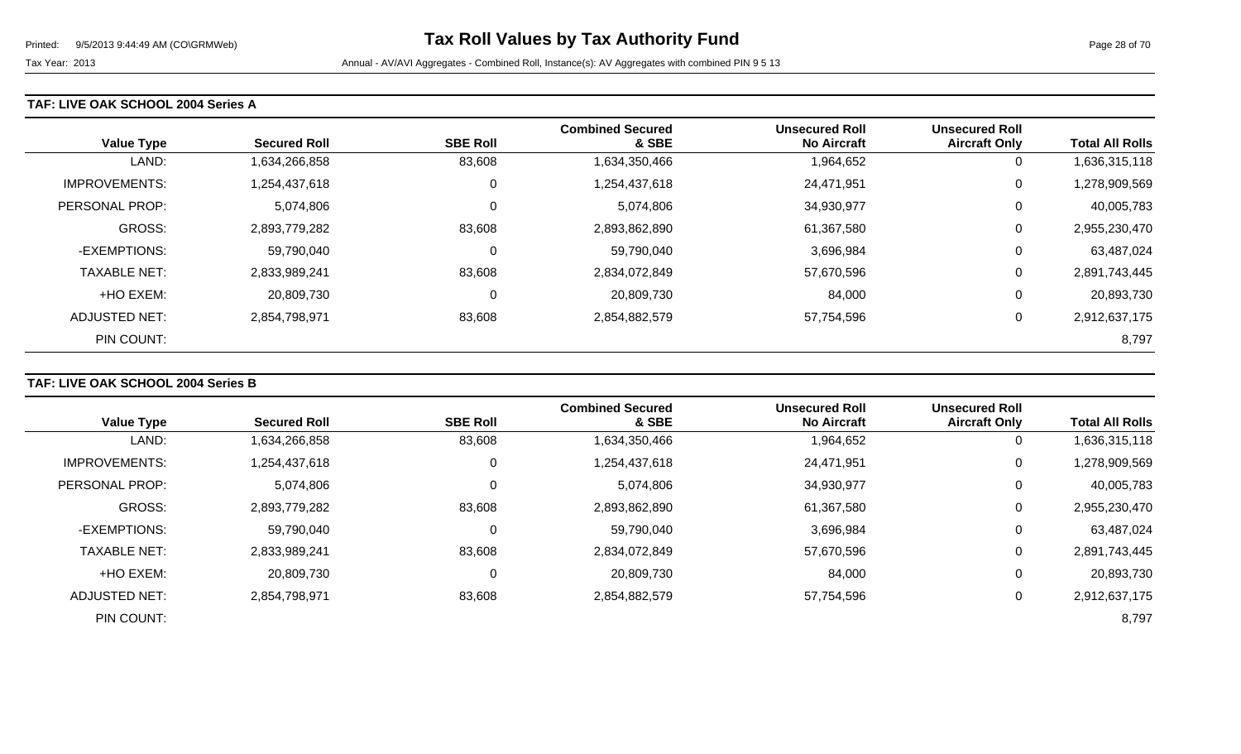### **TAF: LIVE OAK SCHOOL 2004 Series A**

| <b>Value Type</b>    | <b>Secured Roll</b> | <b>SBE Roll</b> | <b>Combined Secured</b><br>& SBE | <b>Unsecured Roll</b><br><b>No Aircraft</b> | <b>Unsecured Roll</b><br><b>Aircraft Only</b> | <b>Total All Rolls</b> |
|----------------------|---------------------|-----------------|----------------------------------|---------------------------------------------|-----------------------------------------------|------------------------|
| LAND:                | 1,634,266,858       | 83,608          | 1,634,350,466                    | 1,964,652                                   | 0                                             | 1,636,315,118          |
| <b>IMPROVEMENTS:</b> | 1,254,437,618       | 0               | 1,254,437,618                    | 24,471,951                                  | 0                                             | 1,278,909,569          |
| PERSONAL PROP:       | 5,074,806           | $\overline{0}$  | 5,074,806                        | 34,930,977                                  | 0                                             | 40,005,783             |
| <b>GROSS:</b>        | 2,893,779,282       | 83,608          | 2,893,862,890                    | 61,367,580                                  | 0                                             | 2,955,230,470          |
| -EXEMPTIONS:         | 59,790,040          | 0               | 59,790,040                       | 3,696,984                                   | 0                                             | 63,487,024             |
| <b>TAXABLE NET:</b>  | 2,833,989,241       | 83,608          | 2,834,072,849                    | 57,670,596                                  | 0                                             | 2,891,743,445          |
| +HO EXEM:            | 20,809,730          | 0               | 20,809,730                       | 84,000                                      | 0                                             | 20,893,730             |
| ADJUSTED NET:        | 2,854,798,971       | 83,608          | 2,854,882,579                    | 57,754,596                                  | 0                                             | 2,912,637,175          |
| PIN COUNT:           |                     |                 |                                  |                                             |                                               | 8,797                  |

### **TAF: LIVE OAK SCHOOL 2004 Series B**

|                      |                     |                 | <b>Combined Secured</b> | <b>Unsecured Roll</b> | <b>Unsecured Roll</b> |                        |
|----------------------|---------------------|-----------------|-------------------------|-----------------------|-----------------------|------------------------|
| <b>Value Type</b>    | <b>Secured Roll</b> | <b>SBE Roll</b> | & SBE                   | <b>No Aircraft</b>    | <b>Aircraft Only</b>  | <b>Total All Rolls</b> |
| LAND:                | 1,634,266,858       | 83,608          | 1,634,350,466           | 1,964,652             | 0                     | 1,636,315,118          |
| <b>IMPROVEMENTS:</b> | 1,254,437,618       | 0               | 1,254,437,618           | 24,471,951            | $\mathbf 0$           | 1,278,909,569          |
| PERSONAL PROP:       | 5,074,806           | 0               | 5,074,806               | 34,930,977            | $\overline{0}$        | 40,005,783             |
| <b>GROSS:</b>        | 2,893,779,282       | 83,608          | 2,893,862,890           | 61,367,580            | 0                     | 2,955,230,470          |
| -EXEMPTIONS:         | 59,790,040          | $\Omega$        | 59,790,040              | 3,696,984             | 0                     | 63,487,024             |
| <b>TAXABLE NET:</b>  | 2,833,989,241       | 83,608          | 2,834,072,849           | 57,670,596            | 0                     | 2,891,743,445          |
| +HO EXEM:            | 20,809,730          | 0               | 20,809,730              | 84,000                | 0                     | 20,893,730             |
| ADJUSTED NET:        | 2,854,798,971       | 83,608          | 2,854,882,579           | 57,754,596            | 0                     | 2,912,637,175          |
| PIN COUNT:           |                     |                 |                         |                       |                       | 8,797                  |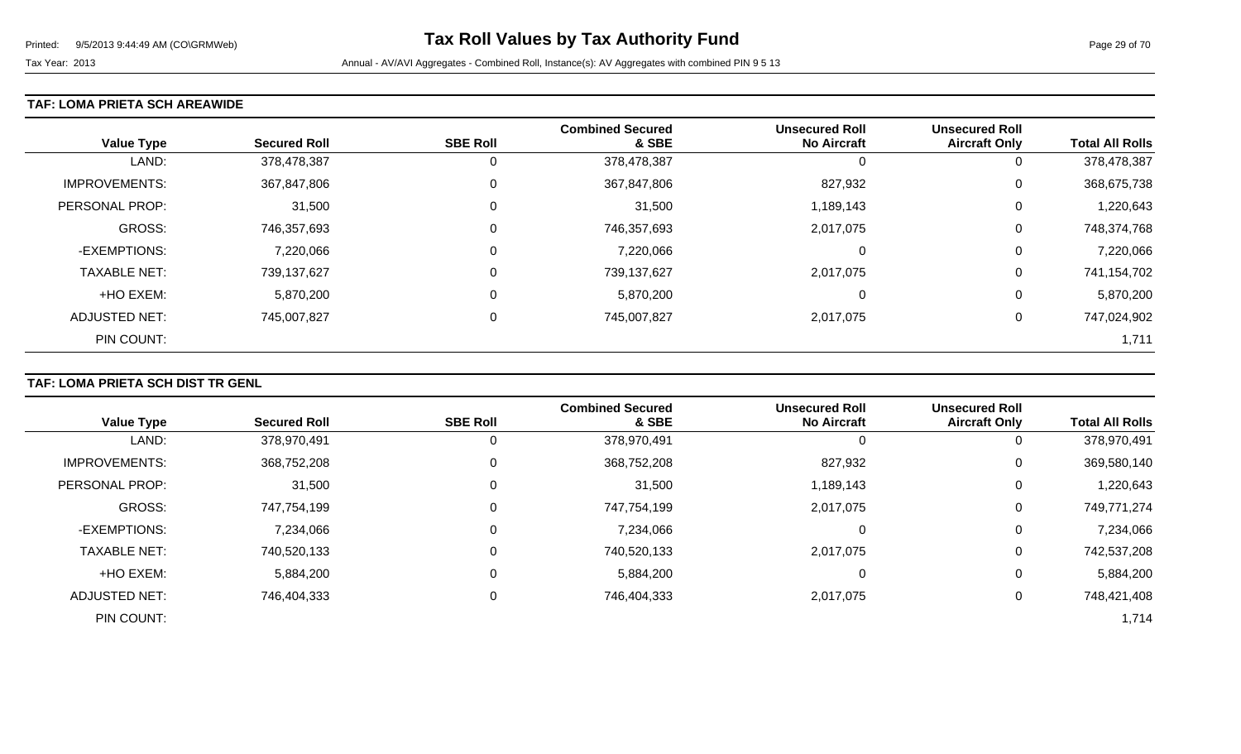### **TAF: LOMA PRIETA SCH AREAWIDE**

| <b>Value Type</b>    | <b>Secured Roll</b> | <b>SBE Roll</b> | <b>Combined Secured</b><br>& SBE | <b>Unsecured Roll</b><br><b>No Aircraft</b> | <b>Unsecured Roll</b><br><b>Aircraft Only</b> | <b>Total All Rolls</b> |
|----------------------|---------------------|-----------------|----------------------------------|---------------------------------------------|-----------------------------------------------|------------------------|
| LAND:                | 378,478,387         | 0               | 378,478,387                      | -0                                          | 0                                             | 378,478,387            |
| <b>IMPROVEMENTS:</b> | 367,847,806         | 0               | 367,847,806                      | 827,932                                     | 0                                             | 368,675,738            |
| PERSONAL PROP:       | 31,500              | $\Omega$        | 31,500                           | 1,189,143                                   | 0                                             | 1,220,643              |
| <b>GROSS:</b>        | 746,357,693         | 0               | 746,357,693                      | 2,017,075                                   | 0                                             | 748,374,768            |
| -EXEMPTIONS:         | 7,220,066           | $\Omega$        | 7,220,066                        | 0                                           | 0                                             | 7,220,066              |
| <b>TAXABLE NET:</b>  | 739,137,627         | 0               | 739,137,627                      | 2,017,075                                   | 0                                             | 741,154,702            |
| +HO EXEM:            | 5,870,200           | $\Omega$        | 5,870,200                        | 0                                           | 0                                             | 5,870,200              |
| <b>ADJUSTED NET:</b> | 745,007,827         | 0               | 745,007,827                      | 2,017,075                                   | 0                                             | 747,024,902            |
| PIN COUNT:           |                     |                 |                                  |                                             |                                               | 1,711                  |

## **TAF: LOMA PRIETA SCH DIST TR GENL**

|                      |                     |                 | <b>Combined Secured</b> | <b>Unsecured Roll</b> | <b>Unsecured Roll</b> |                        |
|----------------------|---------------------|-----------------|-------------------------|-----------------------|-----------------------|------------------------|
| <b>Value Type</b>    | <b>Secured Roll</b> | <b>SBE Roll</b> | & SBE                   | <b>No Aircraft</b>    | <b>Aircraft Only</b>  | <b>Total All Rolls</b> |
| LAND:                | 378,970,491         |                 | 378,970,491             |                       | 0                     | 378,970,491            |
| <b>IMPROVEMENTS:</b> | 368,752,208         | 0               | 368,752,208             | 827,932               | 0                     | 369,580,140            |
| PERSONAL PROP:       | 31,500              | $\Omega$        | 31,500                  | 1,189,143             | 0                     | 1,220,643              |
| <b>GROSS:</b>        | 747,754,199         |                 | 747,754,199             | 2,017,075             | 0                     | 749,771,274            |
| -EXEMPTIONS:         | 7,234,066           | 0               | 7,234,066               |                       | 0                     | 7,234,066              |
| <b>TAXABLE NET:</b>  | 740,520,133         |                 | 740,520,133             | 2,017,075             | 0                     | 742,537,208            |
| +HO EXEM:            | 5,884,200           | 0               | 5,884,200               | $\Omega$              | 0                     | 5,884,200              |
| <b>ADJUSTED NET:</b> | 746,404,333         |                 | 746,404,333             | 2,017,075             | 0                     | 748,421,408            |
| PIN COUNT:           |                     |                 |                         |                       |                       | 1,714                  |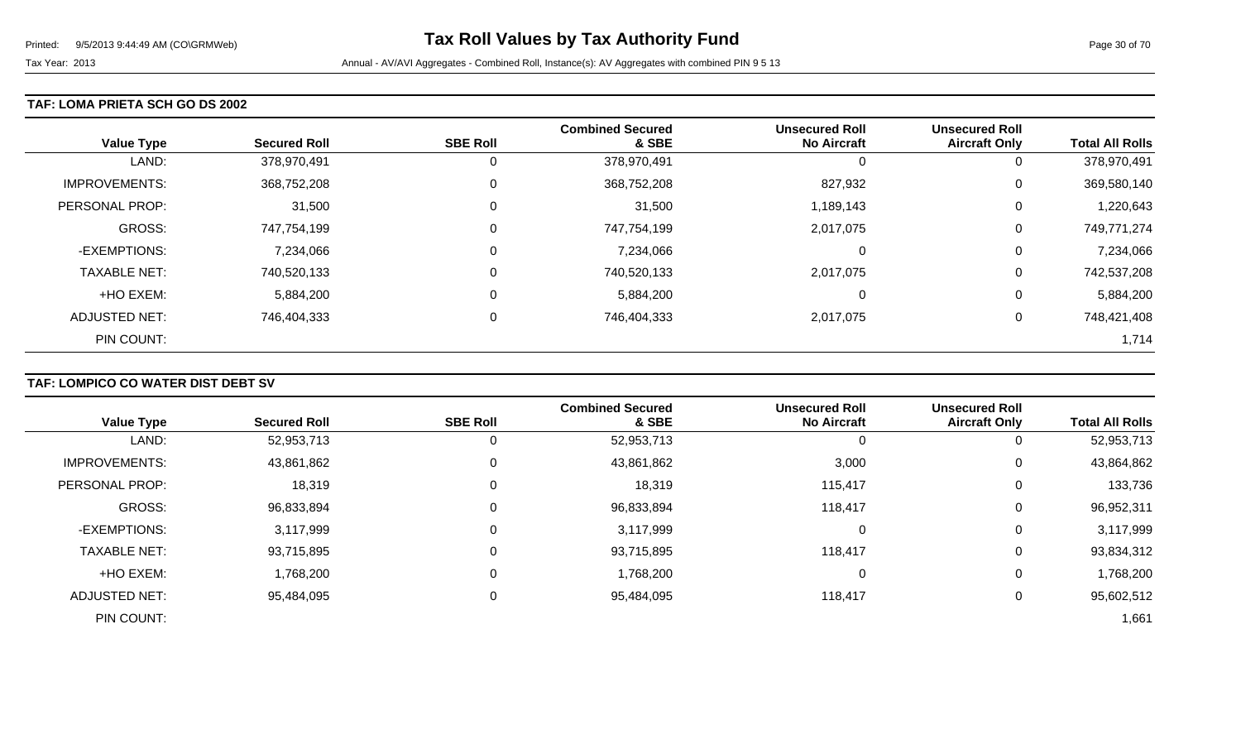### **TAF: LOMA PRIETA SCH GO DS 2002**

| <b>Value Type</b>    | <b>Secured Roll</b> | <b>SBE Roll</b> | <b>Combined Secured</b><br>& SBE | <b>Unsecured Roll</b><br><b>No Aircraft</b> | <b>Unsecured Roll</b><br><b>Aircraft Only</b> | <b>Total All Rolls</b> |
|----------------------|---------------------|-----------------|----------------------------------|---------------------------------------------|-----------------------------------------------|------------------------|
| LAND:                | 378,970,491         | 0               | 378,970,491                      | U                                           | U                                             | 378,970,491            |
| <b>IMPROVEMENTS:</b> | 368,752,208         | $\mathbf 0$     | 368,752,208                      | 827,932                                     | U                                             | 369,580,140            |
| PERSONAL PROP:       | 31,500              | 0               | 31,500                           | 1,189,143                                   | 0                                             | 1,220,643              |
| <b>GROSS:</b>        | 747,754,199         | 0               | 747,754,199                      | 2,017,075                                   | U                                             | 749,771,274            |
| -EXEMPTIONS:         | 7,234,066           | 0               | 7,234,066                        | $\Omega$                                    | 0                                             | 7,234,066              |
| <b>TAXABLE NET:</b>  | 740,520,133         | 0               | 740,520,133                      | 2,017,075                                   | U                                             | 742,537,208            |
| +HO EXEM:            | 5,884,200           | 0               | 5,884,200                        | $\Omega$                                    | 0                                             | 5,884,200              |
| ADJUSTED NET:        | 746,404,333         | 0               | 746,404,333                      | 2,017,075                                   | U                                             | 748,421,408            |
| PIN COUNT:           |                     |                 |                                  |                                             |                                               | 1,714                  |

## **TAF: LOMPICO CO WATER DIST DEBT SV**

| <b>Value Type</b>    | <b>Secured Roll</b> | <b>SBE Roll</b> | <b>Combined Secured</b><br>& SBE | <b>Unsecured Roll</b><br><b>No Aircraft</b> | <b>Unsecured Roll</b><br><b>Aircraft Only</b> | <b>Total All Rolls</b> |
|----------------------|---------------------|-----------------|----------------------------------|---------------------------------------------|-----------------------------------------------|------------------------|
|                      |                     |                 |                                  |                                             |                                               |                        |
| LAND:                | 52,953,713          |                 | 52,953,713                       |                                             | 0                                             | 52,953,713             |
| <b>IMPROVEMENTS:</b> | 43,861,862          | $\Omega$        | 43,861,862                       | 3,000                                       | 0                                             | 43,864,862             |
| PERSONAL PROP:       | 18,319              | 0               | 18,319                           | 115,417                                     | 0                                             | 133,736                |
| <b>GROSS:</b>        | 96,833,894          |                 | 96,833,894                       | 118,417                                     | 0                                             | 96,952,311             |
| -EXEMPTIONS:         | 3,117,999           | $\Omega$        | 3,117,999                        |                                             | 0                                             | 3,117,999              |
| <b>TAXABLE NET:</b>  | 93,715,895          |                 | 93,715,895                       | 118,417                                     | 0                                             | 93,834,312             |
| +HO EXEM:            | 1,768,200           | $\Omega$        | 1,768,200                        |                                             | 0                                             | 1,768,200              |
| <b>ADJUSTED NET:</b> | 95,484,095          | $\Omega$        | 95,484,095                       | 118,417                                     | 0                                             | 95,602,512             |
| PIN COUNT:           |                     |                 |                                  |                                             |                                               | 1,661                  |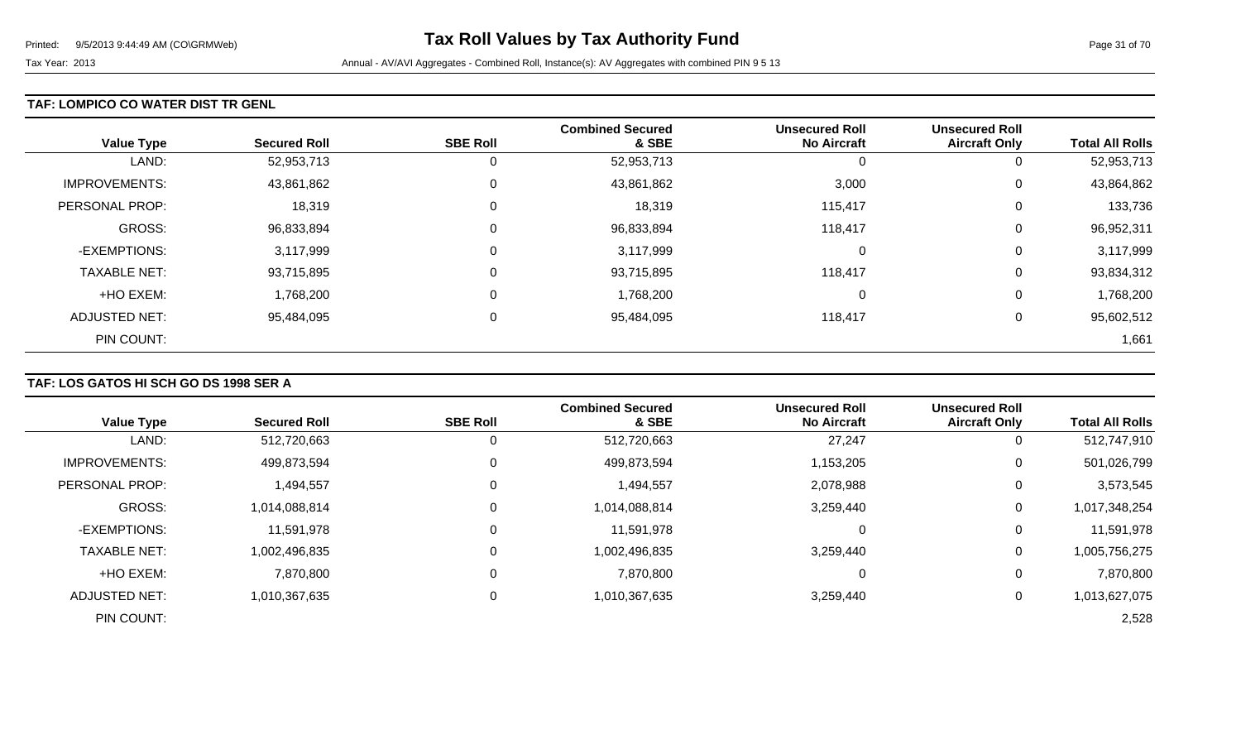### **TAF: LOMPICO CO WATER DIST TR GENL**

| <b>Value Type</b>    | <b>Secured Roll</b> | <b>SBE Roll</b> | <b>Combined Secured</b><br>& SBE | <b>Unsecured Roll</b><br><b>No Aircraft</b> | <b>Unsecured Roll</b><br><b>Aircraft Only</b> | <b>Total All Rolls</b> |
|----------------------|---------------------|-----------------|----------------------------------|---------------------------------------------|-----------------------------------------------|------------------------|
| LAND:                | 52,953,713          | 0               | 52,953,713                       | U                                           | 0                                             | 52,953,713             |
| <b>IMPROVEMENTS:</b> | 43,861,862          | 0               | 43,861,862                       | 3,000                                       | 0                                             | 43,864,862             |
| PERSONAL PROP:       | 18,319              | 0               | 18,319                           | 115,417                                     | 0                                             | 133,736                |
| <b>GROSS:</b>        | 96,833,894          | 0               | 96,833,894                       | 118,417                                     | 0                                             | 96,952,311             |
| -EXEMPTIONS:         | 3,117,999           | 0               | 3,117,999                        | 0                                           | 0                                             | 3,117,999              |
| <b>TAXABLE NET:</b>  | 93,715,895          | 0               | 93,715,895                       | 118,417                                     | 0                                             | 93,834,312             |
| +HO EXEM:            | 1,768,200           | 0               | 1,768,200                        | 0                                           | 0                                             | 1,768,200              |
| <b>ADJUSTED NET:</b> | 95,484,095          | 0               | 95,484,095                       | 118,417                                     | 0                                             | 95,602,512             |
| PIN COUNT:           |                     |                 |                                  |                                             |                                               | 1,661                  |

## **TAF: LOS GATOS HI SCH GO DS 1998 SER A**

| <b>Value Type</b>    | <b>Secured Roll</b> | <b>SBE Roll</b> | <b>Combined Secured</b><br>& SBE | <b>Unsecured Roll</b><br><b>No Aircraft</b> | <b>Unsecured Roll</b><br><b>Aircraft Only</b> | <b>Total All Rolls</b> |
|----------------------|---------------------|-----------------|----------------------------------|---------------------------------------------|-----------------------------------------------|------------------------|
|                      |                     |                 |                                  |                                             |                                               |                        |
| LAND:                | 512,720,663         | 0               | 512,720,663                      | 27,247                                      | O                                             | 512,747,910            |
| <b>IMPROVEMENTS:</b> | 499,873,594         | 0               | 499,873,594                      | 1,153,205                                   | 0                                             | 501,026,799            |
| PERSONAL PROP:       | 1,494,557           | 0               | 1,494,557                        | 2,078,988                                   | 0                                             | 3,573,545              |
| GROSS:               | 1,014,088,814       | 0               | 1,014,088,814                    | 3,259,440                                   | 0                                             | 1,017,348,254          |
| -EXEMPTIONS:         | 11,591,978          | 0               | 11,591,978                       | 0                                           | 0                                             | 11,591,978             |
| <b>TAXABLE NET:</b>  | 1,002,496,835       | 0               | 1,002,496,835                    | 3,259,440                                   | 0                                             | 1,005,756,275          |
| +HO EXEM:            | 7,870,800           | 0               | 7,870,800                        | 0                                           | 0                                             | 7,870,800              |
| ADJUSTED NET:        | 1,010,367,635       | 0               | 1,010,367,635                    | 3,259,440                                   | 0                                             | 1,013,627,075          |
| PIN COUNT:           |                     |                 |                                  |                                             |                                               | 2,528                  |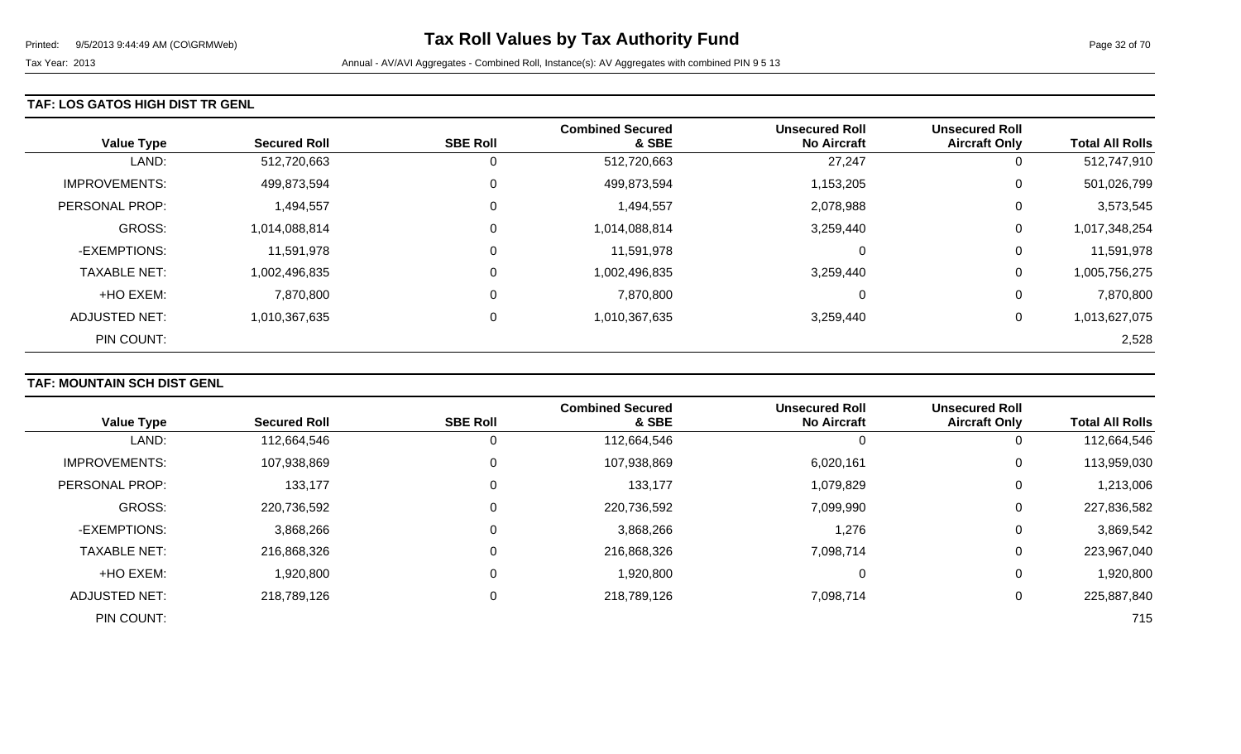### **TAF: LOS GATOS HIGH DIST TR GENL**

| <b>Value Type</b>     | <b>Secured Roll</b> | <b>SBE Roll</b> | <b>Combined Secured</b><br>& SBE | <b>Unsecured Roll</b><br><b>No Aircraft</b> | <b>Unsecured Roll</b><br><b>Aircraft Only</b> | <b>Total All Rolls</b> |
|-----------------------|---------------------|-----------------|----------------------------------|---------------------------------------------|-----------------------------------------------|------------------------|
| LAND:                 | 512,720,663         | 0               | 512,720,663                      | 27,247                                      | 0                                             | 512,747,910            |
| <b>IMPROVEMENTS:</b>  | 499,873,594         | 0               | 499,873,594                      | 1,153,205                                   | 0                                             | 501,026,799            |
| <b>PERSONAL PROP:</b> | 1,494,557           | 0               | 1,494,557                        | 2,078,988                                   | 0                                             | 3,573,545              |
| <b>GROSS:</b>         | 1,014,088,814       | $\mathbf 0$     | 1,014,088,814                    | 3,259,440                                   | 0                                             | 1,017,348,254          |
| -EXEMPTIONS:          | 11,591,978          | 0               | 11,591,978                       | $\Omega$                                    | 0                                             | 11,591,978             |
| <b>TAXABLE NET:</b>   | 1,002,496,835       | 0               | 1,002,496,835                    | 3,259,440                                   | 0                                             | 1,005,756,275          |
| +HO EXEM:             | 7,870,800           | $\mathbf 0$     | 7,870,800                        | $\Omega$                                    | 0                                             | 7,870,800              |
| ADJUSTED NET:         | 1,010,367,635       | 0               | 1,010,367,635                    | 3,259,440                                   | 0                                             | 1,013,627,075          |
| PIN COUNT:            |                     |                 |                                  |                                             |                                               | 2,528                  |

## **TAF: MOUNTAIN SCH DIST GENL**

|                      |                     |                 | <b>Combined Secured</b> | <b>Unsecured Roll</b> | <b>Unsecured Roll</b> |                        |
|----------------------|---------------------|-----------------|-------------------------|-----------------------|-----------------------|------------------------|
| <b>Value Type</b>    | <b>Secured Roll</b> | <b>SBE Roll</b> | & SBE                   | <b>No Aircraft</b>    | <b>Aircraft Only</b>  | <b>Total All Rolls</b> |
| LAND:                | 112,664,546         |                 | 112,664,546             | 0                     |                       | 112,664,546            |
| <b>IMPROVEMENTS:</b> | 107,938,869         | 0               | 107,938,869             | 6,020,161             | 0                     | 113,959,030            |
| PERSONAL PROP:       | 133,177             | 0               | 133,177                 | 1,079,829             | 0                     | 1,213,006              |
| <b>GROSS:</b>        | 220,736,592         | 0               | 220,736,592             | 7,099,990             | 0                     | 227,836,582            |
| -EXEMPTIONS:         | 3,868,266           | 0               | 3,868,266               | 1,276                 | 0                     | 3,869,542              |
| <b>TAXABLE NET:</b>  | 216,868,326         | 0               | 216,868,326             | 7,098,714             | 0                     | 223,967,040            |
| +HO EXEM:            | 1,920,800           | 0               | 1,920,800               | 0                     |                       | 1,920,800              |
| <b>ADJUSTED NET:</b> | 218,789,126         | 0               | 218,789,126             | 7,098,714             | 0                     | 225,887,840            |
| PIN COUNT:           |                     |                 |                         |                       |                       | 715                    |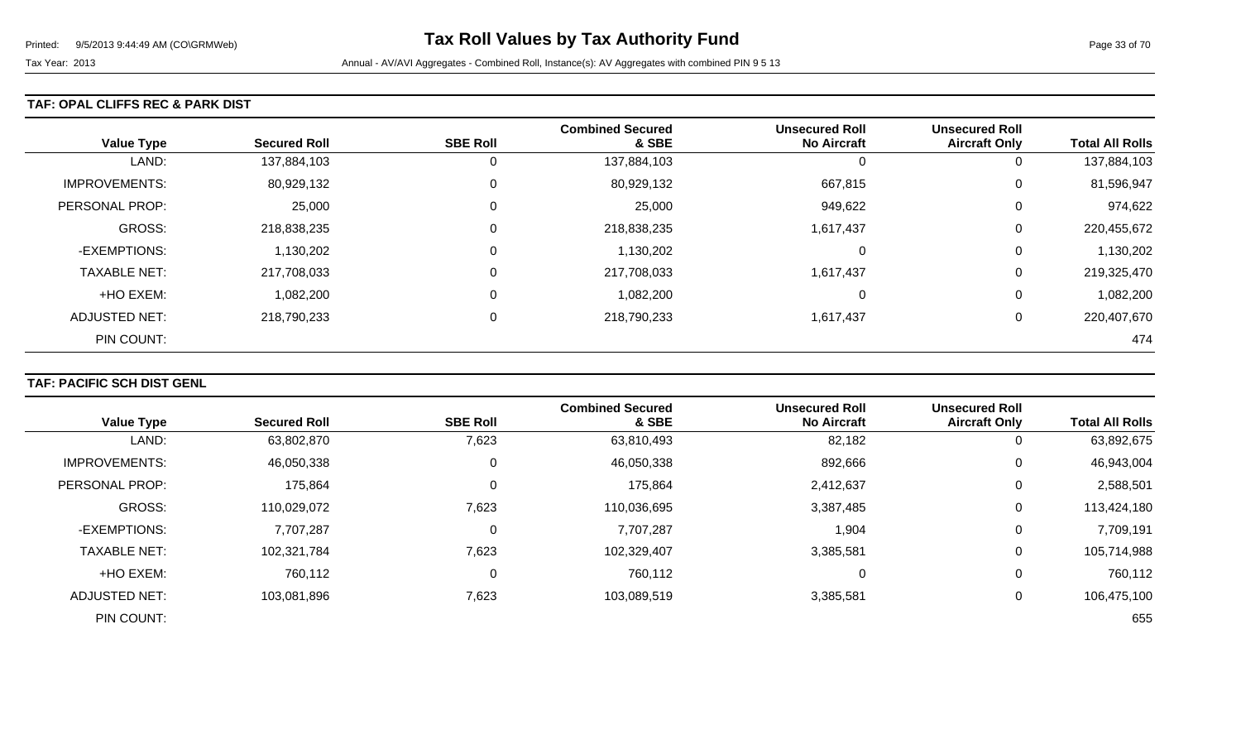### **TAF: OPAL CLIFFS REC & PARK DIST**

| <b>Value Type</b>    | <b>Secured Roll</b> | <b>SBE Roll</b> | <b>Combined Secured</b><br>& SBE | <b>Unsecured Roll</b><br><b>No Aircraft</b> | <b>Unsecured Roll</b><br><b>Aircraft Only</b> | <b>Total All Rolls</b> |
|----------------------|---------------------|-----------------|----------------------------------|---------------------------------------------|-----------------------------------------------|------------------------|
| LAND:                | 137,884,103         | 0               | 137,884,103                      | U                                           | 0                                             | 137,884,103            |
| <b>IMPROVEMENTS:</b> | 80,929,132          | $\overline{0}$  | 80,929,132                       | 667,815                                     | 0                                             | 81,596,947             |
| PERSONAL PROP:       | 25,000              | 0               | 25,000                           | 949,622                                     | 0                                             | 974,622                |
| <b>GROSS:</b>        | 218,838,235         | $\overline{0}$  | 218,838,235                      | 1,617,437                                   | 0                                             | 220,455,672            |
| -EXEMPTIONS:         | 1,130,202           | 0               | 1,130,202                        | 0                                           | 0                                             | 1,130,202              |
| <b>TAXABLE NET:</b>  | 217,708,033         | $\overline{0}$  | 217,708,033                      | 1,617,437                                   | 0                                             | 219,325,470            |
| +HO EXEM:            | 1,082,200           | $\mathbf 0$     | 1,082,200                        | 0                                           | 0                                             | 1,082,200              |
| <b>ADJUSTED NET:</b> | 218,790,233         | $\overline{0}$  | 218,790,233                      | 1,617,437                                   | 0                                             | 220,407,670            |
| PIN COUNT:           |                     |                 |                                  |                                             |                                               | 474                    |

## **TAF: PACIFIC SCH DIST GENL**

|                      |                     |                 | <b>Combined Secured</b> | <b>Unsecured Roll</b> | <b>Unsecured Roll</b> |                        |
|----------------------|---------------------|-----------------|-------------------------|-----------------------|-----------------------|------------------------|
| <b>Value Type</b>    | <b>Secured Roll</b> | <b>SBE Roll</b> | & SBE                   | <b>No Aircraft</b>    | <b>Aircraft Only</b>  | <b>Total All Rolls</b> |
| LAND:                | 63,802,870          | 7,623           | 63,810,493              | 82,182                | 0                     | 63,892,675             |
| <b>IMPROVEMENTS:</b> | 46,050,338          | 0               | 46,050,338              | 892,666               | 0                     | 46,943,004             |
| PERSONAL PROP:       | 175,864             | 0               | 175,864                 | 2,412,637             | 0                     | 2,588,501              |
| <b>GROSS:</b>        | 110,029,072         | 7,623           | 110,036,695             | 3,387,485             | $\mathbf 0$           | 113,424,180            |
| -EXEMPTIONS:         | 7,707,287           | 0               | 7,707,287               | 1,904                 | 0                     | 7,709,191              |
| <b>TAXABLE NET:</b>  | 102,321,784         | 7,623           | 102,329,407             | 3,385,581             | 0                     | 105,714,988            |
| +HO EXEM:            | 760,112             | C               | 760,112                 |                       | 0                     | 760,112                |
| <b>ADJUSTED NET:</b> | 103,081,896         | 7,623           | 103,089,519             | 3,385,581             | 0                     | 106,475,100            |
| PIN COUNT:           |                     |                 |                         |                       |                       | 655                    |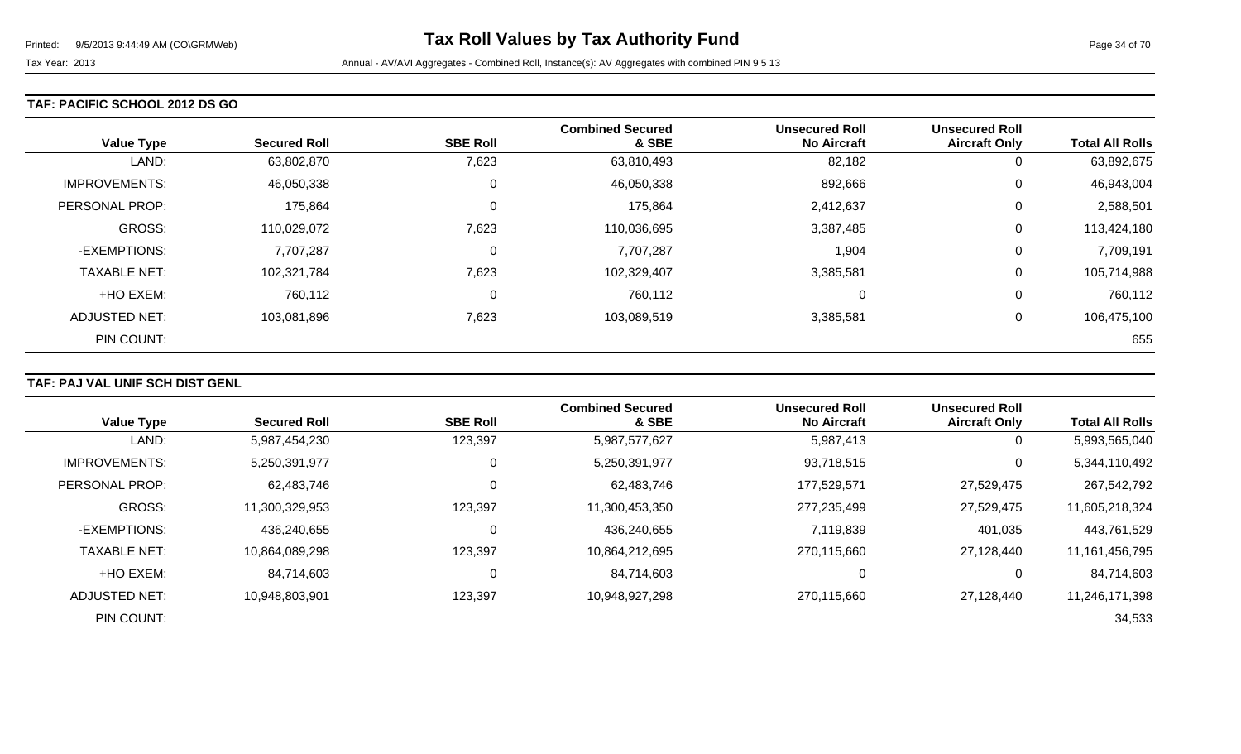### **TAF: PACIFIC SCHOOL 2012 DS GO**

| <b>Value Type</b>    | <b>Secured Roll</b> | <b>SBE Roll</b> | <b>Combined Secured</b><br>& SBE | <b>Unsecured Roll</b><br><b>No Aircraft</b> | <b>Unsecured Roll</b><br><b>Aircraft Only</b> | <b>Total All Rolls</b> |
|----------------------|---------------------|-----------------|----------------------------------|---------------------------------------------|-----------------------------------------------|------------------------|
| LAND:                | 63,802,870          | 7,623           | 63,810,493                       | 82,182                                      | 0                                             | 63,892,675             |
| <b>IMPROVEMENTS:</b> | 46,050,338          | 0               | 46,050,338                       | 892,666                                     | 0                                             | 46,943,004             |
| PERSONAL PROP:       | 175,864             | $\mathbf 0$     | 175,864                          | 2,412,637                                   | 0                                             | 2,588,501              |
| <b>GROSS:</b>        | 110,029,072         | 7,623           | 110,036,695                      | 3,387,485                                   | 0                                             | 113,424,180            |
| -EXEMPTIONS:         | 7,707,287           | $\overline{0}$  | 7,707,287                        | 1,904                                       | 0                                             | 7,709,191              |
| <b>TAXABLE NET:</b>  | 102,321,784         | 7,623           | 102,329,407                      | 3,385,581                                   | 0                                             | 105,714,988            |
| +HO EXEM:            | 760,112             | $\overline{0}$  | 760,112                          | 0                                           | 0                                             | 760,112                |
| <b>ADJUSTED NET:</b> | 103,081,896         | 7,623           | 103,089,519                      | 3,385,581                                   | 0                                             | 106,475,100            |
| PIN COUNT:           |                     |                 |                                  |                                             |                                               | 655                    |

## **TAF: PAJ VAL UNIF SCH DIST GENL**

|                      |                     |                 | <b>Combined Secured</b> | <b>Unsecured Roll</b> | <b>Unsecured Roll</b> |                        |
|----------------------|---------------------|-----------------|-------------------------|-----------------------|-----------------------|------------------------|
| <b>Value Type</b>    | <b>Secured Roll</b> | <b>SBE Roll</b> | & SBE                   | <b>No Aircraft</b>    | <b>Aircraft Only</b>  | <b>Total All Rolls</b> |
| LAND:                | 5,987,454,230       | 123,397         | 5,987,577,627           | 5,987,413             | $\overline{0}$        | 5,993,565,040          |
| <b>IMPROVEMENTS:</b> | 5,250,391,977       | 0               | 5,250,391,977           | 93,718,515            | $\mathbf{0}$          | 5,344,110,492          |
| PERSONAL PROP:       | 62,483,746          | 0               | 62,483,746              | 177,529,571           | 27,529,475            | 267,542,792            |
| <b>GROSS:</b>        | 11,300,329,953      | 123,397         | 11,300,453,350          | 277,235,499           | 27,529,475            | 11,605,218,324         |
| -EXEMPTIONS:         | 436,240,655         | 0               | 436,240,655             | 7,119,839             | 401,035               | 443,761,529            |
| <b>TAXABLE NET:</b>  | 10,864,089,298      | 123,397         | 10,864,212,695          | 270,115,660           | 27,128,440            | 11, 161, 456, 795      |
| +HO EXEM:            | 84,714,603          | 0               | 84,714,603              | 0                     | 0                     | 84,714,603             |
| ADJUSTED NET:        | 10,948,803,901      | 123,397         | 10,948,927,298          | 270,115,660           | 27,128,440            | 11,246,171,398         |
| PIN COUNT:           |                     |                 |                         |                       |                       | 34,533                 |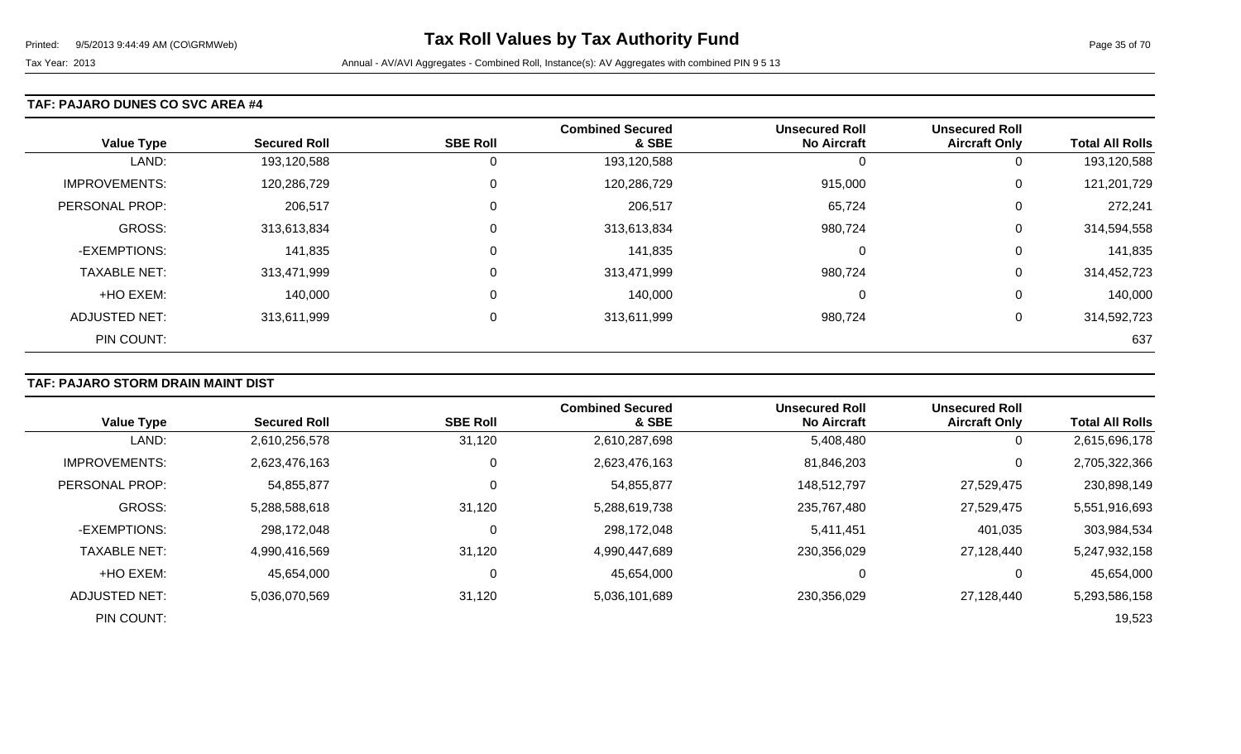### **TAF: PAJARO DUNES CO SVC AREA #4**

| <b>Value Type</b>    | <b>Secured Roll</b> | <b>SBE Roll</b> | <b>Combined Secured</b><br>& SBE | <b>Unsecured Roll</b><br><b>No Aircraft</b> | <b>Unsecured Roll</b><br><b>Aircraft Only</b> | <b>Total All Rolls</b> |
|----------------------|---------------------|-----------------|----------------------------------|---------------------------------------------|-----------------------------------------------|------------------------|
| LAND:                | 193,120,588         | 0               | 193,120,588                      | O                                           | 0                                             | 193,120,588            |
| <b>IMPROVEMENTS:</b> | 120,286,729         | 0               | 120,286,729                      | 915,000                                     | 0                                             | 121,201,729            |
| PERSONAL PROP:       | 206,517             | 0               | 206,517                          | 65,724                                      | 0                                             | 272,241                |
| <b>GROSS:</b>        | 313,613,834         | 0               | 313,613,834                      | 980,724                                     | 0                                             | 314,594,558            |
| -EXEMPTIONS:         | 141,835             | $\mathbf 0$     | 141,835                          | $\Omega$                                    | 0                                             | 141,835                |
| <b>TAXABLE NET:</b>  | 313,471,999         | 0               | 313,471,999                      | 980,724                                     | 0                                             | 314,452,723            |
| +HO EXEM:            | 140,000             | $\mathbf 0$     | 140,000                          | 0                                           | 0                                             | 140,000                |
| <b>ADJUSTED NET:</b> | 313,611,999         | 0               | 313,611,999                      | 980,724                                     | 0                                             | 314,592,723            |
| PIN COUNT:           |                     |                 |                                  |                                             |                                               | 637                    |

## **TAF: PAJARO STORM DRAIN MAINT DIST**

|                      |                     |                 | <b>Combined Secured</b> | <b>Unsecured Roll</b> | <b>Unsecured Roll</b> |                        |
|----------------------|---------------------|-----------------|-------------------------|-----------------------|-----------------------|------------------------|
| <b>Value Type</b>    | <b>Secured Roll</b> | <b>SBE Roll</b> | & SBE                   | <b>No Aircraft</b>    | <b>Aircraft Only</b>  | <b>Total All Rolls</b> |
| LAND:                | 2,610,256,578       | 31,120          | 2,610,287,698           | 5,408,480             | 0                     | 2,615,696,178          |
| <b>IMPROVEMENTS:</b> | 2,623,476,163       | 0               | 2,623,476,163           | 81,846,203            | $\mathbf 0$           | 2,705,322,366          |
| PERSONAL PROP:       | 54,855,877          | 0               | 54,855,877              | 148,512,797           | 27,529,475            | 230,898,149            |
| <b>GROSS:</b>        | 5,288,588,618       | 31,120          | 5,288,619,738           | 235,767,480           | 27,529,475            | 5,551,916,693          |
| -EXEMPTIONS:         | 298,172,048         | $\Omega$        | 298,172,048             | 5,411,451             | 401,035               | 303,984,534            |
| <b>TAXABLE NET:</b>  | 4,990,416,569       | 31,120          | 4,990,447,689           | 230,356,029           | 27,128,440            | 5,247,932,158          |
| +HO EXEM:            | 45,654,000          | 0               | 45,654,000              | 0                     | 0                     | 45,654,000             |
| ADJUSTED NET:        | 5,036,070,569       | 31,120          | 5,036,101,689           | 230,356,029           | 27,128,440            | 5,293,586,158          |
| PIN COUNT:           |                     |                 |                         |                       |                       | 19,523                 |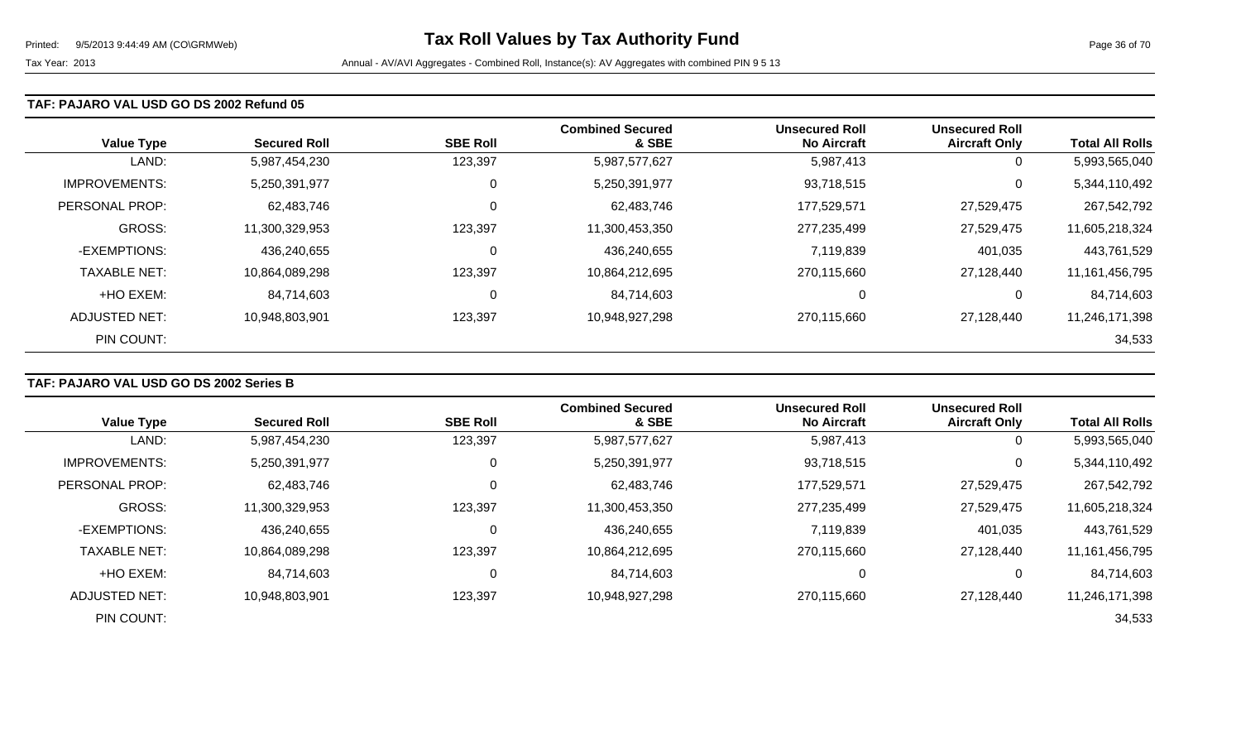#### **TAF: PAJARO VAL USD GO DS 2002 Refund 05**

| <b>Value Type</b>     | <b>Secured Roll</b> | <b>SBE Roll</b> | <b>Combined Secured</b><br>& SBE | <b>Unsecured Roll</b><br><b>No Aircraft</b> | <b>Unsecured Roll</b><br><b>Aircraft Only</b> | <b>Total All Rolls</b> |
|-----------------------|---------------------|-----------------|----------------------------------|---------------------------------------------|-----------------------------------------------|------------------------|
| LAND:                 | 5,987,454,230       | 123,397         | 5,987,577,627                    | 5,987,413                                   | 0                                             | 5,993,565,040          |
| <b>IMPROVEMENTS:</b>  | 5,250,391,977       | 0               | 5,250,391,977                    | 93,718,515                                  | 0                                             | 5,344,110,492          |
| <b>PERSONAL PROP:</b> | 62,483,746          | 0               | 62,483,746                       | 177,529,571                                 | 27,529,475                                    | 267,542,792            |
| <b>GROSS:</b>         | 11,300,329,953      | 123,397         | 11,300,453,350                   | 277,235,499                                 | 27,529,475                                    | 11,605,218,324         |
| -EXEMPTIONS:          | 436,240,655         | 0               | 436,240,655                      | 7,119,839                                   | 401,035                                       | 443,761,529            |
| <b>TAXABLE NET:</b>   | 10,864,089,298      | 123,397         | 10,864,212,695                   | 270,115,660                                 | 27,128,440                                    | 11,161,456,795         |
| +HO EXEM:             | 84,714,603          | $\mathbf 0$     | 84,714,603                       | $\Omega$                                    | 0                                             | 84,714,603             |
| ADJUSTED NET:         | 10,948,803,901      | 123,397         | 10,948,927,298                   | 270,115,660                                 | 27,128,440                                    | 11,246,171,398         |
| PIN COUNT:            |                     |                 |                                  |                                             |                                               | 34,533                 |

### **TAF: PAJARO VAL USD GO DS 2002 Series B**

|                      |                     |                 | <b>Combined Secured</b> | <b>Unsecured Roll</b> | <b>Unsecured Roll</b> |                        |
|----------------------|---------------------|-----------------|-------------------------|-----------------------|-----------------------|------------------------|
| <b>Value Type</b>    | <b>Secured Roll</b> | <b>SBE Roll</b> | & SBE                   | <b>No Aircraft</b>    | <b>Aircraft Only</b>  | <b>Total All Rolls</b> |
| LAND:                | 5,987,454,230       | 123,397         | 5,987,577,627           | 5,987,413             | 0                     | 5,993,565,040          |
| <b>IMPROVEMENTS:</b> | 5,250,391,977       | 0               | 5,250,391,977           | 93,718,515            | $\mathbf 0$           | 5,344,110,492          |
| PERSONAL PROP:       | 62,483,746          |                 | 62,483,746              | 177,529,571           | 27,529,475            | 267,542,792            |
| GROSS:               | 11,300,329,953      | 123,397         | 11,300,453,350          | 277,235,499           | 27,529,475            | 11,605,218,324         |
| -EXEMPTIONS:         | 436,240,655         | C               | 436,240,655             | 7,119,839             | 401,035               | 443,761,529            |
| <b>TAXABLE NET:</b>  | 10,864,089,298      | 123,397         | 10,864,212,695          | 270,115,660           | 27,128,440            | 11,161,456,795         |
| +HO EXEM:            | 84,714,603          | 0               | 84,714,603              |                       | 0                     | 84,714,603             |
| ADJUSTED NET:        | 10.948.803.901      | 123,397         | 10,948,927,298          | 270,115,660           | 27,128,440            | 11,246,171,398         |
| PIN COUNT:           |                     |                 |                         |                       |                       | 34,533                 |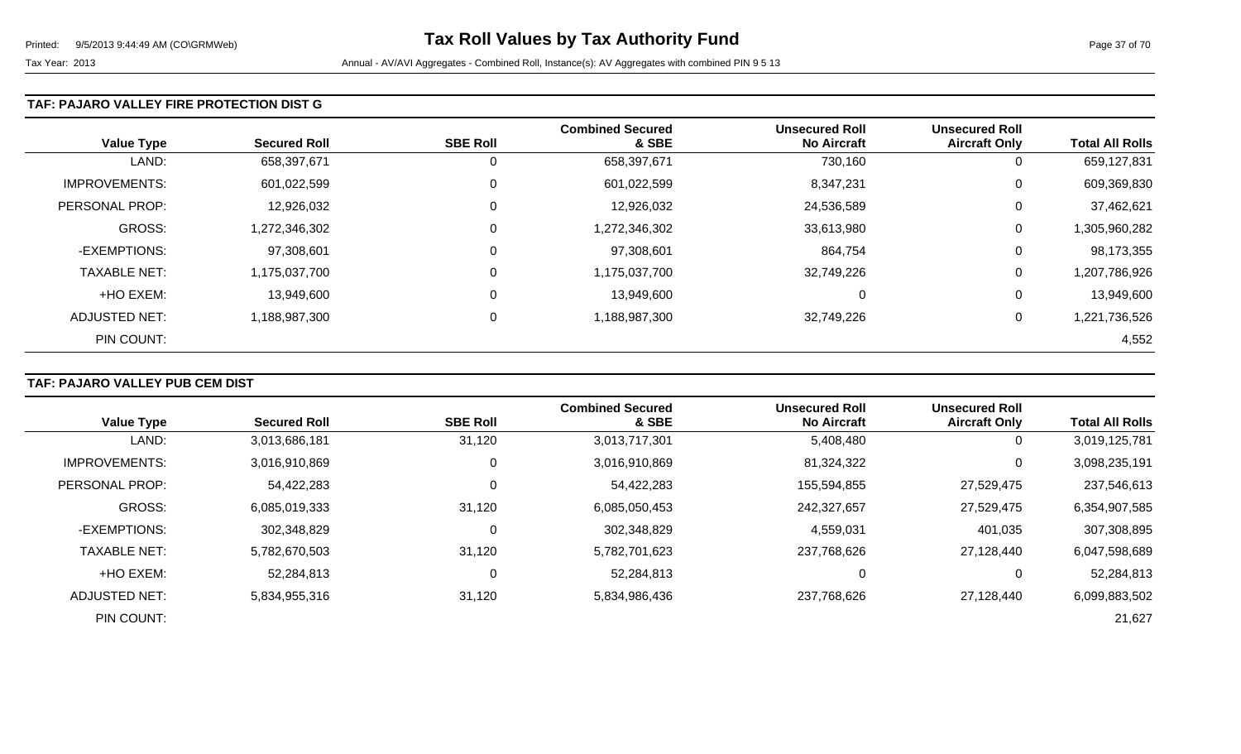### **TAF: PAJARO VALLEY FIRE PROTECTION DIST G**

| <b>Value Type</b>     | <b>Secured Roll</b> | <b>SBE Roll</b> | <b>Combined Secured</b><br>& SBE | <b>Unsecured Roll</b><br><b>No Aircraft</b> | <b>Unsecured Roll</b><br><b>Aircraft Only</b> | <b>Total All Rolls</b> |
|-----------------------|---------------------|-----------------|----------------------------------|---------------------------------------------|-----------------------------------------------|------------------------|
| LAND:                 | 658,397,671         | 0               | 658,397,671                      | 730,160                                     | 0                                             | 659,127,831            |
| <b>IMPROVEMENTS:</b>  | 601,022,599         | 0               | 601,022,599                      | 8,347,231                                   | 0                                             | 609,369,830            |
| <b>PERSONAL PROP:</b> | 12,926,032          | 0               | 12,926,032                       | 24,536,589                                  | 0                                             | 37,462,621             |
| GROSS:                | 1,272,346,302       | 0               | 1,272,346,302                    | 33,613,980                                  | 0                                             | 1,305,960,282          |
| -EXEMPTIONS:          | 97,308,601          | 0               | 97,308,601                       | 864,754                                     | 0                                             | 98,173,355             |
| <b>TAXABLE NET:</b>   | 1,175,037,700       | 0               | 1,175,037,700                    | 32,749,226                                  | 0                                             | 1,207,786,926          |
| +HO EXEM:             | 13,949,600          | $\mathbf 0$     | 13,949,600                       | C                                           | 0                                             | 13,949,600             |
| ADJUSTED NET:         | 1,188,987,300       | 0               | 1,188,987,300                    | 32,749,226                                  | 0                                             | 1,221,736,526          |
| PIN COUNT:            |                     |                 |                                  |                                             |                                               | 4,552                  |

## **TAF: PAJARO VALLEY PUB CEM DIST**

|                      |                     |                 | <b>Combined Secured</b> | <b>Unsecured Roll</b> | <b>Unsecured Roll</b> |                        |
|----------------------|---------------------|-----------------|-------------------------|-----------------------|-----------------------|------------------------|
| <b>Value Type</b>    | <b>Secured Roll</b> | <b>SBE Roll</b> | & SBE                   | <b>No Aircraft</b>    | <b>Aircraft Only</b>  | <b>Total All Rolls</b> |
| LAND:                | 3,013,686,181       | 31,120          | 3,013,717,301           | 5,408,480             | O                     | 3,019,125,781          |
| <b>IMPROVEMENTS:</b> | 3,016,910,869       |                 | 3,016,910,869           | 81,324,322            | 0                     | 3,098,235,191          |
| PERSONAL PROP:       | 54,422,283          |                 | 54,422,283              | 155,594,855           | 27,529,475            | 237,546,613            |
| <b>GROSS:</b>        | 6,085,019,333       | 31,120          | 6,085,050,453           | 242,327,657           | 27,529,475            | 6,354,907,585          |
| -EXEMPTIONS:         | 302,348,829         |                 | 302,348,829             | 4,559,031             | 401,035               | 307,308,895            |
| <b>TAXABLE NET:</b>  | 5,782,670,503       | 31,120          | 5,782,701,623           | 237,768,626           | 27.128.440            | 6,047,598,689          |
| +HO EXEM:            | 52,284,813          |                 | 52,284,813              | 0                     | $\overline{0}$        | 52,284,813             |
| ADJUSTED NET:        | 5,834,955,316       | 31,120          | 5,834,986,436           | 237,768,626           | 27.128.440            | 6,099,883,502          |
| PIN COUNT:           |                     |                 |                         |                       |                       | 21,627                 |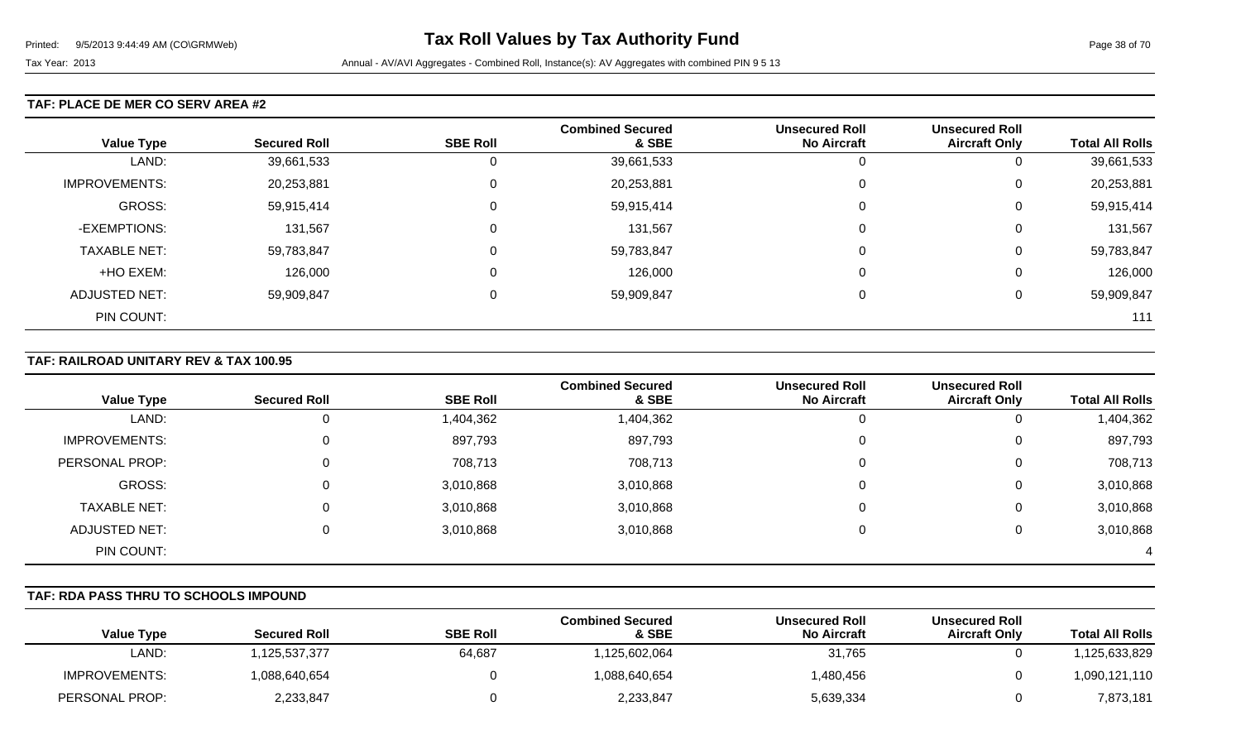### **TAF: PLACE DE MER CO SERV AREA #2**

|                      |                     |                 | <b>Combined Secured</b> | <b>Unsecured Roll</b> | <b>Unsecured Roll</b> |                        |
|----------------------|---------------------|-----------------|-------------------------|-----------------------|-----------------------|------------------------|
| <b>Value Type</b>    | <b>Secured Roll</b> | <b>SBE Roll</b> | & SBE                   | <b>No Aircraft</b>    | <b>Aircraft Only</b>  | <b>Total All Rolls</b> |
| LAND:                | 39,661,533          |                 | 39,661,533              |                       | U                     | 39,661,533             |
| <b>IMPROVEMENTS:</b> | 20,253,881          | 0               | 20,253,881              | 0                     | U                     | 20,253,881             |
| GROSS:               | 59,915,414          |                 | 59,915,414              | 0                     | U                     | 59,915,414             |
| -EXEMPTIONS:         | 131,567             | 0               | 131,567                 | 0                     | 0                     | 131,567                |
| <b>TAXABLE NET:</b>  | 59,783,847          |                 | 59,783,847              | 0                     | 0                     | 59,783,847             |
| +HO EXEM:            | 126,000             |                 | 126,000                 | $\Omega$              | 0                     | 126,000                |
| <b>ADJUSTED NET:</b> | 59,909,847          |                 | 59,909,847              | 0                     | U                     | 59,909,847             |
| PIN COUNT:           |                     |                 |                         |                       |                       | 111                    |

### **TAF: RAILROAD UNITARY REV & TAX 100.95**

|                      |                     |                 | <b>Combined Secured</b> | <b>Unsecured Roll</b> | <b>Unsecured Roll</b> |                        |
|----------------------|---------------------|-----------------|-------------------------|-----------------------|-----------------------|------------------------|
| <b>Value Type</b>    | <b>Secured Roll</b> | <b>SBE Roll</b> | & SBE                   | <b>No Aircraft</b>    | <b>Aircraft Only</b>  | <b>Total All Rolls</b> |
| LAND:                |                     | 1,404,362       | 1,404,362               | ັບ                    | 0                     | 1,404,362              |
| <b>IMPROVEMENTS:</b> |                     | 897,793         | 897,793                 | 0                     | 0                     | 897,793                |
| PERSONAL PROP:       |                     | 708,713         | 708,713                 | 0                     | 0                     | 708,713                |
| GROSS:               |                     | 3,010,868       | 3,010,868               | 0                     | 0                     | 3,010,868              |
| <b>TAXABLE NET:</b>  |                     | 3,010,868       | 3,010,868               | 0                     | 0                     | 3,010,868              |
| <b>ADJUSTED NET:</b> |                     | 3,010,868       | 3,010,868               | 0                     | 0                     | 3,010,868              |
| PIN COUNT:           |                     |                 |                         |                       |                       |                        |

### **TAF: RDA PASS THRU TO SCHOOLS IMPOUND**

| <b>Value Type</b> | <b>Secured Roll</b> | <b>SBE Roll</b> | <b>Combined Secured</b><br>& SBE | Unsecured Roll<br><b>No Aircraft</b> | <b>Unsecured Roll</b><br><b>Aircraft Only</b> | <b>Total All Rolls</b> |
|-------------------|---------------------|-----------------|----------------------------------|--------------------------------------|-----------------------------------------------|------------------------|
| LAND:             | .125.537.377        | 64,687          | 125,602,064                      | 31,765                               |                                               | ,125,633,829           |
| IMPROVEMENTS:     | 1,088,640,654       |                 | 1,088,640,654                    | l.480.456                            |                                               | .090,121,110           |
| PERSONAL PROP:    | 2,233,847           |                 | 2,233,847                        | 5,639,334                            |                                               | 7,873,181              |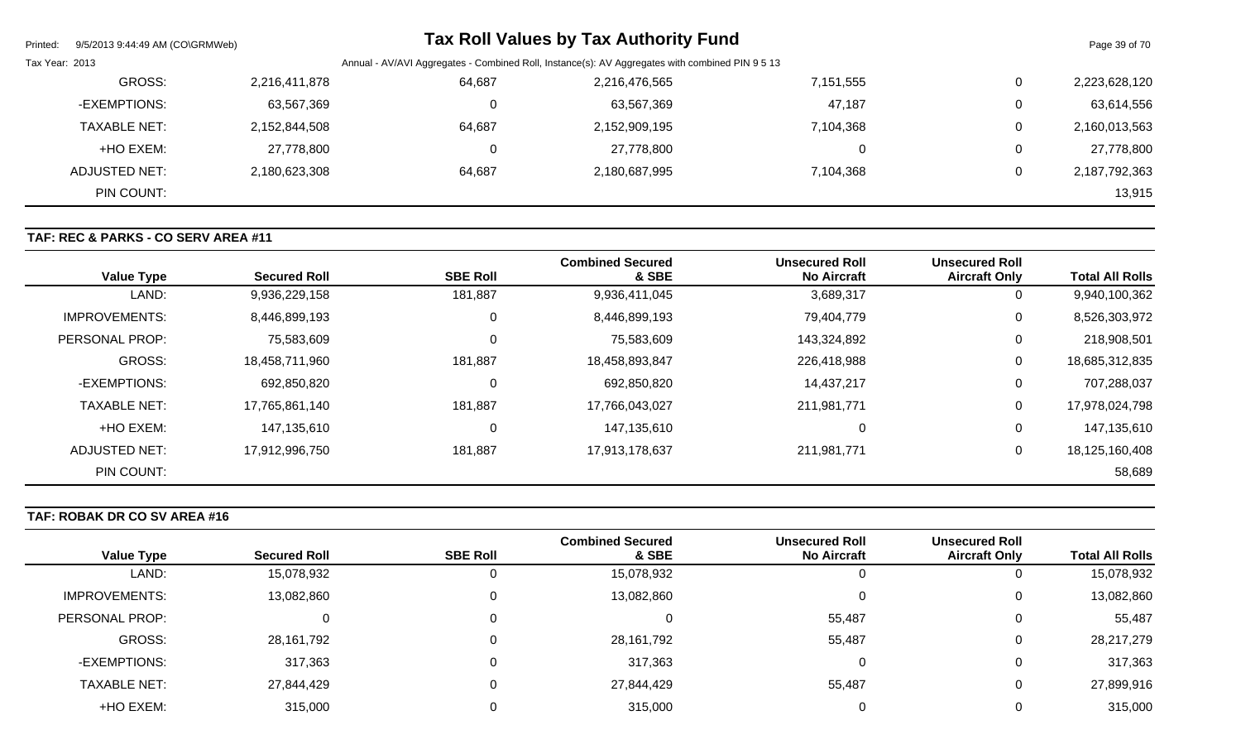| Printed:       | 9/5/2013 9:44:49 AM (CO\GRMWeb) |               |        | <b>Tax Roll Values by Tax Authority Fund</b>                                                    |           |   | Page 39 of 70 |
|----------------|---------------------------------|---------------|--------|-------------------------------------------------------------------------------------------------|-----------|---|---------------|
| Tax Year: 2013 |                                 |               |        | Annual - AV/AVI Aggregates - Combined Roll, Instance(s): AV Aggregates with combined PIN 9 5 13 |           |   |               |
|                | GROSS:                          | 2,216,411,878 | 64,687 | 2,216,476,565                                                                                   | 7,151,555 | 0 | 2,223,628,120 |
|                | -EXEMPTIONS:                    | 63,567,369    | 0      | 63,567,369                                                                                      | 47,187    | 0 | 63,614,556    |
|                | <b>TAXABLE NET:</b>             | 2,152,844,508 | 64,687 | 2,152,909,195                                                                                   | 7,104,368 | 0 | 2,160,013,563 |
|                | +HO EXEM:                       | 27,778,800    | 0      | 27,778,800                                                                                      | 0         | 0 | 27,778,800    |
|                | ADJUSTED NET:                   | 2,180,623,308 | 64,687 | 2,180,687,995                                                                                   | 7,104,368 | 0 | 2,187,792,363 |
|                | PIN COUNT:                      |               |        |                                                                                                 |           |   | 13,915        |

## **TAF: REC & PARKS - CO SERV AREA #11**

| <b>Value Type</b>    | <b>Secured Roll</b> | <b>SBE Roll</b> | <b>Combined Secured</b><br>& SBE | <b>Unsecured Roll</b><br><b>No Aircraft</b> | <b>Unsecured Roll</b><br><b>Aircraft Only</b> | <b>Total All Rolls</b> |
|----------------------|---------------------|-----------------|----------------------------------|---------------------------------------------|-----------------------------------------------|------------------------|
| LAND:                | 9,936,229,158       | 181,887         | 9,936,411,045                    | 3,689,317                                   | 0                                             | 9,940,100,362          |
| <b>IMPROVEMENTS:</b> | 8,446,899,193       | 0               | 8,446,899,193                    | 79,404,779                                  | 0                                             | 8,526,303,972          |
| PERSONAL PROP:       | 75,583,609          | 0               | 75,583,609                       | 143,324,892                                 | 0                                             | 218,908,501            |
| GROSS:               | 18,458,711,960      | 181,887         | 18,458,893,847                   | 226,418,988                                 | $\mathbf 0$                                   | 18,685,312,835         |
| -EXEMPTIONS:         | 692,850,820         | 0               | 692,850,820                      | 14,437,217                                  | $\mathbf{0}$                                  | 707,288,037            |
| <b>TAXABLE NET:</b>  | 17,765,861,140      | 181,887         | 17,766,043,027                   | 211,981,771                                 | 0                                             | 17,978,024,798         |
| +HO EXEM:            | 147,135,610         | 0               | 147,135,610                      | 0                                           | 0                                             | 147,135,610            |
| ADJUSTED NET:        | 17,912,996,750      | 181,887         | 17,913,178,637                   | 211.981.771                                 | 0                                             | 18,125,160,408         |
| PIN COUNT:           |                     |                 |                                  |                                             |                                               | 58,689                 |

## **TAF: ROBAK DR CO SV AREA #16**

|                        | <b>Unsecured Roll</b> | <b>Unsecured Roll</b> | <b>Combined Secured</b> |                 |                     |                      |
|------------------------|-----------------------|-----------------------|-------------------------|-----------------|---------------------|----------------------|
| <b>Total All Rolls</b> | <b>Aircraft Only</b>  | <b>No Aircraft</b>    | & SBE                   | <b>SBE Roll</b> | <b>Secured Roll</b> | <b>Value Type</b>    |
| 15,078,932             |                       |                       | 15,078,932              | 0               | 15,078,932          | LAND:                |
| 13,082,860             |                       |                       | 13,082,860              | 0               | 13,082,860          | <b>IMPROVEMENTS:</b> |
| 55,487                 |                       | 55,487                |                         | 0               | 0                   | PERSONAL PROP:       |
| 28,217,279             |                       | 55,487                | 28,161,792              | 0               | 28,161,792          | GROSS:               |
| 317,363                |                       |                       | 317,363                 | 0               | 317,363             | -EXEMPTIONS:         |
| 27,899,916             |                       | 55,487                | 27,844,429              | 0               | 27,844,429          | <b>TAXABLE NET:</b>  |
| 315,000                |                       |                       | 315,000                 |                 | 315,000             | +HO EXEM:            |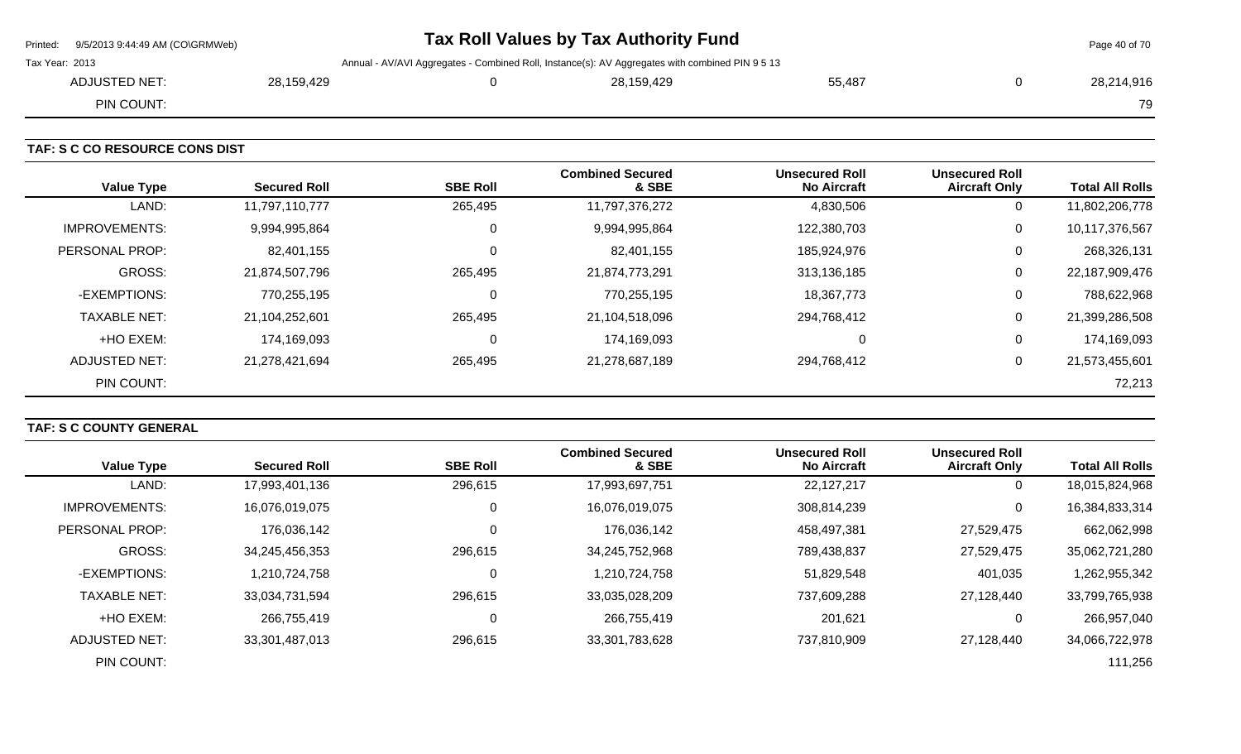| Printed: 9/5/2013 9:44:49 AM (CO\GRMWeb) |            | Tax Roll Values by Tax Authority Fund                                                           |        | Page 40 of 70 |
|------------------------------------------|------------|-------------------------------------------------------------------------------------------------|--------|---------------|
| Tax Year: 2013                           |            | Annual - AV/AVI Aggregates - Combined Roll, Instance(s): AV Aggregates with combined PIN 9 5 13 |        |               |
| ADJUSTED NET:                            | 28,159,429 | 28,159,429                                                                                      | 55,487 | 28,214,916    |
| PIN COUNT:                               |            |                                                                                                 |        | 79            |

**TAF: S C CO RESOURCE CONS DIST** 

| <b>Value Type</b>    | <b>Secured Roll</b> | <b>SBE Roll</b> | <b>Combined Secured</b><br>& SBE | <b>Unsecured Roll</b><br><b>No Aircraft</b> | <b>Unsecured Roll</b><br><b>Aircraft Only</b> | <b>Total All Rolls</b> |
|----------------------|---------------------|-----------------|----------------------------------|---------------------------------------------|-----------------------------------------------|------------------------|
| LAND:                | 11,797,110,777      | 265,495         | 11,797,376,272                   | 4,830,506                                   | 0                                             | 11,802,206,778         |
| <b>IMPROVEMENTS:</b> | 9,994,995,864       | 0               | 9,994,995,864                    | 122,380,703                                 | 0                                             | 10,117,376,567         |
| PERSONAL PROP:       | 82,401,155          | 0               | 82,401,155                       | 185,924,976                                 | 0                                             | 268,326,131            |
| <b>GROSS:</b>        | 21,874,507,796      | 265,495         | 21,874,773,291                   | 313,136,185                                 | 0                                             | 22,187,909,476         |
| -EXEMPTIONS:         | 770,255,195         | 0               | 770,255,195                      | 18,367,773                                  | 0                                             | 788,622,968            |
| <b>TAXABLE NET:</b>  | 21,104,252,601      | 265,495         | 21,104,518,096                   | 294,768,412                                 | $\mathbf 0$                                   | 21,399,286,508         |
| +HO EXEM:            | 174,169,093         | 0               | 174,169,093                      | $\Omega$                                    | 0                                             | 174,169,093            |
| ADJUSTED NET:        | 21,278,421,694      | 265,495         | 21,278,687,189                   | 294,768,412                                 | 0                                             | 21,573,455,601         |
| PIN COUNT:           |                     |                 |                                  |                                             |                                               | 72,213                 |

## **TAF: S C COUNTY GENERAL**

| <b>Value Type</b>   | <b>Secured Roll</b> | <b>SBE Roll</b> | <b>Combined Secured</b><br>& SBE | <b>Unsecured Roll</b><br><b>No Aircraft</b> | <b>Unsecured Roll</b><br><b>Aircraft Only</b> | <b>Total All Rolls</b> |
|---------------------|---------------------|-----------------|----------------------------------|---------------------------------------------|-----------------------------------------------|------------------------|
| LAND:               | 17,993,401,136      | 296,615         | 17,993,697,751                   | 22,127,217                                  | 0                                             | 18,015,824,968         |
| IMPROVEMENTS:       | 16,076,019,075      | 0               | 16,076,019,075                   | 308,814,239                                 | 0                                             | 16,384,833,314         |
| PERSONAL PROP:      | 176,036,142         |                 | 176,036,142                      | 458,497,381                                 | 27,529,475                                    | 662,062,998            |
| <b>GROSS:</b>       | 34,245,456,353      | 296,615         | 34,245,752,968                   | 789,438,837                                 | 27,529,475                                    | 35,062,721,280         |
| -EXEMPTIONS:        | 1,210,724,758       | 0               | 1,210,724,758                    | 51,829,548                                  | 401,035                                       | 1,262,955,342          |
| <b>TAXABLE NET:</b> | 33,034,731,594      | 296,615         | 33,035,028,209                   | 737,609,288                                 | 27,128,440                                    | 33,799,765,938         |
| +HO EXEM:           | 266,755,419         | 0               | 266,755,419                      | 201,621                                     | 0                                             | 266,957,040            |
| ADJUSTED NET:       | 33,301,487,013      | 296,615         | 33,301,783,628                   | 737,810,909                                 | 27.128.440                                    | 34,066,722,978         |
| PIN COUNT:          |                     |                 |                                  |                                             |                                               | 111,256                |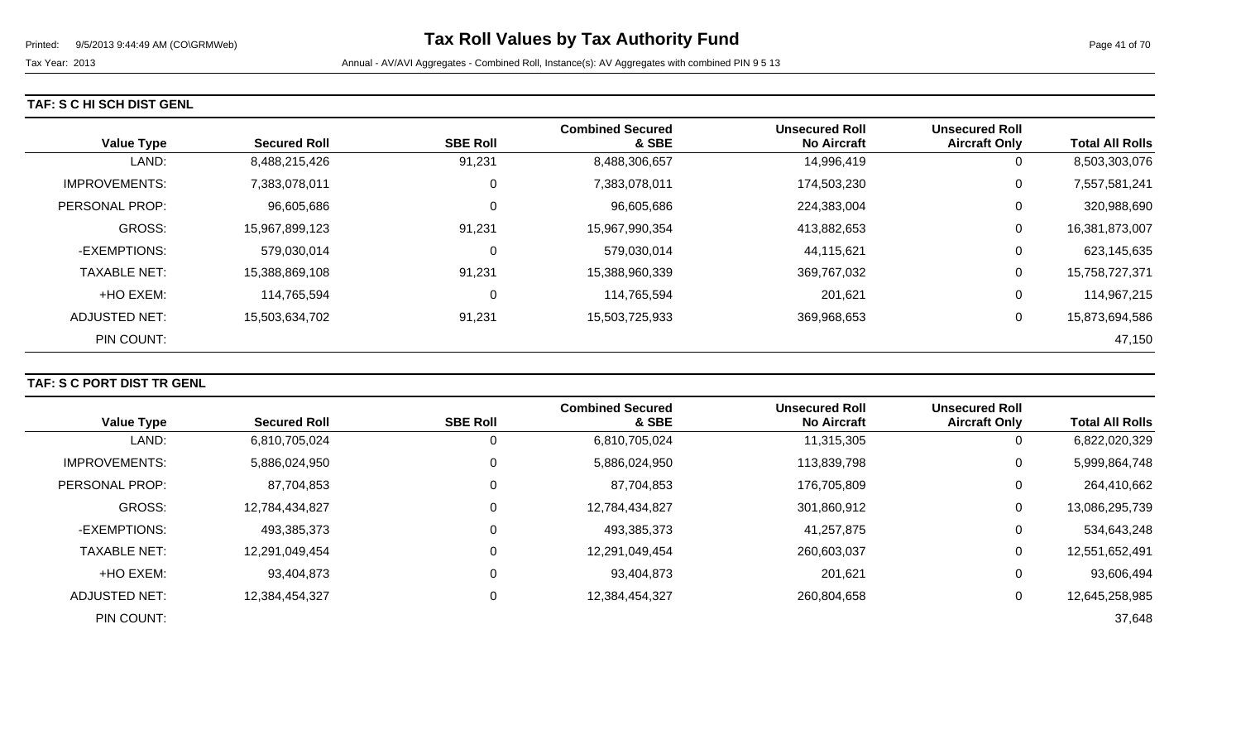### **TAF: S C HI SCH DIST GENL**

| <b>Value Type</b>    | <b>Secured Roll</b> | <b>SBE Roll</b> | <b>Combined Secured</b><br>& SBE | <b>Unsecured Roll</b><br><b>No Aircraft</b> | <b>Unsecured Roll</b><br><b>Aircraft Only</b> | <b>Total All Rolls</b> |
|----------------------|---------------------|-----------------|----------------------------------|---------------------------------------------|-----------------------------------------------|------------------------|
| LAND:                | 8,488,215,426       | 91,231          | 8,488,306,657                    | 14,996,419                                  | 0                                             | 8,503,303,076          |
| <b>IMPROVEMENTS:</b> | 7,383,078,011       | 0               | 7,383,078,011                    | 174,503,230                                 | 0                                             | 7,557,581,241          |
| PERSONAL PROP:       | 96,605,686          | $\mathbf 0$     | 96,605,686                       | 224,383,004                                 | 0                                             | 320,988,690            |
| <b>GROSS:</b>        | 15,967,899,123      | 91,231          | 15,967,990,354                   | 413,882,653                                 | 0                                             | 16,381,873,007         |
| -EXEMPTIONS:         | 579,030,014         | 0               | 579,030,014                      | 44,115,621                                  | 0                                             | 623,145,635            |
| <b>TAXABLE NET:</b>  | 15,388,869,108      | 91,231          | 15,388,960,339                   | 369,767,032                                 | 0                                             | 15,758,727,371         |
| +HO EXEM:            | 114,765,594         | 0               | 114,765,594                      | 201,621                                     | 0                                             | 114,967,215            |
| <b>ADJUSTED NET:</b> | 15,503,634,702      | 91,231          | 15,503,725,933                   | 369,968,653                                 | 0                                             | 15,873,694,586         |
| PIN COUNT:           |                     |                 |                                  |                                             |                                               | 47,150                 |

## **TAF: S C PORT DIST TR GENL**

| <b>Value Type</b>    | <b>Secured Roll</b> | <b>SBE Roll</b> | <b>Combined Secured</b><br>& SBE | <b>Unsecured Roll</b><br><b>No Aircraft</b> | <b>Unsecured Roll</b><br><b>Aircraft Only</b> | <b>Total All Rolls</b> |
|----------------------|---------------------|-----------------|----------------------------------|---------------------------------------------|-----------------------------------------------|------------------------|
| LAND:                | 6,810,705,024       | υ               | 6,810,705,024                    | 11,315,305                                  | 0                                             | 6,822,020,329          |
| <b>IMPROVEMENTS:</b> | 5,886,024,950       | υ               | 5,886,024,950                    | 113,839,798                                 | 0                                             | 5,999,864,748          |
| PERSONAL PROP:       | 87,704,853          | υ               | 87,704,853                       | 176,705,809                                 | 0                                             | 264,410,662            |
| <b>GROSS:</b>        | 12,784,434,827      | 0               | 12,784,434,827                   | 301,860,912                                 | $\overline{0}$                                | 13,086,295,739         |
| -EXEMPTIONS:         | 493,385,373         | υ               | 493,385,373                      | 41,257,875                                  | 0                                             | 534,643,248            |
| <b>TAXABLE NET:</b>  | 12,291,049,454      | υ               | 12,291,049,454                   | 260,603,037                                 | 0                                             | 12,551,652,491         |
| +HO EXEM:            | 93,404,873          | υ               | 93,404,873                       | 201,621                                     | 0                                             | 93,606,494             |
| ADJUSTED NET:        | 12,384,454,327      | υ               | 12,384,454,327                   | 260,804,658                                 | 0                                             | 12,645,258,985         |
| PIN COUNT:           |                     |                 |                                  |                                             |                                               | 37,648                 |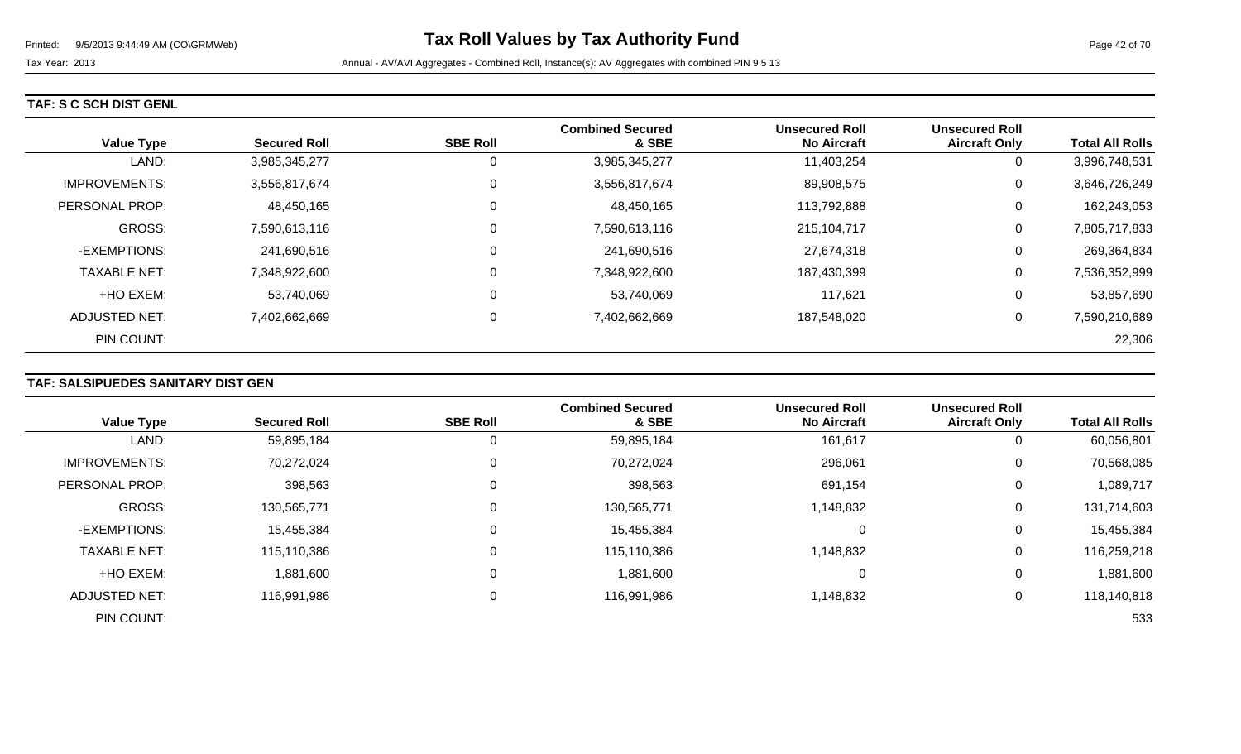### **TAF: S C SCH DIST GENL**

| <b>Value Type</b>    | <b>Secured Roll</b> | <b>SBE Roll</b> | <b>Combined Secured</b><br>& SBE | <b>Unsecured Roll</b><br><b>No Aircraft</b> | <b>Unsecured Roll</b><br><b>Aircraft Only</b> | <b>Total All Rolls</b> |
|----------------------|---------------------|-----------------|----------------------------------|---------------------------------------------|-----------------------------------------------|------------------------|
| LAND:                | 3,985,345,277       | 0               | 3,985,345,277                    | 11,403,254                                  | U                                             | 3,996,748,531          |
| <b>IMPROVEMENTS:</b> | 3,556,817,674       | 0               | 3,556,817,674                    | 89,908,575                                  | 0                                             | 3,646,726,249          |
| PERSONAL PROP:       | 48,450,165          | 0               | 48,450,165                       | 113,792,888                                 | 0                                             | 162,243,053            |
| <b>GROSS:</b>        | 7,590,613,116       | 0               | 7,590,613,116                    | 215,104,717                                 | 0                                             | 7,805,717,833          |
| -EXEMPTIONS:         | 241,690,516         | 0               | 241,690,516                      | 27,674,318                                  | 0                                             | 269,364,834            |
| <b>TAXABLE NET:</b>  | 7,348,922,600       | 0               | 7,348,922,600                    | 187,430,399                                 | 0                                             | 7,536,352,999          |
| +HO EXEM:            | 53,740,069          | 0               | 53,740,069                       | 117,621                                     | U                                             | 53,857,690             |
| ADJUSTED NET:        | 7,402,662,669       | 0               | 7,402,662,669                    | 187,548,020                                 | 0                                             | 7,590,210,689          |
| PIN COUNT:           |                     |                 |                                  |                                             |                                               | 22,306                 |

## **TAF: SALSIPUEDES SANITARY DIST GEN**

|                      |                     |                 | <b>Combined Secured</b> | <b>Unsecured Roll</b> | <b>Unsecured Roll</b> |                        |
|----------------------|---------------------|-----------------|-------------------------|-----------------------|-----------------------|------------------------|
| <b>Value Type</b>    | <b>Secured Roll</b> | <b>SBE Roll</b> | & SBE                   | <b>No Aircraft</b>    | <b>Aircraft Only</b>  | <b>Total All Rolls</b> |
| LAND:                | 59,895,184          | 0               | 59,895,184              | 161,617               | 0                     | 60,056,801             |
| <b>IMPROVEMENTS:</b> | 70,272,024          | 0               | 70,272,024              | 296,061               | $\mathbf 0$           | 70,568,085             |
| PERSONAL PROP:       | 398,563             | 0               | 398,563                 | 691,154               | 0                     | 1,089,717              |
| <b>GROSS:</b>        | 130,565,771         | $\mathbf 0$     | 130,565,771             | 1,148,832             | 0                     | 131,714,603            |
| -EXEMPTIONS:         | 15,455,384          | $\Omega$        | 15,455,384              |                       | 0                     | 15,455,384             |
| <b>TAXABLE NET:</b>  | 115,110,386         | 0               | 115,110,386             | 1,148,832             | 0                     | 116,259,218            |
| +HO EXEM:            | 1,881,600           | $\Omega$        | 1,881,600               |                       | 0                     | 1,881,600              |
| <b>ADJUSTED NET:</b> | 116,991,986         | $\mathbf 0$     | 116,991,986             | 1,148,832             | 0                     | 118,140,818            |
| PIN COUNT:           |                     |                 |                         |                       |                       | 533                    |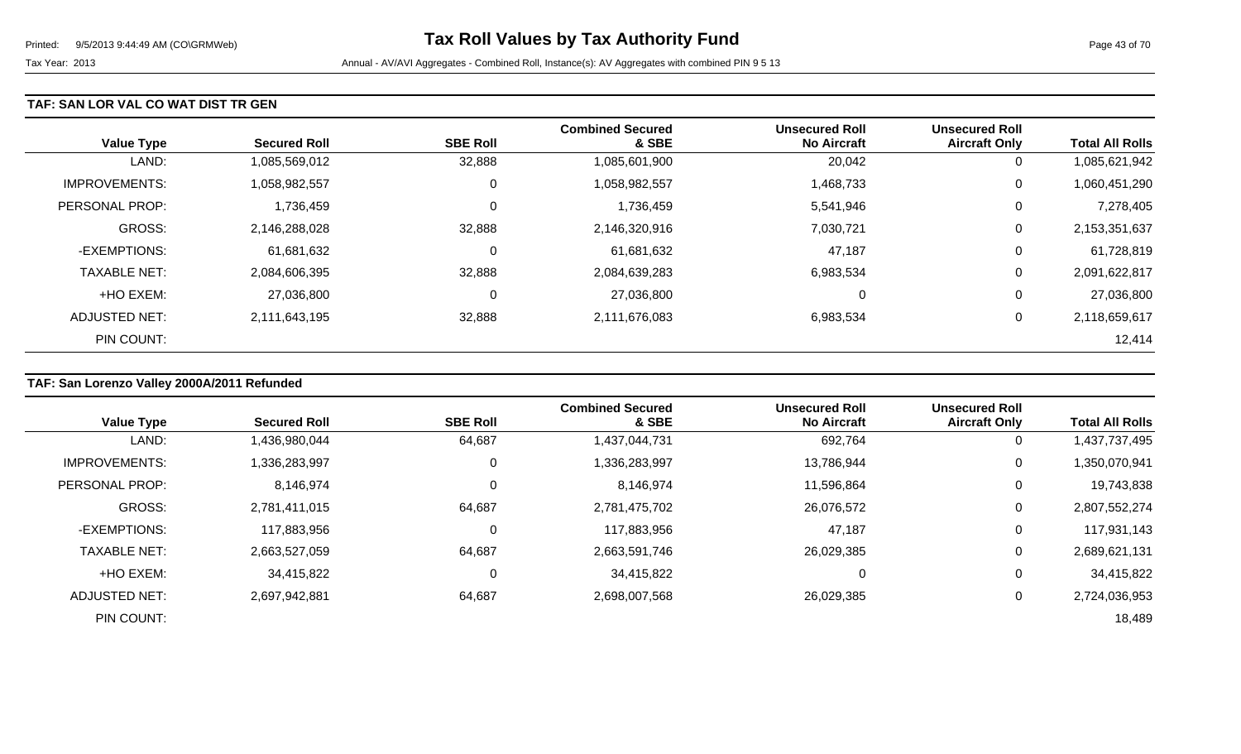### **TAF: SAN LOR VAL CO WAT DIST TR GEN**

| <b>Value Type</b>    | <b>Secured Roll</b> | <b>SBE Roll</b> | <b>Combined Secured</b><br>& SBE | <b>Unsecured Roll</b><br><b>No Aircraft</b> | <b>Unsecured Roll</b><br><b>Aircraft Only</b> | <b>Total All Rolls</b> |
|----------------------|---------------------|-----------------|----------------------------------|---------------------------------------------|-----------------------------------------------|------------------------|
| LAND:                | 1,085,569,012       | 32,888          | 1,085,601,900                    | 20,042                                      | 0                                             | 1,085,621,942          |
| <b>IMPROVEMENTS:</b> | 1,058,982,557       | 0               | 1,058,982,557                    | 1,468,733                                   | 0                                             | 1,060,451,290          |
| PERSONAL PROP:       | 1,736,459           | 0               | 1,736,459                        | 5,541,946                                   | 0                                             | 7,278,405              |
| GROSS:               | 2,146,288,028       | 32,888          | 2,146,320,916                    | 7,030,721                                   | 0                                             | 2,153,351,637          |
| -EXEMPTIONS:         | 61,681,632          | 0               | 61,681,632                       | 47,187                                      | 0                                             | 61,728,819             |
| <b>TAXABLE NET:</b>  | 2,084,606,395       | 32,888          | 2,084,639,283                    | 6,983,534                                   | 0                                             | 2,091,622,817          |
| +HO EXEM:            | 27,036,800          | 0               | 27,036,800                       | 0                                           | 0                                             | 27,036,800             |
| ADJUSTED NET:        | 2,111,643,195       | 32,888          | 2,111,676,083                    | 6,983,534                                   | 0                                             | 2,118,659,617          |
| PIN COUNT:           |                     |                 |                                  |                                             |                                               | 12,414                 |

## **TAF: San Lorenzo Valley 2000A/2011 Refunded**

|                      |                     |                 | <b>Combined Secured</b> | <b>Unsecured Roll</b> | <b>Unsecured Roll</b> |                        |
|----------------------|---------------------|-----------------|-------------------------|-----------------------|-----------------------|------------------------|
| <b>Value Type</b>    | <b>Secured Roll</b> | <b>SBE Roll</b> | & SBE                   | <b>No Aircraft</b>    | <b>Aircraft Only</b>  | <b>Total All Rolls</b> |
| LAND:                | 1,436,980,044       | 64,687          | 1,437,044,731           | 692,764               | υ                     | 1,437,737,495          |
| <b>IMPROVEMENTS:</b> | 1,336,283,997       | 0               | 1,336,283,997           | 13,786,944            | 0                     | 1,350,070,941          |
| PERSONAL PROP:       | 8,146,974           |                 | 8,146,974               | 11,596,864            | 0                     | 19,743,838             |
| <b>GROSS:</b>        | 2,781,411,015       | 64,687          | 2,781,475,702           | 26,076,572            | $\Omega$              | 2,807,552,274          |
| -EXEMPTIONS:         | 117,883,956         |                 | 117,883,956             | 47,187                | 0                     | 117,931,143            |
| <b>TAXABLE NET:</b>  | 2,663,527,059       | 64,687          | 2,663,591,746           | 26,029,385            |                       | 2,689,621,131          |
| +HO EXEM:            | 34,415,822          |                 | 34,415,822              | 0                     | 0                     | 34,415,822             |
| ADJUSTED NET:        | 2,697,942,881       | 64,687          | 2,698,007,568           | 26,029,385            |                       | 2,724,036,953          |
| PIN COUNT:           |                     |                 |                         |                       |                       | 18,489                 |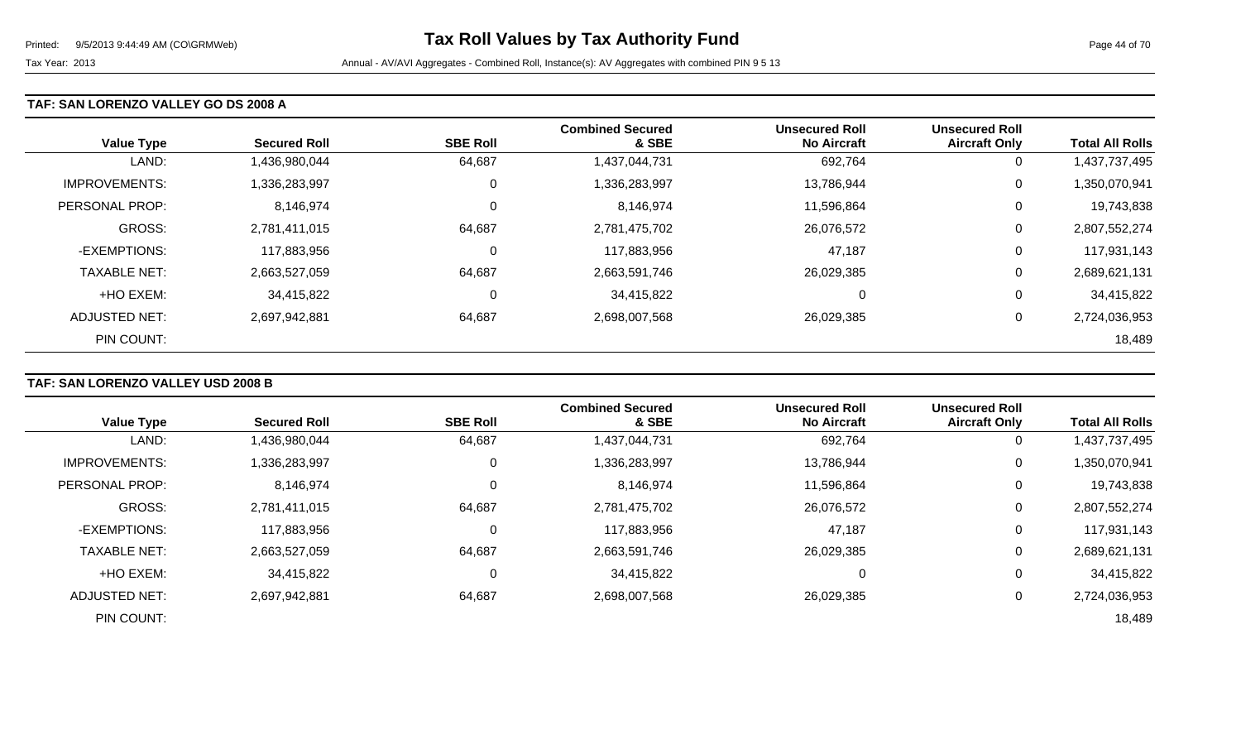### **TAF: SAN LORENZO VALLEY GO DS 2008 A**

| <b>Value Type</b>    | <b>Secured Roll</b> | <b>SBE Roll</b> | <b>Combined Secured</b><br>& SBE | <b>Unsecured Roll</b><br><b>No Aircraft</b> | <b>Unsecured Roll</b><br><b>Aircraft Only</b> | <b>Total All Rolls</b> |
|----------------------|---------------------|-----------------|----------------------------------|---------------------------------------------|-----------------------------------------------|------------------------|
| LAND:                | 1,436,980,044       | 64,687          | 1,437,044,731                    | 692,764                                     | 0                                             | 1,437,737,495          |
| <b>IMPROVEMENTS:</b> | 1,336,283,997       | 0               | 1,336,283,997                    | 13,786,944                                  | 0                                             | 1,350,070,941          |
| PERSONAL PROP:       | 8,146,974           | 0               | 8,146,974                        | 11,596,864                                  | 0                                             | 19,743,838             |
| <b>GROSS:</b>        | 2,781,411,015       | 64,687          | 2,781,475,702                    | 26,076,572                                  | 0                                             | 2,807,552,274          |
| -EXEMPTIONS:         | 117,883,956         | $\mathbf 0$     | 117,883,956                      | 47,187                                      | 0                                             | 117,931,143            |
| <b>TAXABLE NET:</b>  | 2,663,527,059       | 64,687          | 2,663,591,746                    | 26,029,385                                  | 0                                             | 2,689,621,131          |
| +HO EXEM:            | 34,415,822          | 0               | 34,415,822                       | $\mathbf 0$                                 | 0                                             | 34,415,822             |
| ADJUSTED NET:        | 2,697,942,881       | 64,687          | 2,698,007,568                    | 26,029,385                                  | 0                                             | 2,724,036,953          |
| PIN COUNT:           |                     |                 |                                  |                                             |                                               | 18,489                 |

## **TAF: SAN LORENZO VALLEY USD 2008 B**

| <b>Value Type</b>     | <b>Secured Roll</b> | <b>SBE Roll</b> | <b>Combined Secured</b><br>& SBE | <b>Unsecured Roll</b><br><b>No Aircraft</b> | <b>Unsecured Roll</b><br><b>Aircraft Only</b> | <b>Total All Rolls</b> |
|-----------------------|---------------------|-----------------|----------------------------------|---------------------------------------------|-----------------------------------------------|------------------------|
| LAND:                 | 1,436,980,044       | 64,687          | 1,437,044,731                    | 692,764                                     | $\overline{0}$                                | 1,437,737,495          |
|                       |                     |                 |                                  |                                             |                                               |                        |
| <b>IMPROVEMENTS:</b>  | 1,336,283,997       | 0               | 1,336,283,997                    | 13,786,944                                  | 0                                             | 1,350,070,941          |
| <b>PERSONAL PROP:</b> | 8,146,974           | 0               | 8,146,974                        | 11,596,864                                  | 0                                             | 19,743,838             |
| <b>GROSS:</b>         | 2,781,411,015       | 64,687          | 2,781,475,702                    | 26,076,572                                  | 0                                             | 2,807,552,274          |
| -EXEMPTIONS:          | 117,883,956         | 0               | 117,883,956                      | 47,187                                      | 0                                             | 117,931,143            |
| <b>TAXABLE NET:</b>   | 2,663,527,059       | 64,687          | 2,663,591,746                    | 26,029,385                                  | 0                                             | 2,689,621,131          |
| +HO EXEM:             | 34,415,822          | $\mathbf 0$     | 34,415,822                       |                                             | 0                                             | 34,415,822             |
| <b>ADJUSTED NET:</b>  | 2,697,942,881       | 64,687          | 2,698,007,568                    | 26,029,385                                  | 0                                             | 2,724,036,953          |
| PIN COUNT:            |                     |                 |                                  |                                             |                                               | 18,489                 |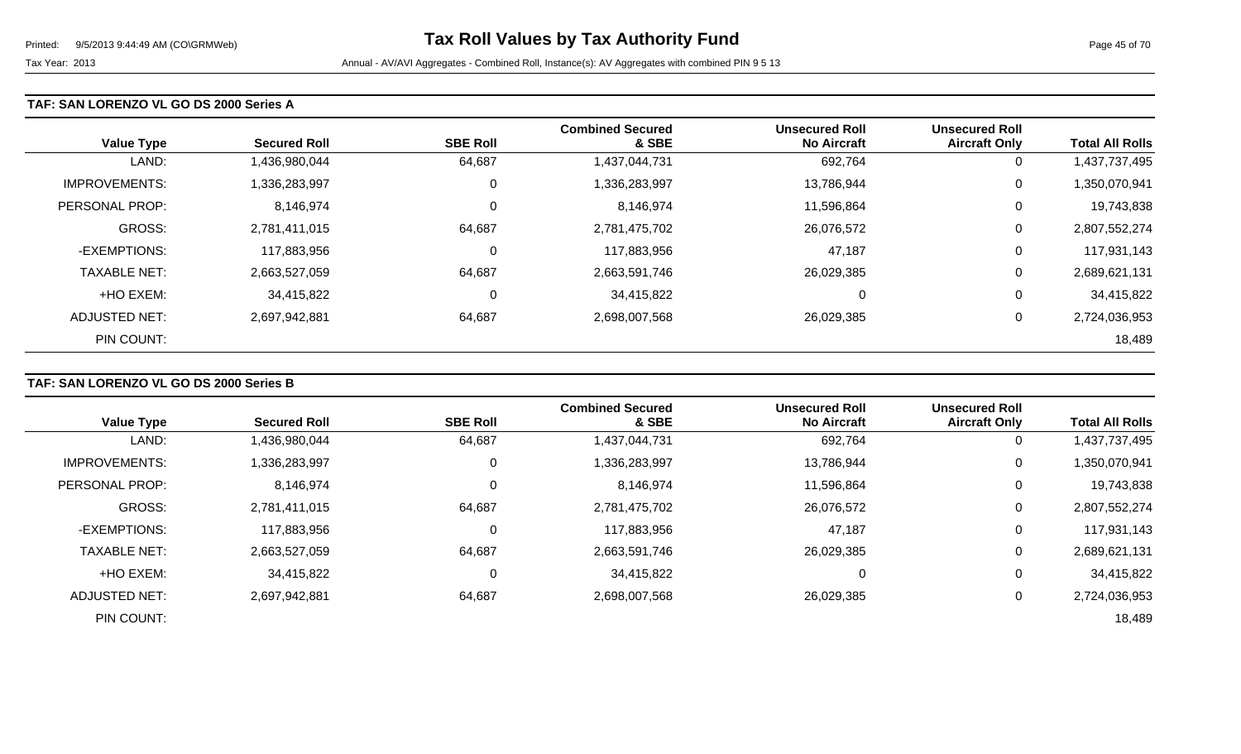#### **TAF: SAN LORENZO VL GO DS 2000 Series A**

| <b>Value Type</b>    | <b>Secured Roll</b> | <b>SBE Roll</b> | <b>Combined Secured</b><br>& SBE | <b>Unsecured Roll</b><br><b>No Aircraft</b> | <b>Unsecured Roll</b><br><b>Aircraft Only</b> | <b>Total All Rolls</b> |
|----------------------|---------------------|-----------------|----------------------------------|---------------------------------------------|-----------------------------------------------|------------------------|
| LAND:                | 1,436,980,044       | 64,687          | 1,437,044,731                    | 692,764                                     | 0                                             | 1,437,737,495          |
| <b>IMPROVEMENTS:</b> | 1,336,283,997       | $\mathbf 0$     | 1,336,283,997                    | 13,786,944                                  | 0                                             | 1,350,070,941          |
| PERSONAL PROP:       | 8,146,974           | $\mathbf 0$     | 8,146,974                        | 11,596,864                                  | 0                                             | 19,743,838             |
| <b>GROSS:</b>        | 2,781,411,015       | 64,687          | 2,781,475,702                    | 26,076,572                                  | 0                                             | 2,807,552,274          |
| -EXEMPTIONS:         | 117,883,956         | 0               | 117,883,956                      | 47,187                                      | 0                                             | 117,931,143            |
| <b>TAXABLE NET:</b>  | 2,663,527,059       | 64,687          | 2,663,591,746                    | 26,029,385                                  | 0                                             | 2,689,621,131          |
| +HO EXEM:            | 34,415,822          | 0               | 34,415,822                       | 0                                           | 0                                             | 34,415,822             |
| ADJUSTED NET:        | 2,697,942,881       | 64,687          | 2,698,007,568                    | 26,029,385                                  | 0                                             | 2,724,036,953          |
| PIN COUNT:           |                     |                 |                                  |                                             |                                               | 18,489                 |

### **TAF: SAN LORENZO VL GO DS 2000 Series B**

|                      |                     |                 | <b>Combined Secured</b> | <b>Unsecured Roll</b> | <b>Unsecured Roll</b> |                        |
|----------------------|---------------------|-----------------|-------------------------|-----------------------|-----------------------|------------------------|
| <b>Value Type</b>    | <b>Secured Roll</b> | <b>SBE Roll</b> | & SBE                   | <b>No Aircraft</b>    | <b>Aircraft Only</b>  | <b>Total All Rolls</b> |
| LAND:                | 1,436,980,044       | 64,687          | 1,437,044,731           | 692,764               | 0                     | 1,437,737,495          |
| <b>IMPROVEMENTS:</b> | 1,336,283,997       | 0               | 1,336,283,997           | 13,786,944            | 0                     | 1,350,070,941          |
| PERSONAL PROP:       | 8,146,974           | 0               | 8,146,974               | 11,596,864            | 0                     | 19,743,838             |
| GROSS:               | 2,781,411,015       | 64,687          | 2,781,475,702           | 26,076,572            | 0                     | 2,807,552,274          |
| -EXEMPTIONS:         | 117,883,956         | 0               | 117,883,956             | 47,187                | 0                     | 117,931,143            |
| <b>TAXABLE NET:</b>  | 2,663,527,059       | 64,687          | 2,663,591,746           | 26,029,385            | 0                     | 2,689,621,131          |
| +HO EXEM:            | 34,415,822          | 0               | 34,415,822              |                       | 0                     | 34,415,822             |
| ADJUSTED NET:        | 2,697,942,881       | 64,687          | 2,698,007,568           | 26,029,385            | 0                     | 2,724,036,953          |
| PIN COUNT:           |                     |                 |                         |                       |                       | 18,489                 |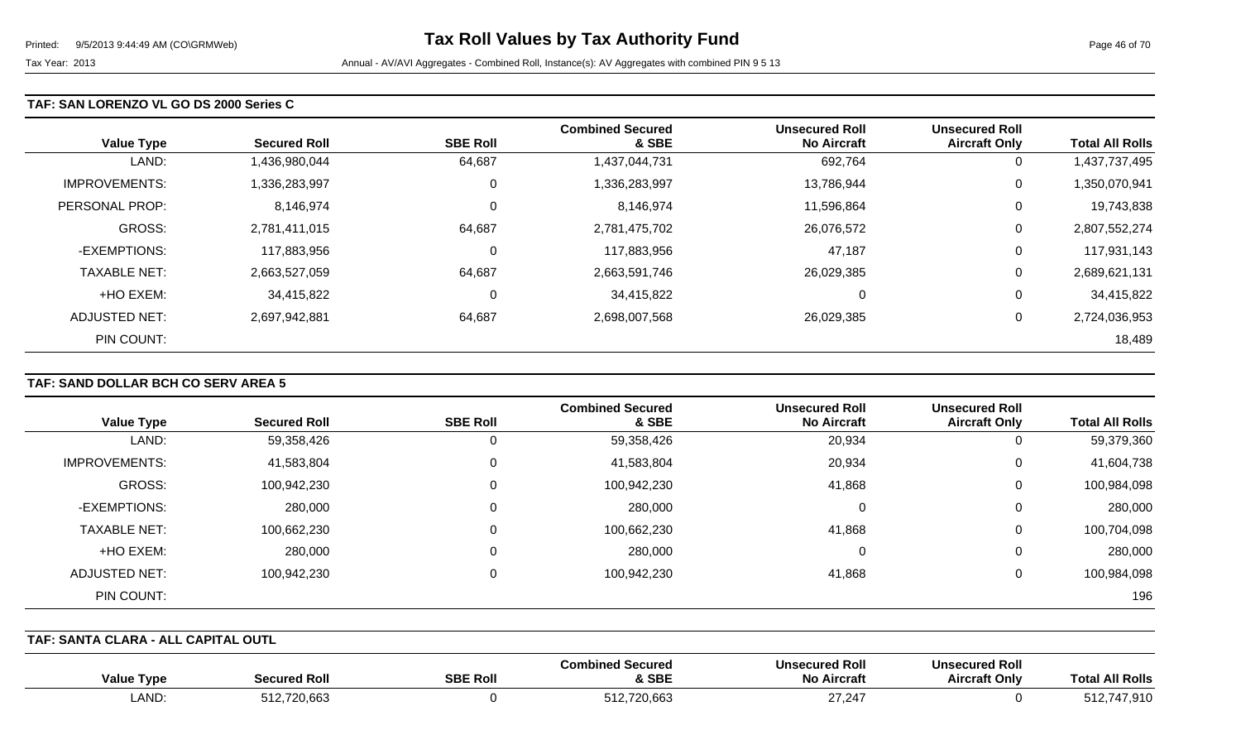#### **TAF: SAN LORENZO VL GO DS 2000 Series C**

| <b>Value Type</b>    | <b>Secured Roll</b> | <b>SBE Roll</b> | <b>Combined Secured</b><br>& SBE | <b>Unsecured Roll</b><br><b>No Aircraft</b> | <b>Unsecured Roll</b><br><b>Aircraft Only</b> | <b>Total All Rolls</b> |
|----------------------|---------------------|-----------------|----------------------------------|---------------------------------------------|-----------------------------------------------|------------------------|
| LAND:                | 1,436,980,044       | 64,687          | 1,437,044,731                    | 692,764                                     | 0                                             | 1,437,737,495          |
| <b>IMPROVEMENTS:</b> | 1,336,283,997       | $\mathbf 0$     | 1,336,283,997                    | 13,786,944                                  | 0                                             | 1,350,070,941          |
| PERSONAL PROP:       | 8,146,974           | $\mathbf 0$     | 8,146,974                        | 11,596,864                                  | 0                                             | 19,743,838             |
| <b>GROSS:</b>        | 2,781,411,015       | 64,687          | 2,781,475,702                    | 26,076,572                                  | 0                                             | 2,807,552,274          |
| -EXEMPTIONS:         | 117,883,956         | 0               | 117,883,956                      | 47,187                                      | 0                                             | 117,931,143            |
| <b>TAXABLE NET:</b>  | 2,663,527,059       | 64,687          | 2,663,591,746                    | 26,029,385                                  | 0                                             | 2,689,621,131          |
| +HO EXEM:            | 34,415,822          | 0               | 34,415,822                       | 0                                           | 0                                             | 34,415,822             |
| ADJUSTED NET:        | 2,697,942,881       | 64,687          | 2,698,007,568                    | 26,029,385                                  | 0                                             | 2,724,036,953          |
| PIN COUNT:           |                     |                 |                                  |                                             |                                               | 18,489                 |

## **TAF: SAND DOLLAR BCH CO SERV AREA 5**

|                      |                     |                 | <b>Combined Secured</b> | <b>Unsecured Roll</b> | <b>Unsecured Roll</b> |                        |
|----------------------|---------------------|-----------------|-------------------------|-----------------------|-----------------------|------------------------|
| <b>Value Type</b>    | <b>Secured Roll</b> | <b>SBE Roll</b> | & SBE                   | <b>No Aircraft</b>    | <b>Aircraft Only</b>  | <b>Total All Rolls</b> |
| LAND:                | 59,358,426          | 0               | 59,358,426              | 20,934                | 0                     | 59,379,360             |
| <b>IMPROVEMENTS:</b> | 41,583,804          | $\mathbf 0$     | 41,583,804              | 20,934                | 0                     | 41,604,738             |
| GROSS:               | 100,942,230         | 0               | 100,942,230             | 41,868                | 0                     | 100,984,098            |
| -EXEMPTIONS:         | 280,000             | 0               | 280,000                 | 0                     | 0                     | 280,000                |
| <b>TAXABLE NET:</b>  | 100,662,230         | 0               | 100,662,230             | 41,868                | 0                     | 100,704,098            |
| +HO EXEM:            | 280,000             | 0               | 280,000                 | 0                     | 0                     | 280,000                |
| <b>ADJUSTED NET:</b> | 100,942,230         | $\Omega$        | 100,942,230             | 41,868                | 0                     | 100,984,098            |
| PIN COUNT:           |                     |                 |                         |                       |                       | 196                    |

### **TAF: SANTA CLARA - ALL CAPITAL OUTL**

| <b>All Rolls</b><br>Total                                                          | <b>Unsecured Roll</b><br><b>Aircraft Only</b> | <b>Unsecured Roll</b><br><b>No Aircraft</b> | l Secured<br>Combined<br>& SBE | <b>SBE Roll</b> | Secured Rol               | Value<br>Type |
|------------------------------------------------------------------------------------|-----------------------------------------------|---------------------------------------------|--------------------------------|-----------------|---------------------------|---------------|
| 512.<br>$\mathbf{v}$ $\mathbf{v}$ $\mathbf{v}$ $\mathbf{v}$ $\mathbf{v}$<br>.7.910 |                                               | 21,24<br>$\sim$                             | 512,720,663                    |                 | E42.720000<br>512,720,663 | LAND          |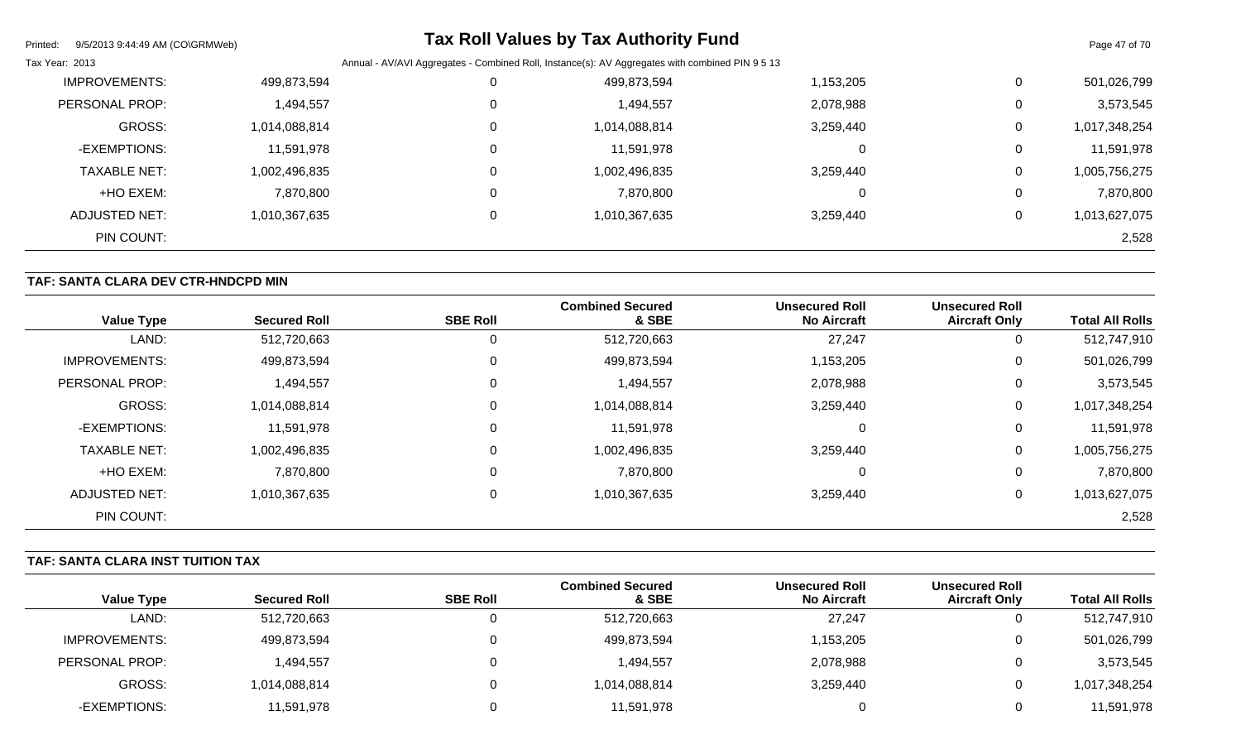| Printed:             | 9/5/2013 9:44:49 AM (CO\GRMWeb)      |          | <b>Tax Roll Values by Tax Authority Fund</b>                                                    |           |              | Page 47 of 70 |
|----------------------|--------------------------------------|----------|-------------------------------------------------------------------------------------------------|-----------|--------------|---------------|
| Tax Year: 2013       |                                      |          | Annual - AV/AVI Aggregates - Combined Roll, Instance(s): AV Aggregates with combined PIN 9 5 13 |           |              |               |
| <b>IMPROVEMENTS:</b> | 499,873,594                          |          | 499,873,594                                                                                     | 1,153,205 | $\mathbf 0$  | 501,026,799   |
| PERSONAL PROP:       | 1,494,557                            |          | 1,494,557                                                                                       | 2,078,988 | $\Omega$     | 3,573,545     |
|                      | <b>GROSS:</b><br>1,014,088,814       |          | 1,014,088,814                                                                                   | 3,259,440 | 0            | 1,017,348,254 |
|                      | -EXEMPTIONS:<br>11,591,978           |          | 11,591,978                                                                                      |           | $\mathbf 0$  | 11,591,978    |
|                      | <b>TAXABLE NET:</b><br>1,002,496,835 | $\Omega$ | 1,002,496,835                                                                                   | 3,259,440 | 0            | 1,005,756,275 |
|                      | +HO EXEM:<br>7,870,800               | 0        | 7,870,800                                                                                       |           | 0            | 7,870,800     |
| ADJUSTED NET:        | 1,010,367,635                        |          | 1,010,367,635                                                                                   | 3,259,440 | $\mathbf{0}$ | 1,013,627,075 |
|                      | PIN COUNT:                           |          |                                                                                                 |           |              | 2,528         |

## **TAF: SANTA CLARA DEV CTR-HNDCPD MIN**

| <b>Value Type</b>    | <b>Secured Roll</b> | <b>SBE Roll</b> | <b>Combined Secured</b><br>& SBE | <b>Unsecured Roll</b><br><b>No Aircraft</b> | <b>Unsecured Roll</b><br><b>Aircraft Only</b> | <b>Total All Rolls</b> |
|----------------------|---------------------|-----------------|----------------------------------|---------------------------------------------|-----------------------------------------------|------------------------|
| LAND:                | 512,720,663         | 0               | 512,720,663                      | 27,247                                      | 0                                             | 512,747,910            |
| <b>IMPROVEMENTS:</b> | 499,873,594         | $\overline{0}$  | 499,873,594                      | 1,153,205                                   | 0                                             | 501,026,799            |
| PERSONAL PROP:       | 494,557             | $\overline{0}$  | 1,494,557                        | 2,078,988                                   | 0                                             | 3,573,545              |
| <b>GROSS:</b>        | 1,014,088,814       | $\overline{0}$  | 1,014,088,814                    | 3,259,440                                   | 0                                             | 1,017,348,254          |
| -EXEMPTIONS:         | 11,591,978          | $\overline{0}$  | 11,591,978                       | 0                                           | 0                                             | 11,591,978             |
| <b>TAXABLE NET:</b>  | 1,002,496,835       | $\mathbf 0$     | 1,002,496,835                    | 3,259,440                                   | 0                                             | 1,005,756,275          |
| +HO EXEM:            | 7,870,800           | 0               | 7,870,800                        | $\Omega$                                    | 0                                             | 7,870,800              |
| <b>ADJUSTED NET:</b> | 1,010,367,635       | $\mathbf 0$     | 1,010,367,635                    | 3,259,440                                   | 0                                             | 1,013,627,075          |
| PIN COUNT:           |                     |                 |                                  |                                             |                                               | 2,528                  |

## **TAF: SANTA CLARA INST TUITION TAX**

|                      |                     |                 | <b>Combined Secured</b> | <b>Unsecured Roll</b> | <b>Unsecured Roll</b> |                        |
|----------------------|---------------------|-----------------|-------------------------|-----------------------|-----------------------|------------------------|
| <b>Value Type</b>    | <b>Secured Roll</b> | <b>SBE Roll</b> | & SBE                   | <b>No Aircraft</b>    | <b>Aircraft Only</b>  | <b>Total All Rolls</b> |
| LAND:                | 512,720,663         |                 | 512,720,663             | 27,247                | ັ                     | 512,747,910            |
| <b>IMPROVEMENTS:</b> | 499,873,594         |                 | 499,873,594             | 1,153,205             | ັ                     | 501,026,799            |
| PERSONAL PROP:       | 1,494,557           |                 | 1,494,557               | 2,078,988             | ັ                     | 3,573,545              |
| GROSS:               | 1,014,088,814       |                 | 1,014,088,814           | 3,259,440             | ັ                     | 1,017,348,254          |
| -EXEMPTIONS:         | 11,591,978          |                 | 11,591,978              |                       |                       | 11,591,978             |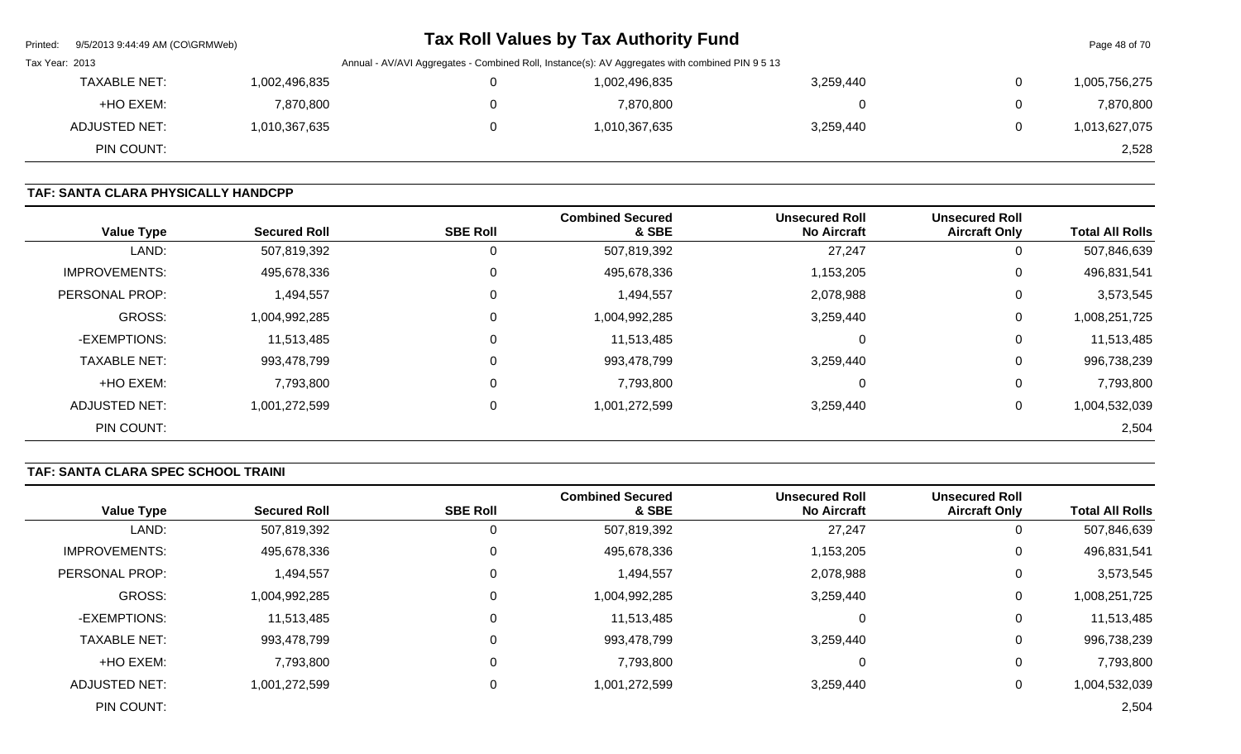|                | Printed: 9/5/2013 9:44:49 AM (CO\GRMWeb) |               | <b>Tax Roll Values by Tax Authority Fund</b>                                                    |               |           |                | Page 48 of 70 |
|----------------|------------------------------------------|---------------|-------------------------------------------------------------------------------------------------|---------------|-----------|----------------|---------------|
| Tax Year: 2013 |                                          |               | Annual - AV/AVI Aggregates - Combined Roll, Instance(s): AV Aggregates with combined PIN 9 5 13 |               |           |                |               |
|                | <b>TAXABLE NET:</b>                      | 1,002,496,835 |                                                                                                 | 1,002,496,835 | 3,259,440 | $\overline{0}$ | 1,005,756,275 |
|                | +HO EXEM:                                | 7,870,800     | 0                                                                                               | 7,870,800     |           | $\overline{0}$ | 7,870,800     |
|                | ADJUSTED NET:                            | 1,010,367,635 | 0                                                                                               | 1,010,367,635 | 3,259,440 | $\mathbf{0}$   | 1,013,627,075 |
|                | PIN COUNT:                               |               |                                                                                                 |               |           |                | 2,528         |

## **TAF: SANTA CLARA PHYSICALLY HANDCPP**

| <b>Value Type</b>     | <b>Secured Roll</b> | <b>SBE Roll</b> | <b>Combined Secured</b><br>& SBE | <b>Unsecured Roll</b><br><b>No Aircraft</b> | <b>Unsecured Roll</b><br><b>Aircraft Only</b> | <b>Total All Rolls</b> |
|-----------------------|---------------------|-----------------|----------------------------------|---------------------------------------------|-----------------------------------------------|------------------------|
| LAND:                 | 507,819,392         | 0               | 507,819,392                      | 27,247                                      | U                                             | 507,846,639            |
| <b>IMPROVEMENTS:</b>  | 495,678,336         | 0               | 495,678,336                      | 1,153,205                                   | U                                             | 496,831,541            |
| <b>PERSONAL PROP:</b> | 1,494,557           | 0               | 1,494,557                        | 2,078,988                                   | 0                                             | 3,573,545              |
| <b>GROSS:</b>         | 1,004,992,285       | 0               | 1,004,992,285                    | 3,259,440                                   | 0                                             | 1,008,251,725          |
| -EXEMPTIONS:          | 11,513,485          | 0               | 11,513,485                       | $\Omega$                                    | 0                                             | 11,513,485             |
| <b>TAXABLE NET:</b>   | 993,478,799         | $\mathbf 0$     | 993,478,799                      | 3,259,440                                   | 0                                             | 996,738,239            |
| +HO EXEM:             | 7,793,800           | 0               | 7,793,800                        | 0                                           | 0                                             | 7,793,800              |
| <b>ADJUSTED NET:</b>  | 1,001,272,599       | $\mathbf 0$     | 1,001,272,599                    | 3,259,440                                   | 0                                             | 1,004,532,039          |
| PIN COUNT:            |                     |                 |                                  |                                             |                                               | 2,504                  |

## **TAF: SANTA CLARA SPEC SCHOOL TRAINI**

| <b>Value Type</b>    | <b>Secured Roll</b> | <b>SBE Roll</b> | <b>Combined Secured</b><br>& SBE | <b>Unsecured Roll</b><br><b>No Aircraft</b> | <b>Unsecured Roll</b><br><b>Aircraft Only</b> | <b>Total All Rolls</b> |
|----------------------|---------------------|-----------------|----------------------------------|---------------------------------------------|-----------------------------------------------|------------------------|
| LAND:                | 507,819,392         |                 | 507,819,392                      | 27,247                                      | U                                             | 507,846,639            |
| <b>IMPROVEMENTS:</b> | 495,678,336         | 0               | 495,678,336                      | 1,153,205                                   | 0                                             | 496,831,541            |
| PERSONAL PROP:       | 1,494,557           | 0               | 1,494,557                        | 2,078,988                                   | 0                                             | 3,573,545              |
| <b>GROSS:</b>        | 1,004,992,285       | 0               | 1,004,992,285                    | 3,259,440                                   | 0                                             | 1,008,251,725          |
| -EXEMPTIONS:         | 11,513,485          |                 | 11,513,485                       | 0                                           | 0                                             | 11,513,485             |
| <b>TAXABLE NET:</b>  | 993,478,799         | $\mathbf 0$     | 993,478,799                      | 3,259,440                                   | 0                                             | 996,738,239            |
| +HO EXEM:            | 7,793,800           | 0               | 7,793,800                        | 0                                           | 0                                             | 7,793,800              |
| <b>ADJUSTED NET:</b> | 1,001,272,599       | 0               | 1,001,272,599                    | 3,259,440                                   | 0                                             | 1,004,532,039          |
| PIN COUNT:           |                     |                 |                                  |                                             |                                               | 2,504                  |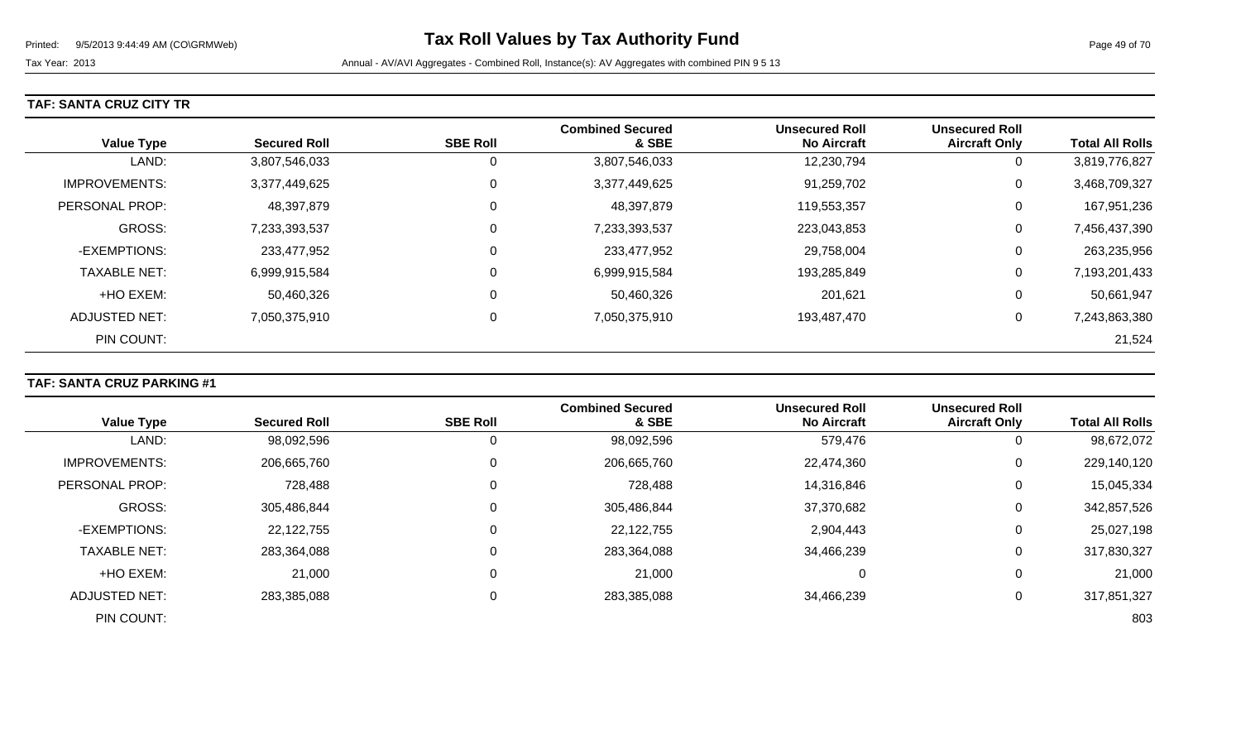### **TAF: SANTA CRUZ CITY TR**

| <b>Value Type</b>    | <b>Secured Roll</b> | <b>SBE Roll</b> | <b>Combined Secured</b><br>& SBE | <b>Unsecured Roll</b><br><b>No Aircraft</b> | <b>Unsecured Roll</b><br><b>Aircraft Only</b> | <b>Total All Rolls</b> |
|----------------------|---------------------|-----------------|----------------------------------|---------------------------------------------|-----------------------------------------------|------------------------|
| LAND:                | 3,807,546,033       | 0               | 3,807,546,033                    | 12,230,794                                  | 0                                             | 3,819,776,827          |
| <b>IMPROVEMENTS:</b> | 3,377,449,625       | $\mathbf 0$     | 3,377,449,625                    | 91,259,702                                  | 0                                             | 3,468,709,327          |
| PERSONAL PROP:       | 48,397,879          | $\mathbf 0$     | 48,397,879                       | 119,553,357                                 | 0                                             | 167,951,236            |
| <b>GROSS:</b>        | 7,233,393,537       | 0               | 7,233,393,537                    | 223,043,853                                 | 0                                             | 7,456,437,390          |
| -EXEMPTIONS:         | 233,477,952         | 0               | 233,477,952                      | 29,758,004                                  | 0                                             | 263,235,956            |
| <b>TAXABLE NET:</b>  | 6,999,915,584       | 0               | 6,999,915,584                    | 193,285,849                                 | 0                                             | 7,193,201,433          |
| +HO EXEM:            | 50,460,326          | 0               | 50,460,326                       | 201,621                                     | 0                                             | 50,661,947             |
| ADJUSTED NET:        | 7,050,375,910       | 0               | 7,050,375,910                    | 193,487,470                                 | 0                                             | 7,243,863,380          |
| PIN COUNT:           |                     |                 |                                  |                                             |                                               | 21,524                 |

## **TAF: SANTA CRUZ PARKING #1**

|                       |                     |                 | <b>Combined Secured</b> | <b>Unsecured Roll</b> | <b>Unsecured Roll</b> |                        |
|-----------------------|---------------------|-----------------|-------------------------|-----------------------|-----------------------|------------------------|
| <b>Value Type</b>     | <b>Secured Roll</b> | <b>SBE Roll</b> | & SBE                   | <b>No Aircraft</b>    | <b>Aircraft Only</b>  | <b>Total All Rolls</b> |
| LAND:                 | 98,092,596          | 0               | 98,092,596              | 579,476               | 0                     | 98,672,072             |
| <b>IMPROVEMENTS:</b>  | 206,665,760         | 0               | 206,665,760             | 22,474,360            | 0                     | 229,140,120            |
| <b>PERSONAL PROP:</b> | 728,488             | 0               | 728,488                 | 14,316,846            | $\overline{0}$        | 15,045,334             |
| <b>GROSS:</b>         | 305,486,844         | 0               | 305,486,844             | 37,370,682            | 0                     | 342,857,526            |
| -EXEMPTIONS:          | 22,122,755          | 0               | 22,122,755              | 2,904,443             | 0                     | 25,027,198             |
| <b>TAXABLE NET:</b>   | 283,364,088         | 0               | 283,364,088             | 34,466,239            | 0                     | 317,830,327            |
| +HO EXEM:             | 21,000              | 0               | 21,000                  | $\Omega$              | $\overline{0}$        | 21,000                 |
| <b>ADJUSTED NET:</b>  | 283,385,088         | 0               | 283,385,088             | 34,466,239            | 0                     | 317,851,327            |
| PIN COUNT:            |                     |                 |                         |                       |                       | 803                    |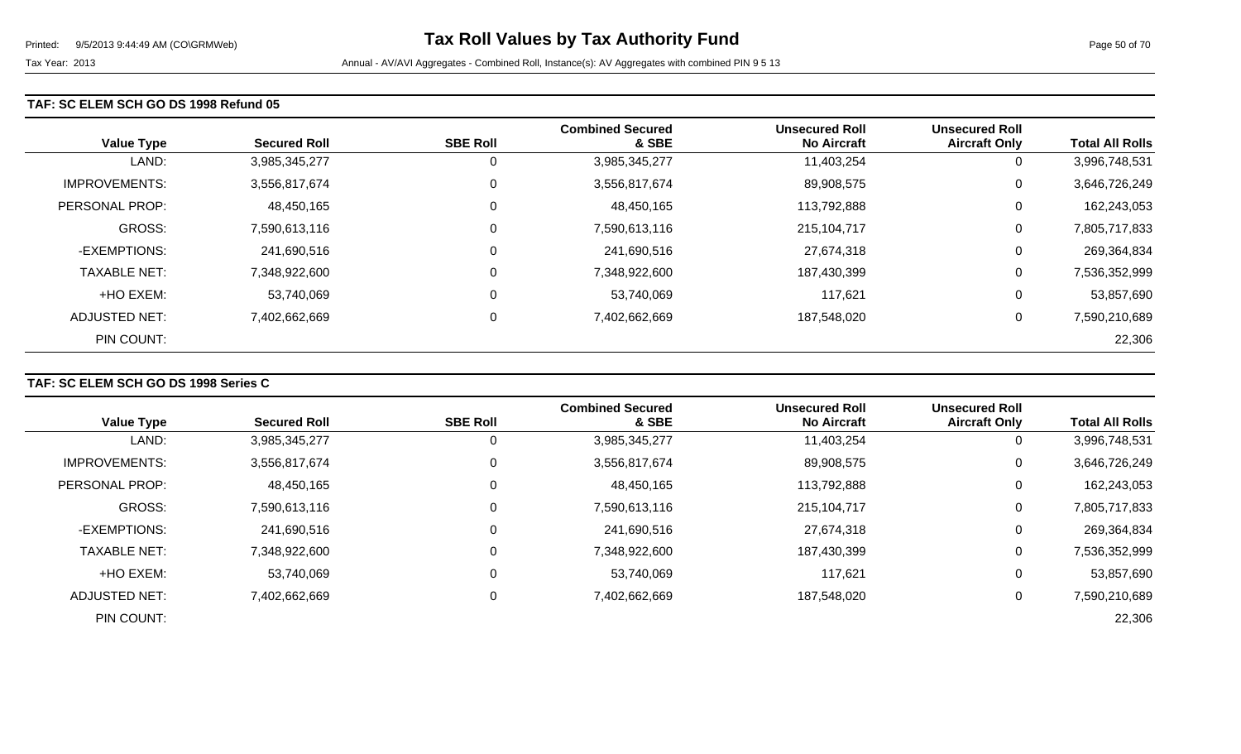### **TAF: SC ELEM SCH GO DS 1998 Refund 05**

| <b>Value Type</b>    | <b>Secured Roll</b> | <b>SBE Roll</b> | <b>Combined Secured</b><br>& SBE | <b>Unsecured Roll</b><br><b>No Aircraft</b> | <b>Unsecured Roll</b><br><b>Aircraft Only</b> | <b>Total All Rolls</b> |
|----------------------|---------------------|-----------------|----------------------------------|---------------------------------------------|-----------------------------------------------|------------------------|
| LAND:                | 3,985,345,277       | 0               | 3,985,345,277                    | 11,403,254                                  | 0                                             | 3,996,748,531          |
| <b>IMPROVEMENTS:</b> | 3,556,817,674       | 0               | 3,556,817,674                    | 89,908,575                                  | 0                                             | 3,646,726,249          |
| PERSONAL PROP:       | 48,450,165          | 0               | 48,450,165                       | 113,792,888                                 | 0                                             | 162,243,053            |
| <b>GROSS:</b>        | 7,590,613,116       | $\mathbf 0$     | 7,590,613,116                    | 215,104,717                                 | 0                                             | 7,805,717,833          |
| -EXEMPTIONS:         | 241,690,516         | 0               | 241,690,516                      | 27,674,318                                  | 0                                             | 269,364,834            |
| <b>TAXABLE NET:</b>  | 7,348,922,600       | 0               | 7,348,922,600                    | 187,430,399                                 | 0                                             | 7,536,352,999          |
| +HO EXEM:            | 53,740,069          | 0               | 53,740,069                       | 117,621                                     | 0                                             | 53,857,690             |
| ADJUSTED NET:        | 7,402,662,669       | 0               | 7,402,662,669                    | 187,548,020                                 | 0                                             | 7,590,210,689          |
| PIN COUNT:           |                     |                 |                                  |                                             |                                               | 22,306                 |

## **TAF: SC ELEM SCH GO DS 1998 Series C**

|                      |                     |                 | <b>Combined Secured</b> | <b>Unsecured Roll</b> | <b>Unsecured Roll</b> |                        |
|----------------------|---------------------|-----------------|-------------------------|-----------------------|-----------------------|------------------------|
| <b>Value Type</b>    | <b>Secured Roll</b> | <b>SBE Roll</b> | & SBE                   | <b>No Aircraft</b>    | <b>Aircraft Only</b>  | <b>Total All Rolls</b> |
| LAND:                | 3,985,345,277       | U               | 3,985,345,277           | 11,403,254            | 0                     | 3,996,748,531          |
| <b>IMPROVEMENTS:</b> | 3,556,817,674       | 0               | 3,556,817,674           | 89,908,575            | 0                     | 3,646,726,249          |
| PERSONAL PROP:       | 48,450,165          | 0               | 48,450,165              | 113,792,888           | 0                     | 162,243,053            |
| <b>GROSS:</b>        | 7,590,613,116       | $\Omega$        | 7,590,613,116           | 215,104,717           | 0                     | 7,805,717,833          |
| -EXEMPTIONS:         | 241,690,516         | 0               | 241,690,516             | 27,674,318            | $\overline{0}$        | 269,364,834            |
| <b>TAXABLE NET:</b>  | 7,348,922,600       | 0               | 7,348,922,600           | 187,430,399           | 0                     | 7,536,352,999          |
| +HO EXEM:            | 53,740,069          | 0               | 53,740,069              | 117,621               | 0                     | 53,857,690             |
| ADJUSTED NET:        | 7,402,662,669       | 0               | 7,402,662,669           | 187,548,020           | 0                     | 7,590,210,689          |
| PIN COUNT:           |                     |                 |                         |                       |                       | 22,306                 |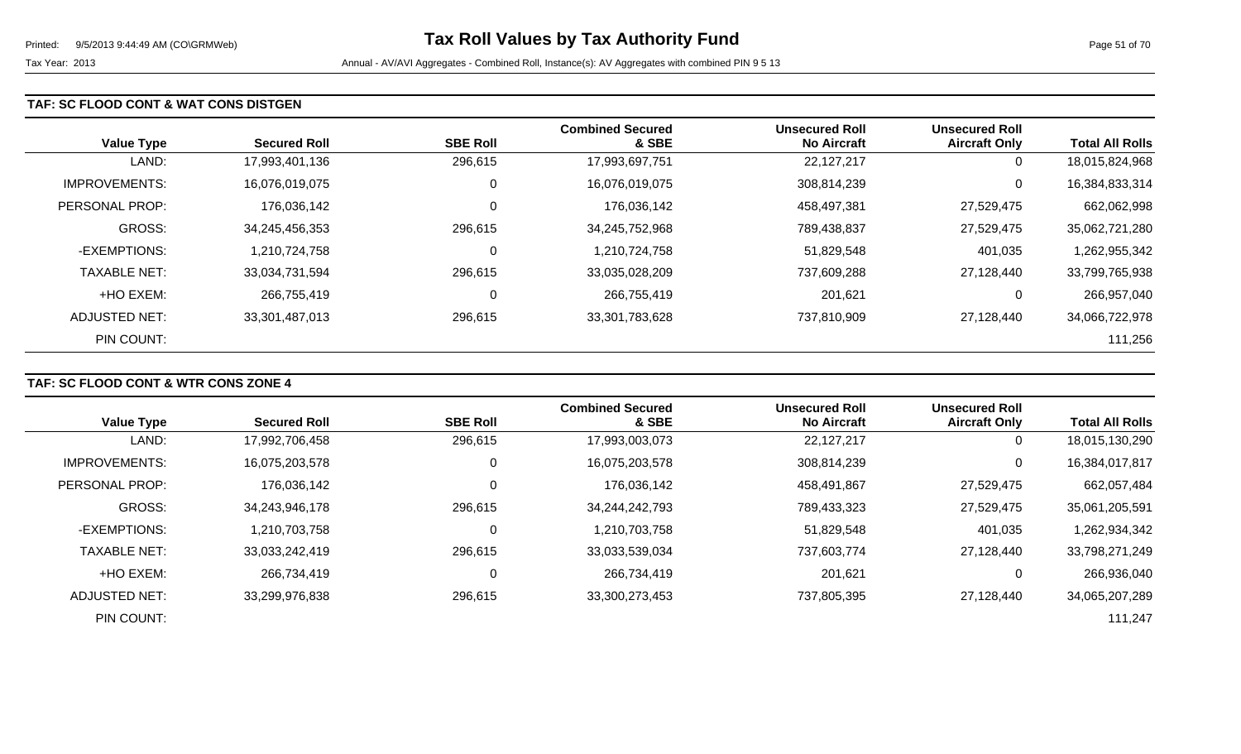### **TAF: SC FLOOD CONT & WAT CONS DISTGEN**

| <b>Value Type</b>    | <b>Secured Roll</b> | <b>SBE Roll</b> | <b>Combined Secured</b><br>& SBE | <b>Unsecured Roll</b><br><b>No Aircraft</b> | <b>Unsecured Roll</b><br><b>Aircraft Only</b> | <b>Total All Rolls</b> |
|----------------------|---------------------|-----------------|----------------------------------|---------------------------------------------|-----------------------------------------------|------------------------|
| LAND:                | 17,993,401,136      | 296,615         | 17,993,697,751                   | 22,127,217                                  | U                                             | 18,015,824,968         |
| <b>IMPROVEMENTS:</b> | 16,076,019,075      | 0               | 16,076,019,075                   | 308,814,239                                 | 0                                             | 16,384,833,314         |
| PERSONAL PROP:       | 176,036,142         | $\overline{0}$  | 176,036,142                      | 458,497,381                                 | 27,529,475                                    | 662,062,998            |
| GROSS:               | 34,245,456,353      | 296,615         | 34,245,752,968                   | 789,438,837                                 | 27,529,475                                    | 35,062,721,280         |
| -EXEMPTIONS:         | 1,210,724,758       | 0               | 1,210,724,758                    | 51,829,548                                  | 401,035                                       | 1,262,955,342          |
| <b>TAXABLE NET:</b>  | 33,034,731,594      | 296,615         | 33,035,028,209                   | 737,609,288                                 | 27,128,440                                    | 33,799,765,938         |
| +HO EXEM:            | 266,755,419         | $\mathbf 0$     | 266,755,419                      | 201,621                                     | 0                                             | 266,957,040            |
| ADJUSTED NET:        | 33,301,487,013      | 296,615         | 33,301,783,628                   | 737,810,909                                 | 27,128,440                                    | 34,066,722,978         |
| PIN COUNT:           |                     |                 |                                  |                                             |                                               | 111,256                |

## **TAF: SC FLOOD CONT & WTR CONS ZONE 4**

|                      |                     |                 | <b>Combined Secured</b> | <b>Unsecured Roll</b> | <b>Unsecured Roll</b> |                        |
|----------------------|---------------------|-----------------|-------------------------|-----------------------|-----------------------|------------------------|
| <b>Value Type</b>    | <b>Secured Roll</b> | <b>SBE Roll</b> | & SBE                   | <b>No Aircraft</b>    | <b>Aircraft Only</b>  | <b>Total All Rolls</b> |
| LAND:                | 17,992,706,458      | 296,615         | 17,993,003,073          | 22,127,217            | 0                     | 18,015,130,290         |
| <b>IMPROVEMENTS:</b> | 16,075,203,578      | $\mathbf 0$     | 16,075,203,578          | 308,814,239           | 0                     | 16,384,017,817         |
| PERSONAL PROP:       | 176,036,142         |                 | 176,036,142             | 458,491,867           | 27,529,475            | 662,057,484            |
| <b>GROSS:</b>        | 34,243,946,178      | 296,615         | 34,244,242,793          | 789,433,323           | 27,529,475            | 35,061,205,591         |
| -EXEMPTIONS:         | 1,210,703,758       |                 | 1,210,703,758           | 51,829,548            | 401,035               | 1,262,934,342          |
| <b>TAXABLE NET:</b>  | 33,033,242,419      | 296,615         | 33,033,539,034          | 737,603,774           | 27,128,440            | 33,798,271,249         |
| +HO EXEM:            | 266,734,419         | C               | 266,734,419             | 201,621               | 0                     | 266,936,040            |
| ADJUSTED NET:        | 33,299,976,838      | 296,615         | 33,300,273,453          | 737,805,395           | 27,128,440            | 34,065,207,289         |
| PIN COUNT:           |                     |                 |                         |                       |                       | 111,247                |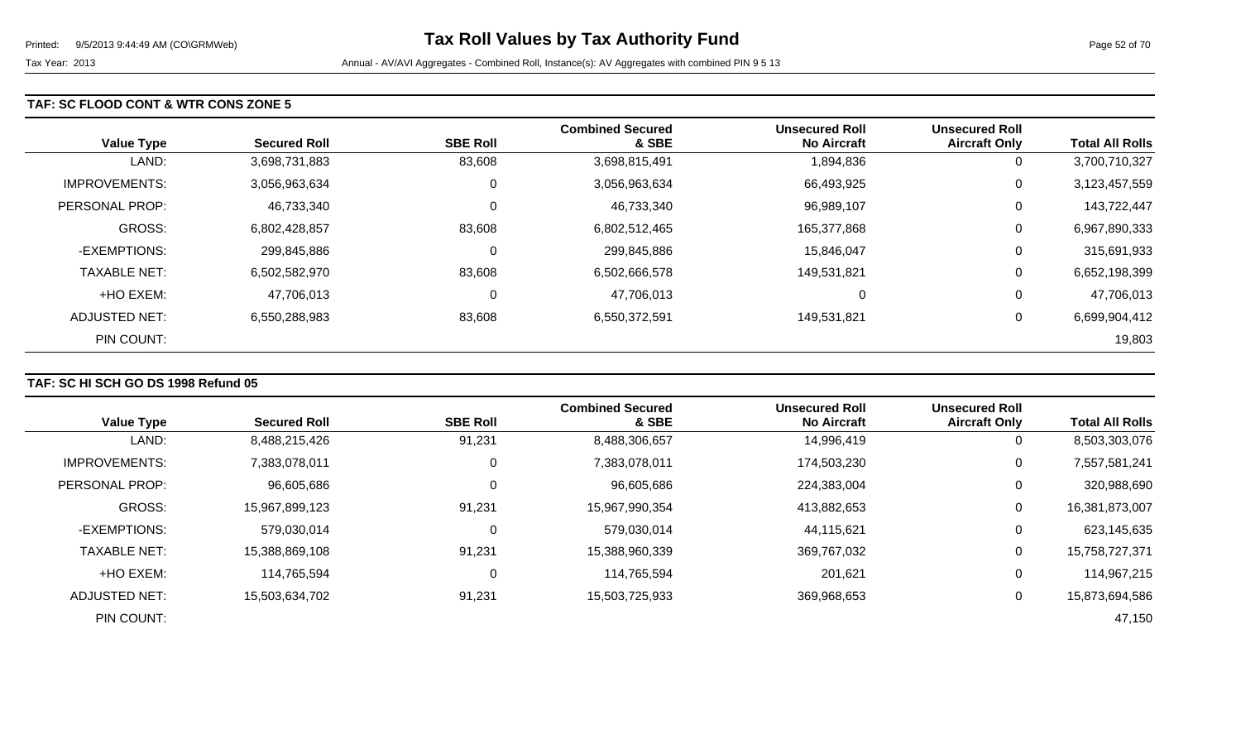### **TAF: SC FLOOD CONT & WTR CONS ZONE 5**

| <b>Value Type</b>    | <b>Secured Roll</b> | <b>SBE Roll</b> | <b>Combined Secured</b><br>& SBE | <b>Unsecured Roll</b><br><b>No Aircraft</b> | <b>Unsecured Roll</b><br><b>Aircraft Only</b> | <b>Total All Rolls</b> |
|----------------------|---------------------|-----------------|----------------------------------|---------------------------------------------|-----------------------------------------------|------------------------|
| LAND:                | 3,698,731,883       | 83,608          | 3,698,815,491                    | 1,894,836                                   | 0                                             | 3,700,710,327          |
| <b>IMPROVEMENTS:</b> | 3,056,963,634       | 0               | 3,056,963,634                    | 66,493,925                                  | 0                                             | 3,123,457,559          |
| PERSONAL PROP:       | 46,733,340          | 0               | 46,733,340                       | 96,989,107                                  | 0                                             | 143,722,447            |
| <b>GROSS:</b>        | 6,802,428,857       | 83,608          | 6,802,512,465                    | 165,377,868                                 | 0                                             | 6,967,890,333          |
| -EXEMPTIONS:         | 299,845,886         | 0               | 299,845,886                      | 15,846,047                                  | 0                                             | 315,691,933            |
| <b>TAXABLE NET:</b>  | 6,502,582,970       | 83,608          | 6,502,666,578                    | 149,531,821                                 | 0                                             | 6,652,198,399          |
| +HO EXEM:            | 47,706,013          | 0               | 47,706,013                       | C                                           | 0                                             | 47,706,013             |
| ADJUSTED NET:        | 6,550,288,983       | 83,608          | 6,550,372,591                    | 149.531.821                                 | 0                                             | 6,699,904,412          |
| PIN COUNT:           |                     |                 |                                  |                                             |                                               | 19,803                 |

## **TAF: SC HI SCH GO DS 1998 Refund 05**

|                      |                     |                 | <b>Combined Secured</b> | <b>Unsecured Roll</b> | <b>Unsecured Roll</b> |                        |
|----------------------|---------------------|-----------------|-------------------------|-----------------------|-----------------------|------------------------|
| <b>Value Type</b>    | <b>Secured Roll</b> | <b>SBE Roll</b> | & SBE                   | <b>No Aircraft</b>    | <b>Aircraft Only</b>  | <b>Total All Rolls</b> |
| LAND:                | 8,488,215,426       | 91,231          | 8,488,306,657           | 14,996,419            | 0                     | 8,503,303,076          |
| <b>IMPROVEMENTS:</b> | 7,383,078,011       | 0               | 7,383,078,011           | 174,503,230           | 0                     | 7,557,581,241          |
| PERSONAL PROP:       | 96,605,686          |                 | 96,605,686              | 224,383,004           | 0                     | 320,988,690            |
| <b>GROSS:</b>        | 15,967,899,123      | 91,231          | 15,967,990,354          | 413,882,653           | 0                     | 16,381,873,007         |
| -EXEMPTIONS:         | 579,030,014         |                 | 579,030,014             | 44,115,621            | 0                     | 623,145,635            |
| <b>TAXABLE NET:</b>  | 15,388,869,108      | 91,231          | 15,388,960,339          | 369,767,032           | 0                     | 15,758,727,371         |
| +HO EXEM:            | 114,765,594         | 0               | 114,765,594             | 201,621               | 0                     | 114,967,215            |
| ADJUSTED NET:        | 15,503,634,702      | 91,231          | 15,503,725,933          | 369,968,653           | 0                     | 15,873,694,586         |
| PIN COUNT:           |                     |                 |                         |                       |                       | 47,150                 |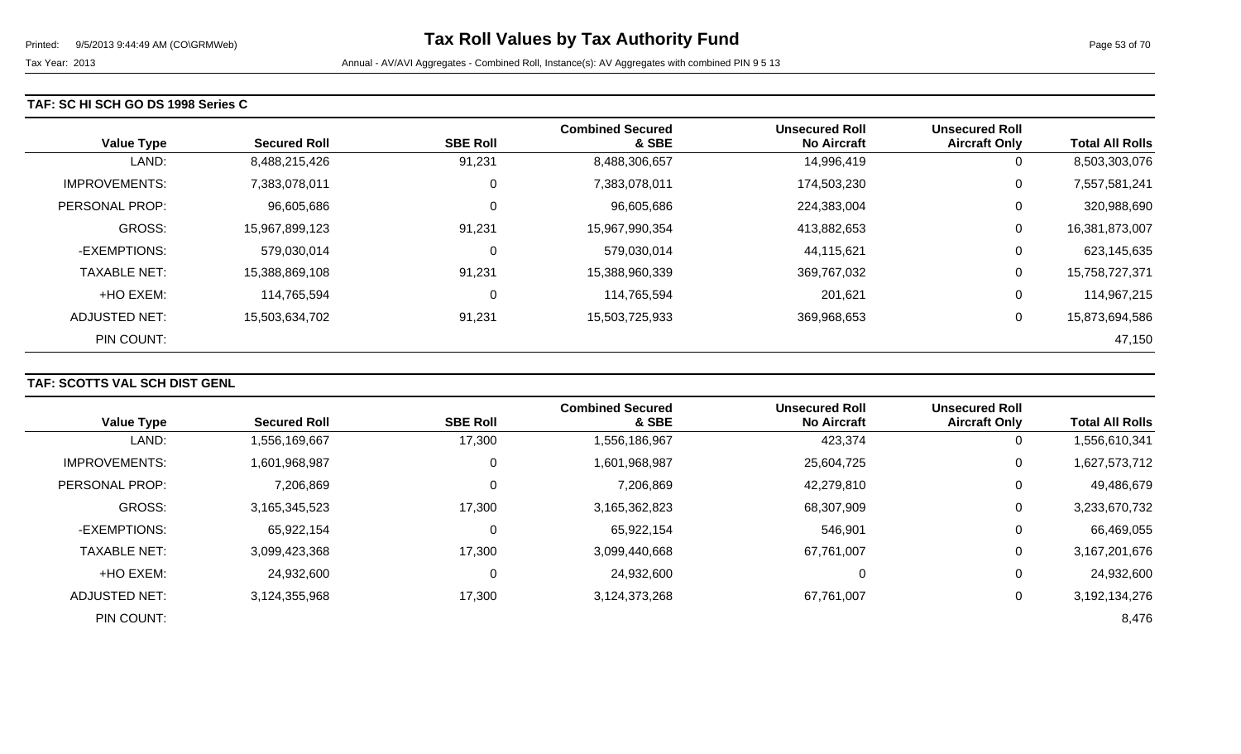### **TAF: SC HI SCH GO DS 1998 Series C**

| <b>Value Type</b>    | <b>Secured Roll</b> | <b>SBE Roll</b> | <b>Combined Secured</b><br>& SBE | <b>Unsecured Roll</b><br><b>No Aircraft</b> | <b>Unsecured Roll</b><br><b>Aircraft Only</b> | <b>Total All Rolls</b> |
|----------------------|---------------------|-----------------|----------------------------------|---------------------------------------------|-----------------------------------------------|------------------------|
| LAND:                | 8,488,215,426       | 91,231          | 8,488,306,657                    | 14,996,419                                  | 0                                             | 8,503,303,076          |
| <b>IMPROVEMENTS:</b> | 7,383,078,011       | 0               | 7,383,078,011                    | 174,503,230                                 | 0                                             | 7,557,581,241          |
| PERSONAL PROP:       | 96,605,686          | 0               | 96,605,686                       | 224,383,004                                 | 0                                             | 320,988,690            |
| <b>GROSS:</b>        | 15,967,899,123      | 91,231          | 15,967,990,354                   | 413,882,653                                 | 0                                             | 16,381,873,007         |
| -EXEMPTIONS:         | 579,030,014         | 0               | 579,030,014                      | 44,115,621                                  | 0                                             | 623,145,635            |
| <b>TAXABLE NET:</b>  | 15,388,869,108      | 91,231          | 15,388,960,339                   | 369,767,032                                 | 0                                             | 15,758,727,371         |
| +HO EXEM:            | 114,765,594         | 0               | 114,765,594                      | 201,621                                     | 0                                             | 114,967,215            |
| ADJUSTED NET:        | 15,503,634,702      | 91,231          | 15,503,725,933                   | 369,968,653                                 | 0                                             | 15,873,694,586         |
| PIN COUNT:           |                     |                 |                                  |                                             |                                               | 47,150                 |

## **TAF: SCOTTS VAL SCH DIST GENL**

|                      |                     |                 | <b>Combined Secured</b> | <b>Unsecured Roll</b> | <b>Unsecured Roll</b> |                        |
|----------------------|---------------------|-----------------|-------------------------|-----------------------|-----------------------|------------------------|
| <b>Value Type</b>    | <b>Secured Roll</b> | <b>SBE Roll</b> | & SBE                   | <b>No Aircraft</b>    | <b>Aircraft Only</b>  | <b>Total All Rolls</b> |
| LAND:                | 1,556,169,667       | 17,300          | 1,556,186,967           | 423,374               | 0                     | ,556,610,341           |
| <b>IMPROVEMENTS:</b> | 1,601,968,987       |                 | 1,601,968,987           | 25,604,725            | 0                     | 1,627,573,712          |
| PERSONAL PROP:       | 7,206,869           |                 | 7,206,869               | 42,279,810            | 0                     | 49,486,679             |
| <b>GROSS:</b>        | 3,165,345,523       | 17,300          | 3,165,362,823           | 68,307,909            | 0                     | 3,233,670,732          |
| -EXEMPTIONS:         | 65,922,154          |                 | 65,922,154              | 546,901               | 0                     | 66,469,055             |
| <b>TAXABLE NET:</b>  | 3,099,423,368       | 17,300          | 3,099,440,668           | 67,761,007            | 0                     | 3,167,201,676          |
| +HO EXEM:            | 24,932,600          |                 | 24,932,600              | 0                     | 0                     | 24,932,600             |
| ADJUSTED NET:        | 3,124,355,968       | 17,300          | 3,124,373,268           | 67,761,007            | 0                     | 3,192,134,276          |
| PIN COUNT:           |                     |                 |                         |                       |                       | 8,476                  |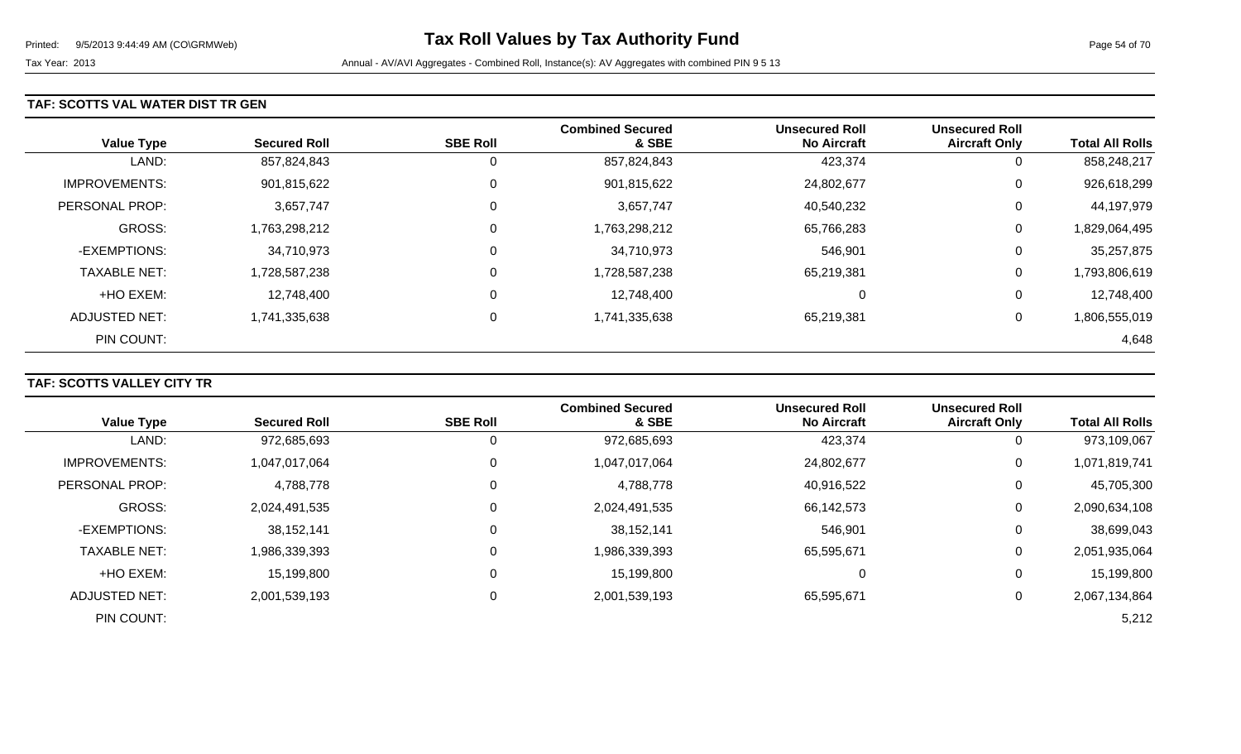### **TAF: SCOTTS VAL WATER DIST TR GEN**

| <b>Value Type</b>    | <b>Secured Roll</b> | <b>SBE Roll</b> | <b>Combined Secured</b><br>& SBE | <b>Unsecured Roll</b><br><b>No Aircraft</b> | <b>Unsecured Roll</b><br><b>Aircraft Only</b> | <b>Total All Rolls</b> |
|----------------------|---------------------|-----------------|----------------------------------|---------------------------------------------|-----------------------------------------------|------------------------|
| LAND:                | 857,824,843         | 0               | 857,824,843                      | 423,374                                     | 0                                             | 858,248,217            |
| <b>IMPROVEMENTS:</b> | 901,815,622         | $\overline{0}$  | 901,815,622                      | 24,802,677                                  | 0                                             | 926,618,299            |
| PERSONAL PROP:       | 3,657,747           | $\Omega$        | 3,657,747                        | 40,540,232                                  | 0                                             | 44,197,979             |
| <b>GROSS:</b>        | 1,763,298,212       | 0               | 1,763,298,212                    | 65,766,283                                  | 0                                             | 1,829,064,495          |
| -EXEMPTIONS:         | 34,710,973          | $\Omega$        | 34,710,973                       | 546,901                                     | 0                                             | 35,257,875             |
| <b>TAXABLE NET:</b>  | 1,728,587,238       | 0               | 1,728,587,238                    | 65,219,381                                  | 0                                             | 1,793,806,619          |
| +HO EXEM:            | 12,748,400          | $\Omega$        | 12,748,400                       | 0                                           | 0                                             | 12,748,400             |
| <b>ADJUSTED NET:</b> | 1,741,335,638       | 0               | 1,741,335,638                    | 65,219,381                                  | 0                                             | 1,806,555,019          |
| PIN COUNT:           |                     |                 |                                  |                                             |                                               | 4,648                  |

## **TAF: SCOTTS VALLEY CITY TR**

| <b>Value Type</b>    | <b>Secured Roll</b> | <b>SBE Roll</b> | <b>Combined Secured</b><br>& SBE | <b>Unsecured Roll</b><br><b>No Aircraft</b> | <b>Unsecured Roll</b><br><b>Aircraft Only</b> | <b>Total All Rolls</b> |
|----------------------|---------------------|-----------------|----------------------------------|---------------------------------------------|-----------------------------------------------|------------------------|
|                      |                     |                 |                                  |                                             |                                               |                        |
| LAND:                | 972,685,693         | U               | 972,685,693                      | 423,374                                     | 0                                             | 973,109,067            |
| <b>IMPROVEMENTS:</b> | 1,047,017,064       | 0               | 1,047,017,064                    | 24,802,677                                  | 0                                             | 1,071,819,741          |
| PERSONAL PROP:       | 4,788,778           | 0               | 4,788,778                        | 40,916,522                                  | 0                                             | 45,705,300             |
| <b>GROSS:</b>        | 2,024,491,535       | $\Omega$        | 2,024,491,535                    | 66,142,573                                  | 0                                             | 2,090,634,108          |
| -EXEMPTIONS:         | 38,152,141          | 0               | 38,152,141                       | 546,901                                     | 0                                             | 38,699,043             |
| <b>TAXABLE NET:</b>  | 1,986,339,393       | $\mathbf{0}$    | 1,986,339,393                    | 65,595,671                                  | 0                                             | 2,051,935,064          |
| +HO EXEM:            | 15,199,800          | $\mathbf 0$     | 15,199,800                       |                                             | 0                                             | 15,199,800             |
| ADJUSTED NET:        | 2,001,539,193       | 0               | 2,001,539,193                    | 65,595,671                                  | 0                                             | 2,067,134,864          |
| PIN COUNT:           |                     |                 |                                  |                                             |                                               | 5,212                  |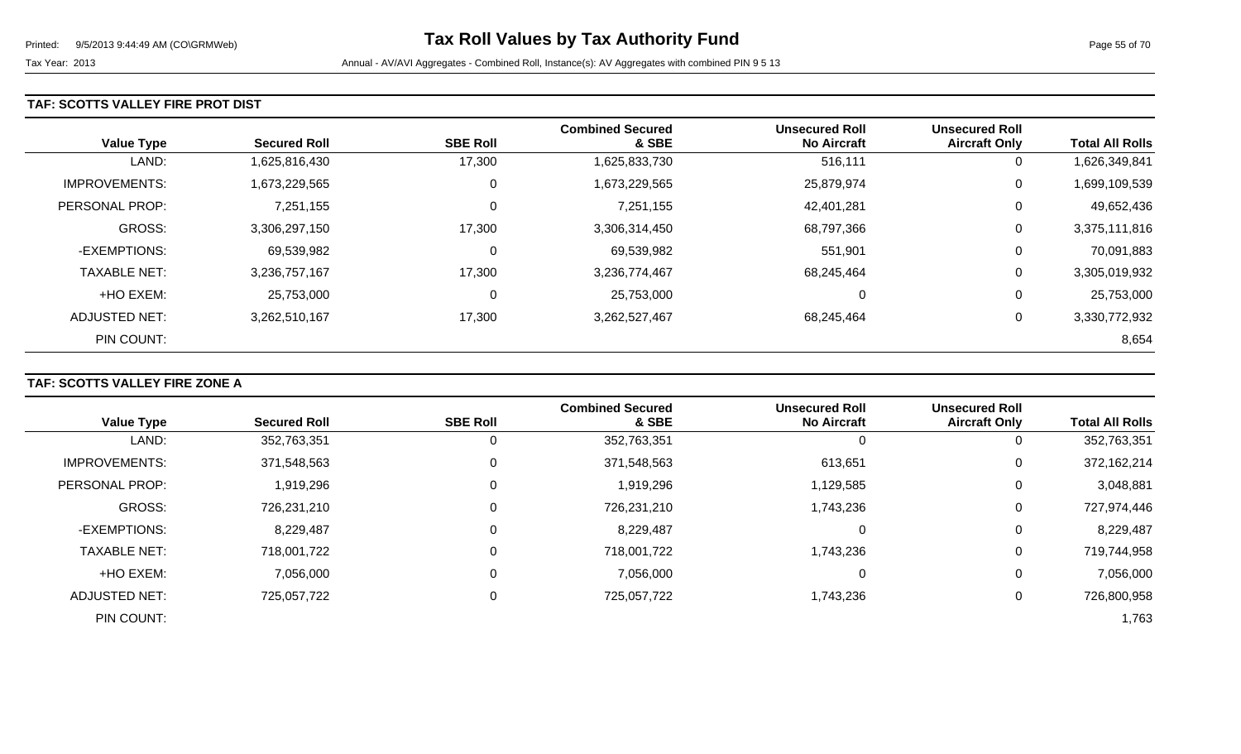### **TAF: SCOTTS VALLEY FIRE PROT DIST**

| <b>Value Type</b>    | <b>Secured Roll</b> | <b>SBE Roll</b> | <b>Combined Secured</b><br>& SBE | <b>Unsecured Roll</b><br><b>No Aircraft</b> | <b>Unsecured Roll</b><br><b>Aircraft Only</b> | <b>Total All Rolls</b> |
|----------------------|---------------------|-----------------|----------------------------------|---------------------------------------------|-----------------------------------------------|------------------------|
| LAND:                | 1,625,816,430       | 17,300          | 1,625,833,730                    | 516,111                                     | 0                                             | 1,626,349,841          |
| <b>IMPROVEMENTS:</b> | 1,673,229,565       | 0               | 1,673,229,565                    | 25,879,974                                  | 0                                             | 1,699,109,539          |
| PERSONAL PROP:       | 7,251,155           | 0               | 7,251,155                        | 42,401,281                                  | 0                                             | 49,652,436             |
| <b>GROSS:</b>        | 3,306,297,150       | 17,300          | 3,306,314,450                    | 68,797,366                                  | 0                                             | 3,375,111,816          |
| -EXEMPTIONS:         | 69,539,982          | 0               | 69,539,982                       | 551,901                                     | 0                                             | 70,091,883             |
| <b>TAXABLE NET:</b>  | 3,236,757,167       | 17,300          | 3,236,774,467                    | 68,245,464                                  | 0                                             | 3,305,019,932          |
| +HO EXEM:            | 25,753,000          | 0               | 25,753,000                       | 0                                           | 0                                             | 25,753,000             |
| ADJUSTED NET:        | 3,262,510,167       | 17,300          | 3,262,527,467                    | 68.245.464                                  | 0                                             | 3,330,772,932          |
| PIN COUNT:           |                     |                 |                                  |                                             |                                               | 8,654                  |

## **TAF: SCOTTS VALLEY FIRE ZONE A**

|                      |                     |                 | <b>Combined Secured</b> | <b>Unsecured Roll</b> | <b>Unsecured Roll</b> |                        |
|----------------------|---------------------|-----------------|-------------------------|-----------------------|-----------------------|------------------------|
| <b>Value Type</b>    | <b>Secured Roll</b> | <b>SBE Roll</b> | & SBE                   | <b>No Aircraft</b>    | <b>Aircraft Only</b>  | <b>Total All Rolls</b> |
| LAND:                | 352,763,351         | 0               | 352,763,351             |                       | 0                     | 352,763,351            |
| <b>IMPROVEMENTS:</b> | 371,548,563         | 0               | 371,548,563             | 613,651               | 0                     | 372,162,214            |
| PERSONAL PROP:       | 1,919,296           | 0               | 1,919,296               | 1,129,585             | 0                     | 3,048,881              |
| <b>GROSS:</b>        | 726,231,210         | $\Omega$        | 726,231,210             | 1,743,236             | 0                     | 727,974,446            |
| -EXEMPTIONS:         | 8,229,487           | 0               | 8,229,487               |                       | 0                     | 8,229,487              |
| <b>TAXABLE NET:</b>  | 718,001,722         | $\Omega$        | 718,001,722             | 1,743,236             | 0                     | 719,744,958            |
| +HO EXEM:            | 7,056,000           | $\mathbf 0$     | 7,056,000               |                       | 0                     | 7,056,000              |
| <b>ADJUSTED NET:</b> | 725,057,722         | 0               | 725,057,722             | 1,743,236             | 0                     | 726,800,958            |
| PIN COUNT:           |                     |                 |                         |                       |                       | 1,763                  |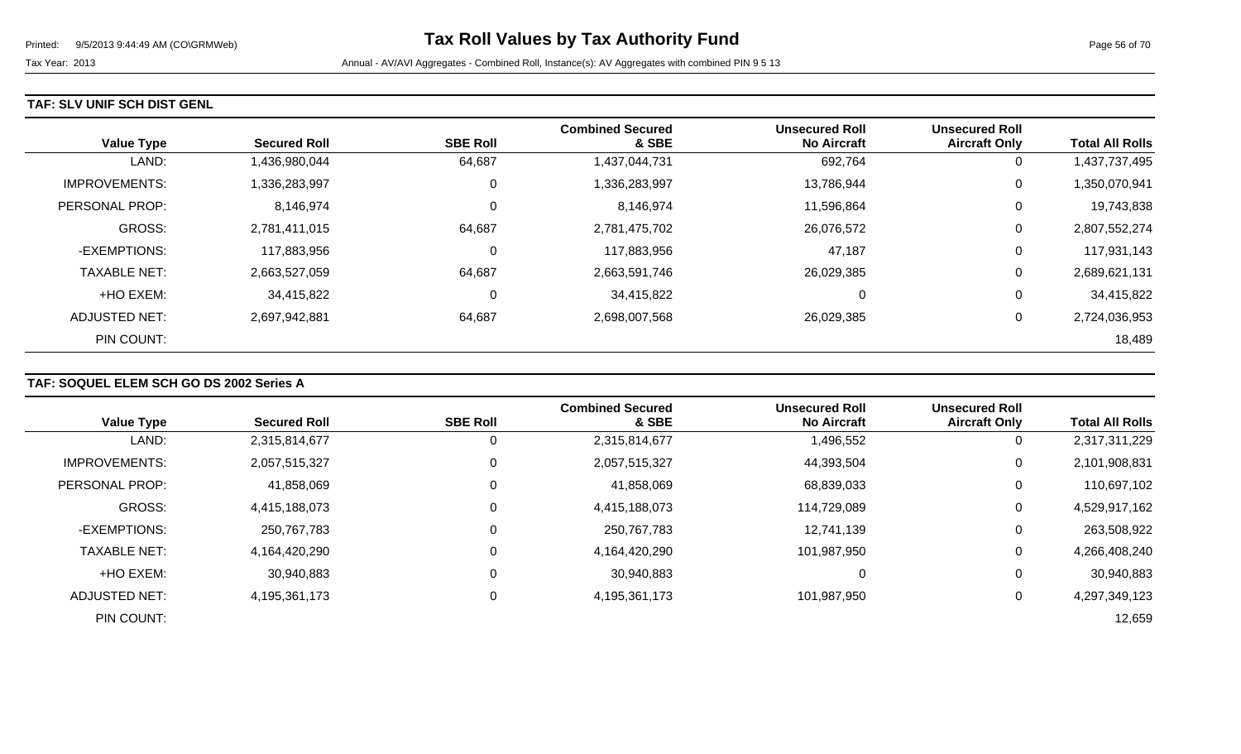### **TAF: SLV UNIF SCH DIST GENL**

| <b>Value Type</b>    | <b>Secured Roll</b> | <b>SBE Roll</b> | <b>Combined Secured</b><br>& SBE | <b>Unsecured Roll</b><br><b>No Aircraft</b> | <b>Unsecured Roll</b><br><b>Aircraft Only</b> | <b>Total All Rolls</b> |
|----------------------|---------------------|-----------------|----------------------------------|---------------------------------------------|-----------------------------------------------|------------------------|
| LAND:                | 1,436,980,044       | 64,687          | 1,437,044,731                    | 692,764                                     | 0                                             | 1,437,737,495          |
| <b>IMPROVEMENTS:</b> | 1,336,283,997       | 0               | 1,336,283,997                    | 13,786,944                                  | 0                                             | 1,350,070,941          |
| PERSONAL PROP:       | 8,146,974           | 0               | 8,146,974                        | 11,596,864                                  | 0                                             | 19,743,838             |
| <b>GROSS:</b>        | 2,781,411,015       | 64,687          | 2,781,475,702                    | 26,076,572                                  | 0                                             | 2,807,552,274          |
| -EXEMPTIONS:         | 117,883,956         | 0               | 117,883,956                      | 47,187                                      | 0                                             | 117,931,143            |
| <b>TAXABLE NET:</b>  | 2,663,527,059       | 64,687          | 2,663,591,746                    | 26,029,385                                  | 0                                             | 2,689,621,131          |
| +HO EXEM:            | 34,415,822          | 0               | 34,415,822                       | $\Omega$                                    | 0                                             | 34,415,822             |
| ADJUSTED NET:        | 2,697,942,881       | 64,687          | 2,698,007,568                    | 26,029,385                                  | 0                                             | 2,724,036,953          |
| PIN COUNT:           |                     |                 |                                  |                                             |                                               | 18,489                 |

## **TAF: SOQUEL ELEM SCH GO DS 2002 Series A**

|                      |                     |                 | <b>Combined Secured</b> | <b>Unsecured Roll</b> | <b>Unsecured Roll</b> |                        |
|----------------------|---------------------|-----------------|-------------------------|-----------------------|-----------------------|------------------------|
| <b>Value Type</b>    | <b>Secured Roll</b> | <b>SBE Roll</b> | & SBE                   | <b>No Aircraft</b>    | <b>Aircraft Only</b>  | <b>Total All Rolls</b> |
| LAND:                | 2,315,814,677       |                 | 2,315,814,677           | 1,496,552             | 0                     | 2,317,311,229          |
| <b>IMPROVEMENTS:</b> | 2,057,515,327       |                 | 2,057,515,327           | 44,393,504            | 0                     | 2,101,908,831          |
| PERSONAL PROP:       | 41,858,069          |                 | 41,858,069              | 68,839,033            | $\overline{0}$        | 110,697,102            |
| <b>GROSS:</b>        | 4,415,188,073       |                 | 4,415,188,073           | 114,729,089           | $\overline{0}$        | 4,529,917,162          |
| -EXEMPTIONS:         | 250,767,783         |                 | 250,767,783             | 12,741,139            | 0                     | 263,508,922            |
| <b>TAXABLE NET:</b>  | 4,164,420,290       |                 | 4,164,420,290           | 101,987,950           | 0                     | 4,266,408,240          |
| +HO EXEM:            | 30,940,883          |                 | 30,940,883              | 0                     | 0                     | 30,940,883             |
| ADJUSTED NET:        | 4,195,361,173       |                 | 4,195,361,173           | 101,987,950           | 0                     | 4,297,349,123          |
| PIN COUNT:           |                     |                 |                         |                       |                       | 12,659                 |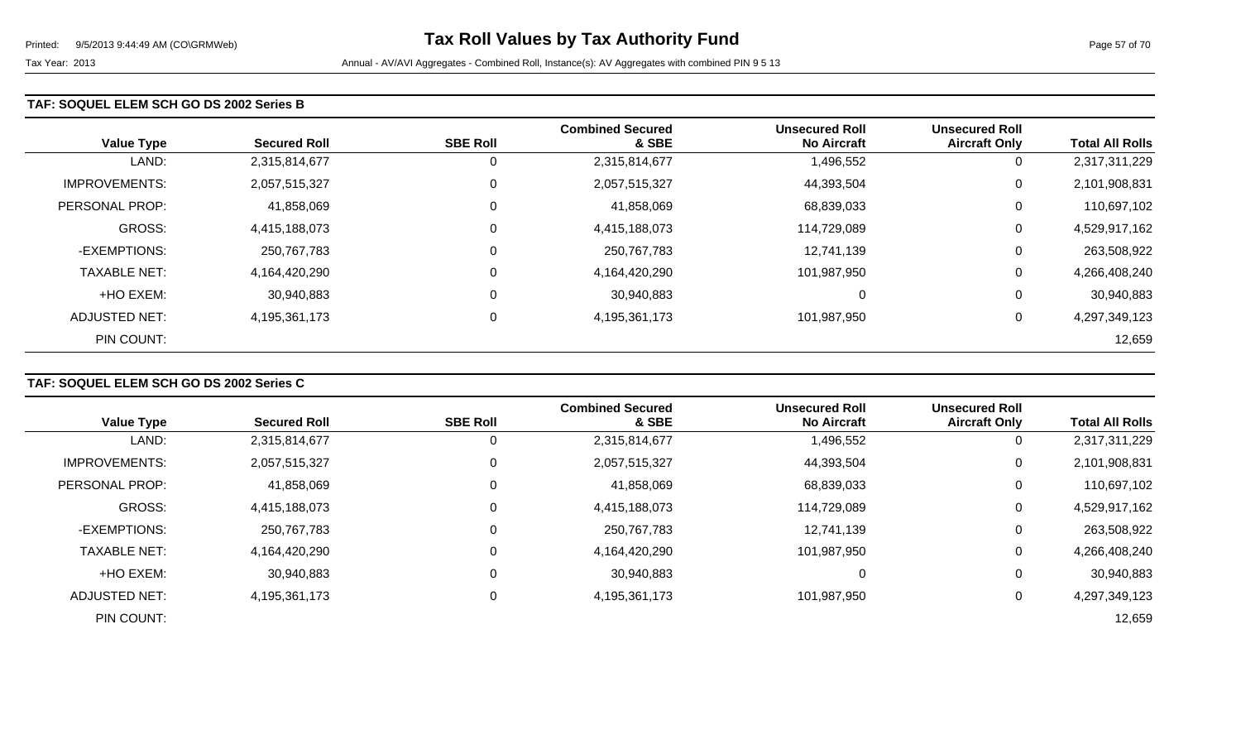### **TAF: SOQUEL ELEM SCH GO DS 2002 Series B**

| <b>Value Type</b>    | <b>Secured Roll</b> | <b>SBE Roll</b> | <b>Combined Secured</b><br>& SBE | <b>Unsecured Roll</b><br><b>No Aircraft</b> | <b>Unsecured Roll</b><br><b>Aircraft Only</b> | <b>Total All Rolls</b> |
|----------------------|---------------------|-----------------|----------------------------------|---------------------------------------------|-----------------------------------------------|------------------------|
| LAND:                | 2,315,814,677       | 0               | 2,315,814,677                    | 1,496,552                                   | 0                                             | 2,317,311,229          |
| <b>IMPROVEMENTS:</b> | 2,057,515,327       | $\mathbf 0$     | 2,057,515,327                    | 44,393,504                                  | 0                                             | 2,101,908,831          |
| PERSONAL PROP:       | 41,858,069          | $\overline{0}$  | 41,858,069                       | 68,839,033                                  | 0                                             | 110,697,102            |
| <b>GROSS:</b>        | 4,415,188,073       | $\mathbf 0$     | 4,415,188,073                    | 114,729,089                                 | 0                                             | 4,529,917,162          |
| -EXEMPTIONS:         | 250,767,783         | $\overline{0}$  | 250,767,783                      | 12,741,139                                  | 0                                             | 263,508,922            |
| <b>TAXABLE NET:</b>  | 4,164,420,290       | $\overline{0}$  | 4,164,420,290                    | 101,987,950                                 | 0                                             | 4,266,408,240          |
| +HO EXEM:            | 30,940,883          | 0               | 30,940,883                       | 0                                           | 0                                             | 30,940,883             |
| ADJUSTED NET:        | 4,195,361,173       | 0               | 4,195,361,173                    | 101,987,950                                 | 0                                             | 4,297,349,123          |
| PIN COUNT:           |                     |                 |                                  |                                             |                                               | 12,659                 |

## **TAF: SOQUEL ELEM SCH GO DS 2002 Series C**

|                      |                     |                 | <b>Combined Secured</b> | <b>Unsecured Roll</b> | <b>Unsecured Roll</b> |                        |
|----------------------|---------------------|-----------------|-------------------------|-----------------------|-----------------------|------------------------|
| <b>Value Type</b>    | <b>Secured Roll</b> | <b>SBE Roll</b> | & SBE                   | <b>No Aircraft</b>    | <b>Aircraft Only</b>  | <b>Total All Rolls</b> |
| LAND:                | 2,315,814,677       |                 | 2,315,814,677           | 1,496,552             | 0                     | 2,317,311,229          |
| <b>IMPROVEMENTS:</b> | 2,057,515,327       |                 | 2,057,515,327           | 44,393,504            | 0                     | 2,101,908,831          |
| PERSONAL PROP:       | 41,858,069          |                 | 41,858,069              | 68,839,033            | $\overline{0}$        | 110,697,102            |
| <b>GROSS:</b>        | 4,415,188,073       |                 | 4,415,188,073           | 114,729,089           | $\overline{0}$        | 4,529,917,162          |
| -EXEMPTIONS:         | 250,767,783         |                 | 250,767,783             | 12,741,139            | 0                     | 263,508,922            |
| <b>TAXABLE NET:</b>  | 4,164,420,290       |                 | 4,164,420,290           | 101,987,950           | 0                     | 4,266,408,240          |
| +HO EXEM:            | 30,940,883          |                 | 30,940,883              | 0                     | 0                     | 30,940,883             |
| ADJUSTED NET:        | 4,195,361,173       |                 | 4,195,361,173           | 101,987,950           | 0                     | 4,297,349,123          |
| PIN COUNT:           |                     |                 |                         |                       |                       | 12,659                 |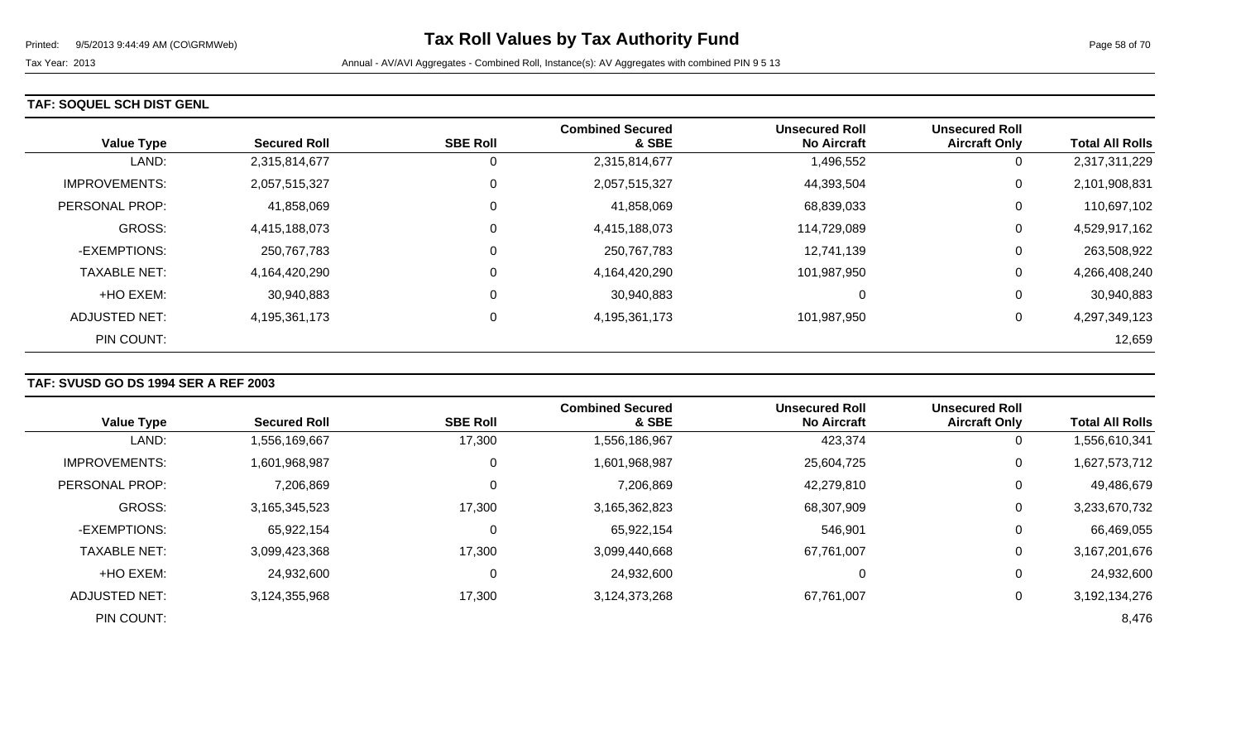### **TAF: SOQUEL SCH DIST GENL**

| <b>Value Type</b>    | <b>Secured Roll</b> | <b>SBE Roll</b> | <b>Combined Secured</b><br>& SBE | <b>Unsecured Roll</b><br><b>No Aircraft</b> | <b>Unsecured Roll</b><br><b>Aircraft Only</b> | <b>Total All Rolls</b> |
|----------------------|---------------------|-----------------|----------------------------------|---------------------------------------------|-----------------------------------------------|------------------------|
| LAND:                | 2,315,814,677       | 0               | 2,315,814,677                    | 1,496,552                                   | 0                                             | 2,317,311,229          |
| <b>IMPROVEMENTS:</b> | 2,057,515,327       | $\mathbf 0$     | 2,057,515,327                    | 44,393,504                                  | 0                                             | 2,101,908,831          |
| PERSONAL PROP:       | 41,858,069          | 0               | 41,858,069                       | 68,839,033                                  | 0                                             | 110,697,102            |
| <b>GROSS:</b>        | 4,415,188,073       | 0               | 4,415,188,073                    | 114,729,089                                 | 0                                             | 4,529,917,162          |
| -EXEMPTIONS:         | 250,767,783         | 0               | 250,767,783                      | 12,741,139                                  | 0                                             | 263,508,922            |
| <b>TAXABLE NET:</b>  | 4,164,420,290       | 0               | 4,164,420,290                    | 101,987,950                                 | 0                                             | 4,266,408,240          |
| +HO EXEM:            | 30,940,883          | 0               | 30,940,883                       | $\Omega$                                    | 0                                             | 30,940,883             |
| ADJUSTED NET:        | 4,195,361,173       | 0               | 4,195,361,173                    | 101,987,950                                 | 0                                             | 4,297,349,123          |
| PIN COUNT:           |                     |                 |                                  |                                             |                                               | 12,659                 |

## **TAF: SVUSD GO DS 1994 SER A REF 2003**

|                       |                     |                 | <b>Combined Secured</b> | <b>Unsecured Roll</b> | <b>Unsecured Roll</b> |                        |
|-----------------------|---------------------|-----------------|-------------------------|-----------------------|-----------------------|------------------------|
| <b>Value Type</b>     | <b>Secured Roll</b> | <b>SBE Roll</b> | & SBE                   | <b>No Aircraft</b>    | <b>Aircraft Only</b>  | <b>Total All Rolls</b> |
| LAND:                 | 1,556,169,667       | 17,300          | 1,556,186,967           | 423,374               | $\overline{0}$        | 556,610,341            |
| <b>IMPROVEMENTS:</b>  | 1,601,968,987       | 0               | 1,601,968,987           | 25,604,725            | 0                     | 1,627,573,712          |
| <b>PERSONAL PROP:</b> | 7,206,869           | $\mathbf 0$     | 7,206,869               | 42,279,810            | 0                     | 49,486,679             |
| <b>GROSS:</b>         | 3,165,345,523       | 17,300          | 3,165,362,823           | 68,307,909            | 0                     | 3,233,670,732          |
| -EXEMPTIONS:          | 65,922,154          | 0               | 65,922,154              | 546,901               | 0                     | 66,469,055             |
| <b>TAXABLE NET:</b>   | 3,099,423,368       | 17,300          | 3,099,440,668           | 67,761,007            | 0                     | 3,167,201,676          |
| +HO EXEM:             | 24,932,600          | 0               | 24,932,600              | 0                     | $\overline{0}$        | 24,932,600             |
| ADJUSTED NET:         | 3,124,355,968       | 17,300          | 3,124,373,268           | 67,761,007            | 0                     | 3,192,134,276          |
| PIN COUNT:            |                     |                 |                         |                       |                       | 8,476                  |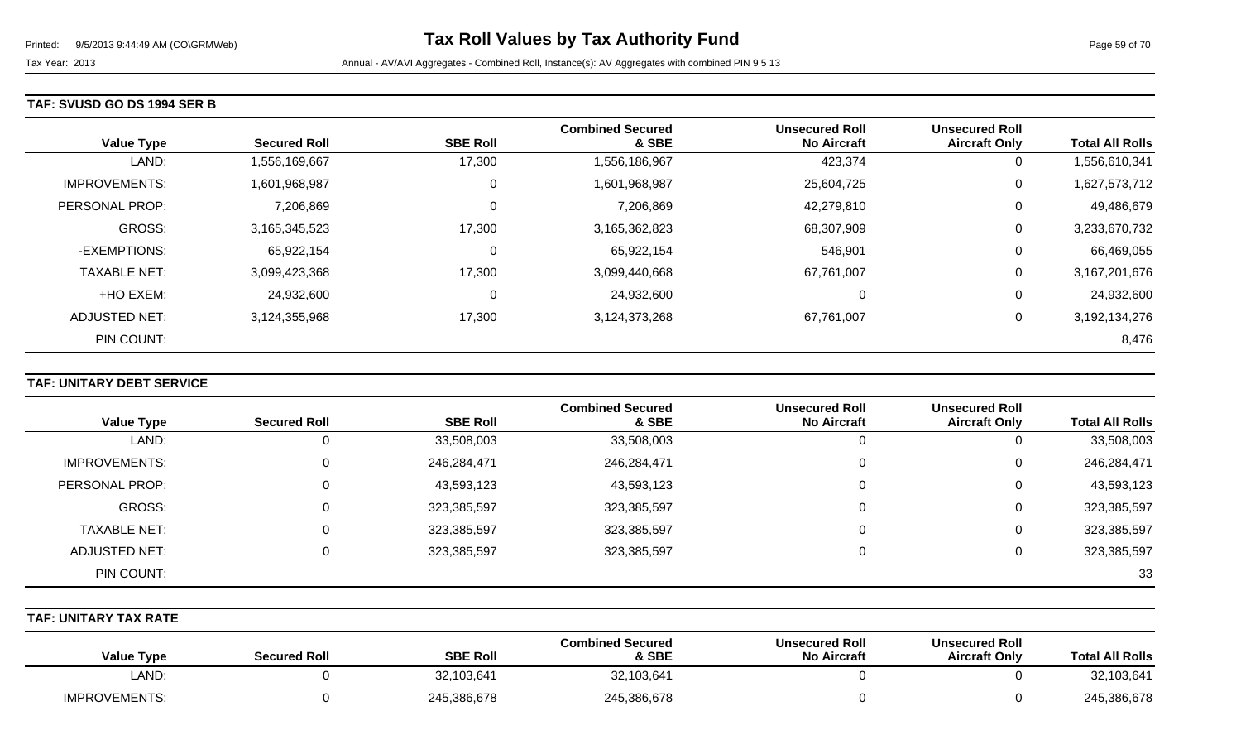### **TAF: SVUSD GO DS 1994 SER B**

| <b>Value Type</b>    | <b>Secured Roll</b> | <b>SBE Roll</b> | <b>Combined Secured</b><br>& SBE | <b>Unsecured Roll</b><br><b>No Aircraft</b> | <b>Unsecured Roll</b><br><b>Aircraft Only</b> | <b>Total All Rolls</b> |
|----------------------|---------------------|-----------------|----------------------------------|---------------------------------------------|-----------------------------------------------|------------------------|
| LAND:                | 1,556,169,667       | 17,300          | 1,556,186,967                    | 423,374                                     | 0                                             | 1,556,610,341          |
| <b>IMPROVEMENTS:</b> | 1,601,968,987       | 0               | 1,601,968,987                    | 25,604,725                                  | 0                                             | 1,627,573,712          |
| PERSONAL PROP:       | 7,206,869           | 0               | 7,206,869                        | 42,279,810                                  | 0                                             | 49,486,679             |
| <b>GROSS:</b>        | 3,165,345,523       | 17,300          | 3,165,362,823                    | 68,307,909                                  | 0                                             | 3,233,670,732          |
| -EXEMPTIONS:         | 65,922,154          | $\Omega$        | 65,922,154                       | 546,901                                     | 0                                             | 66,469,055             |
| <b>TAXABLE NET:</b>  | 3,099,423,368       | 17,300          | 3,099,440,668                    | 67,761,007                                  | 0                                             | 3,167,201,676          |
| +HO EXEM:            | 24,932,600          | 0               | 24,932,600                       | 0                                           | 0                                             | 24,932,600             |
| ADJUSTED NET:        | 3,124,355,968       | 17,300          | 3,124,373,268                    | 67,761,007                                  | 0                                             | 3,192,134,276          |
| PIN COUNT:           |                     |                 |                                  |                                             |                                               | 8,476                  |

## **TAF: UNITARY DEBT SERVICE**

|                     |                     |                 | <b>Combined Secured</b> | <b>Unsecured Roll</b> | <b>Unsecured Roll</b> |                        |
|---------------------|---------------------|-----------------|-------------------------|-----------------------|-----------------------|------------------------|
| <b>Value Type</b>   | <b>Secured Roll</b> | <b>SBE Roll</b> | & SBE                   | <b>No Aircraft</b>    | <b>Aircraft Only</b>  | <b>Total All Rolls</b> |
| LAND:               |                     | 33,508,003      | 33,508,003              |                       |                       | 33,508,003             |
| IMPROVEMENTS:       |                     | 246,284,471     | 246,284,471             | 0                     | 0                     | 246,284,471            |
| PERSONAL PROP:      | 0                   | 43,593,123      | 43,593,123              | 0                     | 0                     | 43,593,123             |
| GROSS:              |                     | 323,385,597     | 323,385,597             |                       | 0                     | 323,385,597            |
| <b>TAXABLE NET:</b> | 0                   | 323,385,597     | 323,385,597             | 0                     | 0                     | 323,385,597            |
| ADJUSTED NET:       |                     | 323,385,597     | 323,385,597             |                       |                       | 323,385,597            |
| PIN COUNT:          |                     |                 |                         |                       |                       | 33                     |

### **TAF: UNITARY TAX RATE**

| <b>Total All Rolls</b> | <b>Unsecured Roll</b><br><b>Aircraft Only</b> | <b>Unsecured Roll</b><br><b>No Aircraft</b> | <b>Combined Secured</b><br>& SBE | <b>SBE Roll</b> | <b>Secured Roll</b> | <b>Value Type</b>    |
|------------------------|-----------------------------------------------|---------------------------------------------|----------------------------------|-----------------|---------------------|----------------------|
| 32,103,641             |                                               |                                             | 32,103,641                       | 32,103,641      |                     | LAND:                |
| 245,386,678            |                                               |                                             | 245,386,678                      | 245,386,678     |                     | <b>IMPROVEMENTS:</b> |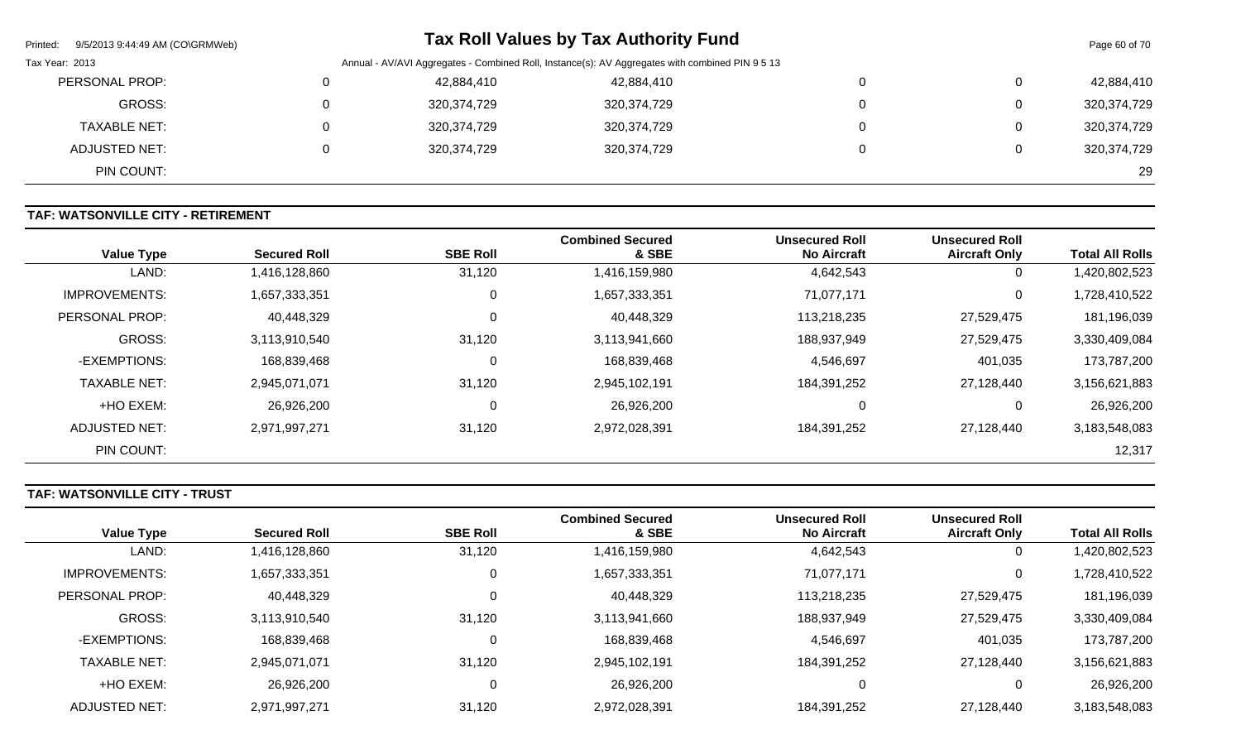| Printed: 9/5/2013 9:44:49 AM (CO\GRMWeb) |          |             | <b>Tax Roll Values by Tax Authority Fund</b>                                                    |   | Page 60 of 70 |
|------------------------------------------|----------|-------------|-------------------------------------------------------------------------------------------------|---|---------------|
| Tax Year: 2013                           |          |             | Annual - AV/AVI Aggregates - Combined Roll, Instance(s): AV Aggregates with combined PIN 9 5 13 |   |               |
| PERSONAL PROP:                           |          | 42,884,410  | 42,884,410                                                                                      | 0 | 42,884,410    |
| GROSS:                                   | 0        | 320,374,729 | 320,374,729                                                                                     | 0 | 320,374,729   |
| <b>TAXABLE NET:</b>                      | 0        | 320,374,729 | 320,374,729                                                                                     | 0 | 320,374,729   |
| ADJUSTED NET:                            | $\Omega$ | 320,374,729 | 320,374,729                                                                                     | 0 | 320,374,729   |
| PIN COUNT:                               |          |             |                                                                                                 |   | 29            |

### **TAF: WATSONVILLE CITY - RETIREMENT**

| <b>Value Type</b>    | <b>Secured Roll</b> | <b>SBE Roll</b> | <b>Combined Secured</b><br>& SBE | <b>Unsecured Roll</b><br><b>No Aircraft</b> | <b>Unsecured Roll</b><br><b>Aircraft Only</b> | <b>Total All Rolls</b> |
|----------------------|---------------------|-----------------|----------------------------------|---------------------------------------------|-----------------------------------------------|------------------------|
| LAND:                | 1,416,128,860       | 31,120          | 1,416,159,980                    | 4,642,543                                   | 0                                             | 1,420,802,523          |
| <b>IMPROVEMENTS:</b> | 1,657,333,351       | 0               | 1,657,333,351                    | 71,077,171                                  | 0                                             | 1,728,410,522          |
| PERSONAL PROP:       | 40,448,329          | 0               | 40,448,329                       | 113,218,235                                 | 27,529,475                                    | 181,196,039            |
| GROSS:               | 3,113,910,540       | 31,120          | 3,113,941,660                    | 188,937,949                                 | 27,529,475                                    | 3,330,409,084          |
| -EXEMPTIONS:         | 168,839,468         | $\mathbf 0$     | 168,839,468                      | 4,546,697                                   | 401,035                                       | 173,787,200            |
| <b>TAXABLE NET:</b>  | 2,945,071,071       | 31,120          | 2,945,102,191                    | 184,391,252                                 | 27,128,440                                    | 3,156,621,883          |
| +HO EXEM:            | 26,926,200          | 0               | 26,926,200                       | 0                                           | 0                                             | 26,926,200             |
| ADJUSTED NET:        | 2,971,997,271       | 31,120          | 2,972,028,391                    | 184,391,252                                 | 27,128,440                                    | 3,183,548,083          |
| PIN COUNT:           |                     |                 |                                  |                                             |                                               | 12,317                 |

## **TAF: WATSONVILLE CITY - TRUST**

| <b>Value Type</b>     | <b>Secured Roll</b> | <b>SBE Roll</b> | <b>Combined Secured</b><br>& SBE | <b>Unsecured Roll</b><br><b>No Aircraft</b> | <b>Unsecured Roll</b><br><b>Aircraft Only</b> | <b>Total All Rolls</b> |
|-----------------------|---------------------|-----------------|----------------------------------|---------------------------------------------|-----------------------------------------------|------------------------|
| LAND:                 | 1,416,128,860       | 31,120          | 1,416,159,980                    | 4,642,543                                   | 0                                             | 1,420,802,523          |
|                       |                     |                 |                                  |                                             |                                               |                        |
| <b>IMPROVEMENTS:</b>  | 1,657,333,351       | 0               | 1,657,333,351                    | 71,077,171                                  | 0                                             | 1,728,410,522          |
| <b>PERSONAL PROP:</b> | 40,448,329          |                 | 40,448,329                       | 113,218,235                                 | 27,529,475                                    | 181,196,039            |
| GROSS:                | 3,113,910,540       | 31,120          | 3,113,941,660                    | 188,937,949                                 | 27,529,475                                    | 3,330,409,084          |
| -EXEMPTIONS:          | 168,839,468         |                 | 168,839,468                      | 4,546,697                                   | 401,035                                       | 173,787,200            |
| <b>TAXABLE NET:</b>   | 2,945,071,071       | 31,120          | 2,945,102,191                    | 184,391,252                                 | 27,128,440                                    | 3,156,621,883          |
| +HO EXEM:             | 26,926,200          |                 | 26,926,200                       |                                             | 0                                             | 26,926,200             |
| ADJUSTED NET:         | 2,971,997,271       | 31,120          | 2,972,028,391                    | 184,391,252                                 | 27,128,440                                    | 3,183,548,083          |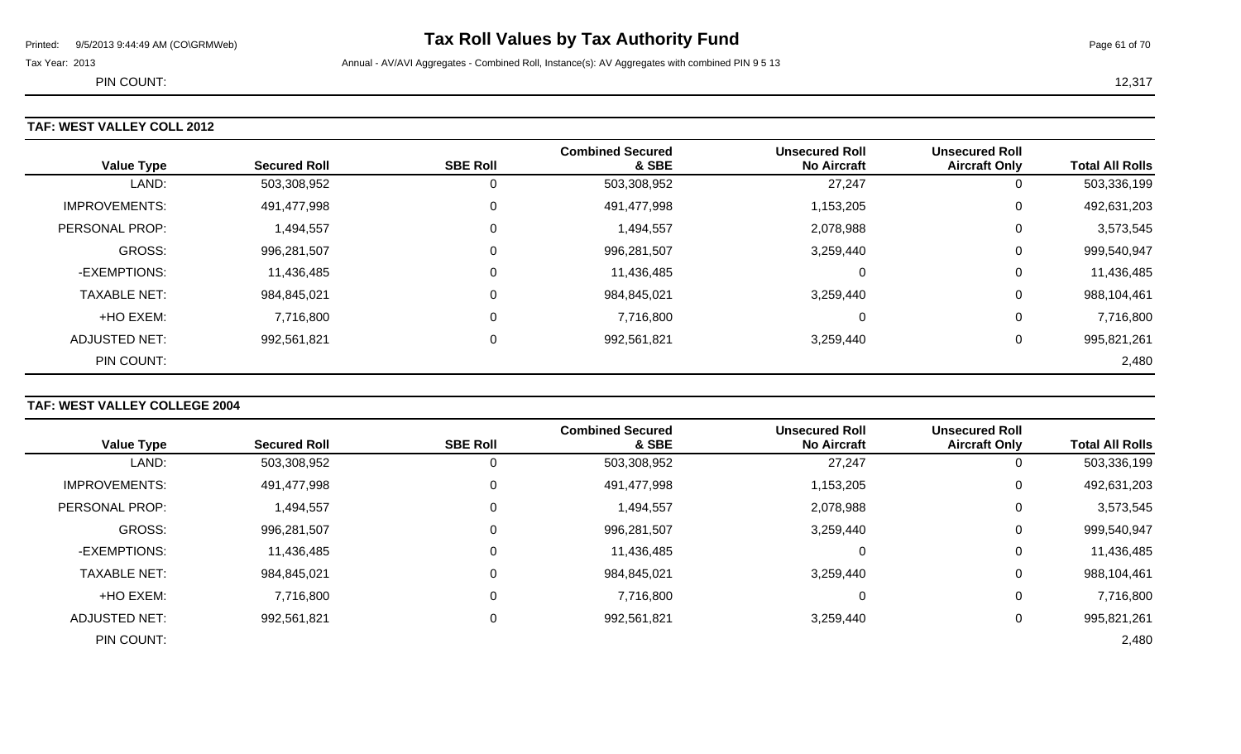# Printed: 9/5/2013 9:44:49 AM (CO\GRMWeb) **Tax Roll Values by Tax Authority Fund** Page 61 of 70

Tax Year: 2013 **Annual - AV/AVI Aggregates - Combined Roll**, Instance(s): AV Aggregates with combined PIN 9 5 13

PIN COUNT: 12,317

### **TAF: WEST VALLEY COLL 2012**

| <b>WEST VALLEY COLL 2012</b> |                     |                 |                                  |                                             |                                               |                        |  |  |  |
|------------------------------|---------------------|-----------------|----------------------------------|---------------------------------------------|-----------------------------------------------|------------------------|--|--|--|
| <b>Value Type</b>            | <b>Secured Roll</b> | <b>SBE Roll</b> | <b>Combined Secured</b><br>& SBE | <b>Unsecured Roll</b><br><b>No Aircraft</b> | <b>Unsecured Roll</b><br><b>Aircraft Only</b> | <b>Total All Rolls</b> |  |  |  |
| LAND:                        | 503,308,952         | 0               | 503,308,952                      | 27,247                                      |                                               | 503,336,199            |  |  |  |
| <b>IMPROVEMENTS:</b>         | 491,477,998         | 0               | 491,477,998                      | 1,153,205                                   | 0                                             | 492,631,203            |  |  |  |
| PERSONAL PROP:               | 1,494,557           | 0               | 1,494,557                        | 2,078,988                                   | 0                                             | 3,573,545              |  |  |  |
| <b>GROSS:</b>                | 996,281,507         | 0               | 996,281,507                      | 3,259,440                                   | 0                                             | 999,540,947            |  |  |  |
| -EXEMPTIONS:                 | 11,436,485          | 0               | 11,436,485                       | 0                                           | 0                                             | 11,436,485             |  |  |  |
| <b>TAXABLE NET:</b>          | 984,845,021         | 0               | 984,845,021                      | 3,259,440                                   | 0                                             | 988,104,461            |  |  |  |
| +HO EXEM:                    | 7,716,800           | 0               | 7,716,800                        | 0                                           | 0                                             | 7,716,800              |  |  |  |
| <b>ADJUSTED NET:</b>         | 992,561,821         |                 | 992,561,821                      | 3,259,440                                   |                                               | 995,821,261            |  |  |  |

PIN COUNT: 2,480

### **TAF: WEST VALLEY COLLEGE 2004**

|                      |                     |                 | <b>Combined Secured</b> | <b>Unsecured Roll</b> | <b>Unsecured Roll</b> |                        |
|----------------------|---------------------|-----------------|-------------------------|-----------------------|-----------------------|------------------------|
| <b>Value Type</b>    | <b>Secured Roll</b> | <b>SBE Roll</b> | & SBE                   | <b>No Aircraft</b>    | <b>Aircraft Only</b>  | <b>Total All Rolls</b> |
| LAND:                | 503,308,952         |                 | 503,308,952             | 27,247                | 0                     | 503,336,199            |
| <b>IMPROVEMENTS:</b> | 491,477,998         | 0               | 491,477,998             | 1,153,205             | 0                     | 492,631,203            |
| PERSONAL PROP:       | 1,494,557           | 0               | 1,494,557               | 2,078,988             | 0                     | 3,573,545              |
| <b>GROSS:</b>        | 996,281,507         |                 | 996,281,507             | 3,259,440             | 0                     | 999,540,947            |
| -EXEMPTIONS:         | 11,436,485          | 0               | 11,436,485              | 0                     | 0                     | 11,436,485             |
| <b>TAXABLE NET:</b>  | 984,845,021         |                 | 984,845,021             | 3,259,440             | 0                     | 988,104,461            |
| +HO EXEM:            | 7,716,800           | 0               | 7,716,800               | 0                     | 0                     | 7,716,800              |
| ADJUSTED NET:        | 992,561,821         | 0               | 992,561,821             | 3,259,440             | 0                     | 995,821,261            |
| PIN COUNT:           |                     |                 |                         |                       |                       | 2,480                  |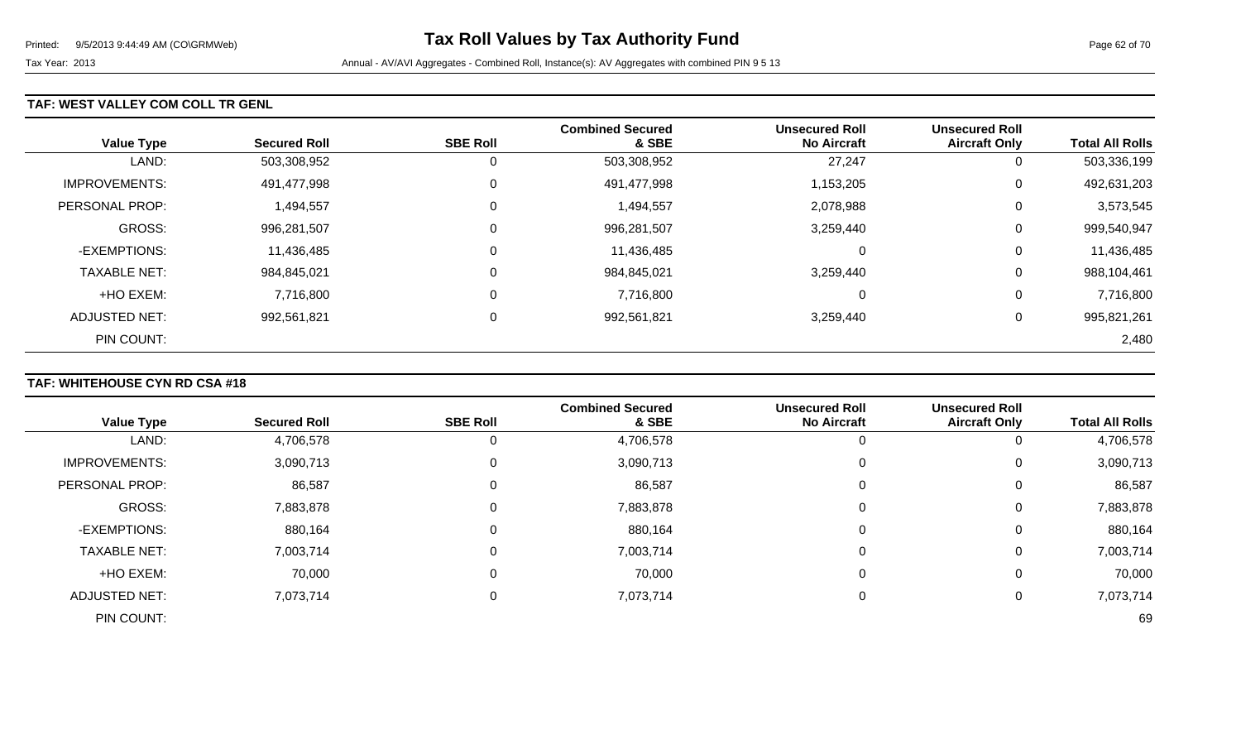### **TAF: WEST VALLEY COM COLL TR GENL**

| <b>Value Type</b>     | <b>Secured Roll</b> | <b>SBE Roll</b> | <b>Combined Secured</b><br>& SBE | <b>Unsecured Roll</b><br><b>No Aircraft</b> | <b>Unsecured Roll</b><br><b>Aircraft Only</b> | <b>Total All Rolls</b> |
|-----------------------|---------------------|-----------------|----------------------------------|---------------------------------------------|-----------------------------------------------|------------------------|
| LAND:                 | 503,308,952         | 0               | 503,308,952                      | 27,247                                      | 0                                             | 503,336,199            |
| <b>IMPROVEMENTS:</b>  | 491,477,998         | 0               | 491,477,998                      | 1,153,205                                   | 0                                             | 492,631,203            |
| <b>PERSONAL PROP:</b> | 494,557             | 0               | 1,494,557                        | 2,078,988                                   | 0                                             | 3,573,545              |
| <b>GROSS:</b>         | 996,281,507         | 0               | 996,281,507                      | 3,259,440                                   | 0                                             | 999,540,947            |
| -EXEMPTIONS:          | 11,436,485          | 0               | 11,436,485                       | 0                                           | 0                                             | 11,436,485             |
| <b>TAXABLE NET:</b>   | 984,845,021         | 0               | 984,845,021                      | 3,259,440                                   | 0                                             | 988,104,461            |
| +HO EXEM:             | 7,716,800           | 0               | 7,716,800                        | 0                                           | 0                                             | 7,716,800              |
| ADJUSTED NET:         | 992,561,821         | 0               | 992,561,821                      | 3,259,440                                   | 0                                             | 995,821,261            |
| PIN COUNT:            |                     |                 |                                  |                                             |                                               | 2,480                  |

## **TAF: WHITEHOUSE CYN RD CSA #18**

|                      |                     |                 | <b>Combined Secured</b> | <b>Unsecured Roll</b> | <b>Unsecured Roll</b> |                        |
|----------------------|---------------------|-----------------|-------------------------|-----------------------|-----------------------|------------------------|
| <b>Value Type</b>    | <b>Secured Roll</b> | <b>SBE Roll</b> | & SBE                   | <b>No Aircraft</b>    | <b>Aircraft Only</b>  | <b>Total All Rolls</b> |
| LAND:                | 4,706,578           |                 | 4,706,578               |                       | 0                     | 4,706,578              |
| <b>IMPROVEMENTS:</b> | 3,090,713           | 0               | 3,090,713               | 0                     | 0                     | 3,090,713              |
| PERSONAL PROP:       | 86,587              |                 | 86,587                  | 0                     | 0                     | 86,587                 |
| GROSS:               | 7,883,878           |                 | 7,883,878               | 0                     | 0                     | 7,883,878              |
| -EXEMPTIONS:         | 880,164             |                 | 880,164                 | 0                     | 0                     | 880,164                |
| <b>TAXABLE NET:</b>  | 7,003,714           |                 | 7,003,714               | 0                     | 0                     | 7,003,714              |
| +HO EXEM:            | 70,000              | $\Omega$        | 70,000                  | 0                     | 0                     | 70,000                 |
| <b>ADJUSTED NET:</b> | 7,073,714           | 0               | 7,073,714               | 0                     | 0                     | 7,073,714              |
| PIN COUNT:           |                     |                 |                         |                       |                       | 69                     |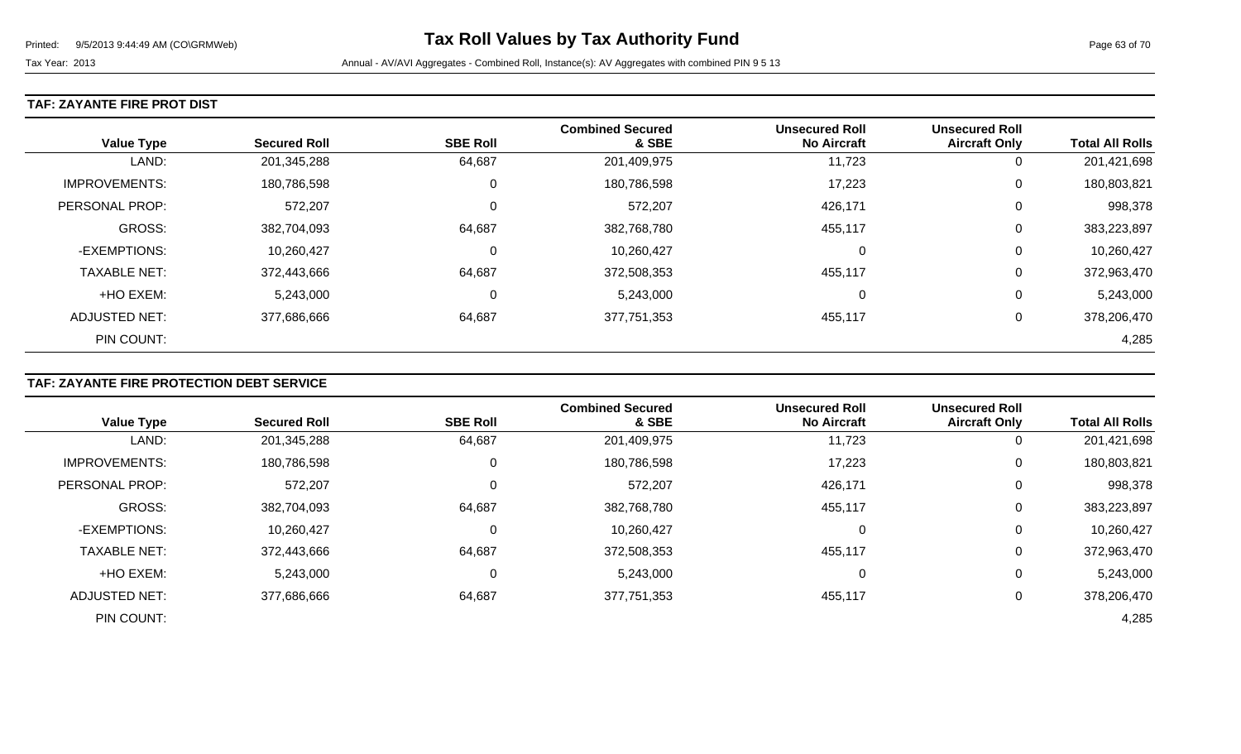### **TAF: ZAYANTE FIRE PROT DIST**

| <b>Value Type</b>     | <b>Secured Roll</b> | <b>SBE Roll</b> | <b>Combined Secured</b><br>& SBE | <b>Unsecured Roll</b><br><b>No Aircraft</b> | <b>Unsecured Roll</b><br><b>Aircraft Only</b> | <b>Total All Rolls</b> |
|-----------------------|---------------------|-----------------|----------------------------------|---------------------------------------------|-----------------------------------------------|------------------------|
| LAND:                 | 201,345,288         | 64,687          | 201,409,975                      | 11,723                                      | U                                             | 201,421,698            |
| <b>IMPROVEMENTS:</b>  | 180,786,598         | 0               | 180,786,598                      | 17,223                                      | 0                                             | 180,803,821            |
| <b>PERSONAL PROP:</b> | 572,207             | 0               | 572,207                          | 426,171                                     | 0                                             | 998,378                |
| <b>GROSS:</b>         | 382,704,093         | 64,687          | 382,768,780                      | 455,117                                     | U                                             | 383,223,897            |
| -EXEMPTIONS:          | 10,260,427          | 0               | 10,260,427                       | $\Omega$                                    | 0                                             | 10,260,427             |
| <b>TAXABLE NET:</b>   | 372,443,666         | 64,687          | 372,508,353                      | 455,117                                     | 0                                             | 372,963,470            |
| +HO EXEM:             | 5,243,000           | 0               | 5,243,000                        | $\Omega$                                    | 0                                             | 5,243,000              |
| <b>ADJUSTED NET:</b>  | 377,686,666         | 64,687          | 377,751,353                      | 455,117                                     | U                                             | 378,206,470            |
| PIN COUNT:            |                     |                 |                                  |                                             |                                               | 4,285                  |

## **TAF: ZAYANTE FIRE PROTECTION DEBT SERVICE**

|                      |                     |                 | <b>Combined Secured</b> | <b>Unsecured Roll</b> | <b>Unsecured Roll</b> |                        |
|----------------------|---------------------|-----------------|-------------------------|-----------------------|-----------------------|------------------------|
| <b>Value Type</b>    | <b>Secured Roll</b> | <b>SBE Roll</b> | & SBE                   | <b>No Aircraft</b>    | <b>Aircraft Only</b>  | <b>Total All Rolls</b> |
| LAND:                | 201,345,288         | 64,687          | 201,409,975             | 11,723                | 0                     | 201,421,698            |
| <b>IMPROVEMENTS:</b> | 180,786,598         | 0               | 180,786,598             | 17,223                | 0                     | 180,803,821            |
| PERSONAL PROP:       | 572,207             |                 | 572,207                 | 426,171               | 0                     | 998,378                |
| GROSS:               | 382,704,093         | 64,687          | 382,768,780             | 455,117               | 0                     | 383,223,897            |
| -EXEMPTIONS:         | 10,260,427          |                 | 10,260,427              | υ                     | 0                     | 10,260,427             |
| <b>TAXABLE NET:</b>  | 372,443,666         | 64,687          | 372,508,353             | 455,117               | 0                     | 372,963,470            |
| +HO EXEM:            | 5,243,000           |                 | 5,243,000               | 0                     | 0                     | 5,243,000              |
| <b>ADJUSTED NET:</b> | 377,686,666         | 64,687          | 377,751,353             | 455,117               | 0                     | 378,206,470            |
| PIN COUNT:           |                     |                 |                         |                       |                       | 4,285                  |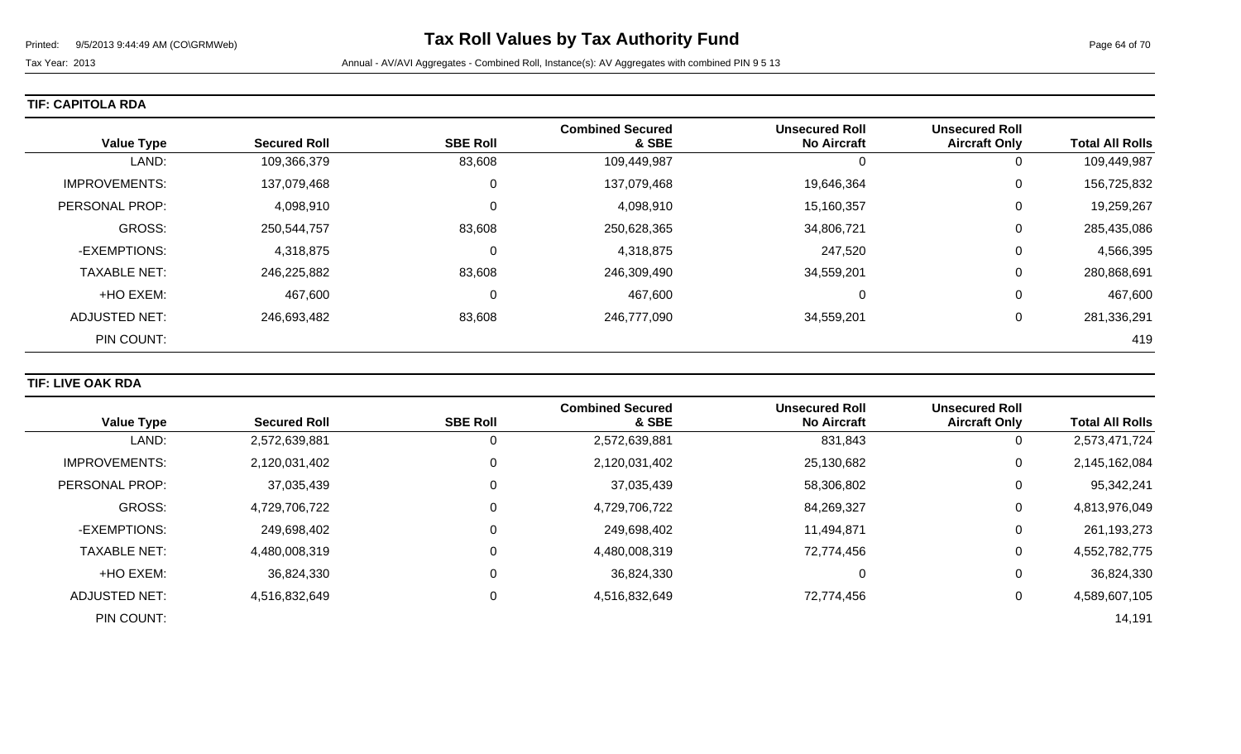| <b>Value Type</b>    | <b>Secured Roll</b> | <b>SBE Roll</b> | <b>Combined Secured</b><br>& SBE | <b>Unsecured Roll</b><br><b>No Aircraft</b> | <b>Unsecured Roll</b><br><b>Aircraft Only</b> | <b>Total All Rolls</b> |
|----------------------|---------------------|-----------------|----------------------------------|---------------------------------------------|-----------------------------------------------|------------------------|
| LAND:                | 109,366,379         | 83,608          | 109,449,987                      | 0                                           | U                                             | 109,449,987            |
| <b>IMPROVEMENTS:</b> | 137,079,468         | 0               | 137,079,468                      | 19,646,364                                  | 0                                             | 156,725,832            |
| PERSONAL PROP:       | 4,098,910           | 0               | 4,098,910                        | 15,160,357                                  | 0                                             | 19,259,267             |
| <b>GROSS:</b>        | 250,544,757         | 83,608          | 250,628,365                      | 34,806,721                                  | 0                                             | 285,435,086            |
| -EXEMPTIONS:         | 4,318,875           | 0               | 4,318,875                        | 247,520                                     | 0                                             | 4,566,395              |
| <b>TAXABLE NET:</b>  | 246,225,882         | 83,608          | 246,309,490                      | 34,559,201                                  | 0                                             | 280,868,691            |
| +HO EXEM:            | 467,600             | 0               | 467,600                          | 0                                           | 0                                             | 467,600                |
| <b>ADJUSTED NET:</b> | 246,693,482         | 83,608          | 246,777,090                      | 34,559,201                                  | 0                                             | 281,336,291            |
| PIN COUNT:           |                     |                 |                                  |                                             |                                               | 419                    |

### **TIF: LIVE OAK RDA**

| <b>Value Type</b>     | <b>Secured Roll</b> | <b>SBE Roll</b> | <b>Combined Secured</b><br>& SBE | <b>Unsecured Roll</b><br><b>No Aircraft</b> | <b>Unsecured Roll</b><br><b>Aircraft Only</b> | <b>Total All Rolls</b> |
|-----------------------|---------------------|-----------------|----------------------------------|---------------------------------------------|-----------------------------------------------|------------------------|
|                       |                     |                 |                                  |                                             |                                               |                        |
| LAND:                 | 2,572,639,881       | O               | 2,572,639,881                    | 831,843                                     | 0                                             | 2,573,471,724          |
| <b>IMPROVEMENTS:</b>  | 2,120,031,402       | 0               | 2,120,031,402                    | 25,130,682                                  | 0                                             | 2,145,162,084          |
| <b>PERSONAL PROP:</b> | 37,035,439          | 0               | 37,035,439                       | 58,306,802                                  | 0                                             | 95,342,241             |
| <b>GROSS:</b>         | 4,729,706,722       | $\Omega$        | 4,729,706,722                    | 84,269,327                                  | 0                                             | 4,813,976,049          |
| -EXEMPTIONS:          | 249,698,402         | 0               | 249,698,402                      | 11,494,871                                  | 0                                             | 261,193,273            |
| <b>TAXABLE NET:</b>   | 4,480,008,319       | $\Omega$        | 4,480,008,319                    | 72,774,456                                  | 0                                             | 4,552,782,775          |
| +HO EXEM:             | 36,824,330          | 0               | 36,824,330                       | 0                                           | 0                                             | 36,824,330             |
| ADJUSTED NET:         | 4,516,832,649       | 0               | 4,516,832,649                    | 72,774,456                                  | 0                                             | 4,589,607,105          |
| PIN COUNT:            |                     |                 |                                  |                                             |                                               | 14,191                 |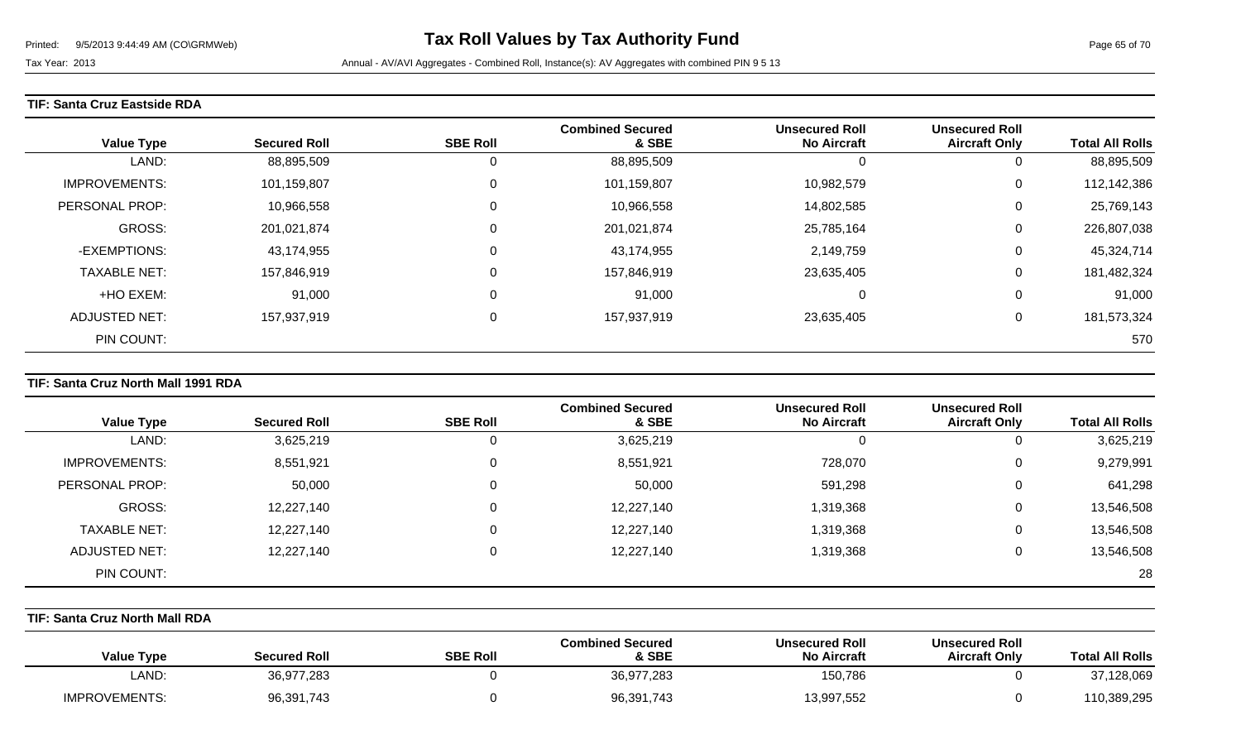### **TIF: Santa Cruz Eastside RDA**

| <b>Value Type</b>     | <b>Secured Roll</b> | <b>SBE Roll</b> | <b>Combined Secured</b><br>& SBE | <b>Unsecured Roll</b><br><b>No Aircraft</b> | <b>Unsecured Roll</b><br><b>Aircraft Only</b> | <b>Total All Rolls</b> |
|-----------------------|---------------------|-----------------|----------------------------------|---------------------------------------------|-----------------------------------------------|------------------------|
| LAND:                 | 88,895,509          | 0               | 88,895,509                       | U                                           | U                                             | 88,895,509             |
| <b>IMPROVEMENTS:</b>  | 101,159,807         | $\mathbf 0$     | 101,159,807                      | 10,982,579                                  | U                                             | 112,142,386            |
| <b>PERSONAL PROP:</b> | 10,966,558          | 0               | 10,966,558                       | 14,802,585                                  | 0                                             | 25,769,143             |
| <b>GROSS:</b>         | 201,021,874         | 0               | 201,021,874                      | 25,785,164                                  | 0                                             | 226,807,038            |
| -EXEMPTIONS:          | 43,174,955          | 0               | 43,174,955                       | 2,149,759                                   | 0                                             | 45,324,714             |
| <b>TAXABLE NET:</b>   | 157,846,919         | 0               | 157,846,919                      | 23,635,405                                  | 0                                             | 181,482,324            |
| +HO EXEM:             | 91,000              | 0               | 91,000                           | $\Omega$                                    | 0                                             | 91,000                 |
| <b>ADJUSTED NET:</b>  | 157,937,919         | 0               | 157,937,919                      | 23,635,405                                  | U                                             | 181,573,324            |
| PIN COUNT:            |                     |                 |                                  |                                             |                                               | 570                    |

### **TIF: Santa Cruz North Mall 1991 RDA**

|                      |                     |                 | <b>Combined Secured</b> | <b>Unsecured Roll</b> | <b>Unsecured Roll</b> |                        |
|----------------------|---------------------|-----------------|-------------------------|-----------------------|-----------------------|------------------------|
| <b>Value Type</b>    | <b>Secured Roll</b> | <b>SBE Roll</b> | & SBE                   | <b>No Aircraft</b>    | <b>Aircraft Only</b>  | <b>Total All Rolls</b> |
| LAND:                | 3,625,219           | v               | 3,625,219               | 0                     |                       | 3,625,219              |
| <b>IMPROVEMENTS:</b> | 8,551,921           | U               | 8,551,921               | 728,070               | 0                     | 9,279,991              |
| PERSONAL PROP:       | 50,000              |                 | 50,000                  | 591,298               | 0                     | 641,298                |
| GROSS:               | 12,227,140          |                 | 12,227,140              | 1,319,368             | 0                     | 13,546,508             |
| <b>TAXABLE NET:</b>  | 12,227,140          |                 | 12,227,140              | 1,319,368             | 0                     | 13,546,508             |
| ADJUSTED NET:        | 12,227,140          | 0               | 12,227,140              | 1,319,368             | 0                     | 13,546,508             |
| PIN COUNT:           |                     |                 |                         |                       |                       | 28                     |

## **TIF: Santa Cruz North Mall RDA**

| <b>Total All Rolls</b> | <b>Unsecured Roll</b><br><b>Aircraft Only</b> | <b>Unsecured Roll</b><br><b>No Aircraft</b> | <b>Combined Secured</b><br>& SBE | <b>SBE Roll</b> | <b>Secured Roll</b> | <b>Value Type</b>    |
|------------------------|-----------------------------------------------|---------------------------------------------|----------------------------------|-----------------|---------------------|----------------------|
| 37,128,069             |                                               | 150,786                                     | 36,977,283                       |                 | 36,977,283          | LAND:                |
| 110,389,295            |                                               | 13,997,552                                  | 96,391,743                       |                 | 96,391,743          | <b>IMPROVEMENTS:</b> |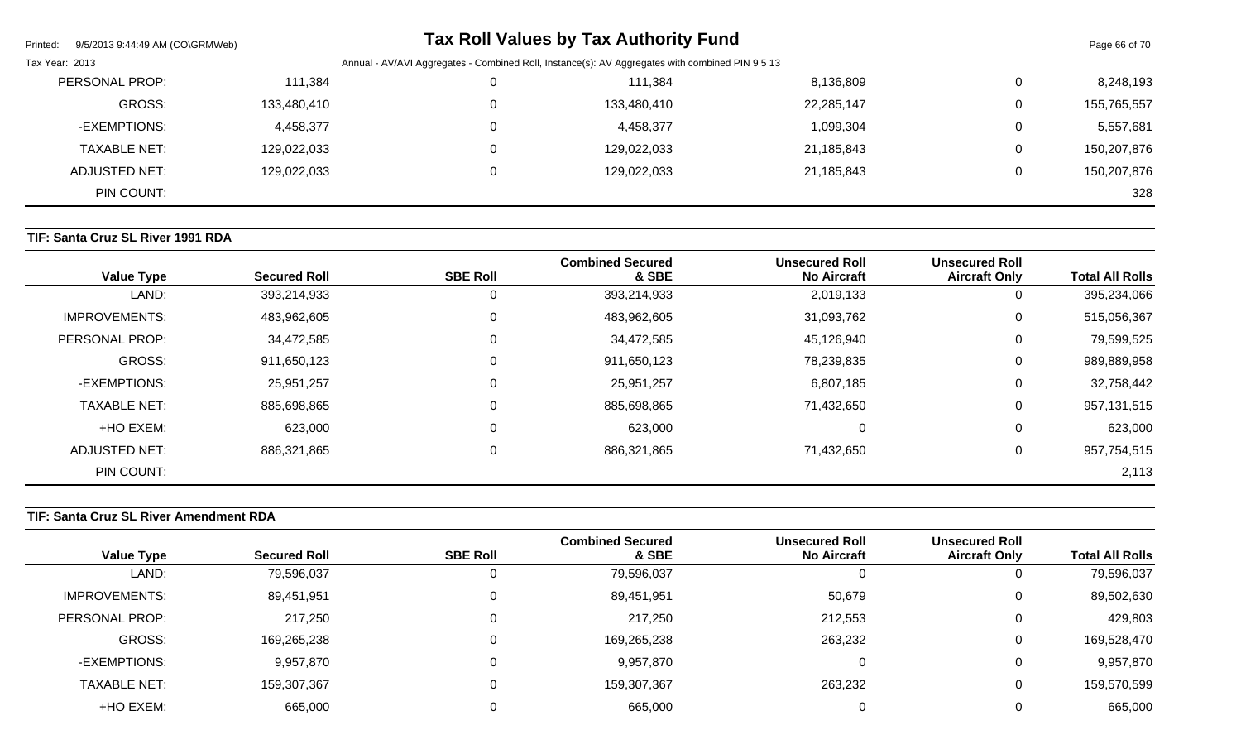| Printed:<br>9/5/2013 9:44:49 AM (CO\GRMWeb) |             |                                                                                                 | <b>Tax Roll Values by Tax Authority Fund</b> |            |              | Page 66 of 70 |
|---------------------------------------------|-------------|-------------------------------------------------------------------------------------------------|----------------------------------------------|------------|--------------|---------------|
| Tax Year: 2013                              |             | Annual - AV/AVI Aggregates - Combined Roll, Instance(s): AV Aggregates with combined PIN 9 5 13 |                                              |            |              |               |
| PERSONAL PROP:                              | 111,384     |                                                                                                 | 111,384                                      | 8,136,809  | 0            | 8,248,193     |
| GROSS:                                      | 133,480,410 |                                                                                                 | 133,480,410                                  | 22,285,147 | 0            | 155,765,557   |
| -EXEMPTIONS:                                | 4,458,377   |                                                                                                 | 4,458,377                                    | 1,099,304  | $\mathbf{0}$ | 5,557,681     |
| TAXABLE NET:                                | 129,022,033 |                                                                                                 | 129,022,033                                  | 21,185,843 | 0            | 150,207,876   |
| ADJUSTED NET:                               | 129,022,033 |                                                                                                 | 129,022,033                                  | 21,185,843 | 0            | 150,207,876   |
| PIN COUNT:                                  |             |                                                                                                 |                                              |            |              | 328           |
|                                             |             |                                                                                                 |                                              |            |              |               |

## **TIF: Santa Cruz SL River 1991 RDA**

| <b>Value Type</b>     | <b>Secured Roll</b> | <b>SBE Roll</b> | <b>Combined Secured</b><br>& SBE | <b>Unsecured Roll</b><br><b>No Aircraft</b> | <b>Unsecured Roll</b><br><b>Aircraft Only</b> | <b>Total All Rolls</b> |
|-----------------------|---------------------|-----------------|----------------------------------|---------------------------------------------|-----------------------------------------------|------------------------|
| LAND:                 | 393,214,933         | 0               | 393,214,933                      | 2,019,133                                   | 0                                             | 395,234,066            |
| <b>IMPROVEMENTS:</b>  | 483,962,605         | 0               | 483,962,605                      | 31,093,762                                  | 0                                             | 515,056,367            |
| <b>PERSONAL PROP:</b> | 34,472,585          | 0               | 34,472,585                       | 45,126,940                                  | 0                                             | 79,599,525             |
| <b>GROSS:</b>         | 911,650,123         |                 | 911,650,123                      | 78,239,835                                  | 0                                             | 989,889,958            |
| -EXEMPTIONS:          | 25,951,257          | 0               | 25,951,257                       | 6,807,185                                   | $\mathbf 0$                                   | 32,758,442             |
| <b>TAXABLE NET:</b>   | 885,698,865         |                 | 885,698,865                      | 71,432,650                                  | 0                                             | 957, 131, 515          |
| +HO EXEM:             | 623,000             | 0               | 623,000                          |                                             | $\mathbf 0$                                   | 623,000                |
| ADJUSTED NET:         | 886,321,865         | 0               | 886,321,865                      | 71,432,650                                  | 0                                             | 957,754,515            |
| PIN COUNT:            |                     |                 |                                  |                                             |                                               | 2,113                  |

## **TIF: Santa Cruz SL River Amendment RDA**

|                     |                     |                 | <b>Combined Secured</b> | <b>Unsecured Roll</b> | <b>Unsecured Roll</b> |                        |
|---------------------|---------------------|-----------------|-------------------------|-----------------------|-----------------------|------------------------|
| <b>Value Type</b>   | <b>Secured Roll</b> | <b>SBE Roll</b> | & SBE                   | <b>No Aircraft</b>    | <b>Aircraft Only</b>  | <b>Total All Rolls</b> |
| LAND:               | 79,596,037          | 0               | 79,596,037              |                       |                       | 79,596,037             |
| IMPROVEMENTS:       | 89,451,951          | 0               | 89,451,951              | 50,679                |                       | 89,502,630             |
| PERSONAL PROP:      | 217,250             | 0               | 217,250                 | 212,553               |                       | 429,803                |
| GROSS:              | 169,265,238         | 0               | 169,265,238             | 263,232               |                       | 169,528,470            |
| -EXEMPTIONS:        | 9,957,870           | 0               | 9,957,870               |                       |                       | 9,957,870              |
| <b>TAXABLE NET:</b> | 159,307,367         | 0               | 159,307,367             | 263,232               | U                     | 159,570,599            |
| +HO EXEM:           | 665,000             |                 | 665,000                 |                       |                       | 665,000                |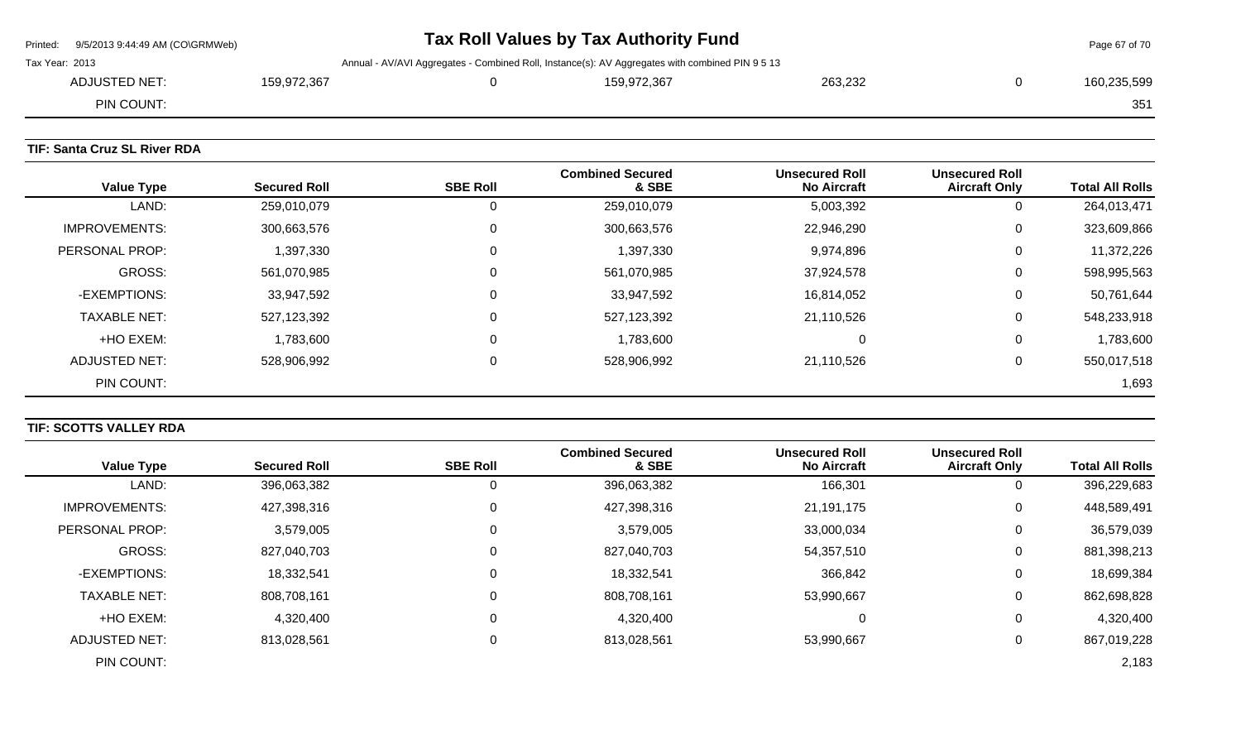|                | Printed: 9/5/2013 9:44:49 AM (CO\GRMWeb) |             |                                                                                                 | Tax Roll Values by Tax Authority Fund |         | Page 67 of 70 |
|----------------|------------------------------------------|-------------|-------------------------------------------------------------------------------------------------|---------------------------------------|---------|---------------|
| Tax Year: 2013 |                                          |             | Annual - AV/AVI Aggregates - Combined Roll, Instance(s): AV Aggregates with combined PIN 9 5 13 |                                       |         |               |
|                | ADJUSTED NET:                            | 159,972,367 |                                                                                                 | 159.972.367                           | 263.232 | 160.235.599   |
|                | PIN COUNT:                               |             |                                                                                                 |                                       |         | 351           |
|                |                                          |             |                                                                                                 |                                       |         |               |

## **TIF: Santa Cruz SL River RDA**

| <b>Value Type</b>    | <b>Secured Roll</b> | <b>SBE Roll</b> | <b>Combined Secured</b><br>& SBE | <b>Unsecured Roll</b><br><b>No Aircraft</b> | <b>Unsecured Roll</b><br><b>Aircraft Only</b> | <b>Total All Rolls</b> |
|----------------------|---------------------|-----------------|----------------------------------|---------------------------------------------|-----------------------------------------------|------------------------|
| LAND:                | 259,010,079         | 0               | 259,010,079                      | 5,003,392                                   | U                                             | 264,013,471            |
| <b>IMPROVEMENTS:</b> | 300,663,576         | 0               | 300,663,576                      | 22,946,290                                  | 0                                             | 323,609,866            |
| PERSONAL PROP:       | 1,397,330           | $\mathbf 0$     | 1,397,330                        | 9,974,896                                   | 0                                             | 11,372,226             |
| <b>GROSS:</b>        | 561,070,985         | 0               | 561,070,985                      | 37,924,578                                  | 0                                             | 598,995,563            |
| -EXEMPTIONS:         | 33,947,592          | $\mathbf 0$     | 33,947,592                       | 16,814,052                                  | 0                                             | 50,761,644             |
| <b>TAXABLE NET:</b>  | 527,123,392         | 0               | 527,123,392                      | 21,110,526                                  | 0                                             | 548,233,918            |
| +HO EXEM:            | 1,783,600           | $\mathbf 0$     | 1,783,600                        | 0                                           | 0                                             | 1,783,600              |
| <b>ADJUSTED NET:</b> | 528,906,992         | 0               | 528,906,992                      | 21,110,526                                  | 0                                             | 550,017,518            |
| PIN COUNT:           |                     |                 |                                  |                                             |                                               | 1,693                  |

## **TIF: SCOTTS VALLEY RDA**

|                      |                     |                 | <b>Combined Secured</b> | <b>Unsecured Roll</b> | <b>Unsecured Roll</b> |                        |
|----------------------|---------------------|-----------------|-------------------------|-----------------------|-----------------------|------------------------|
| <b>Value Type</b>    | <b>Secured Roll</b> | <b>SBE Roll</b> | & SBE                   | <b>No Aircraft</b>    | <b>Aircraft Only</b>  | <b>Total All Rolls</b> |
| LAND:                | 396,063,382         |                 | 396,063,382             | 166,301               | U                     | 396,229,683            |
| <b>IMPROVEMENTS:</b> | 427,398,316         | $\Omega$        | 427,398,316             | 21,191,175            | 0                     | 448,589,491            |
| PERSONAL PROP:       | 3,579,005           |                 | 3,579,005               | 33,000,034            | 0                     | 36,579,039             |
| <b>GROSS:</b>        | 827,040,703         | $\Omega$        | 827,040,703             | 54,357,510            | 0                     | 881,398,213            |
| -EXEMPTIONS:         | 18,332,541          | $\Omega$        | 18,332,541              | 366,842               | 0                     | 18,699,384             |
| <b>TAXABLE NET:</b>  | 808,708,161         | $\Omega$        | 808,708,161             | 53,990,667            | 0                     | 862,698,828            |
| +HO EXEM:            | 4,320,400           |                 | 4,320,400               | 0                     | 0                     | 4,320,400              |
| <b>ADJUSTED NET:</b> | 813,028,561         | $\Omega$        | 813,028,561             | 53,990,667            | 0                     | 867,019,228            |
| PIN COUNT:           |                     |                 |                         |                       |                       | 2,183                  |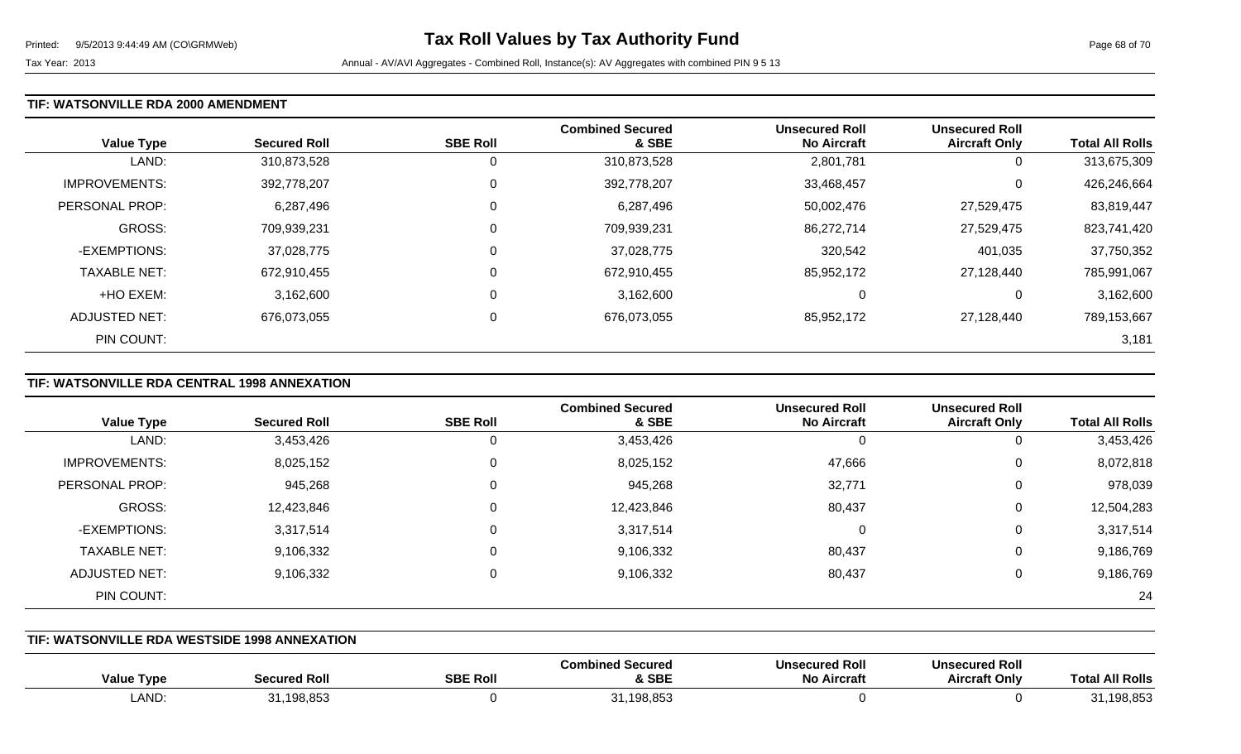#### **TIF: WATSONVILLE RDA 2000 AMENDMENT**

| <b>Value Type</b>    | <b>Secured Roll</b> | <b>SBE Roll</b> | <b>Combined Secured</b><br>& SBE | <b>Unsecured Roll</b><br><b>No Aircraft</b> | <b>Unsecured Roll</b><br><b>Aircraft Only</b> | <b>Total All Rolls</b> |
|----------------------|---------------------|-----------------|----------------------------------|---------------------------------------------|-----------------------------------------------|------------------------|
| LAND:                | 310,873,528         | 0               | 310,873,528                      | 2,801,781                                   | 0                                             | 313,675,309            |
| <b>IMPROVEMENTS:</b> | 392,778,207         | 0               | 392,778,207                      | 33,468,457                                  | 0                                             | 426,246,664            |
| PERSONAL PROP:       | 6,287,496           | $\Omega$        | 6,287,496                        | 50,002,476                                  | 27,529,475                                    | 83,819,447             |
| <b>GROSS:</b>        | 709,939,231         | 0               | 709,939,231                      | 86,272,714                                  | 27,529,475                                    | 823,741,420            |
| -EXEMPTIONS:         | 37,028,775          | $\Omega$        | 37,028,775                       | 320,542                                     | 401,035                                       | 37,750,352             |
| <b>TAXABLE NET:</b>  | 672,910,455         | 0               | 672,910,455                      | 85,952,172                                  | 27,128,440                                    | 785,991,067            |
| +HO EXEM:            | 3,162,600           | $\mathbf 0$     | 3,162,600                        | 0                                           | 0                                             | 3,162,600              |
| ADJUSTED NET:        | 676,073,055         | 0               | 676,073,055                      | 85,952,172                                  | 27,128,440                                    | 789,153,667            |
| PIN COUNT:           |                     |                 |                                  |                                             |                                               | 3,181                  |

## **TIF: WATSONVILLE RDA CENTRAL 1998 ANNEXATION**

|                      |                     |                 | <b>Combined Secured</b> | <b>Unsecured Roll</b> | <b>Unsecured Roll</b> |                        |
|----------------------|---------------------|-----------------|-------------------------|-----------------------|-----------------------|------------------------|
| <b>Value Type</b>    | <b>Secured Roll</b> | <b>SBE Roll</b> | & SBE                   | <b>No Aircraft</b>    | <b>Aircraft Only</b>  | <b>Total All Rolls</b> |
| LAND:                | 3,453,426           | 0               | 3,453,426               |                       | 0                     | 3,453,426              |
| <b>IMPROVEMENTS:</b> | 8,025,152           | 0               | 8,025,152               | 47,666                | 0                     | 8,072,818              |
| PERSONAL PROP:       | 945,268             | 0               | 945,268                 | 32,771                | 0                     | 978,039                |
| GROSS:               | 12,423,846          | 0               | 12,423,846              | 80,437                | 0                     | 12,504,283             |
| -EXEMPTIONS:         | 3,317,514           | 0               | 3,317,514               |                       | 0                     | 3,317,514              |
| <b>TAXABLE NET:</b>  | 9,106,332           | 0               | 9,106,332               | 80,437                | 0                     | 9,186,769              |
| <b>ADJUSTED NET:</b> | 9,106,332           | 0               | 9,106,332               | 80,437                | 0                     | 9,186,769              |
| PIN COUNT:           |                     |                 |                         |                       |                       | 24                     |

### **TIF: WATSONVILLE RDA WESTSIDE 1998 ANNEXATION**

| Type<br><b>Value</b> | l Ro<br>secured | <b>SBE Roll</b> | <b>Combined Secured</b><br>& SBE    | <b>Unsecured Roll</b><br>No /<br>`ircrat. | <b>Unsecured Roll</b><br>.rt Only<br>Aircraf′ | <b>All Rolls</b><br>™ota. |
|----------------------|-----------------|-----------------|-------------------------------------|-------------------------------------------|-----------------------------------------------|---------------------------|
| <b>LAND</b>          | .198.853        |                 | .1408.85<br>$\sim$ $\sim$<br>100.00 |                                           |                                               | 198,853                   |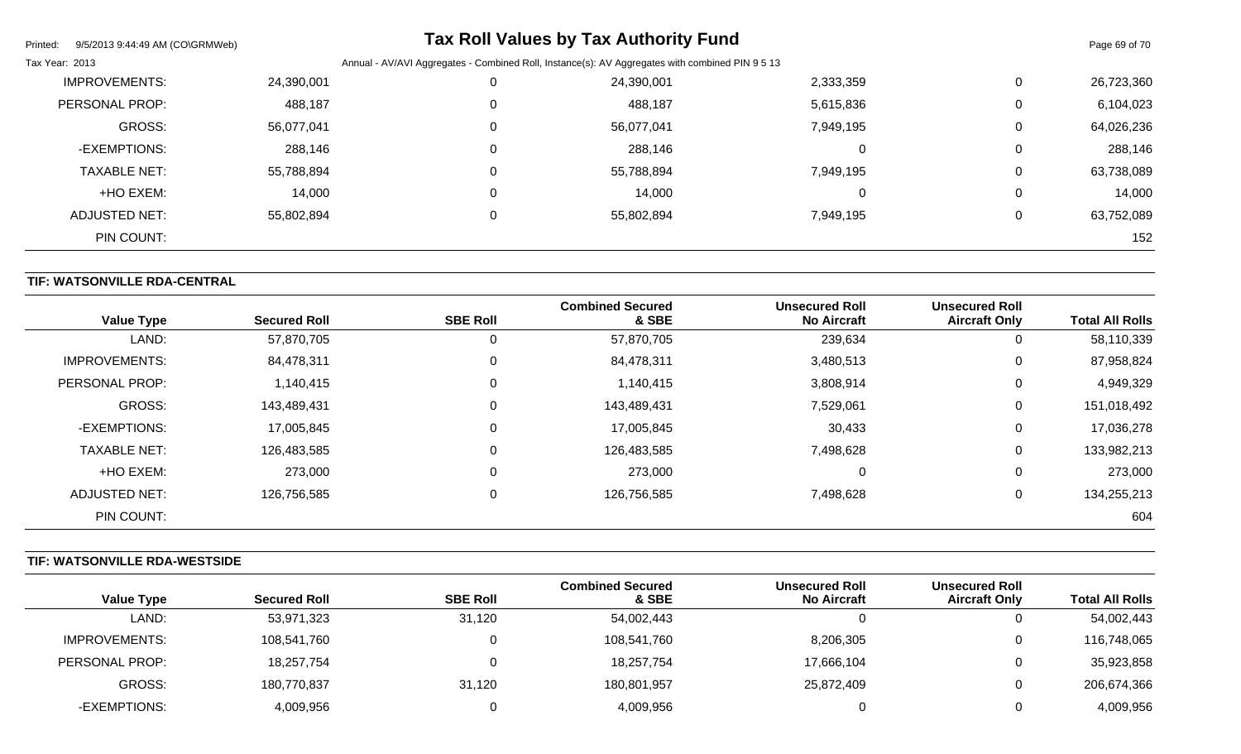| Printed:<br>9/5/2013 9:44:49 AM (CO\GRMWeb) |            |          | <b>Tax Roll Values by Tax Authority Fund</b>                                                    |           |             | Page 69 of 70 |
|---------------------------------------------|------------|----------|-------------------------------------------------------------------------------------------------|-----------|-------------|---------------|
| Tax Year: 2013                              |            |          | Annual - AV/AVI Aggregates - Combined Roll, Instance(s): AV Aggregates with combined PIN 9 5 13 |           |             |               |
| <b>IMPROVEMENTS:</b>                        | 24,390,001 |          | 24,390,001                                                                                      | 2,333,359 | 0           | 26,723,360    |
| PERSONAL PROP:                              | 488,187    |          | 488,187                                                                                         | 5,615,836 | $\mathbf 0$ | 6,104,023     |
| <b>GROSS:</b>                               | 56,077,041 | $\Omega$ | 56,077,041                                                                                      | 7,949,195 | 0           | 64,026,236    |
| -EXEMPTIONS:                                | 288,146    | 0        | 288,146                                                                                         | 0         | $\mathbf 0$ | 288,146       |
| <b>TAXABLE NET:</b>                         | 55,788,894 | $\Omega$ | 55,788,894                                                                                      | 7,949,195 | $\mathbf 0$ | 63,738,089    |
| +HO EXEM:                                   | 14,000     | 0        | 14,000                                                                                          | 0         | 0           | 14,000        |
| <b>ADJUSTED NET:</b>                        | 55,802,894 |          | 55,802,894                                                                                      | 7,949,195 | $\mathbf 0$ | 63,752,089    |
| PIN COUNT:                                  |            |          |                                                                                                 |           |             | 152           |

## **TIF: WATSONVILLE RDA-CENTRAL**

| <b>Value Type</b>    | <b>Secured Roll</b> | <b>SBE Roll</b> | <b>Combined Secured</b><br>& SBE | <b>Unsecured Roll</b><br><b>No Aircraft</b> | <b>Unsecured Roll</b><br><b>Aircraft Only</b> | <b>Total All Rolls</b> |
|----------------------|---------------------|-----------------|----------------------------------|---------------------------------------------|-----------------------------------------------|------------------------|
| LAND:                | 57,870,705          | U               | 57,870,705                       | 239,634                                     | 0                                             | 58,110,339             |
| <b>IMPROVEMENTS:</b> | 84,478,311          | 0               | 84,478,311                       | 3,480,513                                   | 0                                             | 87,958,824             |
| PERSONAL PROP:       | 1,140,415           | $\mathbf 0$     | 1,140,415                        | 3,808,914                                   | 0                                             | 4,949,329              |
| <b>GROSS:</b>        | 143,489,431         | $\mathbf 0$     | 143,489,431                      | 7,529,061                                   | 0                                             | 151,018,492            |
| -EXEMPTIONS:         | 17,005,845          | 0               | 17,005,845                       | 30,433                                      | 0                                             | 17,036,278             |
| <b>TAXABLE NET:</b>  | 126,483,585         | $\mathbf 0$     | 126,483,585                      | 7,498,628                                   | 0                                             | 133,982,213            |
| +HO EXEM:            | 273,000             | $\mathbf 0$     | 273,000                          |                                             | 0                                             | 273,000                |
| ADJUSTED NET:        | 126,756,585         | 0               | 126,756,585                      | 7,498,628                                   | 0                                             | 134,255,213            |
| PIN COUNT:           |                     |                 |                                  |                                             |                                               | 604                    |

## **TIF: WATSONVILLE RDA-WESTSIDE**

|                      |                     |                 | <b>Combined Secured</b> | <b>Unsecured Roll</b> | <b>Unsecured Roll</b> |                        |
|----------------------|---------------------|-----------------|-------------------------|-----------------------|-----------------------|------------------------|
| <b>Value Type</b>    | <b>Secured Roll</b> | <b>SBE Roll</b> | & SBE                   | <b>No Aircraft</b>    | <b>Aircraft Only</b>  | <b>Total All Rolls</b> |
| LAND:                | 53,971,323          | 31,120          | 54,002,443              |                       | ັ                     | 54,002,443             |
| <b>IMPROVEMENTS:</b> | 108,541,760         |                 | 108,541,760             | 8,206,305             | ັ                     | 116,748,065            |
| PERSONAL PROP:       | 18,257,754          |                 | 18,257,754              | 17,666,104            |                       | 35,923,858             |
| GROSS:               | 180,770,837         | 31,120          | 180,801,957             | 25,872,409            |                       | 206,674,366            |
| -EXEMPTIONS:         | 4,009,956           |                 | 4,009,956               |                       |                       | 4,009,956              |